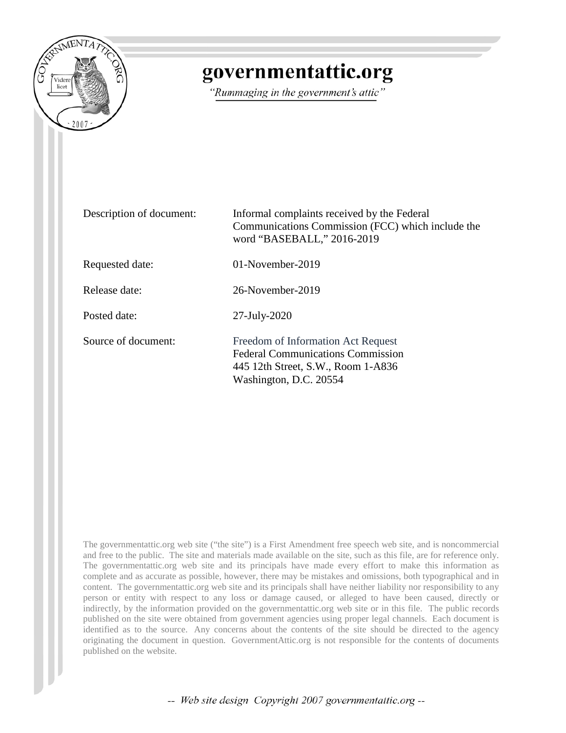

# governmentattic.org

"Rummaging in the government's attic"

| Description of document: | Informal complaints received by the Federal<br>Communications Commission (FCC) which include the<br>word "BASEBALL," 2016-2019                 |
|--------------------------|------------------------------------------------------------------------------------------------------------------------------------------------|
| Requested date:          | 01-November-2019                                                                                                                               |
| Release date:            | 26-November-2019                                                                                                                               |
| Posted date:             | $27$ -July- $2020$                                                                                                                             |
| Source of document:      | Freedom of Information Act Request<br><b>Federal Communications Commission</b><br>445 12th Street, S.W., Room 1-A836<br>Washington, D.C. 20554 |

The governmentattic.org web site ("the site") is a First Amendment free speech web site, and is noncommercial and free to the public. The site and materials made available on the site, such as this file, are for reference only. The governmentattic.org web site and its principals have made every effort to make this information as complete and as accurate as possible, however, there may be mistakes and omissions, both typographical and in content. The governmentattic.org web site and its principals shall have neither liability nor responsibility to any person or entity with respect to any loss or damage caused, or alleged to have been caused, directly or indirectly, by the information provided on the governmentattic.org web site or in this file. The public records published on the site were obtained from government agencies using proper legal channels. Each document is identified as to the source. Any concerns about the contents of the site should be directed to the agency originating the document in question. GovernmentAttic.org is not responsible for the contents of documents published on the website.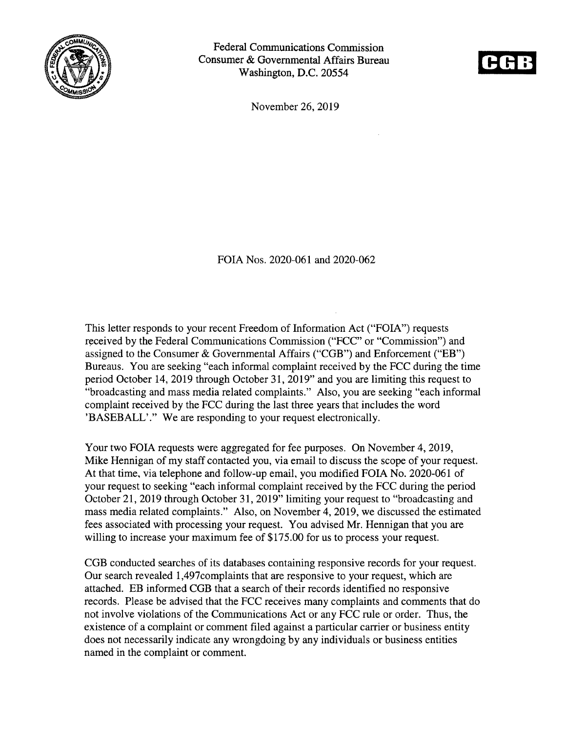

Federal Communications Commission Consumer & Governmental Affairs Bureau Washington, D.C. 20554



November 26, 2019

FOIA Nos. 2020-061 and 2020-062

This letter responds to your recent Freedom of Information Act ("FOIA") requests received by the Federal Communications Commission ("FCC" or "Commission") and assigned to the Consumer & Governmental Affairs ("CGB") and Enforcement ("EB") Bureaus. You are seeking "each informal complaint received by the FCC during the time period October 14, 2019 through October 31, 2019" and you are limiting this request to "broadcasting and mass media related complaints." Also, you are seeking "each informal complaint received by the FCC during the last three years that includes the word 'BASEBALL'." We are responding to your request electronically.

Your two FOIA requests were aggregated for fee purposes. On November 4, 2019, Mike Hennigan of my staff contacted you, via email to discuss the scope of your request. At that time, via telephone and follow-up email. you modified FOIA No. 2020-061 of your request to seeking "each informal complaint received by the FCC during the period October 21, 2019 through October 31, 2019" limiting your request to "broadcasting and mass media related complaints." Also, on November 4, 2019, we discussed the estimated fees associated with processing your request. You advised Mr. Hennigan that you are willing to increase your maximum fee of \$175.00 for us to process your request.

CGB conducted searches of its databases containing responsive records for your request. Our search revealed 1,497complaints that are responsive to your request, which are attached. EB informed CGB that a search of their records identified no responsive records. Please be advised that the FCC receives many complaints and comments that do not involve violations of the Communications Act or any FCC rule or order. Thus, the existence of a complaint or comment filed against a particular carrier or business entity does not necessarily indicate any wrongdoing by any individuals or business entities named in the complaint or comment.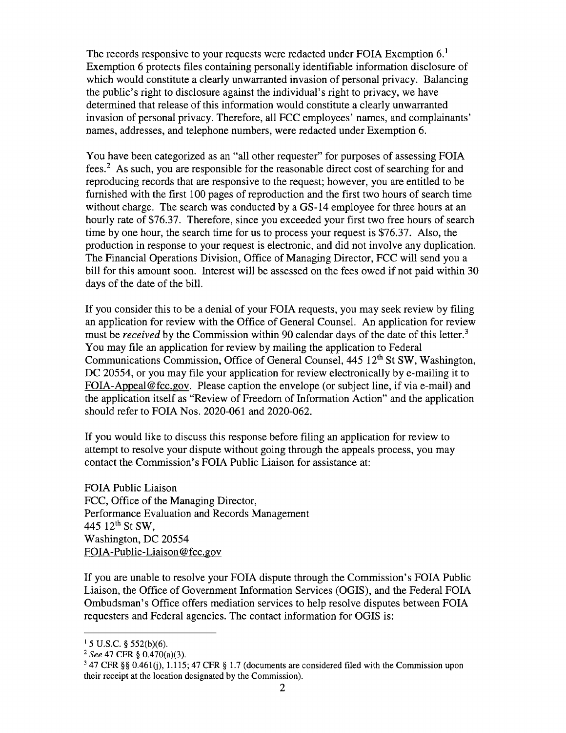The records responsive to your requests were redacted under FOIA Exemption 6.<sup>1</sup> Exemption 6 protects files containing personally identifiable information disclosure of which would constitute a clearly unwarranted invasion of personal privacy. Balancing the public's right to disclosure against the individual's right to privacy, we have determined that release of this information would constitute a clearly unwarranted invasion of personal privacy. Therefore, all FCC employees' names, and complainants' names, addresses, and telephone numbers, were redacted under Exemption 6.

You have been categorized as an "all other requester" for purposes of assessing FOIA fees.<sup>2</sup> As such, you are responsible for the reasonable direct cost of searching for and reproducing records that are responsive to the request; however, you are entitled to be furnished with the first 100 pages of reproduction and the first two hours of search time without charge. The search was conducted by a GS-14 employee for three hours at an hourly rate of \$76.37. Therefore, since you exceeded your first two free hours of search time by one hour, the search time for us to process your request is \$76.37. Also, the production in response to your request is electronic, and did not involve any duplication. The Financial Operations Division, Office of Managing Director, FCC will send you a bill for this amount soon. Interest will be assessed on the fees owed if not paid within 30 days of the date of the bill.

If you consider this to be a denial of your FOIA requests, you may seek review by filing an application for review with the Office of General Counsel. An application for review must be *received* by the Commission within 90 calendar days of the date of this letter.<sup>3</sup> You may file an application for review by mailing the application to Federal Communications Commission, Office of General Counsel,  $445 \frac{12^{th}}{s}$  St SW, Washington, DC 20554, or you may file your application for review electronically by e-mailing it to FOIA-Appeal@fcc.gov. Please caption the envelope (or subject line, if via e-mail) and the application itself as "Review of Freedom of Information Action" and the application should refer to FOIA Nos. 2020-061 and 2020-062.

If you would like to discuss this response before filing an application for review to attempt to resolve your dispute without going through the appeals process, you may contact the Commission's FOIA Public Liaison for assistance at:

FOIA Public Liaison FCC, Office of the Managing Director, Performance Evaluation and Records Management 445 12<sup>th</sup> St SW, Washington, DC 20554 FOIA-Public-Liaison@fcc.gov

If you are unable to resolve your FOIA dispute through the Commission's FOIA Public Liaison, the Office of Government Information Services (OGIS), and the Federal FOIA Ombudsman's Office offers mediation services to help resolve disputes between FOIA requesters and Federal agencies. The contact information for OGIS is:

 $15$  U.S.C. § 552(b)(6).

<sup>2</sup>*See* 47 CFR § 0.470(a)(3).

<sup>3</sup>47 CFR §§ 0.461(j), 1.115; 47 CFR § 1.7 (documents are considered filed with the Commission upon their receipt at the location designated by the Commission).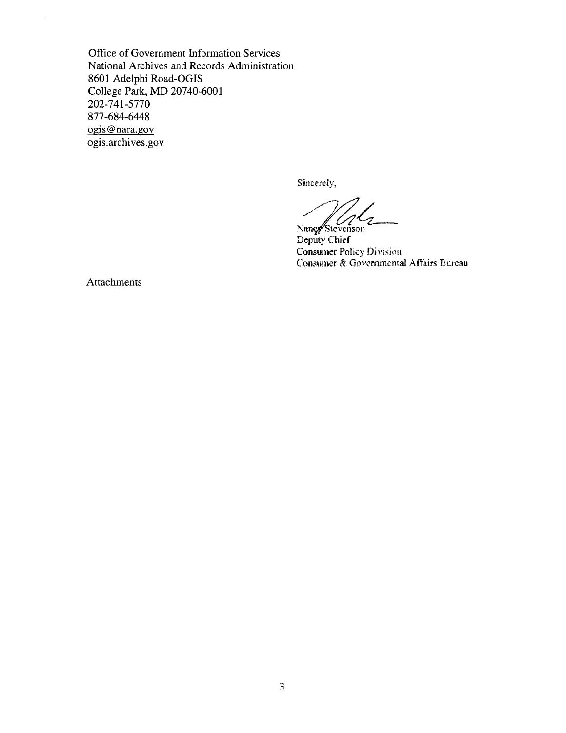Office of Government Information Services National Archives and Records Administration 8601 Adelphi Road-OGIS College Park, MD 20740-6001 202-741-5770 877-684-6448 ogis@nara.gov ogis.archives.gov

Sincerely,

**Let a** 

Deputy Chief Consumer Policy Divisinn Consumer&. Governmental Affairs Bureau

Attachments

 $\ddot{\phantom{a}}$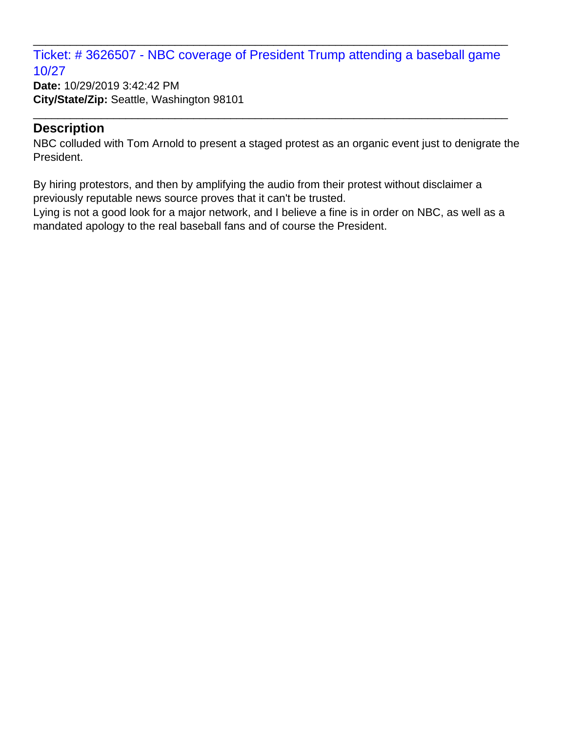Ticket: # 3626507 - NBC coverage of President Trump attending a baseball game 10/27

\_\_\_\_\_\_\_\_\_\_\_\_\_\_\_\_\_\_\_\_\_\_\_\_\_\_\_\_\_\_\_\_\_\_\_\_\_\_\_\_\_\_\_\_\_\_\_\_\_\_\_\_\_\_\_\_\_\_\_\_\_\_\_\_\_\_\_\_\_\_\_\_\_\_\_\_\_

\_\_\_\_\_\_\_\_\_\_\_\_\_\_\_\_\_\_\_\_\_\_\_\_\_\_\_\_\_\_\_\_\_\_\_\_\_\_\_\_\_\_\_\_\_\_\_\_\_\_\_\_\_\_\_\_\_\_\_\_\_\_\_\_\_\_\_\_\_\_\_\_\_\_\_\_\_

**Date:** 10/29/2019 3:42:42 PM **City/State/Zip:** Seattle, Washington 98101

#### **Description**

NBC colluded with Tom Arnold to present a staged protest as an organic event just to denigrate the President.

By hiring protestors, and then by amplifying the audio from their protest without disclaimer a previously reputable news source proves that it can't be trusted.

Lying is not a good look for a major network, and I believe a fine is in order on NBC, as well as a mandated apology to the real baseball fans and of course the President.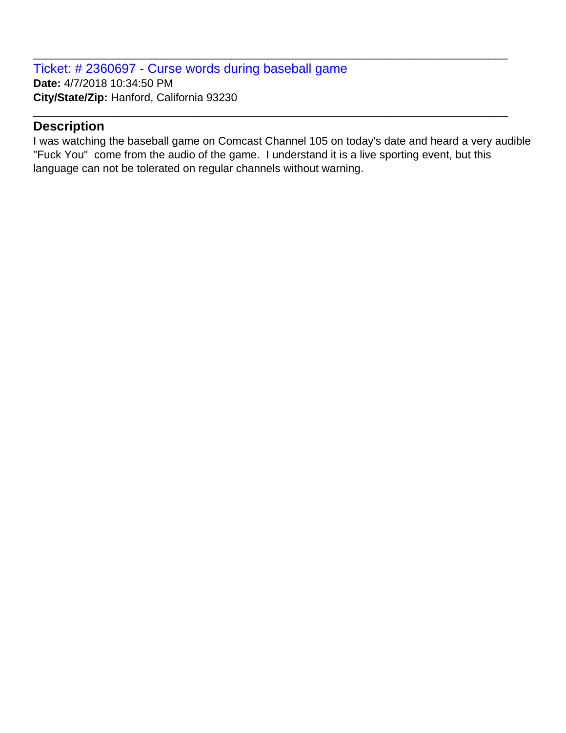Ticket: # 2360697 - Curse words during baseball game **Date:** 4/7/2018 10:34:50 PM **City/State/Zip:** Hanford, California 93230

#### **Description**

I was watching the baseball game on Comcast Channel 105 on today's date and heard a very audible "Fuck You" come from the audio of the game. I understand it is a live sporting event, but this language can not be tolerated on regular channels without warning.

\_\_\_\_\_\_\_\_\_\_\_\_\_\_\_\_\_\_\_\_\_\_\_\_\_\_\_\_\_\_\_\_\_\_\_\_\_\_\_\_\_\_\_\_\_\_\_\_\_\_\_\_\_\_\_\_\_\_\_\_\_\_\_\_\_\_\_\_\_\_\_\_\_\_\_\_\_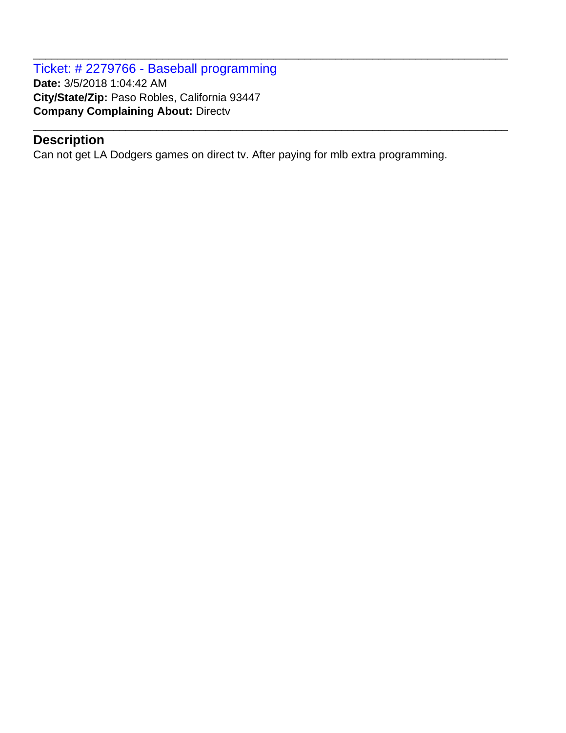Ticket: # 2279766 - Baseball programming **Date:** 3/5/2018 1:04:42 AM **City/State/Zip:** Paso Robles, California 93447 **Company Complaining About:** Directv

# **Description**

Can not get LA Dodgers games on direct tv. After paying for mlb extra programming.

\_\_\_\_\_\_\_\_\_\_\_\_\_\_\_\_\_\_\_\_\_\_\_\_\_\_\_\_\_\_\_\_\_\_\_\_\_\_\_\_\_\_\_\_\_\_\_\_\_\_\_\_\_\_\_\_\_\_\_\_\_\_\_\_\_\_\_\_\_\_\_\_\_\_\_\_\_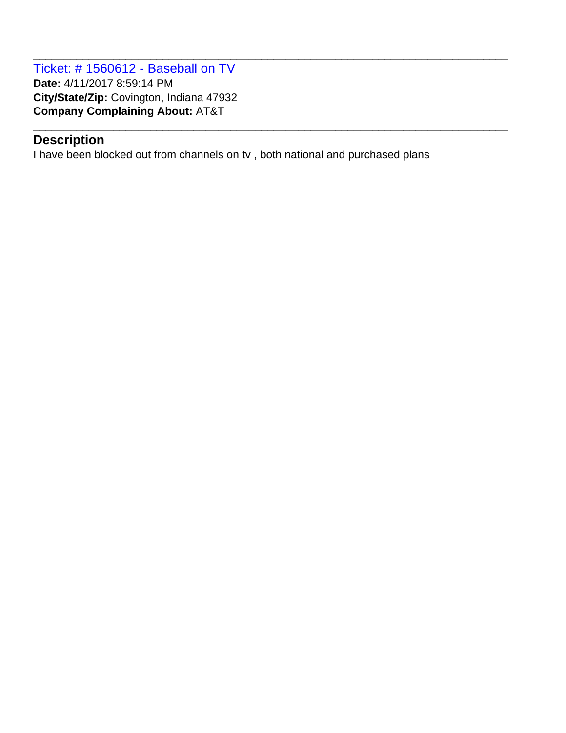Ticket: # 1560612 - Baseball on TV **Date:** 4/11/2017 8:59:14 PM **City/State/Zip:** Covington, Indiana 47932 **Company Complaining About:** AT&T

# **Description**

I have been blocked out from channels on tv , both national and purchased plans

\_\_\_\_\_\_\_\_\_\_\_\_\_\_\_\_\_\_\_\_\_\_\_\_\_\_\_\_\_\_\_\_\_\_\_\_\_\_\_\_\_\_\_\_\_\_\_\_\_\_\_\_\_\_\_\_\_\_\_\_\_\_\_\_\_\_\_\_\_\_\_\_\_\_\_\_\_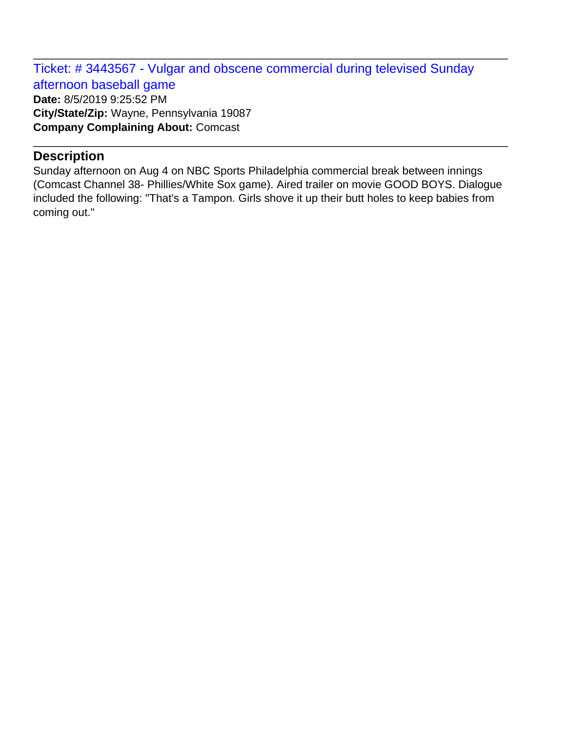Ticket: # 3443567 - Vulgar and obscene commercial during televised Sunday afternoon baseball game **Date:** 8/5/2019 9:25:52 PM **City/State/Zip:** Wayne, Pennsylvania 19087 **Company Complaining About:** Comcast

\_\_\_\_\_\_\_\_\_\_\_\_\_\_\_\_\_\_\_\_\_\_\_\_\_\_\_\_\_\_\_\_\_\_\_\_\_\_\_\_\_\_\_\_\_\_\_\_\_\_\_\_\_\_\_\_\_\_\_\_\_\_\_\_\_\_\_\_\_\_\_\_\_\_\_\_\_

# **Description**

Sunday afternoon on Aug 4 on NBC Sports Philadelphia commercial break between innings (Comcast Channel 38- Phillies/White Sox game). Aired trailer on movie GOOD BOYS. Dialogue included the following: "That's a Tampon. Girls shove it up their butt holes to keep babies from coming out."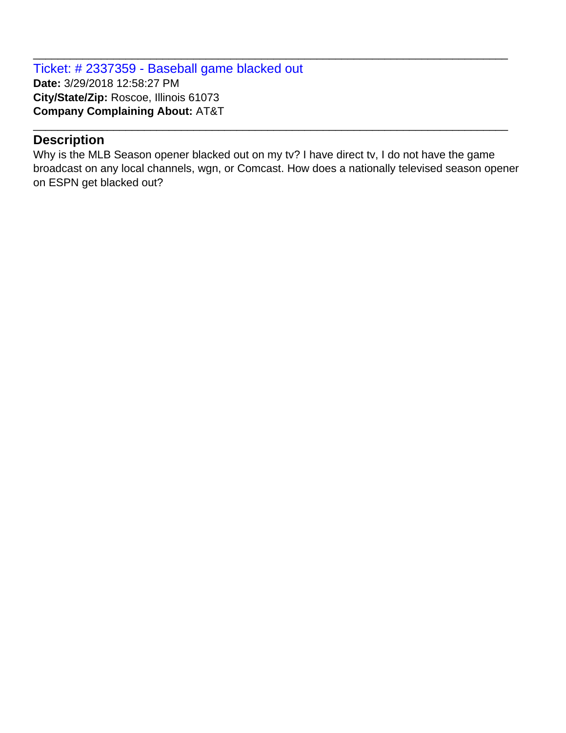Ticket: # 2337359 - Baseball game blacked out **Date:** 3/29/2018 12:58:27 PM **City/State/Zip:** Roscoe, Illinois 61073 **Company Complaining About:** AT&T

# **Description**

Why is the MLB Season opener blacked out on my tv? I have direct tv, I do not have the game broadcast on any local channels, wgn, or Comcast. How does a nationally televised season opener on ESPN get blacked out?

\_\_\_\_\_\_\_\_\_\_\_\_\_\_\_\_\_\_\_\_\_\_\_\_\_\_\_\_\_\_\_\_\_\_\_\_\_\_\_\_\_\_\_\_\_\_\_\_\_\_\_\_\_\_\_\_\_\_\_\_\_\_\_\_\_\_\_\_\_\_\_\_\_\_\_\_\_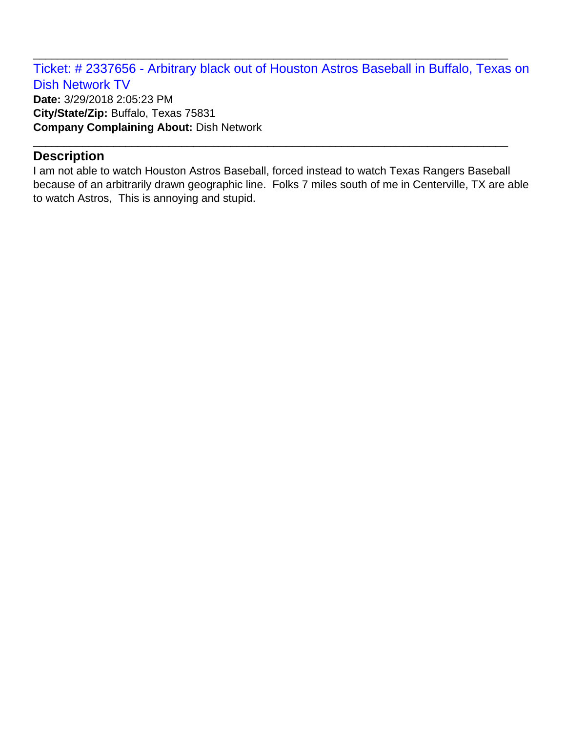Ticket: # 2337656 - Arbitrary black out of Houston Astros Baseball in Buffalo, Texas on Dish Network TV

\_\_\_\_\_\_\_\_\_\_\_\_\_\_\_\_\_\_\_\_\_\_\_\_\_\_\_\_\_\_\_\_\_\_\_\_\_\_\_\_\_\_\_\_\_\_\_\_\_\_\_\_\_\_\_\_\_\_\_\_\_\_\_\_\_\_\_\_\_\_\_\_\_\_\_\_\_

\_\_\_\_\_\_\_\_\_\_\_\_\_\_\_\_\_\_\_\_\_\_\_\_\_\_\_\_\_\_\_\_\_\_\_\_\_\_\_\_\_\_\_\_\_\_\_\_\_\_\_\_\_\_\_\_\_\_\_\_\_\_\_\_\_\_\_\_\_\_\_\_\_\_\_\_\_

**Date:** 3/29/2018 2:05:23 PM **City/State/Zip:** Buffalo, Texas 75831 **Company Complaining About:** Dish Network

# **Description**

I am not able to watch Houston Astros Baseball, forced instead to watch Texas Rangers Baseball because of an arbitrarily drawn geographic line. Folks 7 miles south of me in Centerville, TX are able to watch Astros, This is annoying and stupid.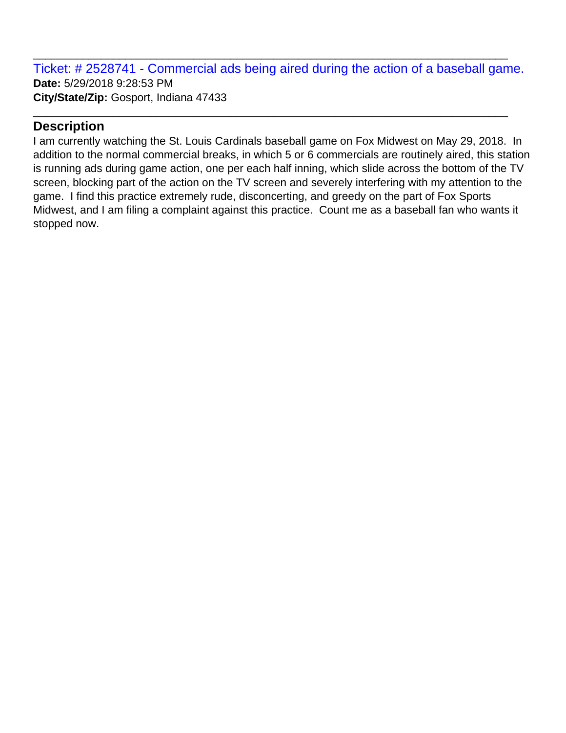Ticket: # 2528741 - Commercial ads being aired during the action of a baseball game. **Date:** 5/29/2018 9:28:53 PM **City/State/Zip:** Gosport, Indiana 47433

\_\_\_\_\_\_\_\_\_\_\_\_\_\_\_\_\_\_\_\_\_\_\_\_\_\_\_\_\_\_\_\_\_\_\_\_\_\_\_\_\_\_\_\_\_\_\_\_\_\_\_\_\_\_\_\_\_\_\_\_\_\_\_\_\_\_\_\_\_\_\_\_\_\_\_\_\_

\_\_\_\_\_\_\_\_\_\_\_\_\_\_\_\_\_\_\_\_\_\_\_\_\_\_\_\_\_\_\_\_\_\_\_\_\_\_\_\_\_\_\_\_\_\_\_\_\_\_\_\_\_\_\_\_\_\_\_\_\_\_\_\_\_\_\_\_\_\_\_\_\_\_\_\_\_

# **Description**

I am currently watching the St. Louis Cardinals baseball game on Fox Midwest on May 29, 2018. In addition to the normal commercial breaks, in which 5 or 6 commercials are routinely aired, this station is running ads during game action, one per each half inning, which slide across the bottom of the TV screen, blocking part of the action on the TV screen and severely interfering with my attention to the game. I find this practice extremely rude, disconcerting, and greedy on the part of Fox Sports Midwest, and I am filing a complaint against this practice. Count me as a baseball fan who wants it stopped now.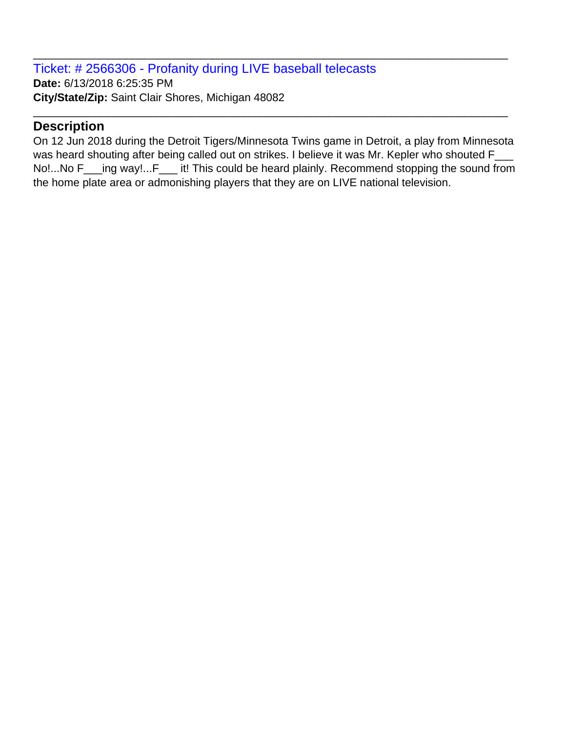Ticket: # 2566306 - Profanity during LIVE baseball telecasts **Date:** 6/13/2018 6:25:35 PM **City/State/Zip:** Saint Clair Shores, Michigan 48082

#### **Description**

On 12 Jun 2018 during the Detroit Tigers/Minnesota Twins game in Detroit, a play from Minnesota was heard shouting after being called out on strikes. I believe it was Mr. Kepler who shouted F\_ No!...No F\_\_\_ing way!...F\_\_\_ it! This could be heard plainly. Recommend stopping the sound from the home plate area or admonishing players that they are on LIVE national television.

\_\_\_\_\_\_\_\_\_\_\_\_\_\_\_\_\_\_\_\_\_\_\_\_\_\_\_\_\_\_\_\_\_\_\_\_\_\_\_\_\_\_\_\_\_\_\_\_\_\_\_\_\_\_\_\_\_\_\_\_\_\_\_\_\_\_\_\_\_\_\_\_\_\_\_\_\_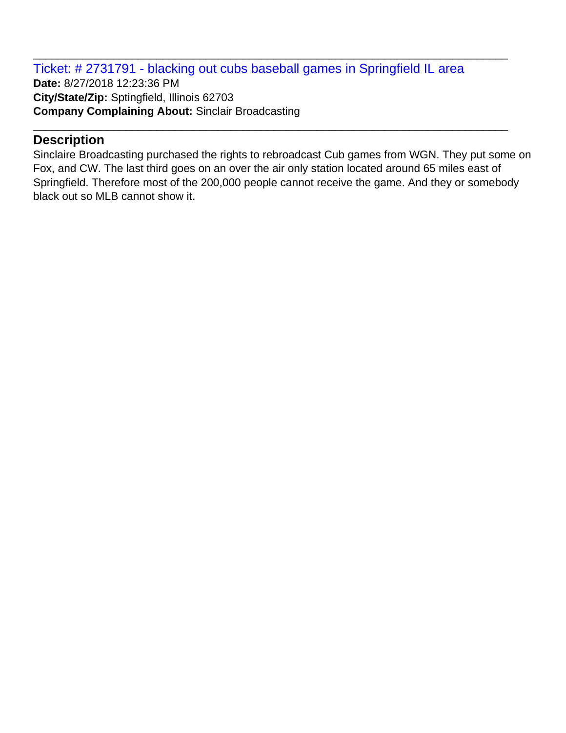Ticket: # 2731791 - blacking out cubs baseball games in Springfield IL area **Date:** 8/27/2018 12:23:36 PM **City/State/Zip:** Sptingfield, Illinois 62703 **Company Complaining About:** Sinclair Broadcasting

\_\_\_\_\_\_\_\_\_\_\_\_\_\_\_\_\_\_\_\_\_\_\_\_\_\_\_\_\_\_\_\_\_\_\_\_\_\_\_\_\_\_\_\_\_\_\_\_\_\_\_\_\_\_\_\_\_\_\_\_\_\_\_\_\_\_\_\_\_\_\_\_\_\_\_\_\_

\_\_\_\_\_\_\_\_\_\_\_\_\_\_\_\_\_\_\_\_\_\_\_\_\_\_\_\_\_\_\_\_\_\_\_\_\_\_\_\_\_\_\_\_\_\_\_\_\_\_\_\_\_\_\_\_\_\_\_\_\_\_\_\_\_\_\_\_\_\_\_\_\_\_\_\_\_

# **Description**

Sinclaire Broadcasting purchased the rights to rebroadcast Cub games from WGN. They put some on Fox, and CW. The last third goes on an over the air only station located around 65 miles east of Springfield. Therefore most of the 200,000 people cannot receive the game. And they or somebody black out so MLB cannot show it.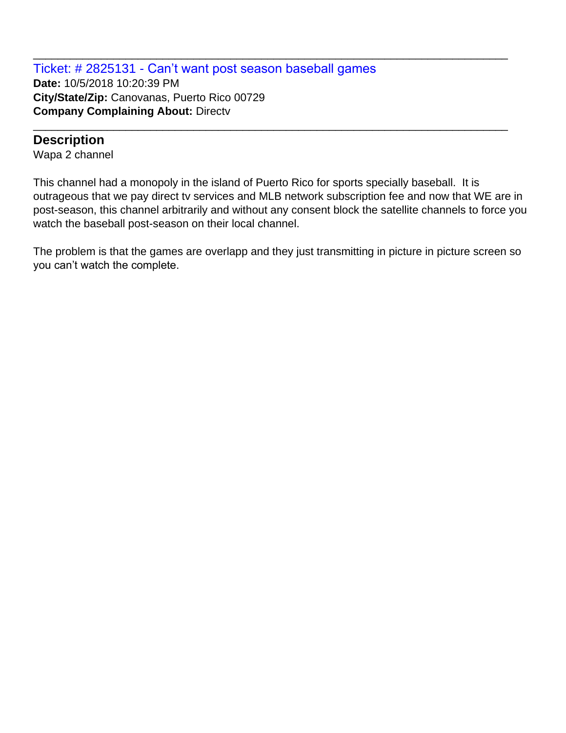Ticket: # 2825131 - Can't want post season baseball games **Date:** 10/5/2018 10:20:39 PM **City/State/Zip:** Canovanas, Puerto Rico 00729 **Company Complaining About:** Directv

#### **Description**

Wapa 2 channel

This channel had a monopoly in the island of Puerto Rico for sports specially baseball. It is outrageous that we pay direct tv services and MLB network subscription fee and now that WE are in post-season, this channel arbitrarily and without any consent block the satellite channels to force you watch the baseball post-season on their local channel.

\_\_\_\_\_\_\_\_\_\_\_\_\_\_\_\_\_\_\_\_\_\_\_\_\_\_\_\_\_\_\_\_\_\_\_\_\_\_\_\_\_\_\_\_\_\_\_\_\_\_\_\_\_\_\_\_\_\_\_\_\_\_\_\_\_\_\_\_\_\_\_\_\_\_\_\_\_

\_\_\_\_\_\_\_\_\_\_\_\_\_\_\_\_\_\_\_\_\_\_\_\_\_\_\_\_\_\_\_\_\_\_\_\_\_\_\_\_\_\_\_\_\_\_\_\_\_\_\_\_\_\_\_\_\_\_\_\_\_\_\_\_\_\_\_\_\_\_\_\_\_\_\_\_\_

The problem is that the games are overlapp and they just transmitting in picture in picture screen so you can't watch the complete.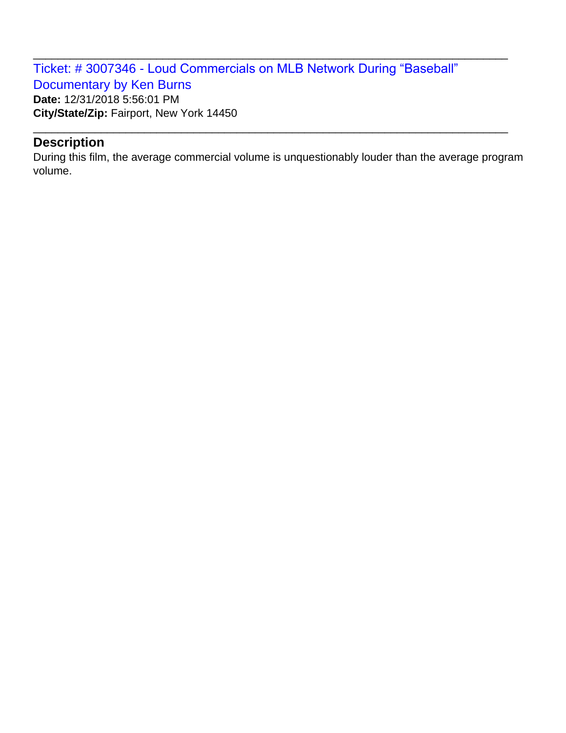Ticket: # 3007346 - Loud Commercials on MLB Network During "Baseball" Documentary by Ken Burns **Date:** 12/31/2018 5:56:01 PM **City/State/Zip:** Fairport, New York 14450

#### **Description**

During this film, the average commercial volume is unquestionably louder than the average program volume.

\_\_\_\_\_\_\_\_\_\_\_\_\_\_\_\_\_\_\_\_\_\_\_\_\_\_\_\_\_\_\_\_\_\_\_\_\_\_\_\_\_\_\_\_\_\_\_\_\_\_\_\_\_\_\_\_\_\_\_\_\_\_\_\_\_\_\_\_\_\_\_\_\_\_\_\_\_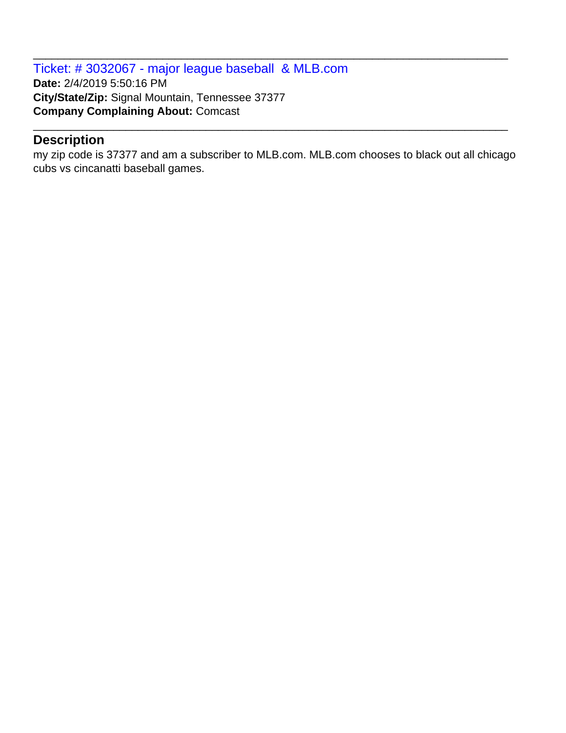Ticket: # 3032067 - major league baseball & MLB.com **Date:** 2/4/2019 5:50:16 PM **City/State/Zip:** Signal Mountain, Tennessee 37377 **Company Complaining About:** Comcast

# **Description**

my zip code is 37377 and am a subscriber to MLB.com. MLB.com chooses to black out all chicago cubs vs cincanatti baseball games.

\_\_\_\_\_\_\_\_\_\_\_\_\_\_\_\_\_\_\_\_\_\_\_\_\_\_\_\_\_\_\_\_\_\_\_\_\_\_\_\_\_\_\_\_\_\_\_\_\_\_\_\_\_\_\_\_\_\_\_\_\_\_\_\_\_\_\_\_\_\_\_\_\_\_\_\_\_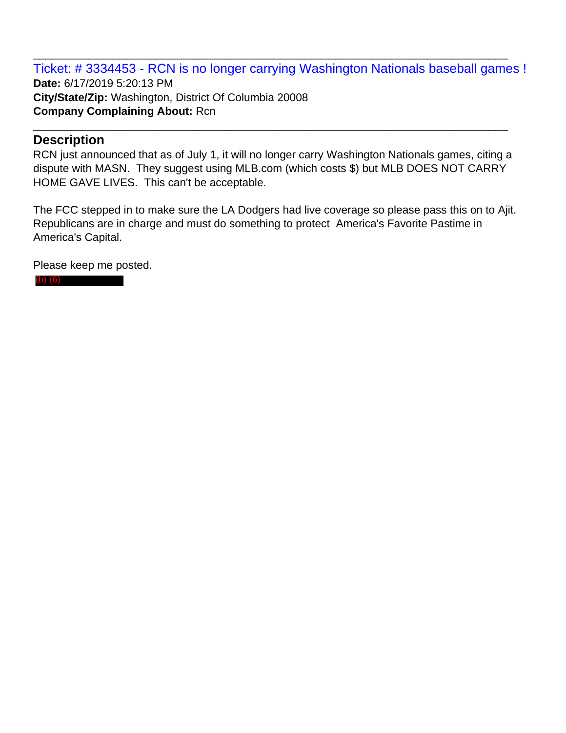Ticket: # 3334453 - RCN is no longer carrying Washington Nationals baseball games ! **Date:** 6/17/2019 5:20:13 PM **City/State/Zip:** Washington, District Of Columbia 20008 **Company Complaining About:** Rcn

\_\_\_\_\_\_\_\_\_\_\_\_\_\_\_\_\_\_\_\_\_\_\_\_\_\_\_\_\_\_\_\_\_\_\_\_\_\_\_\_\_\_\_\_\_\_\_\_\_\_\_\_\_\_\_\_\_\_\_\_\_\_\_\_\_\_\_\_\_\_\_\_\_\_\_\_\_

#### **Description**

RCN just announced that as of July 1, it will no longer carry Washington Nationals games, citing a dispute with MASN. They suggest using MLB.com (which costs \$) but MLB DOES NOT CARRY HOME GAVE LIVES. This can't be acceptable.

\_\_\_\_\_\_\_\_\_\_\_\_\_\_\_\_\_\_\_\_\_\_\_\_\_\_\_\_\_\_\_\_\_\_\_\_\_\_\_\_\_\_\_\_\_\_\_\_\_\_\_\_\_\_\_\_\_\_\_\_\_\_\_\_\_\_\_\_\_\_\_\_\_\_\_\_\_

The FCC stepped in to make sure the LA Dodgers had live coverage so please pass this on to Ajit. Republicans are in charge and must do something to protect America's Favorite Pastime in America's Capital.

Please keep me posted.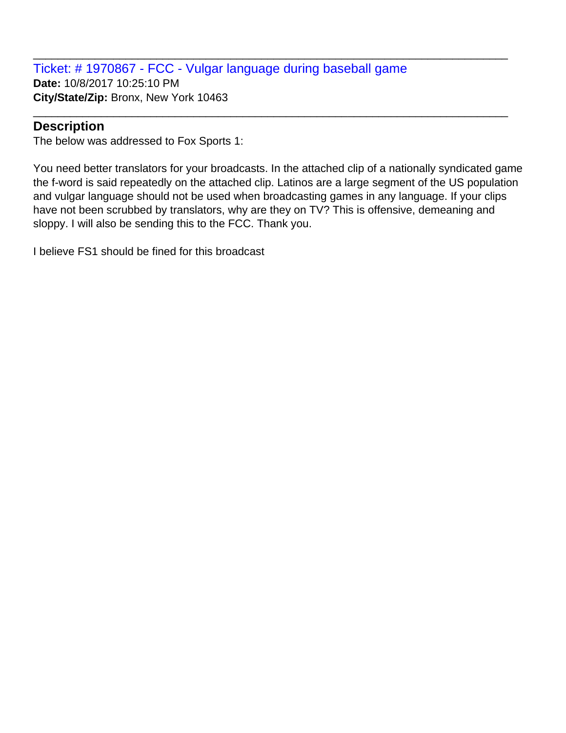Ticket: # 1970867 - FCC - Vulgar language during baseball game **Date:** 10/8/2017 10:25:10 PM **City/State/Zip:** Bronx, New York 10463

#### **Description**

The below was addressed to Fox Sports 1:

You need better translators for your broadcasts. In the attached clip of a nationally syndicated game the f-word is said repeatedly on the attached clip. Latinos are a large segment of the US population and vulgar language should not be used when broadcasting games in any language. If your clips have not been scrubbed by translators, why are they on TV? This is offensive, demeaning and sloppy. I will also be sending this to the FCC. Thank you.

\_\_\_\_\_\_\_\_\_\_\_\_\_\_\_\_\_\_\_\_\_\_\_\_\_\_\_\_\_\_\_\_\_\_\_\_\_\_\_\_\_\_\_\_\_\_\_\_\_\_\_\_\_\_\_\_\_\_\_\_\_\_\_\_\_\_\_\_\_\_\_\_\_\_\_\_\_

\_\_\_\_\_\_\_\_\_\_\_\_\_\_\_\_\_\_\_\_\_\_\_\_\_\_\_\_\_\_\_\_\_\_\_\_\_\_\_\_\_\_\_\_\_\_\_\_\_\_\_\_\_\_\_\_\_\_\_\_\_\_\_\_\_\_\_\_\_\_\_\_\_\_\_\_\_

I believe FS1 should be fined for this broadcast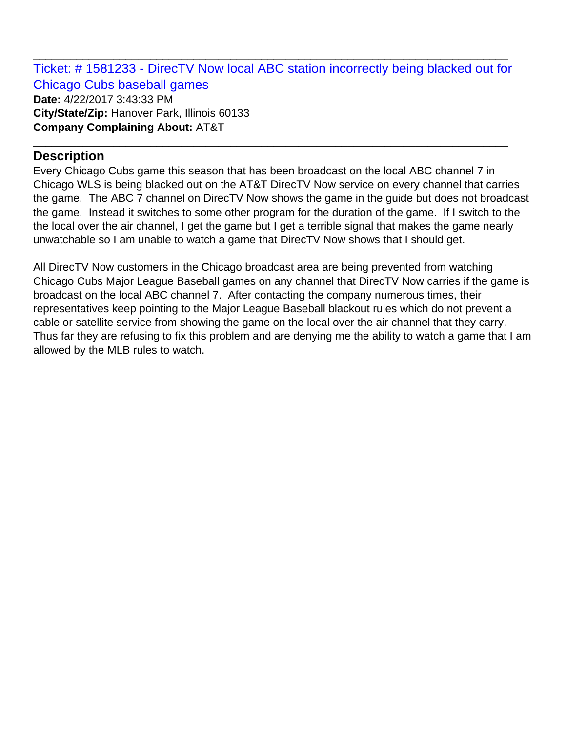Ticket: # 1581233 - DirecTV Now local ABC station incorrectly being blacked out for Chicago Cubs baseball games **Date:** 4/22/2017 3:43:33 PM **City/State/Zip:** Hanover Park, Illinois 60133 **Company Complaining About:** AT&T \_\_\_\_\_\_\_\_\_\_\_\_\_\_\_\_\_\_\_\_\_\_\_\_\_\_\_\_\_\_\_\_\_\_\_\_\_\_\_\_\_\_\_\_\_\_\_\_\_\_\_\_\_\_\_\_\_\_\_\_\_\_\_\_\_\_\_\_\_\_\_\_\_\_\_\_\_

\_\_\_\_\_\_\_\_\_\_\_\_\_\_\_\_\_\_\_\_\_\_\_\_\_\_\_\_\_\_\_\_\_\_\_\_\_\_\_\_\_\_\_\_\_\_\_\_\_\_\_\_\_\_\_\_\_\_\_\_\_\_\_\_\_\_\_\_\_\_\_\_\_\_\_\_\_

#### **Description**

Every Chicago Cubs game this season that has been broadcast on the local ABC channel 7 in Chicago WLS is being blacked out on the AT&T DirecTV Now service on every channel that carries the game. The ABC 7 channel on DirecTV Now shows the game in the guide but does not broadcast the game. Instead it switches to some other program for the duration of the game. If I switch to the the local over the air channel, I get the game but I get a terrible signal that makes the game nearly unwatchable so I am unable to watch a game that DirecTV Now shows that I should get.

All DirecTV Now customers in the Chicago broadcast area are being prevented from watching Chicago Cubs Major League Baseball games on any channel that DirecTV Now carries if the game is broadcast on the local ABC channel 7. After contacting the company numerous times, their representatives keep pointing to the Major League Baseball blackout rules which do not prevent a cable or satellite service from showing the game on the local over the air channel that they carry. Thus far they are refusing to fix this problem and are denying me the ability to watch a game that I am allowed by the MLB rules to watch.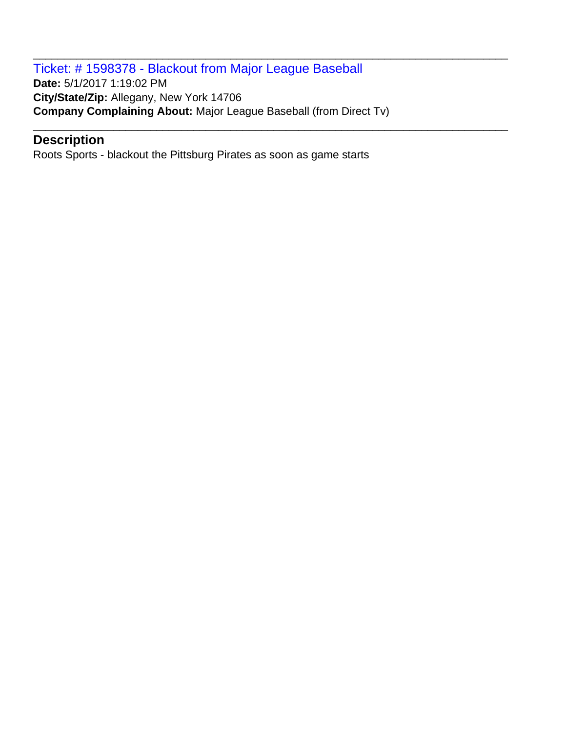Ticket: # 1598378 - Blackout from Major League Baseball **Date:** 5/1/2017 1:19:02 PM **City/State/Zip:** Allegany, New York 14706 **Company Complaining About:** Major League Baseball (from Direct Tv)

\_\_\_\_\_\_\_\_\_\_\_\_\_\_\_\_\_\_\_\_\_\_\_\_\_\_\_\_\_\_\_\_\_\_\_\_\_\_\_\_\_\_\_\_\_\_\_\_\_\_\_\_\_\_\_\_\_\_\_\_\_\_\_\_\_\_\_\_\_\_\_\_\_\_\_\_\_

\_\_\_\_\_\_\_\_\_\_\_\_\_\_\_\_\_\_\_\_\_\_\_\_\_\_\_\_\_\_\_\_\_\_\_\_\_\_\_\_\_\_\_\_\_\_\_\_\_\_\_\_\_\_\_\_\_\_\_\_\_\_\_\_\_\_\_\_\_\_\_\_\_\_\_\_\_

# **Description**

Roots Sports - blackout the Pittsburg Pirates as soon as game starts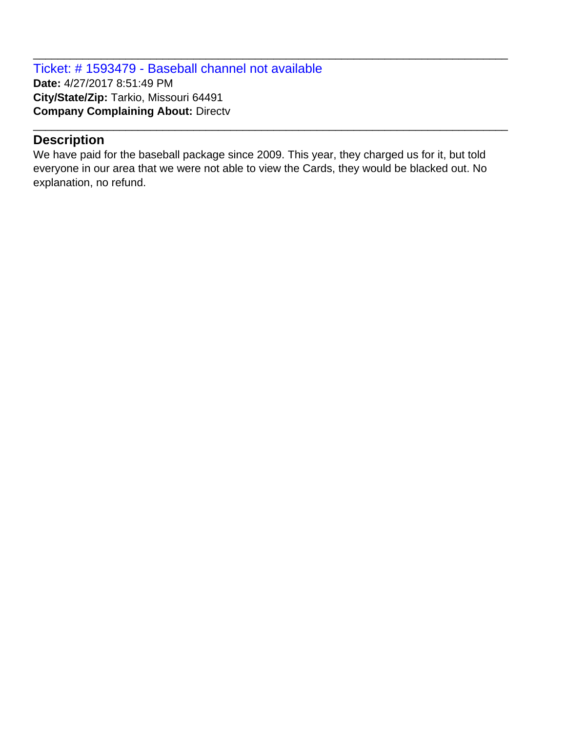Ticket: # 1593479 - Baseball channel not available **Date:** 4/27/2017 8:51:49 PM **City/State/Zip:** Tarkio, Missouri 64491 **Company Complaining About:** Directv

#### **Description**

We have paid for the baseball package since 2009. This year, they charged us for it, but told everyone in our area that we were not able to view the Cards, they would be blacked out. No explanation, no refund.

\_\_\_\_\_\_\_\_\_\_\_\_\_\_\_\_\_\_\_\_\_\_\_\_\_\_\_\_\_\_\_\_\_\_\_\_\_\_\_\_\_\_\_\_\_\_\_\_\_\_\_\_\_\_\_\_\_\_\_\_\_\_\_\_\_\_\_\_\_\_\_\_\_\_\_\_\_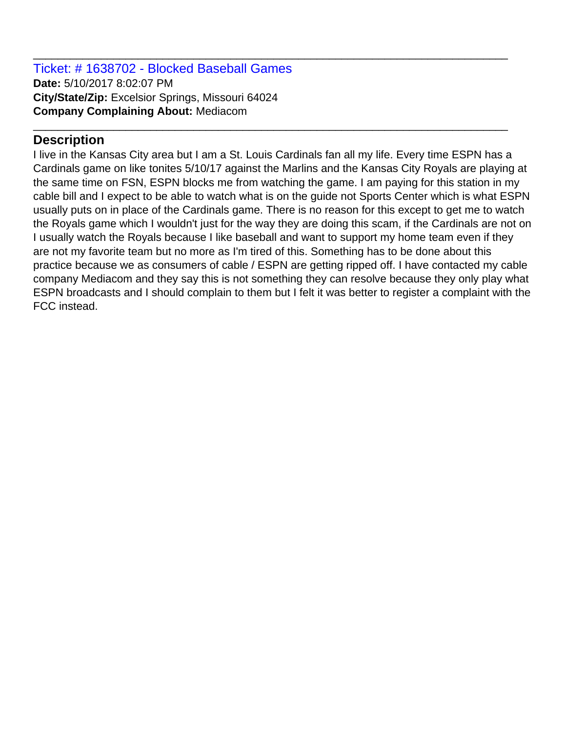Ticket: # 1638702 - Blocked Baseball Games **Date:** 5/10/2017 8:02:07 PM **City/State/Zip:** Excelsior Springs, Missouri 64024 **Company Complaining About:** Mediacom

# **Description**

I live in the Kansas City area but I am a St. Louis Cardinals fan all my life. Every time ESPN has a Cardinals game on like tonites 5/10/17 against the Marlins and the Kansas City Royals are playing at the same time on FSN, ESPN blocks me from watching the game. I am paying for this station in my cable bill and I expect to be able to watch what is on the guide not Sports Center which is what ESPN usually puts on in place of the Cardinals game. There is no reason for this except to get me to watch the Royals game which I wouldn't just for the way they are doing this scam, if the Cardinals are not on I usually watch the Royals because I like baseball and want to support my home team even if they are not my favorite team but no more as I'm tired of this. Something has to be done about this practice because we as consumers of cable / ESPN are getting ripped off. I have contacted my cable company Mediacom and they say this is not something they can resolve because they only play what ESPN broadcasts and I should complain to them but I felt it was better to register a complaint with the FCC instead.

\_\_\_\_\_\_\_\_\_\_\_\_\_\_\_\_\_\_\_\_\_\_\_\_\_\_\_\_\_\_\_\_\_\_\_\_\_\_\_\_\_\_\_\_\_\_\_\_\_\_\_\_\_\_\_\_\_\_\_\_\_\_\_\_\_\_\_\_\_\_\_\_\_\_\_\_\_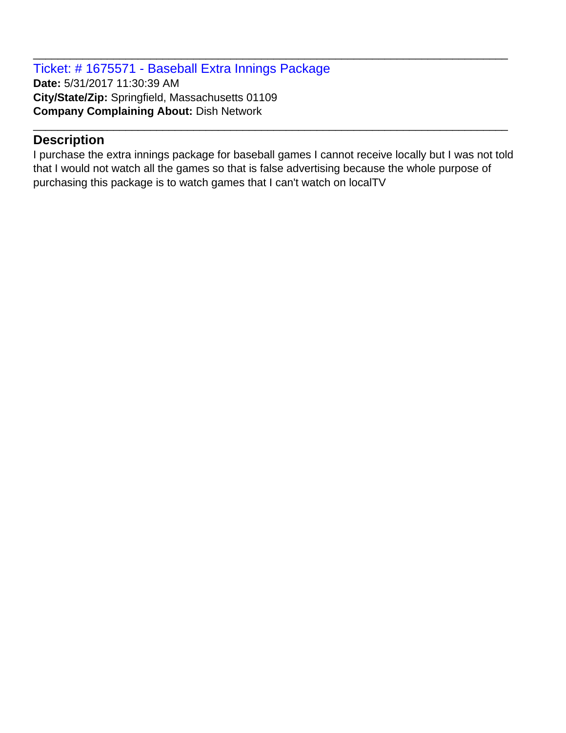Ticket: # 1675571 - Baseball Extra Innings Package **Date:** 5/31/2017 11:30:39 AM **City/State/Zip:** Springfield, Massachusetts 01109 **Company Complaining About:** Dish Network

# **Description**

I purchase the extra innings package for baseball games I cannot receive locally but I was not told that I would not watch all the games so that is false advertising because the whole purpose of purchasing this package is to watch games that I can't watch on localTV

\_\_\_\_\_\_\_\_\_\_\_\_\_\_\_\_\_\_\_\_\_\_\_\_\_\_\_\_\_\_\_\_\_\_\_\_\_\_\_\_\_\_\_\_\_\_\_\_\_\_\_\_\_\_\_\_\_\_\_\_\_\_\_\_\_\_\_\_\_\_\_\_\_\_\_\_\_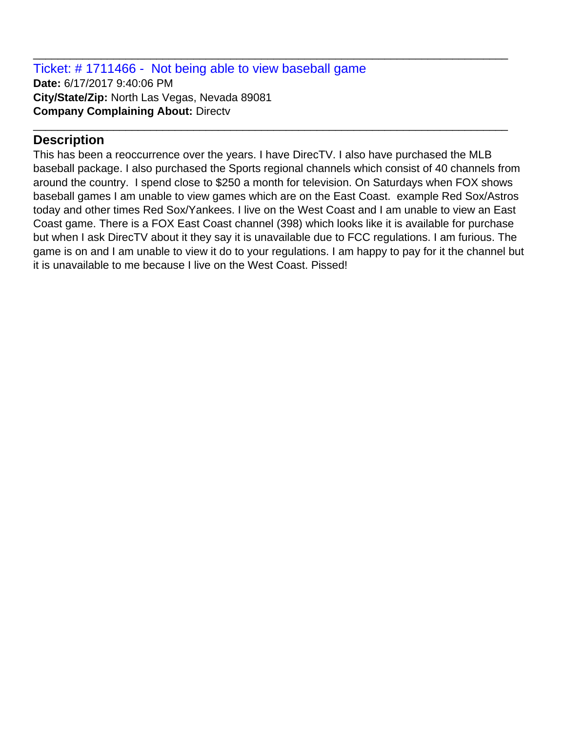Ticket: # 1711466 - Not being able to view baseball game **Date:** 6/17/2017 9:40:06 PM **City/State/Zip:** North Las Vegas, Nevada 89081 **Company Complaining About:** Directv

# **Description**

This has been a reoccurrence over the years. I have DirecTV. I also have purchased the MLB baseball package. I also purchased the Sports regional channels which consist of 40 channels from around the country. I spend close to \$250 a month for television. On Saturdays when FOX shows baseball games I am unable to view games which are on the East Coast. example Red Sox/Astros today and other times Red Sox/Yankees. I live on the West Coast and I am unable to view an East Coast game. There is a FOX East Coast channel (398) which looks like it is available for purchase but when I ask DirecTV about it they say it is unavailable due to FCC regulations. I am furious. The game is on and I am unable to view it do to your regulations. I am happy to pay for it the channel but it is unavailable to me because I live on the West Coast. Pissed!

\_\_\_\_\_\_\_\_\_\_\_\_\_\_\_\_\_\_\_\_\_\_\_\_\_\_\_\_\_\_\_\_\_\_\_\_\_\_\_\_\_\_\_\_\_\_\_\_\_\_\_\_\_\_\_\_\_\_\_\_\_\_\_\_\_\_\_\_\_\_\_\_\_\_\_\_\_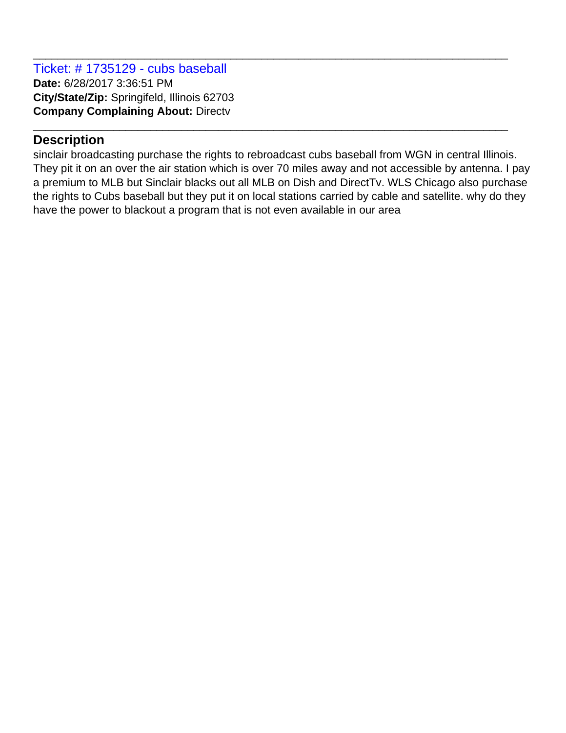Ticket: # 1735129 - cubs baseball **Date:** 6/28/2017 3:36:51 PM **City/State/Zip:** Springifeld, Illinois 62703 **Company Complaining About:** Directv

# **Description**

sinclair broadcasting purchase the rights to rebroadcast cubs baseball from WGN in central Illinois. They pit it on an over the air station which is over 70 miles away and not accessible by antenna. I pay a premium to MLB but Sinclair blacks out all MLB on Dish and DirectTv. WLS Chicago also purchase the rights to Cubs baseball but they put it on local stations carried by cable and satellite. why do they have the power to blackout a program that is not even available in our area

\_\_\_\_\_\_\_\_\_\_\_\_\_\_\_\_\_\_\_\_\_\_\_\_\_\_\_\_\_\_\_\_\_\_\_\_\_\_\_\_\_\_\_\_\_\_\_\_\_\_\_\_\_\_\_\_\_\_\_\_\_\_\_\_\_\_\_\_\_\_\_\_\_\_\_\_\_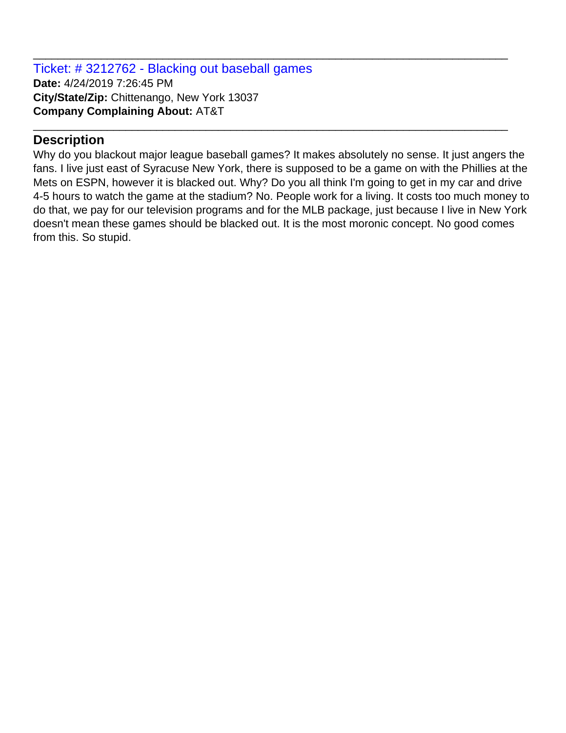Ticket: # 3212762 - Blacking out baseball games **Date:** 4/24/2019 7:26:45 PM **City/State/Zip:** Chittenango, New York 13037 **Company Complaining About:** AT&T

#### **Description**

Why do you blackout major league baseball games? It makes absolutely no sense. It just angers the fans. I live just east of Syracuse New York, there is supposed to be a game on with the Phillies at the Mets on ESPN, however it is blacked out. Why? Do you all think I'm going to get in my car and drive 4-5 hours to watch the game at the stadium? No. People work for a living. It costs too much money to do that, we pay for our television programs and for the MLB package, just because I live in New York doesn't mean these games should be blacked out. It is the most moronic concept. No good comes from this. So stupid.

\_\_\_\_\_\_\_\_\_\_\_\_\_\_\_\_\_\_\_\_\_\_\_\_\_\_\_\_\_\_\_\_\_\_\_\_\_\_\_\_\_\_\_\_\_\_\_\_\_\_\_\_\_\_\_\_\_\_\_\_\_\_\_\_\_\_\_\_\_\_\_\_\_\_\_\_\_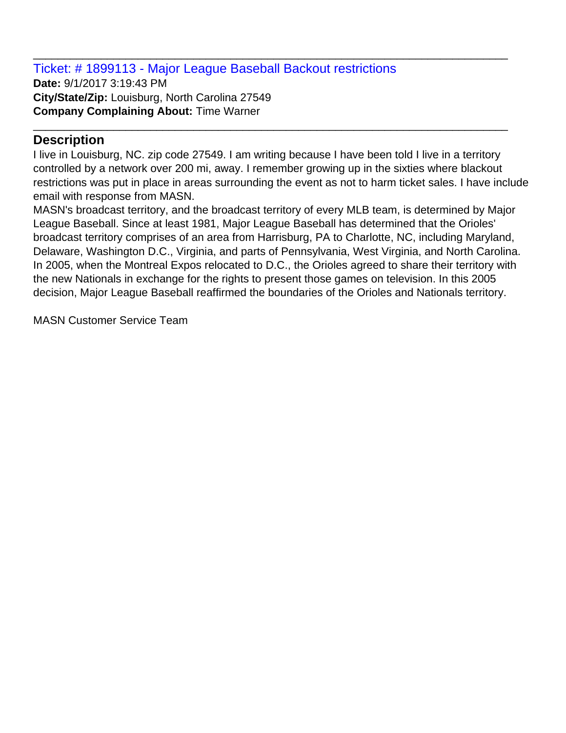Ticket: # 1899113 - Major League Baseball Backout restrictions **Date:** 9/1/2017 3:19:43 PM **City/State/Zip:** Louisburg, North Carolina 27549 **Company Complaining About:** Time Warner

# **Description**

I live in Louisburg, NC. zip code 27549. I am writing because I have been told I live in a territory controlled by a network over 200 mi, away. I remember growing up in the sixties where blackout restrictions was put in place in areas surrounding the event as not to harm ticket sales. I have include email with response from MASN.

\_\_\_\_\_\_\_\_\_\_\_\_\_\_\_\_\_\_\_\_\_\_\_\_\_\_\_\_\_\_\_\_\_\_\_\_\_\_\_\_\_\_\_\_\_\_\_\_\_\_\_\_\_\_\_\_\_\_\_\_\_\_\_\_\_\_\_\_\_\_\_\_\_\_\_\_\_

\_\_\_\_\_\_\_\_\_\_\_\_\_\_\_\_\_\_\_\_\_\_\_\_\_\_\_\_\_\_\_\_\_\_\_\_\_\_\_\_\_\_\_\_\_\_\_\_\_\_\_\_\_\_\_\_\_\_\_\_\_\_\_\_\_\_\_\_\_\_\_\_\_\_\_\_\_

MASN's broadcast territory, and the broadcast territory of every MLB team, is determined by Major League Baseball. Since at least 1981, Major League Baseball has determined that the Orioles' broadcast territory comprises of an area from Harrisburg, PA to Charlotte, NC, including Maryland, Delaware, Washington D.C., Virginia, and parts of Pennsylvania, West Virginia, and North Carolina. In 2005, when the Montreal Expos relocated to D.C., the Orioles agreed to share their territory with the new Nationals in exchange for the rights to present those games on television. In this 2005 decision, Major League Baseball reaffirmed the boundaries of the Orioles and Nationals territory.

MASN Customer Service Team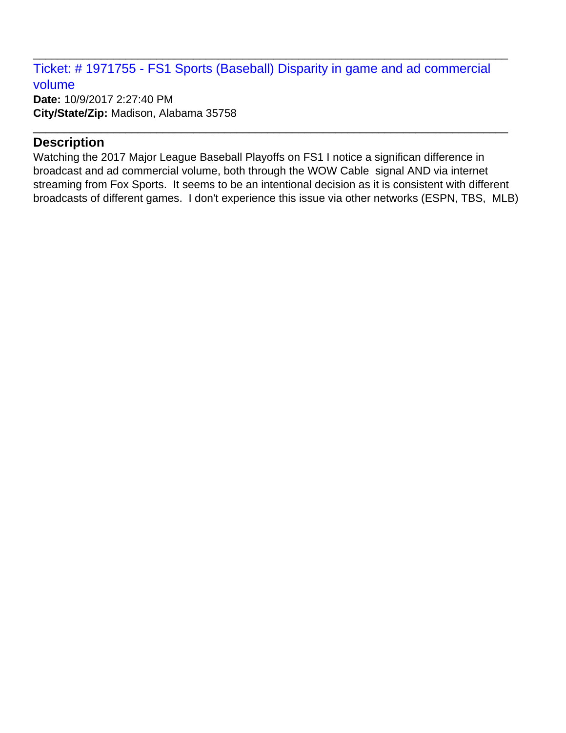Ticket: # 1971755 - FS1 Sports (Baseball) Disparity in game and ad commercial volume

\_\_\_\_\_\_\_\_\_\_\_\_\_\_\_\_\_\_\_\_\_\_\_\_\_\_\_\_\_\_\_\_\_\_\_\_\_\_\_\_\_\_\_\_\_\_\_\_\_\_\_\_\_\_\_\_\_\_\_\_\_\_\_\_\_\_\_\_\_\_\_\_\_\_\_\_\_

\_\_\_\_\_\_\_\_\_\_\_\_\_\_\_\_\_\_\_\_\_\_\_\_\_\_\_\_\_\_\_\_\_\_\_\_\_\_\_\_\_\_\_\_\_\_\_\_\_\_\_\_\_\_\_\_\_\_\_\_\_\_\_\_\_\_\_\_\_\_\_\_\_\_\_\_\_

**Date:** 10/9/2017 2:27:40 PM **City/State/Zip:** Madison, Alabama 35758

# **Description**

Watching the 2017 Major League Baseball Playoffs on FS1 I notice a significan difference in broadcast and ad commercial volume, both through the WOW Cable signal AND via internet streaming from Fox Sports. It seems to be an intentional decision as it is consistent with different broadcasts of different games. I don't experience this issue via other networks (ESPN, TBS, MLB)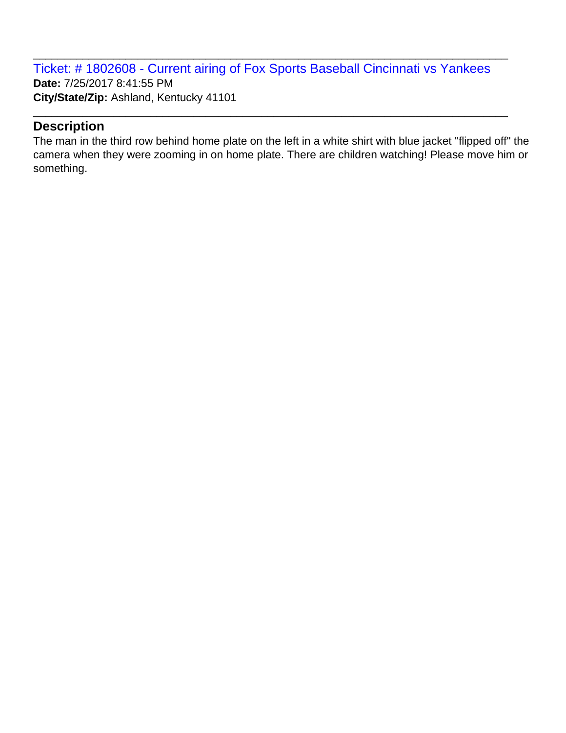Ticket: # 1802608 - Current airing of Fox Sports Baseball Cincinnati vs Yankees **Date:** 7/25/2017 8:41:55 PM **City/State/Zip:** Ashland, Kentucky 41101

\_\_\_\_\_\_\_\_\_\_\_\_\_\_\_\_\_\_\_\_\_\_\_\_\_\_\_\_\_\_\_\_\_\_\_\_\_\_\_\_\_\_\_\_\_\_\_\_\_\_\_\_\_\_\_\_\_\_\_\_\_\_\_\_\_\_\_\_\_\_\_\_\_\_\_\_\_

\_\_\_\_\_\_\_\_\_\_\_\_\_\_\_\_\_\_\_\_\_\_\_\_\_\_\_\_\_\_\_\_\_\_\_\_\_\_\_\_\_\_\_\_\_\_\_\_\_\_\_\_\_\_\_\_\_\_\_\_\_\_\_\_\_\_\_\_\_\_\_\_\_\_\_\_\_

#### **Description**

The man in the third row behind home plate on the left in a white shirt with blue jacket "flipped off" the camera when they were zooming in on home plate. There are children watching! Please move him or something.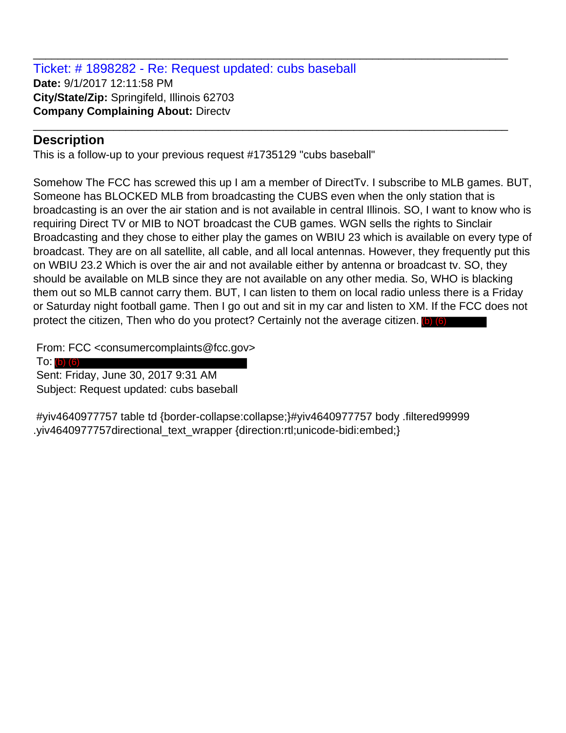Ticket: # 1898282 - Re: Request updated: cubs baseball **Date:** 9/1/2017 12:11:58 PM **City/State/Zip:** Springifeld, Illinois 62703 **Company Complaining About:** Directv

# **Description**

This is a follow-up to your previous request #1735129 "cubs baseball"

Somehow The FCC has screwed this up I am a member of DirectTv. I subscribe to MLB games. BUT, Someone has BLOCKED MLB from broadcasting the CUBS even when the only station that is broadcasting is an over the air station and is not available in central Illinois. SO, I want to know who is requiring Direct TV or MIB to NOT broadcast the CUB games. WGN sells the rights to Sinclair Broadcasting and they chose to either play the games on WBIU 23 which is available on every type of broadcast. They are on all satellite, all cable, and all local antennas. However, they frequently put this on WBIU 23.2 Which is over the air and not available either by antenna or broadcast tv. SO, they should be available on MLB since they are not available on any other media. So, WHO is blacking them out so MLB cannot carry them. BUT, I can listen to them on local radio unless there is a Friday or Saturday night football game. Then I go out and sit in my car and listen to XM. If the FCC does not protect the citizen, Then who do you protect? Certainly not the average citizen. (b) (6)<br>From: FCC <consumercomplaints@fcc.gov><br>To: (b) (6)

\_\_\_\_\_\_\_\_\_\_\_\_\_\_\_\_\_\_\_\_\_\_\_\_\_\_\_\_\_\_\_\_\_\_\_\_\_\_\_\_\_\_\_\_\_\_\_\_\_\_\_\_\_\_\_\_\_\_\_\_\_\_\_\_\_\_\_\_\_\_\_\_\_\_\_\_\_

\_\_\_\_\_\_\_\_\_\_\_\_\_\_\_\_\_\_\_\_\_\_\_\_\_\_\_\_\_\_\_\_\_\_\_\_\_\_\_\_\_\_\_\_\_\_\_\_\_\_\_\_\_\_\_\_\_\_\_\_\_\_\_\_\_\_\_\_\_\_\_\_\_\_\_\_\_

From: FCC <consumercomplaints@fcc.gov>

 $To: (b)$   $(6)$ Sent: Friday, June 30, 2017 9:31 AM Subject: Request updated: cubs baseball

#yiv4640977757 table td {border-collapse:collapse;}#yiv4640977757 body .filtered99999 .yiv4640977757directional\_text\_wrapper {direction:rtl;unicode-bidi:embed;}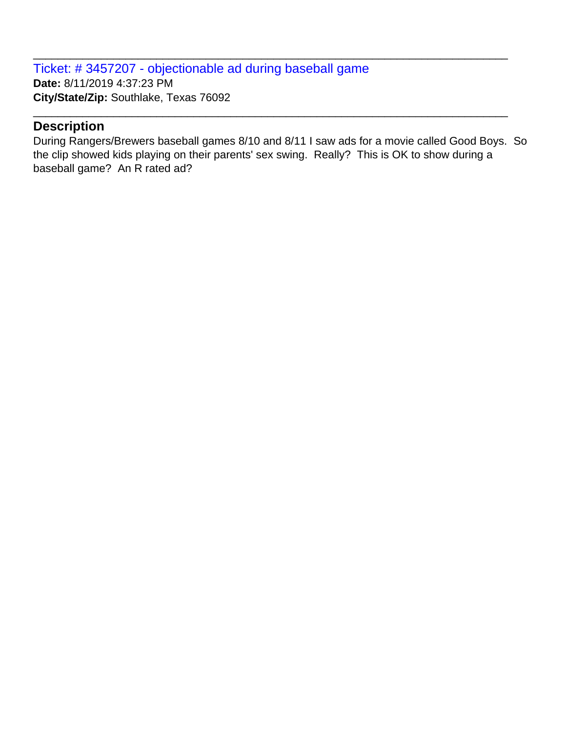Ticket: # 3457207 - objectionable ad during baseball game **Date:** 8/11/2019 4:37:23 PM **City/State/Zip:** Southlake, Texas 76092

#### **Description**

During Rangers/Brewers baseball games 8/10 and 8/11 I saw ads for a movie called Good Boys. So the clip showed kids playing on their parents' sex swing. Really? This is OK to show during a baseball game? An R rated ad?

\_\_\_\_\_\_\_\_\_\_\_\_\_\_\_\_\_\_\_\_\_\_\_\_\_\_\_\_\_\_\_\_\_\_\_\_\_\_\_\_\_\_\_\_\_\_\_\_\_\_\_\_\_\_\_\_\_\_\_\_\_\_\_\_\_\_\_\_\_\_\_\_\_\_\_\_\_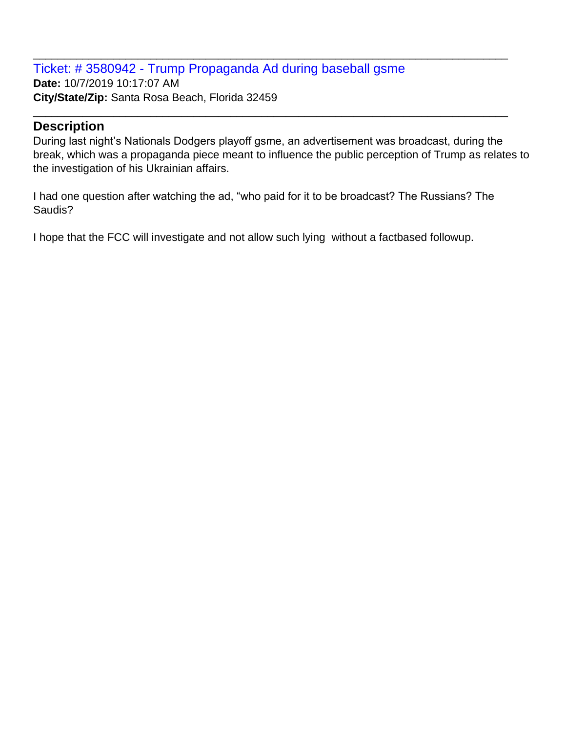Ticket: # 3580942 - Trump Propaganda Ad during baseball gsme **Date:** 10/7/2019 10:17:07 AM **City/State/Zip:** Santa Rosa Beach, Florida 32459

#### **Description**

During last night's Nationals Dodgers playoff gsme, an advertisement was broadcast, during the break, which was a propaganda piece meant to influence the public perception of Trump as relates to the investigation of his Ukrainian affairs.

\_\_\_\_\_\_\_\_\_\_\_\_\_\_\_\_\_\_\_\_\_\_\_\_\_\_\_\_\_\_\_\_\_\_\_\_\_\_\_\_\_\_\_\_\_\_\_\_\_\_\_\_\_\_\_\_\_\_\_\_\_\_\_\_\_\_\_\_\_\_\_\_\_\_\_\_\_

\_\_\_\_\_\_\_\_\_\_\_\_\_\_\_\_\_\_\_\_\_\_\_\_\_\_\_\_\_\_\_\_\_\_\_\_\_\_\_\_\_\_\_\_\_\_\_\_\_\_\_\_\_\_\_\_\_\_\_\_\_\_\_\_\_\_\_\_\_\_\_\_\_\_\_\_\_

I had one question after watching the ad, "who paid for it to be broadcast? The Russians? The Saudis?

I hope that the FCC will investigate and not allow such lying without a factbased followup.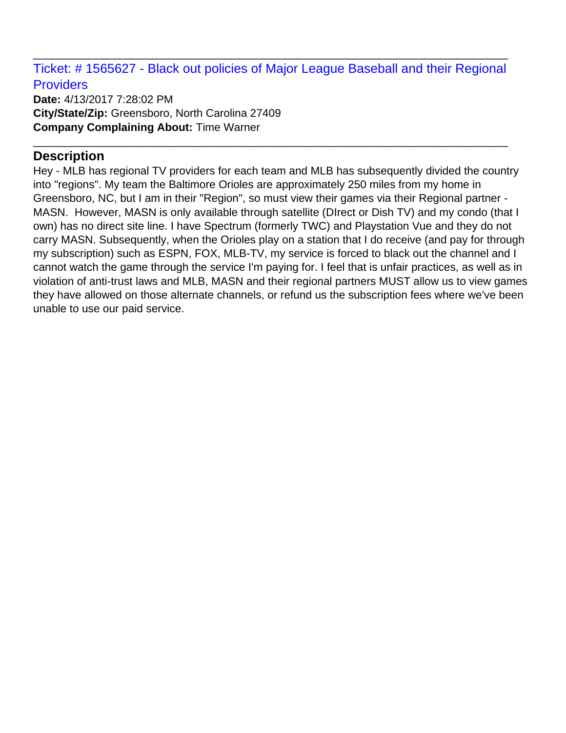Ticket: # 1565627 - Black out policies of Major League Baseball and their Regional **Providers** 

\_\_\_\_\_\_\_\_\_\_\_\_\_\_\_\_\_\_\_\_\_\_\_\_\_\_\_\_\_\_\_\_\_\_\_\_\_\_\_\_\_\_\_\_\_\_\_\_\_\_\_\_\_\_\_\_\_\_\_\_\_\_\_\_\_\_\_\_\_\_\_\_\_\_\_\_\_

\_\_\_\_\_\_\_\_\_\_\_\_\_\_\_\_\_\_\_\_\_\_\_\_\_\_\_\_\_\_\_\_\_\_\_\_\_\_\_\_\_\_\_\_\_\_\_\_\_\_\_\_\_\_\_\_\_\_\_\_\_\_\_\_\_\_\_\_\_\_\_\_\_\_\_\_\_

**Date:** 4/13/2017 7:28:02 PM **City/State/Zip:** Greensboro, North Carolina 27409 **Company Complaining About:** Time Warner

# **Description**

Hey - MLB has regional TV providers for each team and MLB has subsequently divided the country into "regions". My team the Baltimore Orioles are approximately 250 miles from my home in Greensboro, NC, but I am in their "Region", so must view their games via their Regional partner - MASN. However, MASN is only available through satellite (DIrect or Dish TV) and my condo (that I own) has no direct site line. I have Spectrum (formerly TWC) and Playstation Vue and they do not carry MASN. Subsequently, when the Orioles play on a station that I do receive (and pay for through my subscription) such as ESPN, FOX, MLB-TV, my service is forced to black out the channel and I cannot watch the game through the service I'm paying for. I feel that is unfair practices, as well as in violation of anti-trust laws and MLB, MASN and their regional partners MUST allow us to view games they have allowed on those alternate channels, or refund us the subscription fees where we've been unable to use our paid service.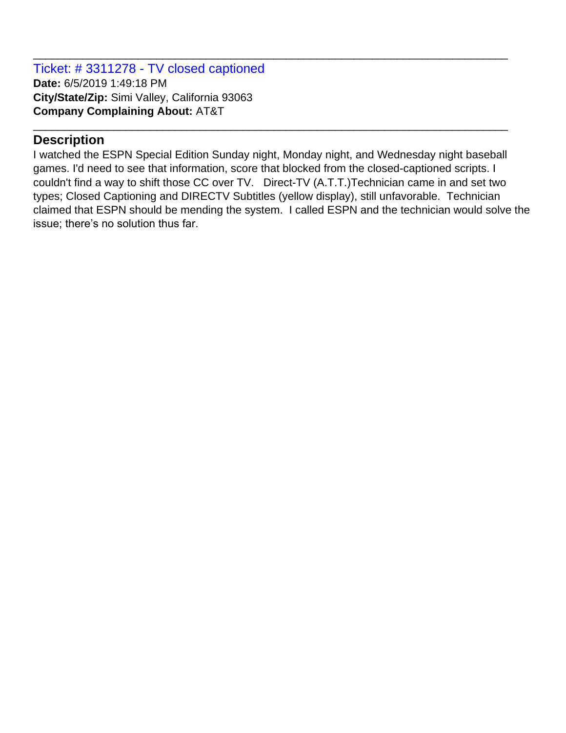Ticket: # 3311278 - TV closed captioned **Date:** 6/5/2019 1:49:18 PM **City/State/Zip:** Simi Valley, California 93063 **Company Complaining About:** AT&T

# **Description**

I watched the ESPN Special Edition Sunday night, Monday night, and Wednesday night baseball games. I'd need to see that information, score that blocked from the closed-captioned scripts. I couldn't find a way to shift those CC over TV. Direct-TV (A.T.T.)Technician came in and set two types; Closed Captioning and DIRECTV Subtitles (yellow display), still unfavorable. Technician claimed that ESPN should be mending the system. I called ESPN and the technician would solve the issue; there's no solution thus far.

\_\_\_\_\_\_\_\_\_\_\_\_\_\_\_\_\_\_\_\_\_\_\_\_\_\_\_\_\_\_\_\_\_\_\_\_\_\_\_\_\_\_\_\_\_\_\_\_\_\_\_\_\_\_\_\_\_\_\_\_\_\_\_\_\_\_\_\_\_\_\_\_\_\_\_\_\_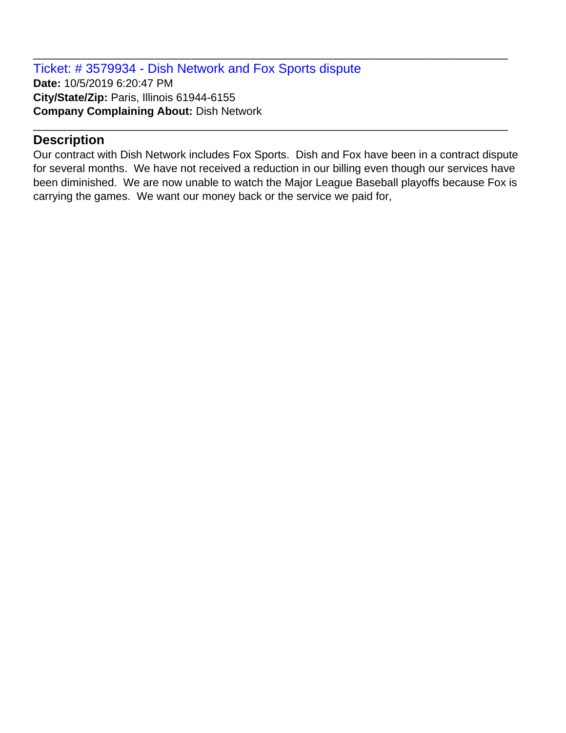Ticket: # 3579934 - Dish Network and Fox Sports dispute **Date:** 10/5/2019 6:20:47 PM **City/State/Zip:** Paris, Illinois 61944-6155 **Company Complaining About:** Dish Network

# **Description**

Our contract with Dish Network includes Fox Sports. Dish and Fox have been in a contract dispute for several months. We have not received a reduction in our billing even though our services have been diminished. We are now unable to watch the Major League Baseball playoffs because Fox is carrying the games. We want our money back or the service we paid for,

\_\_\_\_\_\_\_\_\_\_\_\_\_\_\_\_\_\_\_\_\_\_\_\_\_\_\_\_\_\_\_\_\_\_\_\_\_\_\_\_\_\_\_\_\_\_\_\_\_\_\_\_\_\_\_\_\_\_\_\_\_\_\_\_\_\_\_\_\_\_\_\_\_\_\_\_\_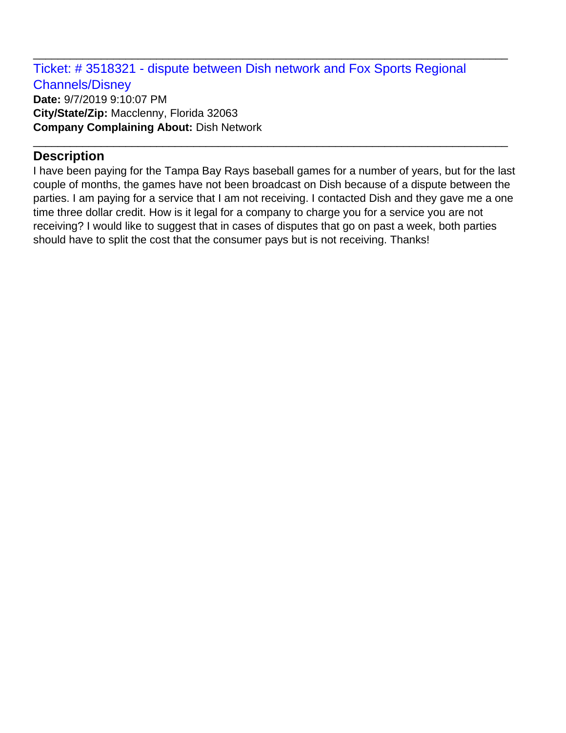Ticket: # 3518321 - dispute between Dish network and Fox Sports Regional Channels/Disney **Date:** 9/7/2019 9:10:07 PM **City/State/Zip:** Macclenny, Florida 32063 **Company Complaining About:** Dish Network

\_\_\_\_\_\_\_\_\_\_\_\_\_\_\_\_\_\_\_\_\_\_\_\_\_\_\_\_\_\_\_\_\_\_\_\_\_\_\_\_\_\_\_\_\_\_\_\_\_\_\_\_\_\_\_\_\_\_\_\_\_\_\_\_\_\_\_\_\_\_\_\_\_\_\_\_\_

\_\_\_\_\_\_\_\_\_\_\_\_\_\_\_\_\_\_\_\_\_\_\_\_\_\_\_\_\_\_\_\_\_\_\_\_\_\_\_\_\_\_\_\_\_\_\_\_\_\_\_\_\_\_\_\_\_\_\_\_\_\_\_\_\_\_\_\_\_\_\_\_\_\_\_\_\_

# **Description**

I have been paying for the Tampa Bay Rays baseball games for a number of years, but for the last couple of months, the games have not been broadcast on Dish because of a dispute between the parties. I am paying for a service that I am not receiving. I contacted Dish and they gave me a one time three dollar credit. How is it legal for a company to charge you for a service you are not receiving? I would like to suggest that in cases of disputes that go on past a week, both parties should have to split the cost that the consumer pays but is not receiving. Thanks!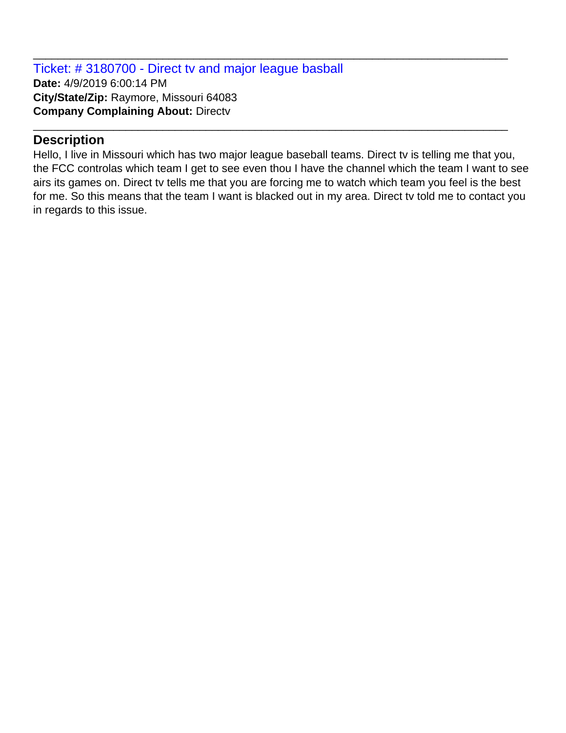Ticket: # 3180700 - Direct tv and major league basball **Date:** 4/9/2019 6:00:14 PM **City/State/Zip:** Raymore, Missouri 64083 **Company Complaining About:** Directv

## **Description**

Hello, I live in Missouri which has two major league baseball teams. Direct tv is telling me that you, the FCC controlas which team I get to see even thou I have the channel which the team I want to see airs its games on. Direct tv tells me that you are forcing me to watch which team you feel is the best for me. So this means that the team I want is blacked out in my area. Direct tv told me to contact you in regards to this issue.

\_\_\_\_\_\_\_\_\_\_\_\_\_\_\_\_\_\_\_\_\_\_\_\_\_\_\_\_\_\_\_\_\_\_\_\_\_\_\_\_\_\_\_\_\_\_\_\_\_\_\_\_\_\_\_\_\_\_\_\_\_\_\_\_\_\_\_\_\_\_\_\_\_\_\_\_\_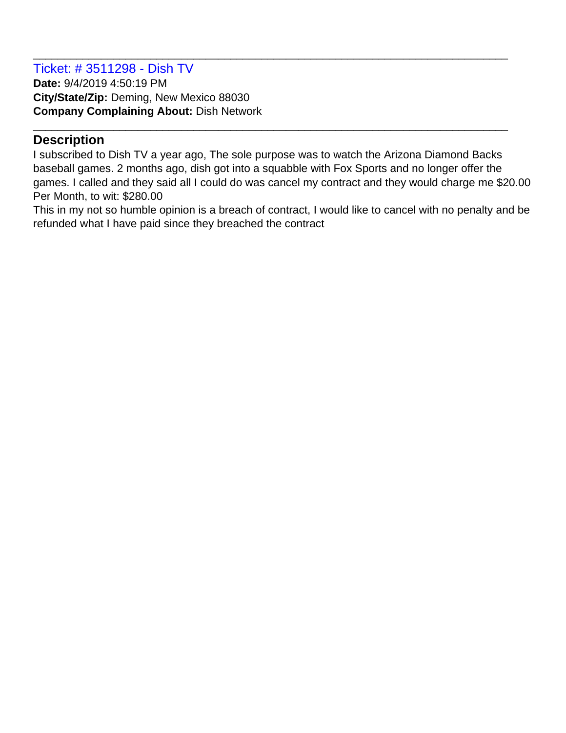Ticket: # 3511298 - Dish TV **Date:** 9/4/2019 4:50:19 PM **City/State/Zip:** Deming, New Mexico 88030 **Company Complaining About:** Dish Network

# **Description**

I subscribed to Dish TV a year ago, The sole purpose was to watch the Arizona Diamond Backs baseball games. 2 months ago, dish got into a squabble with Fox Sports and no longer offer the games. I called and they said all I could do was cancel my contract and they would charge me \$20.00 Per Month, to wit: \$280.00

\_\_\_\_\_\_\_\_\_\_\_\_\_\_\_\_\_\_\_\_\_\_\_\_\_\_\_\_\_\_\_\_\_\_\_\_\_\_\_\_\_\_\_\_\_\_\_\_\_\_\_\_\_\_\_\_\_\_\_\_\_\_\_\_\_\_\_\_\_\_\_\_\_\_\_\_\_

\_\_\_\_\_\_\_\_\_\_\_\_\_\_\_\_\_\_\_\_\_\_\_\_\_\_\_\_\_\_\_\_\_\_\_\_\_\_\_\_\_\_\_\_\_\_\_\_\_\_\_\_\_\_\_\_\_\_\_\_\_\_\_\_\_\_\_\_\_\_\_\_\_\_\_\_\_

This in my not so humble opinion is a breach of contract, I would like to cancel with no penalty and be refunded what I have paid since they breached the contract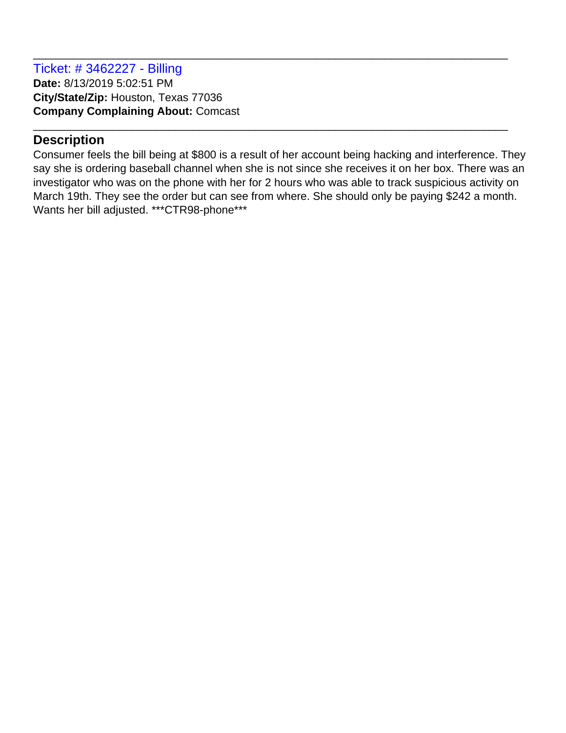Ticket: # 3462227 - Billing **Date:** 8/13/2019 5:02:51 PM **City/State/Zip:** Houston, Texas 77036 **Company Complaining About:** Comcast

## **Description**

Consumer feels the bill being at \$800 is a result of her account being hacking and interference. They say she is ordering baseball channel when she is not since she receives it on her box. There was an investigator who was on the phone with her for 2 hours who was able to track suspicious activity on March 19th. They see the order but can see from where. She should only be paying \$242 a month. Wants her bill adjusted. \*\*\* CTR98-phone\*\*\*

\_\_\_\_\_\_\_\_\_\_\_\_\_\_\_\_\_\_\_\_\_\_\_\_\_\_\_\_\_\_\_\_\_\_\_\_\_\_\_\_\_\_\_\_\_\_\_\_\_\_\_\_\_\_\_\_\_\_\_\_\_\_\_\_\_\_\_\_\_\_\_\_\_\_\_\_\_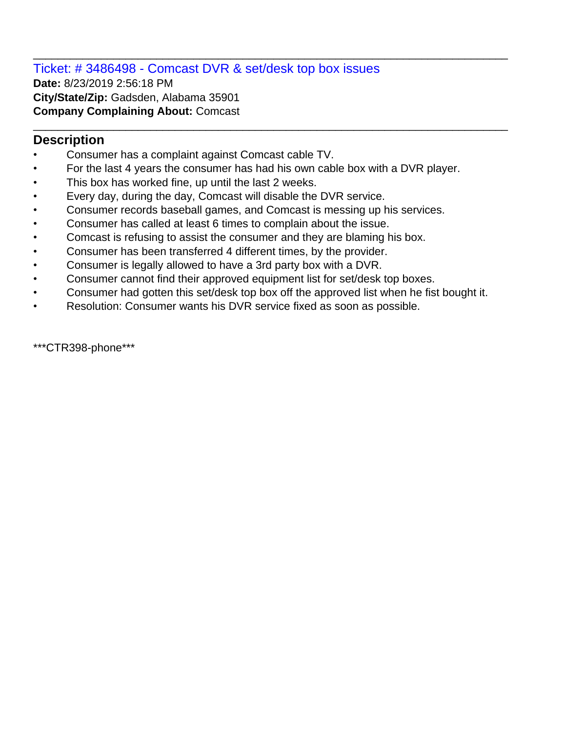Ticket: # 3486498 - Comcast DVR & set/desk top box issues **Date:** 8/23/2019 2:56:18 PM **City/State/Zip:** Gadsden, Alabama 35901 **Company Complaining About:** Comcast \_\_\_\_\_\_\_\_\_\_\_\_\_\_\_\_\_\_\_\_\_\_\_\_\_\_\_\_\_\_\_\_\_\_\_\_\_\_\_\_\_\_\_\_\_\_\_\_\_\_\_\_\_\_\_\_\_\_\_\_\_\_\_\_\_\_\_\_\_\_\_\_\_\_\_\_\_

## **Description**

- Consumer has a complaint against Comcast cable TV.
- For the last 4 years the consumer has had his own cable box with a DVR player.

\_\_\_\_\_\_\_\_\_\_\_\_\_\_\_\_\_\_\_\_\_\_\_\_\_\_\_\_\_\_\_\_\_\_\_\_\_\_\_\_\_\_\_\_\_\_\_\_\_\_\_\_\_\_\_\_\_\_\_\_\_\_\_\_\_\_\_\_\_\_\_\_\_\_\_\_\_

- This box has worked fine, up until the last 2 weeks.
- Every day, during the day, Comcast will disable the DVR service.
- Consumer records baseball games, and Comcast is messing up his services.
- Consumer has called at least 6 times to complain about the issue.
- Comcast is refusing to assist the consumer and they are blaming his box.
- Consumer has been transferred 4 different times, by the provider.
- Consumer is legally allowed to have a 3rd party box with a DVR.
- Consumer cannot find their approved equipment list for set/desk top boxes.
- Consumer had gotten this set/desk top box off the approved list when he fist bought it.
- Resolution: Consumer wants his DVR service fixed as soon as possible.

\*\*\*CTR398-phone\*\*\*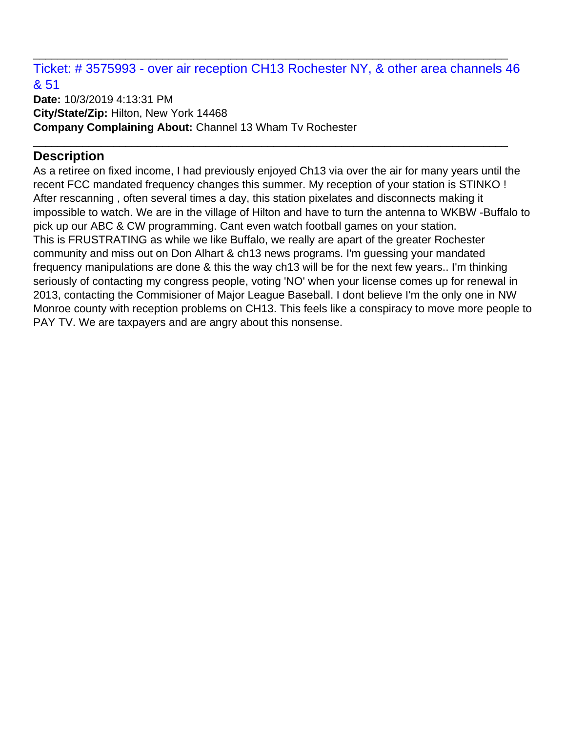Ticket: # 3575993 - over air reception CH13 Rochester NY, & other area channels 46 & 51

\_\_\_\_\_\_\_\_\_\_\_\_\_\_\_\_\_\_\_\_\_\_\_\_\_\_\_\_\_\_\_\_\_\_\_\_\_\_\_\_\_\_\_\_\_\_\_\_\_\_\_\_\_\_\_\_\_\_\_\_\_\_\_\_\_\_\_\_\_\_\_\_\_\_\_\_\_

\_\_\_\_\_\_\_\_\_\_\_\_\_\_\_\_\_\_\_\_\_\_\_\_\_\_\_\_\_\_\_\_\_\_\_\_\_\_\_\_\_\_\_\_\_\_\_\_\_\_\_\_\_\_\_\_\_\_\_\_\_\_\_\_\_\_\_\_\_\_\_\_\_\_\_\_\_

**Date:** 10/3/2019 4:13:31 PM **City/State/Zip:** Hilton, New York 14468 **Company Complaining About:** Channel 13 Wham Tv Rochester

## **Description**

As a retiree on fixed income, I had previously enjoyed Ch13 via over the air for many years until the recent FCC mandated frequency changes this summer. My reception of your station is STINKO ! After rescanning , often several times a day, this station pixelates and disconnects making it impossible to watch. We are in the village of Hilton and have to turn the antenna to WKBW -Buffalo to pick up our ABC & CW programming. Cant even watch football games on your station. This is FRUSTRATING as while we like Buffalo, we really are apart of the greater Rochester community and miss out on Don Alhart & ch13 news programs. I'm guessing your mandated frequency manipulations are done & this the way ch13 will be for the next few years.. I'm thinking seriously of contacting my congress people, voting 'NO' when your license comes up for renewal in 2013, contacting the Commisioner of Major League Baseball. I dont believe I'm the only one in NW Monroe county with reception problems on CH13. This feels like a conspiracy to move more people to PAY TV. We are taxpayers and are angry about this nonsense.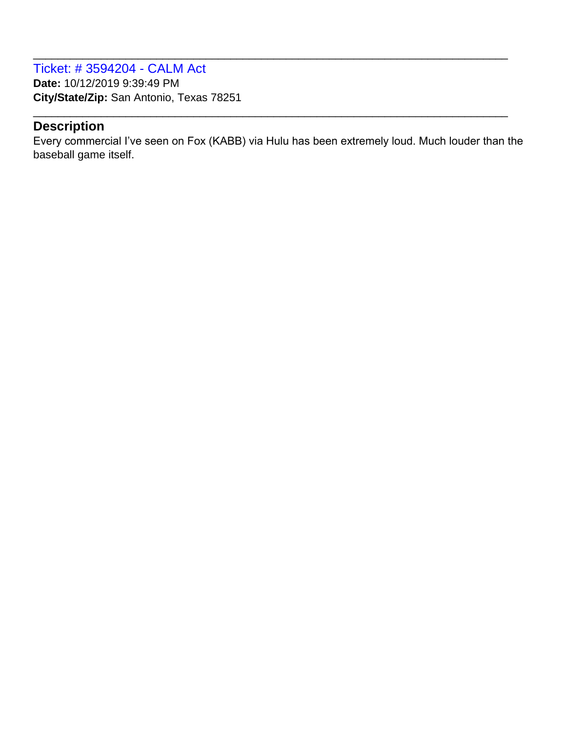Ticket: # 3594204 - CALM Act **Date:** 10/12/2019 9:39:49 PM **City/State/Zip:** San Antonio, Texas 78251

## **Description**

Every commercial I've seen on Fox (KABB) via Hulu has been extremely loud. Much louder than the baseball game itself.

\_\_\_\_\_\_\_\_\_\_\_\_\_\_\_\_\_\_\_\_\_\_\_\_\_\_\_\_\_\_\_\_\_\_\_\_\_\_\_\_\_\_\_\_\_\_\_\_\_\_\_\_\_\_\_\_\_\_\_\_\_\_\_\_\_\_\_\_\_\_\_\_\_\_\_\_\_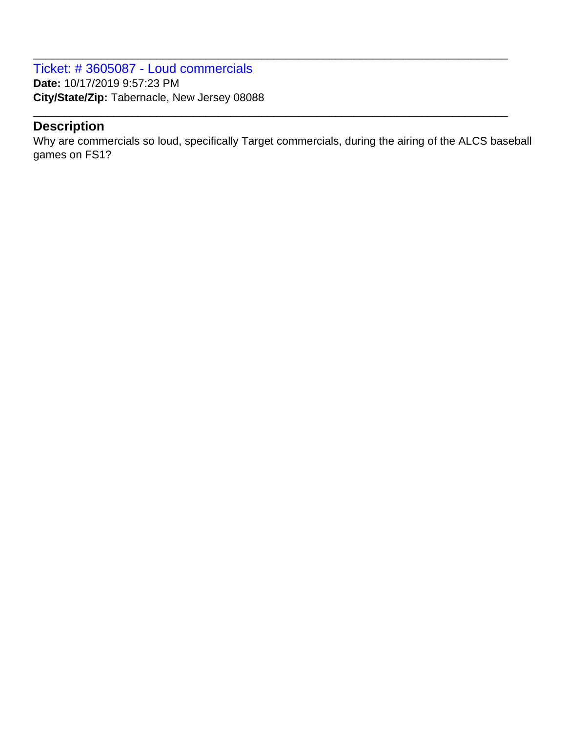Ticket: # 3605087 - Loud commercials **Date:** 10/17/2019 9:57:23 PM **City/State/Zip:** Tabernacle, New Jersey 08088

## **Description**

Why are commercials so loud, specifically Target commercials, during the airing of the ALCS baseball games on FS1?

\_\_\_\_\_\_\_\_\_\_\_\_\_\_\_\_\_\_\_\_\_\_\_\_\_\_\_\_\_\_\_\_\_\_\_\_\_\_\_\_\_\_\_\_\_\_\_\_\_\_\_\_\_\_\_\_\_\_\_\_\_\_\_\_\_\_\_\_\_\_\_\_\_\_\_\_\_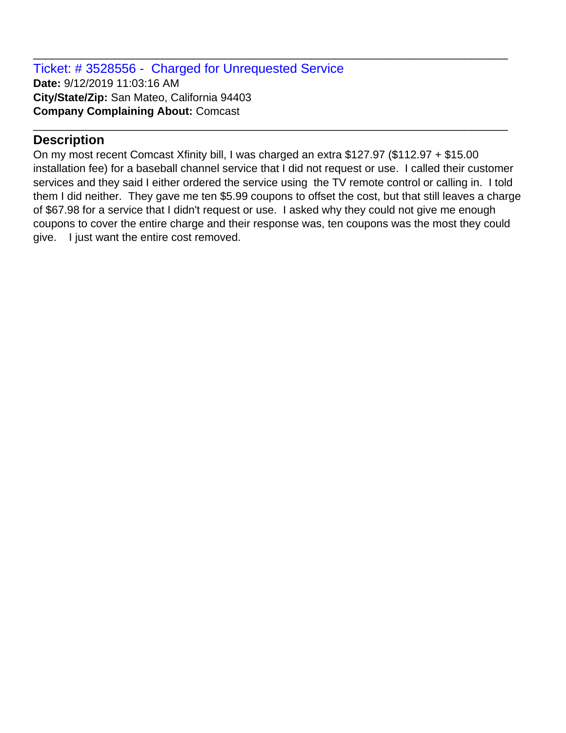Ticket: # 3528556 - Charged for Unrequested Service **Date:** 9/12/2019 11:03:16 AM **City/State/Zip:** San Mateo, California 94403 **Company Complaining About:** Comcast

# **Description**

On my most recent Comcast Xfinity bill, I was charged an extra \$127.97 (\$112.97 + \$15.00 installation fee) for a baseball channel service that I did not request or use. I called their customer services and they said I either ordered the service using the TV remote control or calling in. I told them I did neither. They gave me ten \$5.99 coupons to offset the cost, but that still leaves a charge of \$67.98 for a service that I didn't request or use. I asked why they could not give me enough coupons to cover the entire charge and their response was, ten coupons was the most they could give. I just want the entire cost removed.

\_\_\_\_\_\_\_\_\_\_\_\_\_\_\_\_\_\_\_\_\_\_\_\_\_\_\_\_\_\_\_\_\_\_\_\_\_\_\_\_\_\_\_\_\_\_\_\_\_\_\_\_\_\_\_\_\_\_\_\_\_\_\_\_\_\_\_\_\_\_\_\_\_\_\_\_\_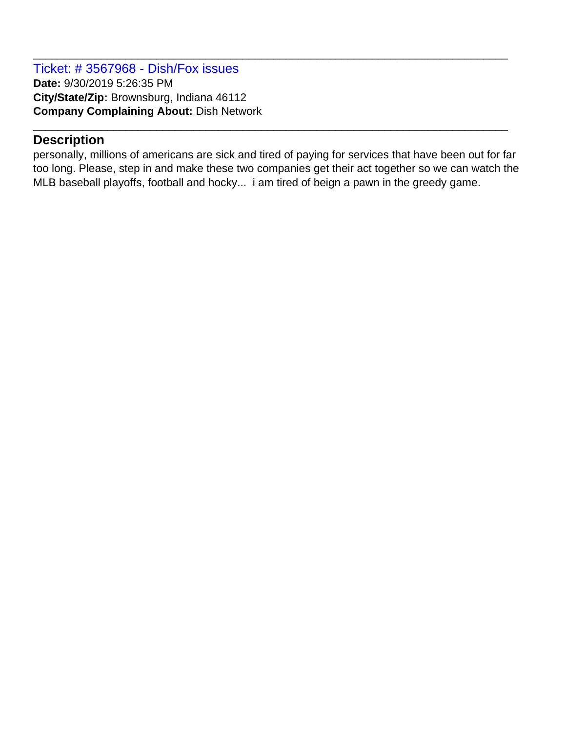Ticket: # 3567968 - Dish/Fox issues **Date:** 9/30/2019 5:26:35 PM **City/State/Zip:** Brownsburg, Indiana 46112 **Company Complaining About:** Dish Network

# **Description**

personally, millions of americans are sick and tired of paying for services that have been out for far too long. Please, step in and make these two companies get their act together so we can watch the MLB baseball playoffs, football and hocky... i am tired of beign a pawn in the greedy game.

\_\_\_\_\_\_\_\_\_\_\_\_\_\_\_\_\_\_\_\_\_\_\_\_\_\_\_\_\_\_\_\_\_\_\_\_\_\_\_\_\_\_\_\_\_\_\_\_\_\_\_\_\_\_\_\_\_\_\_\_\_\_\_\_\_\_\_\_\_\_\_\_\_\_\_\_\_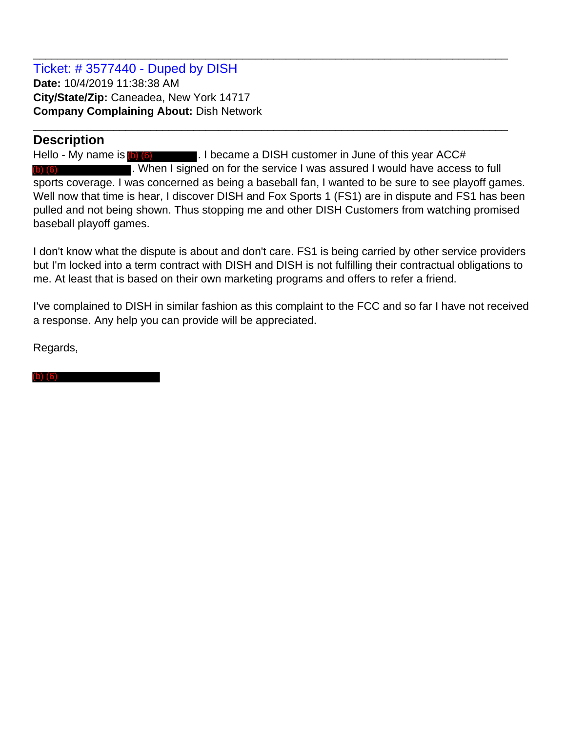#### Ticket: # 3577440 - Duped by DISH **Date:** 10/4/2019 11:38:38 AM **City/State/Zip:** Caneadea, New York 14717 **Company Complaining About:** Dish Network

# **Description**

Hello - My name is  $\omega$   $\omega$   $\omega$  . I became a DISH customer in June of this year ACC# . When I signed on for the service I was assured I would have access to full sports coverage. I was concerned as being a baseball fan, I wanted to be sure to see playoff games. Well now that time is hear, I discover DISH and Fox Sports 1 (FS1) are in dispute and FS1 has been pulled and not being shown. Thus stopping me and other DISH Customers from watching promised baseball playoff games. Hello - My name is (b) (6)<br>(b) (6)<br>sports coverage. I was c<br>Well now that time is head<br>pulled and not being shot<br>baseball playoff games.<br>I don't know what the dis<br>but I'm locked into a term<br>me. At least that is base<br>I've c

\_\_\_\_\_\_\_\_\_\_\_\_\_\_\_\_\_\_\_\_\_\_\_\_\_\_\_\_\_\_\_\_\_\_\_\_\_\_\_\_\_\_\_\_\_\_\_\_\_\_\_\_\_\_\_\_\_\_\_\_\_\_\_\_\_\_\_\_\_\_\_\_\_\_\_\_\_

\_\_\_\_\_\_\_\_\_\_\_\_\_\_\_\_\_\_\_\_\_\_\_\_\_\_\_\_\_\_\_\_\_\_\_\_\_\_\_\_\_\_\_\_\_\_\_\_\_\_\_\_\_\_\_\_\_\_\_\_\_\_\_\_\_\_\_\_\_\_\_\_\_\_\_\_\_

I don't know what the dispute is about and don't care. FS1 is being carried by other service providers but I'm locked into a term contract with DISH and DISH is not fulfilling their contractual obligations to me. At least that is based on their own marketing programs and offers to refer a friend.

I've complained to DISH in similar fashion as this complaint to the FCC and so far I have not received a response. Any help you can provide will be appreciated.

Regards,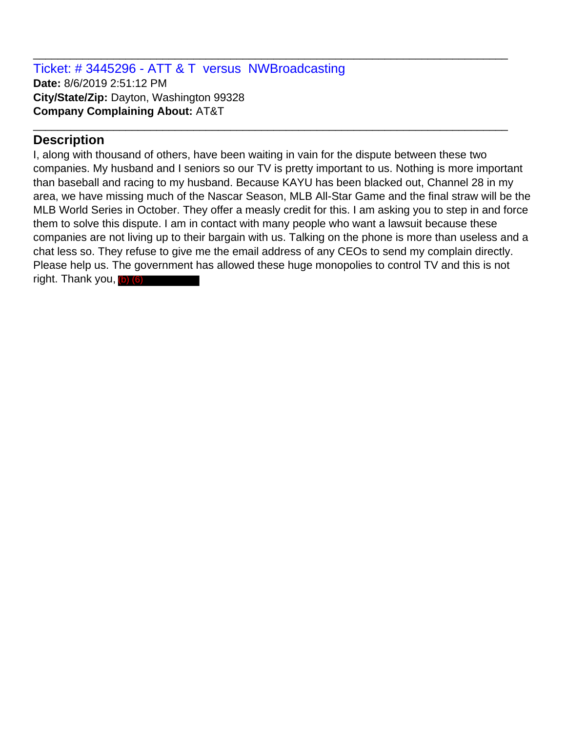Ticket: # 3445296 - ATT & T versus NWBroadcasting **Date:** 8/6/2019 2:51:12 PM **City/State/Zip:** Dayton, Washington 99328 **Company Complaining About:** AT&T

# **Description**

I, along with thousand of others, have been waiting in vain for the dispute between these two companies. My husband and I seniors so our TV is pretty important to us. Nothing is more important than baseball and racing to my husband. Because KAYU has been blacked out, Channel 28 in my area, we have missing much of the Nascar Season, MLB All-Star Game and the final straw will be the MLB World Series in October. They offer a measly credit for this. I am asking you to step in and force them to solve this dispute. I am in contact with many people who want a lawsuit because these companies are not living up to their bargain with us. Talking on the phone is more than useless and a chat less so. They refuse to give me the email address of any CEOs to send my complain directly. Please help us. The government has allowed these huge monopolies to control TV and this is not right. Thank you, (b) (6)

\_\_\_\_\_\_\_\_\_\_\_\_\_\_\_\_\_\_\_\_\_\_\_\_\_\_\_\_\_\_\_\_\_\_\_\_\_\_\_\_\_\_\_\_\_\_\_\_\_\_\_\_\_\_\_\_\_\_\_\_\_\_\_\_\_\_\_\_\_\_\_\_\_\_\_\_\_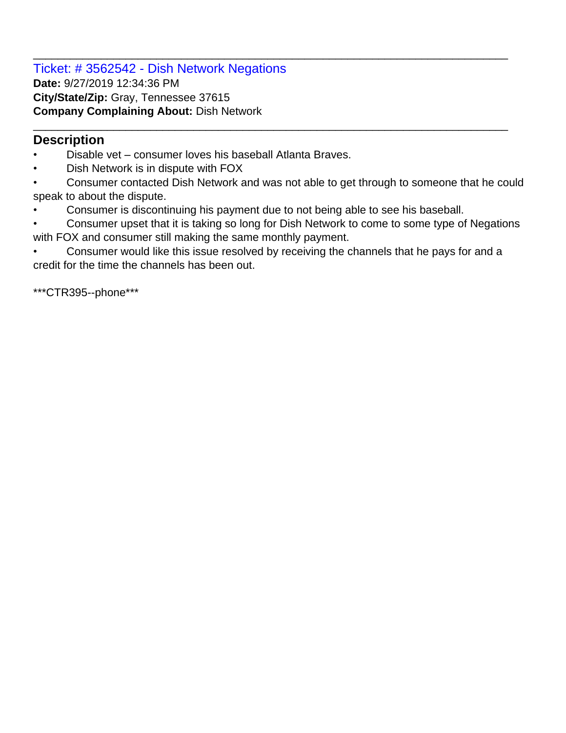Ticket: # 3562542 - Dish Network Negations **Date:** 9/27/2019 12:34:36 PM **City/State/Zip:** Gray, Tennessee 37615 **Company Complaining About:** Dish Network

# **Description**

- Disable vet consumer loves his baseball Atlanta Braves.
- Dish Network is in dispute with FOX
- Consumer contacted Dish Network and was not able to get through to someone that he could speak to about the dispute.

\_\_\_\_\_\_\_\_\_\_\_\_\_\_\_\_\_\_\_\_\_\_\_\_\_\_\_\_\_\_\_\_\_\_\_\_\_\_\_\_\_\_\_\_\_\_\_\_\_\_\_\_\_\_\_\_\_\_\_\_\_\_\_\_\_\_\_\_\_\_\_\_\_\_\_\_\_

\_\_\_\_\_\_\_\_\_\_\_\_\_\_\_\_\_\_\_\_\_\_\_\_\_\_\_\_\_\_\_\_\_\_\_\_\_\_\_\_\_\_\_\_\_\_\_\_\_\_\_\_\_\_\_\_\_\_\_\_\_\_\_\_\_\_\_\_\_\_\_\_\_\_\_\_\_

- Consumer is discontinuing his payment due to not being able to see his baseball.
- Consumer upset that it is taking so long for Dish Network to come to some type of Negations with FOX and consumer still making the same monthly payment.
- Consumer would like this issue resolved by receiving the channels that he pays for and a credit for the time the channels has been out.

\*\*\*CTR395--phone\*\*\*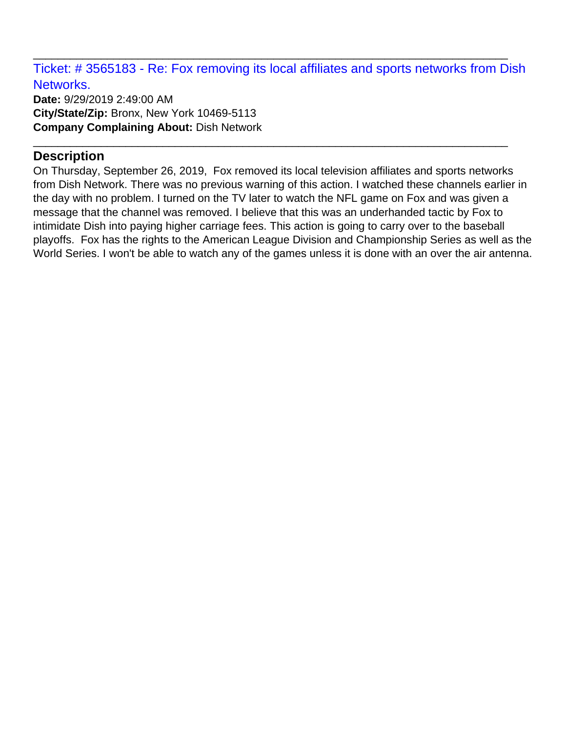Ticket: # 3565183 - Re: Fox removing its local affiliates and sports networks from Dish Networks.

\_\_\_\_\_\_\_\_\_\_\_\_\_\_\_\_\_\_\_\_\_\_\_\_\_\_\_\_\_\_\_\_\_\_\_\_\_\_\_\_\_\_\_\_\_\_\_\_\_\_\_\_\_\_\_\_\_\_\_\_\_\_\_\_\_\_\_\_\_\_\_\_\_\_\_\_\_

\_\_\_\_\_\_\_\_\_\_\_\_\_\_\_\_\_\_\_\_\_\_\_\_\_\_\_\_\_\_\_\_\_\_\_\_\_\_\_\_\_\_\_\_\_\_\_\_\_\_\_\_\_\_\_\_\_\_\_\_\_\_\_\_\_\_\_\_\_\_\_\_\_\_\_\_\_

**Date:** 9/29/2019 2:49:00 AM **City/State/Zip:** Bronx, New York 10469-5113 **Company Complaining About:** Dish Network

## **Description**

On Thursday, September 26, 2019, Fox removed its local television affiliates and sports networks from Dish Network. There was no previous warning of this action. I watched these channels earlier in the day with no problem. I turned on the TV later to watch the NFL game on Fox and was given a message that the channel was removed. I believe that this was an underhanded tactic by Fox to intimidate Dish into paying higher carriage fees. This action is going to carry over to the baseball playoffs. Fox has the rights to the American League Division and Championship Series as well as the World Series. I won't be able to watch any of the games unless it is done with an over the air antenna.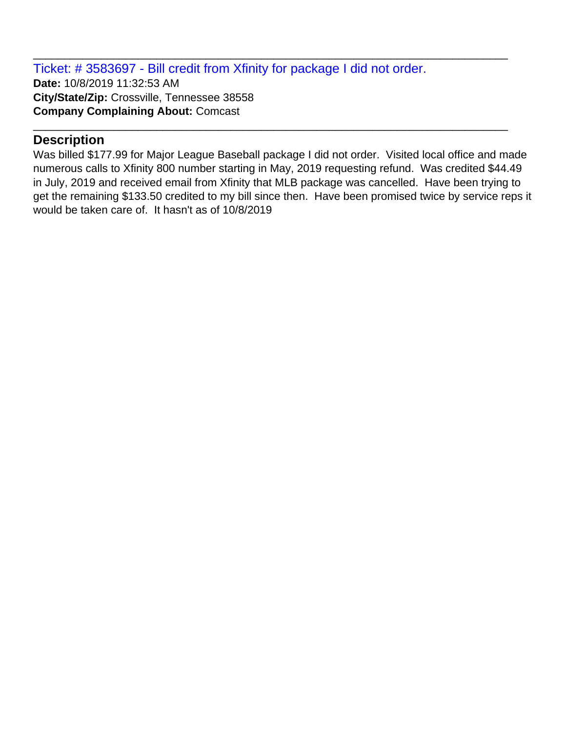Ticket: # 3583697 - Bill credit from Xfinity for package I did not order. **Date:** 10/8/2019 11:32:53 AM **City/State/Zip:** Crossville, Tennessee 38558 **Company Complaining About:** Comcast

# **Description**

Was billed \$177.99 for Major League Baseball package I did not order. Visited local office and made numerous calls to Xfinity 800 number starting in May, 2019 requesting refund. Was credited \$44.49 in July, 2019 and received email from Xfinity that MLB package was cancelled. Have been trying to get the remaining \$133.50 credited to my bill since then. Have been promised twice by service reps it would be taken care of. It hasn't as of 10/8/2019

\_\_\_\_\_\_\_\_\_\_\_\_\_\_\_\_\_\_\_\_\_\_\_\_\_\_\_\_\_\_\_\_\_\_\_\_\_\_\_\_\_\_\_\_\_\_\_\_\_\_\_\_\_\_\_\_\_\_\_\_\_\_\_\_\_\_\_\_\_\_\_\_\_\_\_\_\_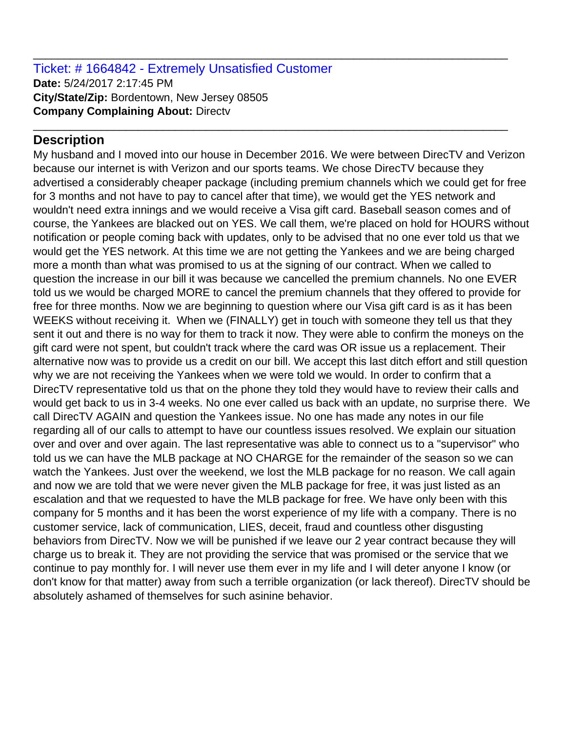#### Ticket: # 1664842 - Extremely Unsatisfied Customer **Date:** 5/24/2017 2:17:45 PM **City/State/Zip:** Bordentown, New Jersey 08505 **Company Complaining About:** Directv

# **Description**

My husband and I moved into our house in December 2016. We were between DirecTV and Verizon because our internet is with Verizon and our sports teams. We chose DirecTV because they advertised a considerably cheaper package (including premium channels which we could get for free for 3 months and not have to pay to cancel after that time), we would get the YES network and wouldn't need extra innings and we would receive a Visa gift card. Baseball season comes and of course, the Yankees are blacked out on YES. We call them, we're placed on hold for HOURS without notification or people coming back with updates, only to be advised that no one ever told us that we would get the YES network. At this time we are not getting the Yankees and we are being charged more a month than what was promised to us at the signing of our contract. When we called to question the increase in our bill it was because we cancelled the premium channels. No one EVER told us we would be charged MORE to cancel the premium channels that they offered to provide for free for three months. Now we are beginning to question where our Visa gift card is as it has been WEEKS without receiving it. When we (FINALLY) get in touch with someone they tell us that they sent it out and there is no way for them to track it now. They were able to confirm the moneys on the gift card were not spent, but couldn't track where the card was OR issue us a replacement. Their alternative now was to provide us a credit on our bill. We accept this last ditch effort and still question why we are not receiving the Yankees when we were told we would. In order to confirm that a DirecTV representative told us that on the phone they told they would have to review their calls and would get back to us in 3-4 weeks. No one ever called us back with an update, no surprise there. We call DirecTV AGAIN and question the Yankees issue. No one has made any notes in our file regarding all of our calls to attempt to have our countless issues resolved. We explain our situation over and over and over again. The last representative was able to connect us to a "supervisor" who told us we can have the MLB package at NO CHARGE for the remainder of the season so we can watch the Yankees. Just over the weekend, we lost the MLB package for no reason. We call again and now we are told that we were never given the MLB package for free, it was just listed as an escalation and that we requested to have the MLB package for free. We have only been with this company for 5 months and it has been the worst experience of my life with a company. There is no customer service, lack of communication, LIES, deceit, fraud and countless other disgusting behaviors from DirecTV. Now we will be punished if we leave our 2 year contract because they will charge us to break it. They are not providing the service that was promised or the service that we continue to pay monthly for. I will never use them ever in my life and I will deter anyone I know (or don't know for that matter) away from such a terrible organization (or lack thereof). DirecTV should be absolutely ashamed of themselves for such asinine behavior.

\_\_\_\_\_\_\_\_\_\_\_\_\_\_\_\_\_\_\_\_\_\_\_\_\_\_\_\_\_\_\_\_\_\_\_\_\_\_\_\_\_\_\_\_\_\_\_\_\_\_\_\_\_\_\_\_\_\_\_\_\_\_\_\_\_\_\_\_\_\_\_\_\_\_\_\_\_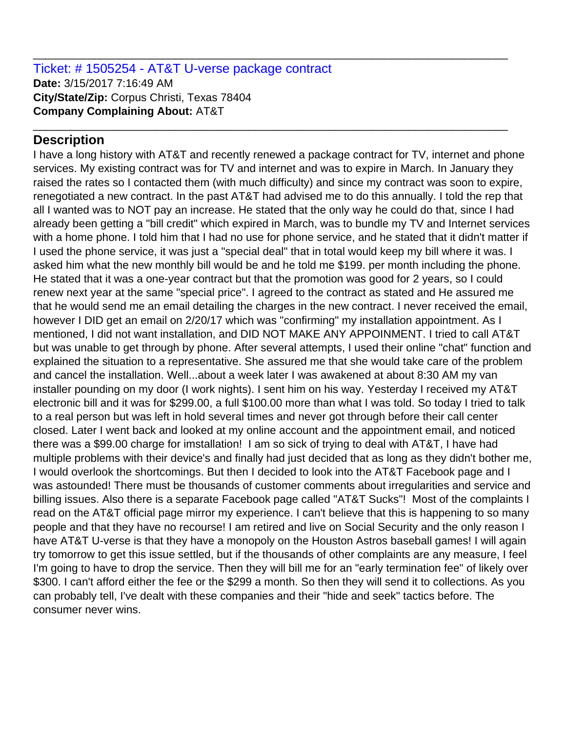#### Ticket: # 1505254 - AT&T U-verse package contract **Date:** 3/15/2017 7:16:49 AM **City/State/Zip:** Corpus Christi, Texas 78404 **Company Complaining About:** AT&T

# **Description**

I have a long history with AT&T and recently renewed a package contract for TV, internet and phone services. My existing contract was for TV and internet and was to expire in March. In January they raised the rates so I contacted them (with much difficulty) and since my contract was soon to expire, renegotiated a new contract. In the past AT&T had advised me to do this annually. I told the rep that all I wanted was to NOT pay an increase. He stated that the only way he could do that, since I had already been getting a "bill credit" which expired in March, was to bundle my TV and Internet services with a home phone. I told him that I had no use for phone service, and he stated that it didn't matter if I used the phone service, it was just a "special deal" that in total would keep my bill where it was. I asked him what the new monthly bill would be and he told me \$199. per month including the phone. He stated that it was a one-year contract but that the promotion was good for 2 years, so I could renew next year at the same "special price". I agreed to the contract as stated and He assured me that he would send me an email detailing the charges in the new contract. I never received the email, however I DID get an email on 2/20/17 which was "confirming" my installation appointment. As I mentioned, I did not want installation, and DID NOT MAKE ANY APPOINMENT. I tried to call AT&T but was unable to get through by phone. After several attempts, I used their online "chat" function and explained the situation to a representative. She assured me that she would take care of the problem and cancel the installation. Well...about a week later I was awakened at about 8:30 AM my van installer pounding on my door (I work nights). I sent him on his way. Yesterday I received my AT&T electronic bill and it was for \$299.00, a full \$100.00 more than what I was told. So today I tried to talk to a real person but was left in hold several times and never got through before their call center closed. Later I went back and looked at my online account and the appointment email, and noticed there was a \$99.00 charge for imstallation! I am so sick of trying to deal with AT&T, I have had multiple problems with their device's and finally had just decided that as long as they didn't bother me, I would overlook the shortcomings. But then I decided to look into the AT&T Facebook page and I was astounded! There must be thousands of customer comments about irregularities and service and billing issues. Also there is a separate Facebook page called "AT&T Sucks"! Most of the complaints I read on the AT&T official page mirror my experience. I can't believe that this is happening to so many people and that they have no recourse! I am retired and live on Social Security and the only reason I have AT&T U-verse is that they have a monopoly on the Houston Astros baseball games! I will again try tomorrow to get this issue settled, but if the thousands of other complaints are any measure, I feel I'm going to have to drop the service. Then they will bill me for an "early termination fee" of likely over \$300. I can't afford either the fee or the \$299 a month. So then they will send it to collections. As you can probably tell, I've dealt with these companies and their "hide and seek" tactics before. The consumer never wins.

\_\_\_\_\_\_\_\_\_\_\_\_\_\_\_\_\_\_\_\_\_\_\_\_\_\_\_\_\_\_\_\_\_\_\_\_\_\_\_\_\_\_\_\_\_\_\_\_\_\_\_\_\_\_\_\_\_\_\_\_\_\_\_\_\_\_\_\_\_\_\_\_\_\_\_\_\_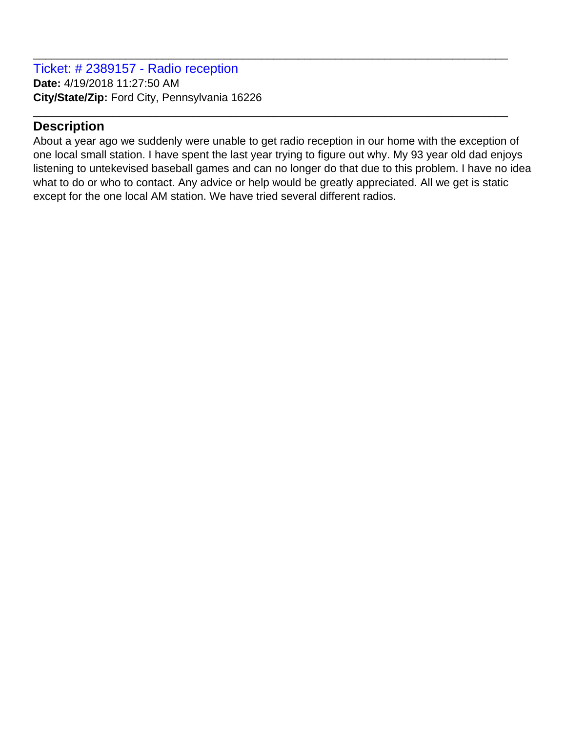Ticket: # 2389157 - Radio reception **Date:** 4/19/2018 11:27:50 AM **City/State/Zip:** Ford City, Pennsylvania 16226

## **Description**

About a year ago we suddenly were unable to get radio reception in our home with the exception of one local small station. I have spent the last year trying to figure out why. My 93 year old dad enjoys listening to untekevised baseball games and can no longer do that due to this problem. I have no idea what to do or who to contact. Any advice or help would be greatly appreciated. All we get is static except for the one local AM station. We have tried several different radios.

\_\_\_\_\_\_\_\_\_\_\_\_\_\_\_\_\_\_\_\_\_\_\_\_\_\_\_\_\_\_\_\_\_\_\_\_\_\_\_\_\_\_\_\_\_\_\_\_\_\_\_\_\_\_\_\_\_\_\_\_\_\_\_\_\_\_\_\_\_\_\_\_\_\_\_\_\_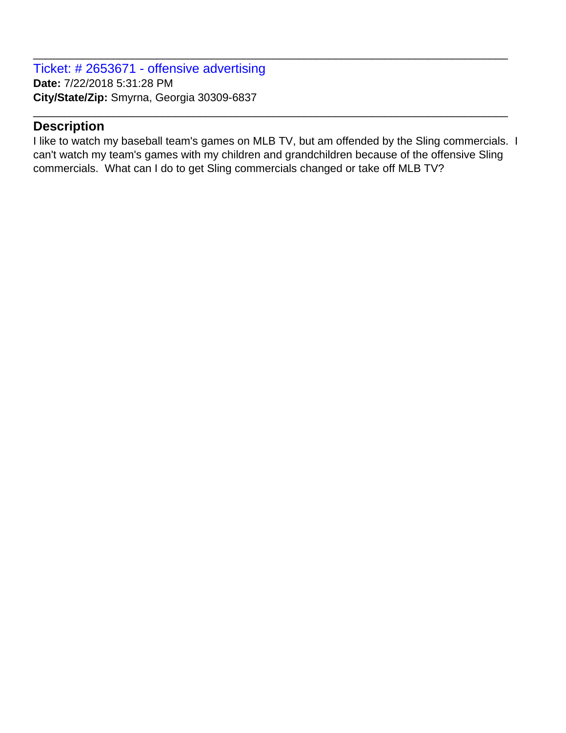Ticket: # 2653671 - offensive advertising **Date:** 7/22/2018 5:31:28 PM **City/State/Zip:** Smyrna, Georgia 30309-6837

#### **Description**

I like to watch my baseball team's games on MLB TV, but am offended by the Sling commercials. I can't watch my team's games with my children and grandchildren because of the offensive Sling commercials. What can I do to get Sling commercials changed or take off MLB TV?

\_\_\_\_\_\_\_\_\_\_\_\_\_\_\_\_\_\_\_\_\_\_\_\_\_\_\_\_\_\_\_\_\_\_\_\_\_\_\_\_\_\_\_\_\_\_\_\_\_\_\_\_\_\_\_\_\_\_\_\_\_\_\_\_\_\_\_\_\_\_\_\_\_\_\_\_\_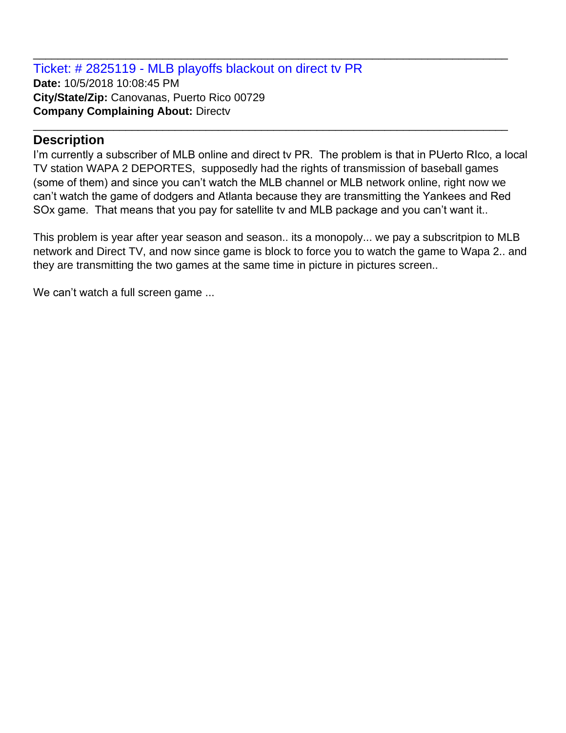Ticket: # 2825119 - MLB playoffs blackout on direct tv PR **Date:** 10/5/2018 10:08:45 PM **City/State/Zip:** Canovanas, Puerto Rico 00729 **Company Complaining About:** Directv

#### **Description**

I'm currently a subscriber of MLB online and direct tv PR. The problem is that in PUerto RIco, a local TV station WAPA 2 DEPORTES, supposedly had the rights of transmission of baseball games (some of them) and since you can't watch the MLB channel or MLB network online, right now we can't watch the game of dodgers and Atlanta because they are transmitting the Yankees and Red SOx game. That means that you pay for satellite tv and MLB package and you can't want it..

\_\_\_\_\_\_\_\_\_\_\_\_\_\_\_\_\_\_\_\_\_\_\_\_\_\_\_\_\_\_\_\_\_\_\_\_\_\_\_\_\_\_\_\_\_\_\_\_\_\_\_\_\_\_\_\_\_\_\_\_\_\_\_\_\_\_\_\_\_\_\_\_\_\_\_\_\_

\_\_\_\_\_\_\_\_\_\_\_\_\_\_\_\_\_\_\_\_\_\_\_\_\_\_\_\_\_\_\_\_\_\_\_\_\_\_\_\_\_\_\_\_\_\_\_\_\_\_\_\_\_\_\_\_\_\_\_\_\_\_\_\_\_\_\_\_\_\_\_\_\_\_\_\_\_

This problem is year after year season and season.. its a monopoly... we pay a subscritpion to MLB network and Direct TV, and now since game is block to force you to watch the game to Wapa 2.. and they are transmitting the two games at the same time in picture in pictures screen..

We can't watch a full screen game ...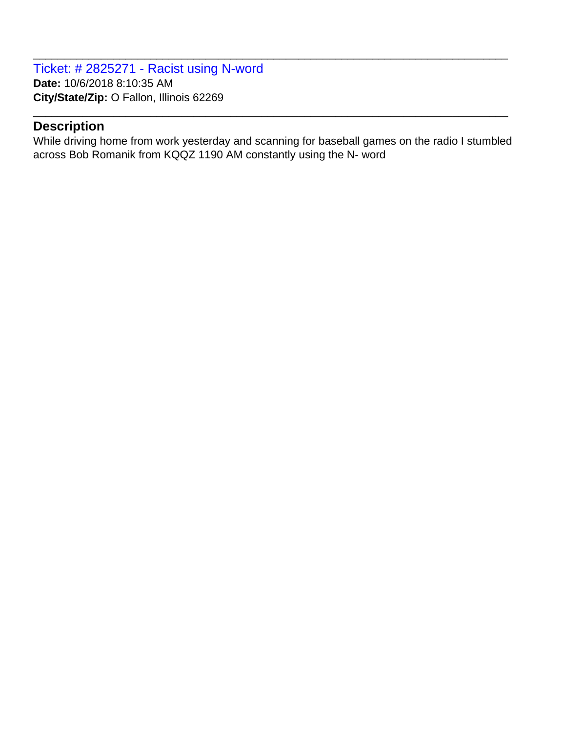Ticket: # 2825271 - Racist using N-word **Date:** 10/6/2018 8:10:35 AM **City/State/Zip:** O Fallon, Illinois 62269

## **Description**

While driving home from work yesterday and scanning for baseball games on the radio I stumbled across Bob Romanik from KQQZ 1190 AM constantly using the N- word

\_\_\_\_\_\_\_\_\_\_\_\_\_\_\_\_\_\_\_\_\_\_\_\_\_\_\_\_\_\_\_\_\_\_\_\_\_\_\_\_\_\_\_\_\_\_\_\_\_\_\_\_\_\_\_\_\_\_\_\_\_\_\_\_\_\_\_\_\_\_\_\_\_\_\_\_\_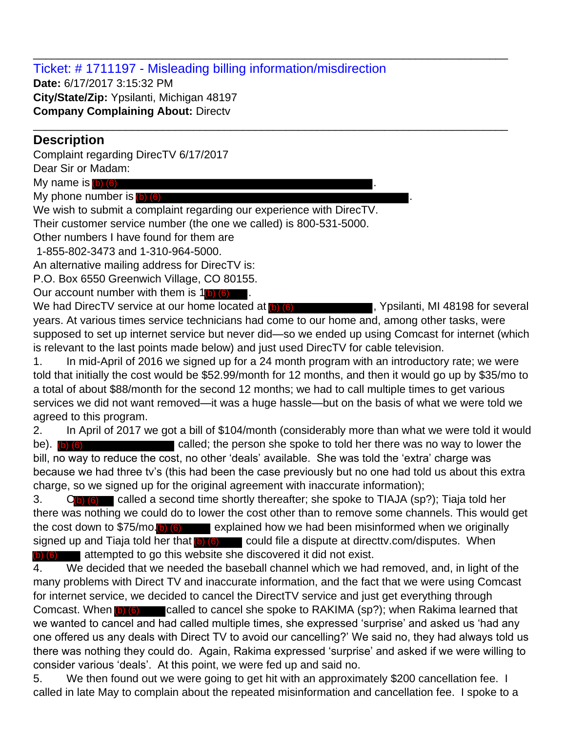Ticket: # 1711197 - Misleading billing information/misdirection

\_\_\_\_\_\_\_\_\_\_\_\_\_\_\_\_\_\_\_\_\_\_\_\_\_\_\_\_\_\_\_\_\_\_\_\_\_\_\_\_\_\_\_\_\_\_\_\_\_\_\_\_\_\_\_\_\_\_\_\_\_\_\_\_\_\_\_\_\_\_\_\_\_\_\_\_\_

\_\_\_\_\_\_\_\_\_\_\_\_\_\_\_\_\_\_\_\_\_\_\_\_\_\_\_\_\_\_\_\_\_\_\_\_\_\_\_\_\_\_\_\_\_\_\_\_\_\_\_\_\_\_\_\_\_\_\_\_\_\_\_\_\_\_\_\_\_\_\_\_\_\_\_\_\_

**Date:** 6/17/2017 3:15:32 PM **City/State/Zip:** Ypsilanti, Michigan 48197 **Company Complaining About:** Directv

# **Description**

Complaint regarding DirecTV 6/17/2017

Dear Sir or Madam:

My name is  $(b)$   $(6)$ 

My phone number is  $(b)$   $(6)$ 

We wish to submit a complaint regarding our experience with DirecTV.

Their customer service number (the one we called) is 800-531-5000.

Other numbers I have found for them are

1-855-802-3473 and 1-310-964-5000.

An alternative mailing address for DirecTV is:

P.O. Box 6550 Greenwich Village, CO 80155.

Our account number with them is  $1(b)$  (6)  $\blacksquare$ .

We had DirecTV service at our home located at **(b) (6)** All The Muslim MI 48198 for several years. At various times service technicians had come to our home and, among other tasks, were supposed to set up internet service but never did—so we ended up using Comcast for internet (which is relevant to the last points made below) and just used DirecTV for cable television.

1. In mid-April of 2016 we signed up for a 24 month program with an introductory rate; we were told that initially the cost would be \$52.99/month for 12 months, and then it would go up by \$35/mo to a total of about \$88/month for the second 12 months; we had to call multiple times to get various services we did not want removed—it was a huge hassle—but on the basis of what we were told we agreed to this program.

2. In April of 2017 we got a bill of \$104/month (considerably more than what we were told it would called; the person she spoke to told her there was no way to lower the bill, no way to reduce the cost, no other 'deals' available. She was told the 'extra' charge was because we had three tv's (this had been the case previously but no one had told us about this extra charge, so we signed up for the original agreement with inaccurate information);  $be)$ . (b) (6)

3. C(b) (6) called a second time shortly thereafter; she spoke to TIAJA (sp?); Tiaja told her there was nothing we could do to lower the cost other than to remove some channels. This would get the cost down to \$75/mo.(b) (6) explained how we had been misinformed when we originally signed up and Tiaja told her that (b) (6) could file a dispute at directtv.com/disputes. When attempted to go this website she discovered it did not exist. (b) (6)

4. We decided that we needed the baseball channel which we had removed, and, in light of the many problems with Direct TV and inaccurate information, and the fact that we were using Comcast for internet service, we decided to cancel the DirectTV service and just get everything through Comcast. When (b) (6) called to cancel she spoke to RAKIMA (sp?); when Rakima learned that we wanted to cancel and had called multiple times, she expressed 'surprise' and asked us 'had any one offered us any deals with Direct TV to avoid our cancelling?' We said no, they had always told us there was nothing they could do. Again, Rakima expressed 'surprise' and asked if we were willing to consider various 'deals'. At this point, we were fed up and said no.

5. We then found out we were going to get hit with an approximately \$200 cancellation fee. I called in late May to complain about the repeated misinformation and cancellation fee. I spoke to a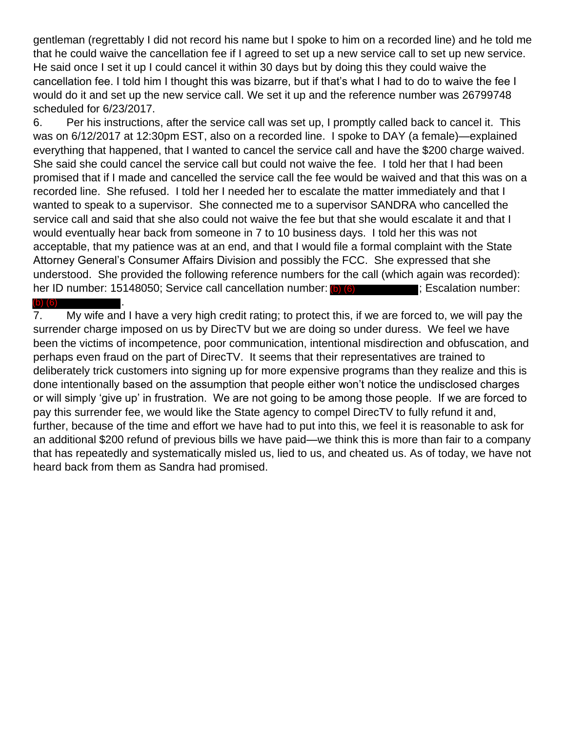gentleman (regrettably I did not record his name but I spoke to him on a recorded line) and he told me that he could waive the cancellation fee if I agreed to set up a new service call to set up new service. He said once I set it up I could cancel it within 30 days but by doing this they could waive the cancellation fee. I told him I thought this was bizarre, but if that's what I had to do to waive the fee I would do it and set up the new service call. We set it up and the reference number was 26799748 scheduled for 6/23/2017.

6. Per his instructions, after the service call was set up, I promptly called back to cancel it. This was on 6/12/2017 at 12:30pm EST, also on a recorded line. I spoke to DAY (a female)—explained everything that happened, that I wanted to cancel the service call and have the \$200 charge waived. She said she could cancel the service call but could not waive the fee. I told her that I had been promised that if I made and cancelled the service call the fee would be waived and that this was on a recorded line. She refused. I told her I needed her to escalate the matter immediately and that I wanted to speak to a supervisor. She connected me to a supervisor SANDRA who cancelled the service call and said that she also could not waive the fee but that she would escalate it and that I would eventually hear back from someone in 7 to 10 business days. I told her this was not acceptable, that my patience was at an end, and that I would file a formal complaint with the State Attorney General's Consumer Affairs Division and possibly the FCC. She expressed that she understood. She provided the following reference numbers for the call (which again was recorded): her ID number: 15148050; Service call cancellation number: (b) (6) [6] Fig. 2: Escalation number:

# (b) (6)

.

7. My wife and I have a very high credit rating; to protect this, if we are forced to, we will pay the surrender charge imposed on us by DirecTV but we are doing so under duress. We feel we have been the victims of incompetence, poor communication, intentional misdirection and obfuscation, and perhaps even fraud on the part of DirecTV. It seems that their representatives are trained to deliberately trick customers into signing up for more expensive programs than they realize and this is done intentionally based on the assumption that people either won't notice the undisclosed charges or will simply 'give up' in frustration. We are not going to be among those people. If we are forced to pay this surrender fee, we would like the State agency to compel DirecTV to fully refund it and, further, because of the time and effort we have had to put into this, we feel it is reasonable to ask for an additional \$200 refund of previous bills we have paid—we think this is more than fair to a company that has repeatedly and systematically misled us, lied to us, and cheated us. As of today, we have not heard back from them as Sandra had promised.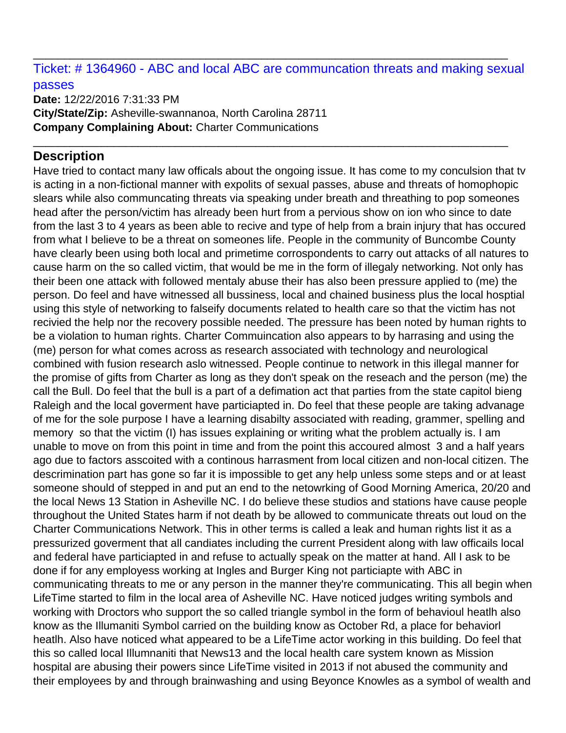Ticket: # 1364960 - ABC and local ABC are communcation threats and making sexual passes

\_\_\_\_\_\_\_\_\_\_\_\_\_\_\_\_\_\_\_\_\_\_\_\_\_\_\_\_\_\_\_\_\_\_\_\_\_\_\_\_\_\_\_\_\_\_\_\_\_\_\_\_\_\_\_\_\_\_\_\_\_\_\_\_\_\_\_\_\_\_\_\_\_\_\_\_\_

\_\_\_\_\_\_\_\_\_\_\_\_\_\_\_\_\_\_\_\_\_\_\_\_\_\_\_\_\_\_\_\_\_\_\_\_\_\_\_\_\_\_\_\_\_\_\_\_\_\_\_\_\_\_\_\_\_\_\_\_\_\_\_\_\_\_\_\_\_\_\_\_\_\_\_\_\_

**Date:** 12/22/2016 7:31:33 PM **City/State/Zip:** Asheville-swannanoa, North Carolina 28711 **Company Complaining About:** Charter Communications

## **Description**

Have tried to contact many law officals about the ongoing issue. It has come to my conculsion that tv is acting in a non-fictional manner with expolits of sexual passes, abuse and threats of homophopic slears while also communcating threats via speaking under breath and threathing to pop someones head after the person/victim has already been hurt from a pervious show on ion who since to date from the last 3 to 4 years as been able to recive and type of help from a brain injury that has occured from what I believe to be a threat on someones life. People in the community of Buncombe County have clearly been using both local and primetime corrospondents to carry out attacks of all natures to cause harm on the so called victim, that would be me in the form of illegaly networking. Not only has their been one attack with followed mentaly abuse their has also been pressure applied to (me) the person. Do feel and have witnessed all bussiness, local and chained business plus the local hosptial using this style of networking to falseify documents related to health care so that the victim has not recivied the help nor the recovery possible needed. The pressure has been noted by human rights to be a violation to human rights. Charter Commuincation also appears to by harrasing and using the (me) person for what comes across as research associated with technology and neurological combined with fusion research aslo witnessed. People continue to network in this illegal manner for the promise of gifts from Charter as long as they don't speak on the reseach and the person (me) the call the Bull. Do feel that the bull is a part of a defimation act that parties from the state capitol bieng Raleigh and the local goverment have particiapted in. Do feel that these people are taking advanage of me for the sole purpose I have a learning disabilty associated with reading, grammer, spelling and memory so that the victim (I) has issues explaining or writing what the problem actually is. I am unable to move on from this point in time and from the point this accoured almost 3 and a half years ago due to factors asscoited with a continous harrasment from local citizen and non-local citizen. The descrimination part has gone so far it is impossible to get any help unless some steps and or at least someone should of stepped in and put an end to the netowrking of Good Morning America, 20/20 and the local News 13 Station in Asheville NC. I do believe these studios and stations have cause people throughout the United States harm if not death by be allowed to communicate threats out loud on the Charter Communications Network. This in other terms is called a leak and human rights list it as a pressurized goverment that all candiates including the current President along with law officails local and federal have particiapted in and refuse to actually speak on the matter at hand. All I ask to be done if for any employess working at Ingles and Burger King not particiapte with ABC in communicating threats to me or any person in the manner they're communicating. This all begin when LifeTime started to film in the local area of Asheville NC. Have noticed judges writing symbols and working with Droctors who support the so called triangle symbol in the form of behavioul heatlh also know as the Illumaniti Symbol carried on the building know as October Rd, a place for behaviorl heatlh. Also have noticed what appeared to be a LifeTime actor working in this building. Do feel that this so called local Illumnaniti that News13 and the local health care system known as Mission hospital are abusing their powers since LifeTime visited in 2013 if not abused the community and their employees by and through brainwashing and using Beyonce Knowles as a symbol of wealth and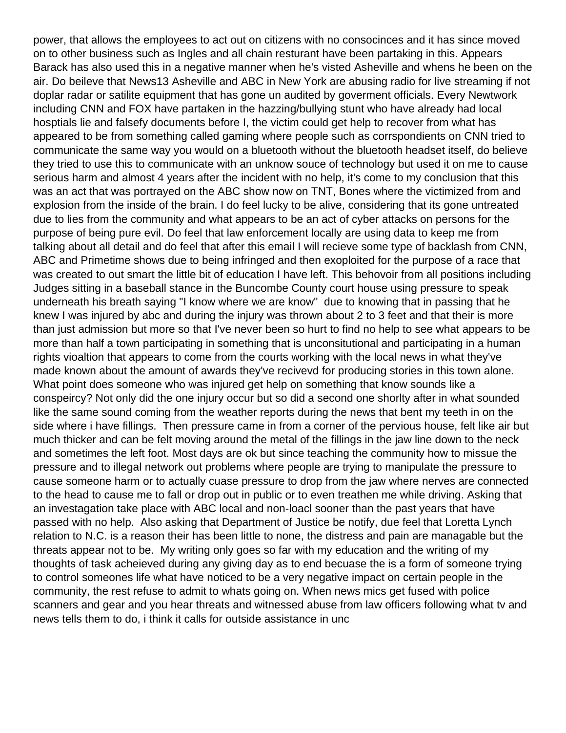power, that allows the employees to act out on citizens with no consocinces and it has since moved on to other business such as Ingles and all chain resturant have been partaking in this. Appears Barack has also used this in a negative manner when he's visted Asheville and whens he been on the air. Do beileve that News13 Asheville and ABC in New York are abusing radio for live streaming if not doplar radar or satilite equipment that has gone un audited by goverment officials. Every Newtwork including CNN and FOX have partaken in the hazzing/bullying stunt who have already had local hosptials lie and falsefy documents before I, the victim could get help to recover from what has appeared to be from something called gaming where people such as corrspondients on CNN tried to communicate the same way you would on a bluetooth without the bluetooth headset itself, do believe they tried to use this to communicate with an unknow souce of technology but used it on me to cause serious harm and almost 4 years after the incident with no help, it's come to my conclusion that this was an act that was portrayed on the ABC show now on TNT, Bones where the victimized from and explosion from the inside of the brain. I do feel lucky to be alive, considering that its gone untreated due to lies from the community and what appears to be an act of cyber attacks on persons for the purpose of being pure evil. Do feel that law enforcement locally are using data to keep me from talking about all detail and do feel that after this email I will recieve some type of backlash from CNN, ABC and Primetime shows due to being infringed and then exoploited for the purpose of a race that was created to out smart the little bit of education I have left. This behovoir from all positions including Judges sitting in a baseball stance in the Buncombe County court house using pressure to speak underneath his breath saying "I know where we are know" due to knowing that in passing that he knew I was injured by abc and during the injury was thrown about 2 to 3 feet and that their is more than just admission but more so that I've never been so hurt to find no help to see what appears to be more than half a town participating in something that is unconsitutional and participating in a human rights vioaltion that appears to come from the courts working with the local news in what they've made known about the amount of awards they've recivevd for producing stories in this town alone. What point does someone who was injured get help on something that know sounds like a conspeircy? Not only did the one injury occur but so did a second one shorlty after in what sounded like the same sound coming from the weather reports during the news that bent my teeth in on the side where i have fillings. Then pressure came in from a corner of the pervious house, felt like air but much thicker and can be felt moving around the metal of the fillings in the jaw line down to the neck and sometimes the left foot. Most days are ok but since teaching the community how to missue the pressure and to illegal network out problems where people are trying to manipulate the pressure to cause someone harm or to actually cuase pressure to drop from the jaw where nerves are connected to the head to cause me to fall or drop out in public or to even treathen me while driving. Asking that an investagation take place with ABC local and non-loacl sooner than the past years that have passed with no help. Also asking that Department of Justice be notify, due feel that Loretta Lynch relation to N.C. is a reason their has been little to none, the distress and pain are managable but the threats appear not to be. My writing only goes so far with my education and the writing of my thoughts of task acheieved during any giving day as to end becuase the is a form of someone trying to control someones life what have noticed to be a very negative impact on certain people in the community, the rest refuse to admit to whats going on. When news mics get fused with police scanners and gear and you hear threats and witnessed abuse from law officers following what tv and news tells them to do, i think it calls for outside assistance in unc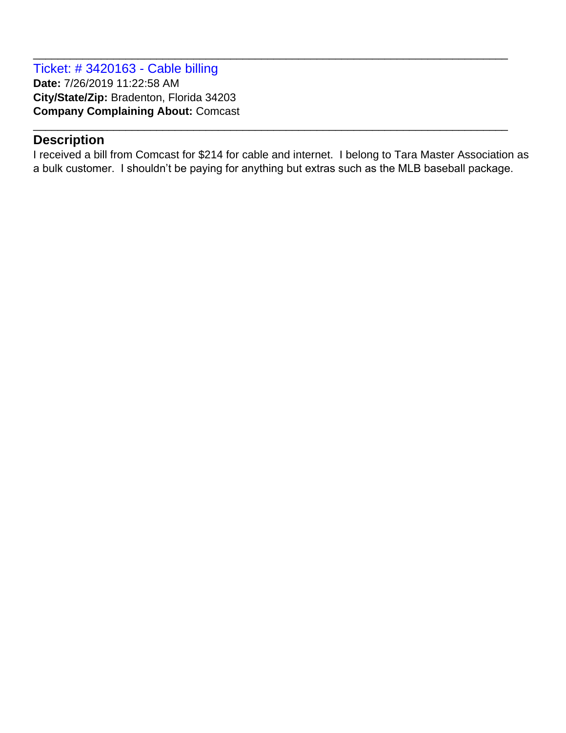Ticket: # 3420163 - Cable billing **Date:** 7/26/2019 11:22:58 AM **City/State/Zip:** Bradenton, Florida 34203 **Company Complaining About:** Comcast

#### **Description**

I received a bill from Comcast for \$214 for cable and internet. I belong to Tara Master Association as a bulk customer. I shouldn't be paying for anything but extras such as the MLB baseball package.

\_\_\_\_\_\_\_\_\_\_\_\_\_\_\_\_\_\_\_\_\_\_\_\_\_\_\_\_\_\_\_\_\_\_\_\_\_\_\_\_\_\_\_\_\_\_\_\_\_\_\_\_\_\_\_\_\_\_\_\_\_\_\_\_\_\_\_\_\_\_\_\_\_\_\_\_\_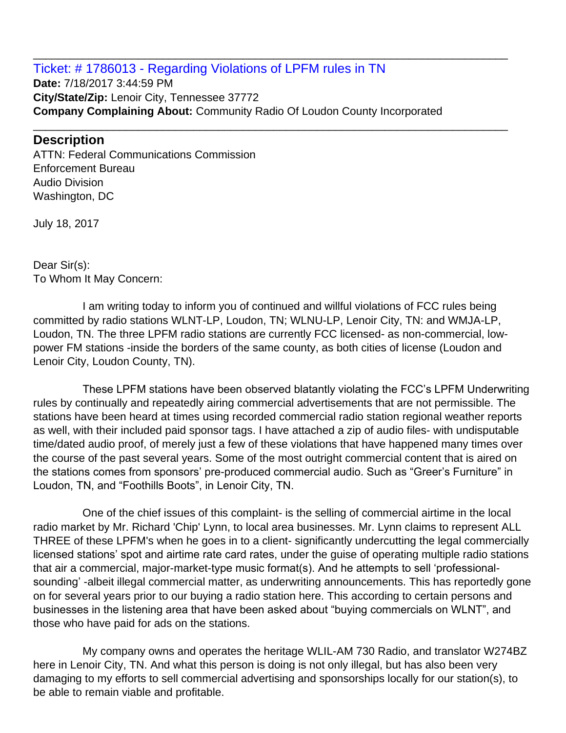#### Ticket: # 1786013 - Regarding Violations of LPFM rules in TN **Date:** 7/18/2017 3:44:59 PM **City/State/Zip:** Lenoir City, Tennessee 37772 **Company Complaining About:** Community Radio Of Loudon County Incorporated

\_\_\_\_\_\_\_\_\_\_\_\_\_\_\_\_\_\_\_\_\_\_\_\_\_\_\_\_\_\_\_\_\_\_\_\_\_\_\_\_\_\_\_\_\_\_\_\_\_\_\_\_\_\_\_\_\_\_\_\_\_\_\_\_\_\_\_\_\_\_\_\_\_\_\_\_\_

\_\_\_\_\_\_\_\_\_\_\_\_\_\_\_\_\_\_\_\_\_\_\_\_\_\_\_\_\_\_\_\_\_\_\_\_\_\_\_\_\_\_\_\_\_\_\_\_\_\_\_\_\_\_\_\_\_\_\_\_\_\_\_\_\_\_\_\_\_\_\_\_\_\_\_\_\_

#### **Description**

ATTN: Federal Communications Commission Enforcement Bureau Audio Division Washington, DC

July 18, 2017

Dear Sir(s): To Whom It May Concern:

 I am writing today to inform you of continued and willful violations of FCC rules being committed by radio stations WLNT-LP, Loudon, TN; WLNU-LP, Lenoir City, TN: and WMJA-LP, Loudon, TN. The three LPFM radio stations are currently FCC licensed- as non-commercial, lowpower FM stations -inside the borders of the same county, as both cities of license (Loudon and Lenoir City, Loudon County, TN).

 These LPFM stations have been observed blatantly violating the FCC's LPFM Underwriting rules by continually and repeatedly airing commercial advertisements that are not permissible. The stations have been heard at times using recorded commercial radio station regional weather reports as well, with their included paid sponsor tags. I have attached a zip of audio files- with undisputable time/dated audio proof, of merely just a few of these violations that have happened many times over the course of the past several years. Some of the most outright commercial content that is aired on the stations comes from sponsors' pre-produced commercial audio. Such as "Greer's Furniture" in Loudon, TN, and "Foothills Boots", in Lenoir City, TN.

 One of the chief issues of this complaint- is the selling of commercial airtime in the local radio market by Mr. Richard 'Chip' Lynn, to local area businesses. Mr. Lynn claims to represent ALL THREE of these LPFM's when he goes in to a client- significantly undercutting the legal commercially licensed stations' spot and airtime rate card rates, under the guise of operating multiple radio stations that air a commercial, major-market-type music format(s). And he attempts to sell 'professionalsounding' -albeit illegal commercial matter, as underwriting announcements. This has reportedly gone on for several years prior to our buying a radio station here. This according to certain persons and businesses in the listening area that have been asked about "buying commercials on WLNT", and those who have paid for ads on the stations.

 My company owns and operates the heritage WLIL-AM 730 Radio, and translator W274BZ here in Lenoir City, TN. And what this person is doing is not only illegal, but has also been very damaging to my efforts to sell commercial advertising and sponsorships locally for our station(s), to be able to remain viable and profitable.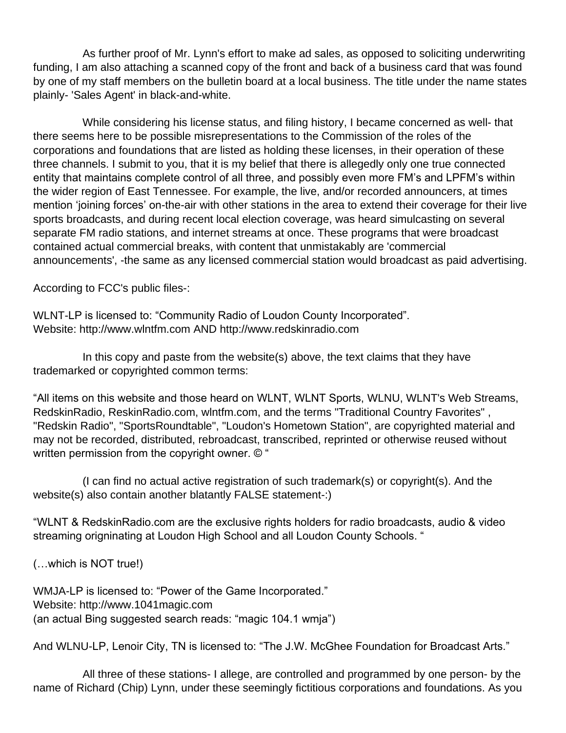As further proof of Mr. Lynn's effort to make ad sales, as opposed to soliciting underwriting funding, I am also attaching a scanned copy of the front and back of a business card that was found by one of my staff members on the bulletin board at a local business. The title under the name states plainly- 'Sales Agent' in black-and-white.

 While considering his license status, and filing history, I became concerned as well- that there seems here to be possible misrepresentations to the Commission of the roles of the corporations and foundations that are listed as holding these licenses, in their operation of these three channels. I submit to you, that it is my belief that there is allegedly only one true connected entity that maintains complete control of all three, and possibly even more FM's and LPFM's within the wider region of East Tennessee. For example, the live, and/or recorded announcers, at times mention 'joining forces' on-the-air with other stations in the area to extend their coverage for their live sports broadcasts, and during recent local election coverage, was heard simulcasting on several separate FM radio stations, and internet streams at once. These programs that were broadcast contained actual commercial breaks, with content that unmistakably are 'commercial announcements', -the same as any licensed commercial station would broadcast as paid advertising.

According to FCC's public files-:

WLNT-LP is licensed to: "Community Radio of Loudon County Incorporated". Website: http://www.wlntfm.com AND http://www.redskinradio.com

 In this copy and paste from the website(s) above, the text claims that they have trademarked or copyrighted common terms:

"All items on this website and those heard on WLNT, WLNT Sports, WLNU, WLNT's Web Streams, RedskinRadio, ReskinRadio.com, wlntfm.com, and the terms "Traditional Country Favorites" , "Redskin Radio", "SportsRoundtable", "Loudon's Hometown Station", are copyrighted material and may not be recorded, distributed, rebroadcast, transcribed, reprinted or otherwise reused without written permission from the copyright owner. © "

 (I can find no actual active registration of such trademark(s) or copyright(s). And the website(s) also contain another blatantly FALSE statement-:)

"WLNT & RedskinRadio.com are the exclusive rights holders for radio broadcasts, audio & video streaming origninating at Loudon High School and all Loudon County Schools. "

(…which is NOT true!)

WMJA-LP is licensed to: "Power of the Game Incorporated." Website: http://www.1041magic.com (an actual Bing suggested search reads: "magic 104.1 wmja")

And WLNU-LP, Lenoir City, TN is licensed to: "The J.W. McGhee Foundation for Broadcast Arts."

 All three of these stations- I allege, are controlled and programmed by one person- by the name of Richard (Chip) Lynn, under these seemingly fictitious corporations and foundations. As you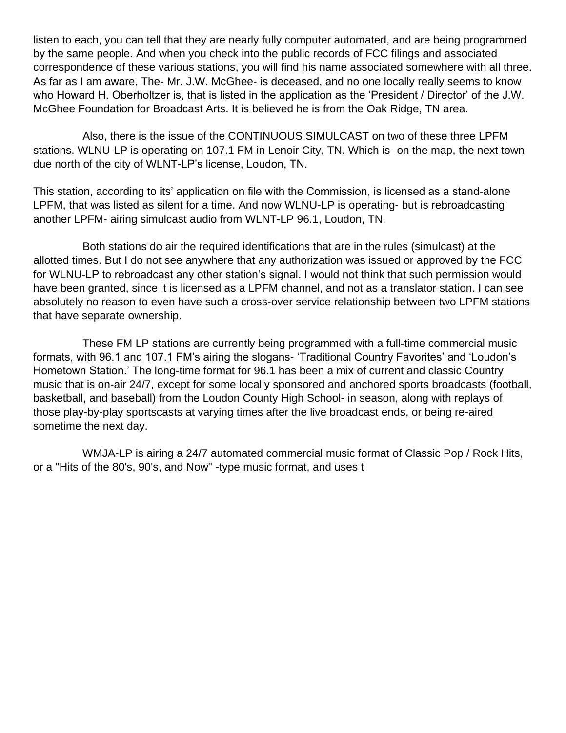listen to each, you can tell that they are nearly fully computer automated, and are being programmed by the same people. And when you check into the public records of FCC filings and associated correspondence of these various stations, you will find his name associated somewhere with all three. As far as I am aware, The- Mr. J.W. McGhee- is deceased, and no one locally really seems to know who Howard H. Oberholtzer is, that is listed in the application as the 'President / Director' of the J.W. McGhee Foundation for Broadcast Arts. It is believed he is from the Oak Ridge, TN area.

 Also, there is the issue of the CONTINUOUS SIMULCAST on two of these three LPFM stations. WLNU-LP is operating on 107.1 FM in Lenoir City, TN. Which is- on the map, the next town due north of the city of WLNT-LP's license, Loudon, TN.

This station, according to its' application on file with the Commission, is licensed as a stand-alone LPFM, that was listed as silent for a time. And now WLNU-LP is operating- but is rebroadcasting another LPFM- airing simulcast audio from WLNT-LP 96.1, Loudon, TN.

 Both stations do air the required identifications that are in the rules (simulcast) at the allotted times. But I do not see anywhere that any authorization was issued or approved by the FCC for WLNU-LP to rebroadcast any other station's signal. I would not think that such permission would have been granted, since it is licensed as a LPFM channel, and not as a translator station. I can see absolutely no reason to even have such a cross-over service relationship between two LPFM stations that have separate ownership.

 These FM LP stations are currently being programmed with a full-time commercial music formats, with 96.1 and 107.1 FM's airing the slogans- 'Traditional Country Favorites' and 'Loudon's Hometown Station.' The long-time format for 96.1 has been a mix of current and classic Country music that is on-air 24/7, except for some locally sponsored and anchored sports broadcasts (football, basketball, and baseball) from the Loudon County High School- in season, along with replays of those play-by-play sportscasts at varying times after the live broadcast ends, or being re-aired sometime the next day.

 WMJA-LP is airing a 24/7 automated commercial music format of Classic Pop / Rock Hits, or a "Hits of the 80's, 90's, and Now" -type music format, and uses t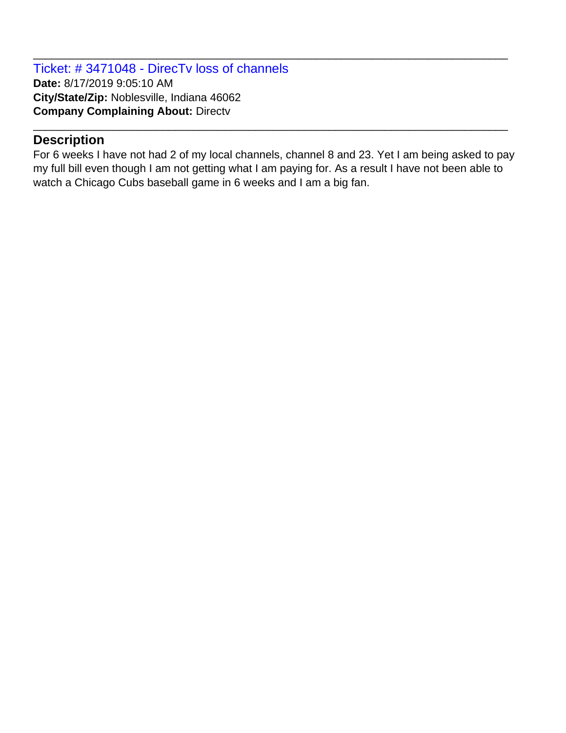Ticket: # 3471048 - DirecTv loss of channels **Date:** 8/17/2019 9:05:10 AM **City/State/Zip:** Noblesville, Indiana 46062 **Company Complaining About:** Directv

# **Description**

For 6 weeks I have not had 2 of my local channels, channel 8 and 23. Yet I am being asked to pay my full bill even though I am not getting what I am paying for. As a result I have not been able to watch a Chicago Cubs baseball game in 6 weeks and I am a big fan.

\_\_\_\_\_\_\_\_\_\_\_\_\_\_\_\_\_\_\_\_\_\_\_\_\_\_\_\_\_\_\_\_\_\_\_\_\_\_\_\_\_\_\_\_\_\_\_\_\_\_\_\_\_\_\_\_\_\_\_\_\_\_\_\_\_\_\_\_\_\_\_\_\_\_\_\_\_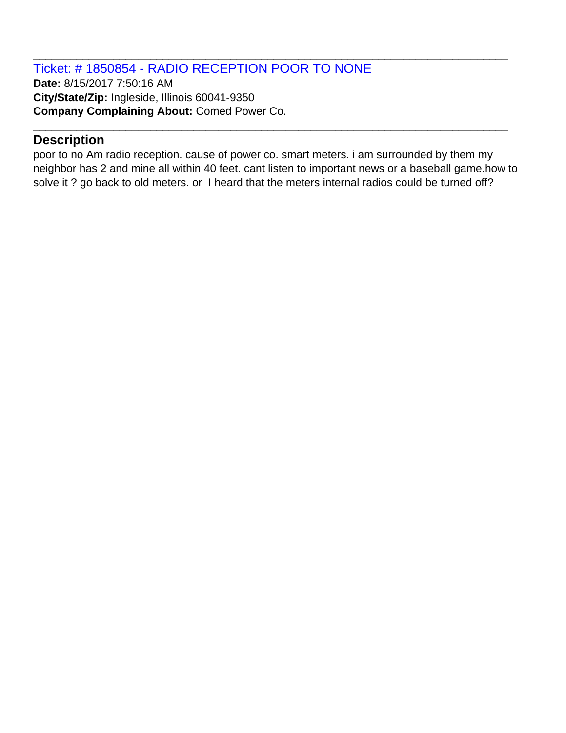Ticket: # 1850854 - RADIO RECEPTION POOR TO NONE **Date:** 8/15/2017 7:50:16 AM **City/State/Zip:** Ingleside, Illinois 60041-9350 **Company Complaining About:** Comed Power Co. \_\_\_\_\_\_\_\_\_\_\_\_\_\_\_\_\_\_\_\_\_\_\_\_\_\_\_\_\_\_\_\_\_\_\_\_\_\_\_\_\_\_\_\_\_\_\_\_\_\_\_\_\_\_\_\_\_\_\_\_\_\_\_\_\_\_\_\_\_\_\_\_\_\_\_\_\_

# **Description**

poor to no Am radio reception. cause of power co. smart meters. i am surrounded by them my neighbor has 2 and mine all within 40 feet. cant listen to important news or a baseball game.how to solve it ? go back to old meters. or I heard that the meters internal radios could be turned off?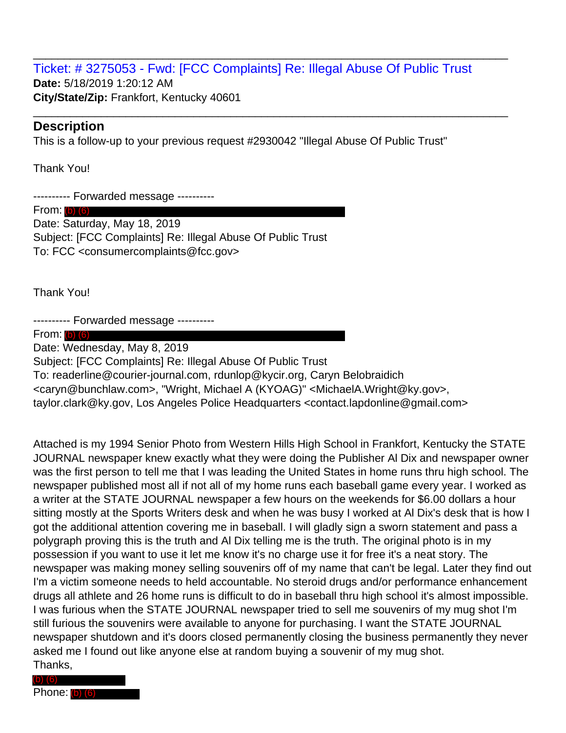Ticket: # 3275053 - Fwd: [FCC Complaints] Re: Illegal Abuse Of Public Trust **Date:** 5/18/2019 1:20:12 AM **City/State/Zip:** Frankfort, Kentucky 40601

\_\_\_\_\_\_\_\_\_\_\_\_\_\_\_\_\_\_\_\_\_\_\_\_\_\_\_\_\_\_\_\_\_\_\_\_\_\_\_\_\_\_\_\_\_\_\_\_\_\_\_\_\_\_\_\_\_\_\_\_\_\_\_\_\_\_\_\_\_\_\_\_\_\_\_\_\_

\_\_\_\_\_\_\_\_\_\_\_\_\_\_\_\_\_\_\_\_\_\_\_\_\_\_\_\_\_\_\_\_\_\_\_\_\_\_\_\_\_\_\_\_\_\_\_\_\_\_\_\_\_\_\_\_\_\_\_\_\_\_\_\_\_\_\_\_\_\_\_\_\_\_\_\_\_

#### **Description**

This is a follow-up to your previous request #2930042 "Illegal Abuse Of Public Trust"

Thank You!

---------- Forwarded message ----------

From: (b) (6) Date: Saturday, May 18, 2019 Subject: [FCC Complaints] Re: Illegal Abuse Of Public Trust To: FCC <consumercomplaints@fcc.gov>

Thank You!

---------- Forwarded message ----------

From: (b) (6)

Date: Wednesday, May 8, 2019

Subject: [FCC Complaints] Re: Illegal Abuse Of Public Trust

To: readerline@courier-journal.com, rdunlop@kycir.org, Caryn Belobraidich

<caryn@bunchlaw.com>, "Wright, Michael A (KYOAG)" <MichaelA.Wright@ky.gov>,

taylor.clark@ky.gov, Los Angeles Police Headquarters <contact.lapdonline@gmail.com>

Attached is my 1994 Senior Photo from Western Hills High School in Frankfort, Kentucky the STATE JOURNAL newspaper knew exactly what they were doing the Publisher Al Dix and newspaper owner was the first person to tell me that I was leading the United States in home runs thru high school. The newspaper published most all if not all of my home runs each baseball game every year. I worked as a writer at the STATE JOURNAL newspaper a few hours on the weekends for \$6.00 dollars a hour sitting mostly at the Sports Writers desk and when he was busy I worked at Al Dix's desk that is how I got the additional attention covering me in baseball. I will gladly sign a sworn statement and pass a polygraph proving this is the truth and Al Dix telling me is the truth. The original photo is in my possession if you want to use it let me know it's no charge use it for free it's a neat story. The newspaper was making money selling souvenirs off of my name that can't be legal. Later they find out I'm a victim someone needs to held accountable. No steroid drugs and/or performance enhancement drugs all athlete and 26 home runs is difficult to do in baseball thru high school it's almost impossible. I was furious when the STATE JOURNAL newspaper tried to sell me souvenirs of my mug shot I'm still furious the souvenirs were available to anyone for purchasing. I want the STATE JOURNAL newspaper shutdown and it's doors closed permanently closing the business permanently they never asked me I found out like anyone else at random buying a souvenir of my mug shot. Thanks,

# (b) (6)

Phone: (b) (6)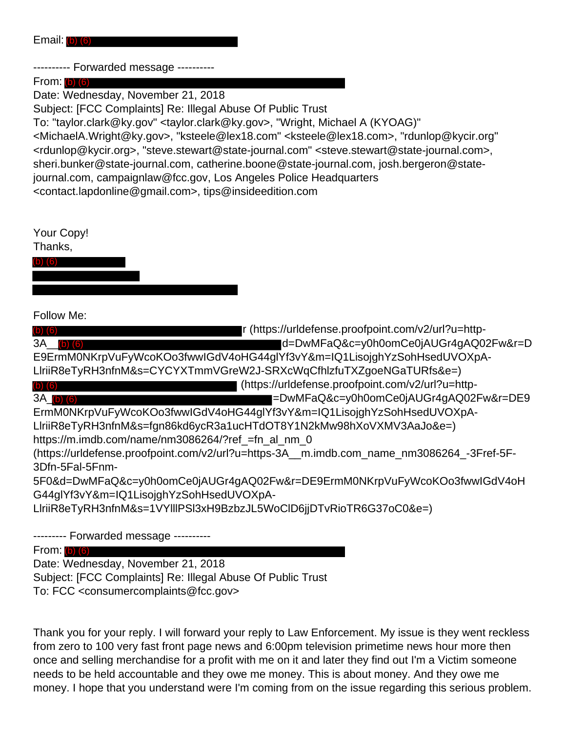---------- Forwarded message ----------

From: (b) (6)

Date: Wednesday, November 21, 2018

Subject: [FCC Complaints] Re: Illegal Abuse Of Public Trust

To: "taylor.clark@ky.gov" <taylor.clark@ky.gov>, "Wright, Michael A (KYOAG)"

<MichaelA.Wright@ky.gov>, "ksteele@lex18.com" <ksteele@lex18.com>, "rdunlop@kycir.org" <rdunlop@kycir.org>, "steve.stewart@state-journal.com" <steve.stewart@state-journal.com>, sheri.bunker@state-journal.com, catherine.boone@state-journal.com, josh.bergeron@statejournal.com, campaignlaw@fcc.gov, Los Angeles Police Headquarters <contact.lapdonline@gmail.com>, tips@insideedition.com

Your Copy!

Thanks, (b) (6)

Follow Me:

r (https://urldefense.proofpoint.com/v2/url?u=http-3A **DG** 6 E9ErmM0NKrpVuFyWcoKOo3fwwIGdV4oHG44glYf3vY&m=IQ1LisojghYzSohHsedUVOXpA-LlriiR8eTyRH3nfnM&s=CYCYXTmmVGreW2J-SRXcWqCfhlzfuTXZgoeNGaTURfs&e=) (https://urldefense.proofpoint.com/v2/url?u=http-3A\_ (b) (6) example a set of the contract of the DEV =DWMFaQ&c=y0h0omCe0jAUGr4gAQ02Fw&r=DE9 ErmM0NKrpVuFyWcoKOo3fwwIGdV4oHG44glYf3vY&m=IQ1LisojghYzSohHsedUVOXpA-LlriiR8eTyRH3nfnM&s=fgn86kd6ycR3a1ucHTdOT8Y1N2kMw98hXoVXMV3AaJo&e=) https://m.imdb.com/name/nm3086264/?ref =fn\_al\_nm\_0 (https://urldefense.proofpoint.com/v2/url?u=https-3A\_\_m.imdb.com\_name\_nm3086264\_-3Fref-5F-3Dfn-5Fal-5Fnm-5F0&d=DwMFaQ&c=y0h0omCe0jAUGr4gAQ02Fw&r=DE9ErmM0NKrpVuFyWcoKOo3fwwIGdV4oH G44glYf3vY&m=IQ1LisojghYzSohHsedUVOXpA-LlriiR8eTyRH3nfnM&s=1VYlllPSl3xH9BzbzJL5WoClD6jjDTvRioTR6G37oC0&e=) --------- Forwarded message ---------- (b) (6)<br>
3A\_\_<mark>(b) (6)</mark><br>
E9ErmM0N<br>
LIriiR8eTyR<br>
(b) (6)<br>
3A\_<mark>(b) (6)</mark><br>
ErmM0NKr<sub>I</sub><br>
LIriiR8eTyR<br>
https://urld<br>
3Dfn-5Fal-5<br>
5F0&d=Dw<br>
G44glYf3vY<br>
LIriiR8eTyR<br>
----------- Forv<br>
From: [b) (6)

From:  $(b)$   $(6)$ 

Date: Wednesday, November 21, 2018 Subject: [FCC Complaints] Re: Illegal Abuse Of Public Trust To: FCC <consumercomplaints@fcc.gov>

Thank you for your reply. I will forward your reply to Law Enforcement. My issue is they went reckless from zero to 100 very fast front page news and 6:00pm television primetime news hour more then once and selling merchandise for a profit with me on it and later they find out I'm a Victim someone needs to be held accountable and they owe me money. This is about money. And they owe me money. I hope that you understand were I'm coming from on the issue regarding this serious problem.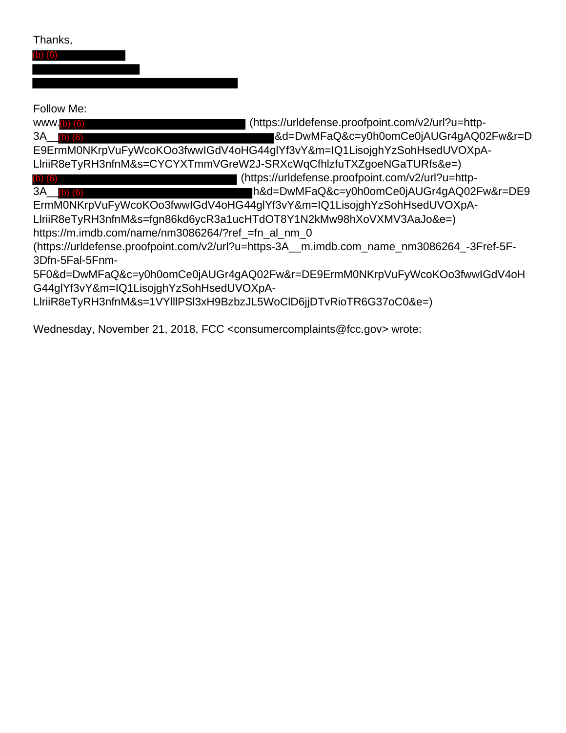Thanks,

(b) (6)

Follow Me:

| WWW. <b>b</b>                                      | (https://urldefense.proofpoint.com/v2/url?u=http-                                          |
|----------------------------------------------------|--------------------------------------------------------------------------------------------|
| ЗA<br>(b) (6)                                      | 8d=DwMFaQ&c=y0h0omCe0jAUGr4gAQ02Fw&r=D                                                     |
|                                                    | E9ErmM0NKrpVuFyWcoKOo3fwwlGdV4oHG44glYf3vY&m=IQ1LisojghYzSohHsedUVOXpA-                    |
|                                                    | LIriiR8eTyRH3nfnM&s=CYCYXTmmVGreW2J-SRXcWqCfhlzfuTXZgoeNGaTURfs&e=)                        |
| $(b)$ $(6)$                                        | (https://urldefense.proofpoint.com/v2/url?u=http-                                          |
| 3A<br>$(b)$ $(6)$                                  | h&d=DwMFaQ&c=y0h0omCe0jAUGr4gAQ02Fw&r=DE9                                                  |
|                                                    | ErmM0NKrpVuFyWcoKOo3fwwlGdV4oHG44glYf3vY&m=IQ1LisojghYzSohHsedUVOXpA-                      |
|                                                    | LIriiR8eTyRH3nfnM&s=fgn86kd6ycR3a1ucHTdOT8Y1N2kMw98hXoVXMV3AaJo&e=)                        |
| https://m.imdb.com/name/nm3086264/?ref_=fn_al_nm_0 |                                                                                            |
|                                                    | (https://urldefense.proofpoint.com/v2/url?u=https-3A__m.imdb.com_name_nm3086264_-3Fref-5F- |
| 3Dfn-5Fal-5Fnm-                                    |                                                                                            |
|                                                    | 5F0&d=DwMFaQ&c=y0h0omCe0jAUGr4gAQ02Fw&r=DE9ErmM0NKrpVuFyWcoKOo3fwwlGdV4oH                  |
| G44glYf3vY&m=IQ1LisojghYzSohHsedUVOXpA-            |                                                                                            |
|                                                    | LIriiR8eTyRH3nfnM&s=1VYIIIPSI3xH9BzbzJL5WoCID6jjDTvRioTR6G37oC0&e=)                        |
|                                                    |                                                                                            |

Wednesday, November 21, 2018, FCC <consumercomplaints@fcc.gov> wrote: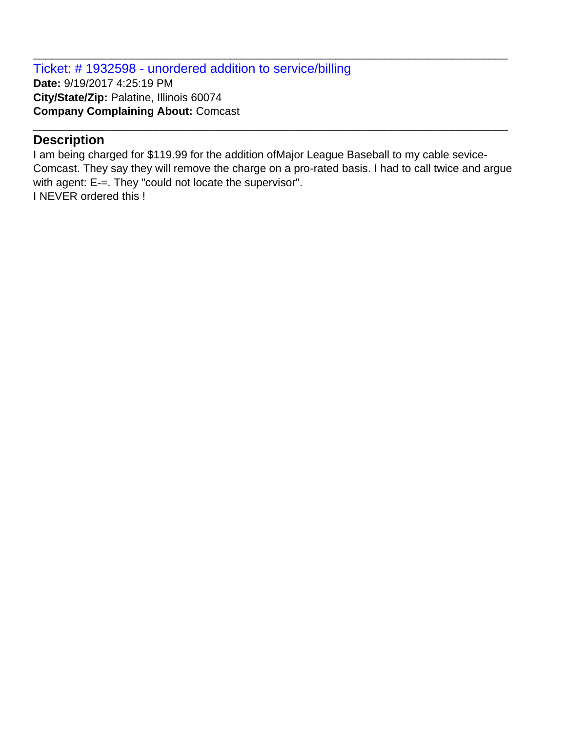Ticket: # 1932598 - unordered addition to service/billing **Date:** 9/19/2017 4:25:19 PM **City/State/Zip:** Palatine, Illinois 60074 **Company Complaining About:** Comcast

## **Description**

I am being charged for \$119.99 for the addition ofMajor League Baseball to my cable sevice-Comcast. They say they will remove the charge on a pro-rated basis. I had to call twice and argue with agent: E-=. They "could not locate the supervisor". I NEVER ordered this !

\_\_\_\_\_\_\_\_\_\_\_\_\_\_\_\_\_\_\_\_\_\_\_\_\_\_\_\_\_\_\_\_\_\_\_\_\_\_\_\_\_\_\_\_\_\_\_\_\_\_\_\_\_\_\_\_\_\_\_\_\_\_\_\_\_\_\_\_\_\_\_\_\_\_\_\_\_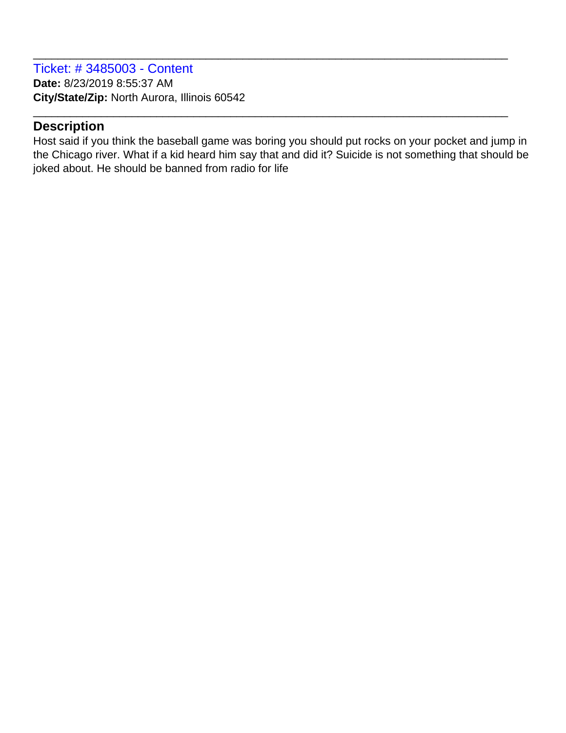Ticket: # 3485003 - Content **Date:** 8/23/2019 8:55:37 AM **City/State/Zip:** North Aurora, Illinois 60542

#### **Description**

Host said if you think the baseball game was boring you should put rocks on your pocket and jump in the Chicago river. What if a kid heard him say that and did it? Suicide is not something that should be joked about. He should be banned from radio for life

\_\_\_\_\_\_\_\_\_\_\_\_\_\_\_\_\_\_\_\_\_\_\_\_\_\_\_\_\_\_\_\_\_\_\_\_\_\_\_\_\_\_\_\_\_\_\_\_\_\_\_\_\_\_\_\_\_\_\_\_\_\_\_\_\_\_\_\_\_\_\_\_\_\_\_\_\_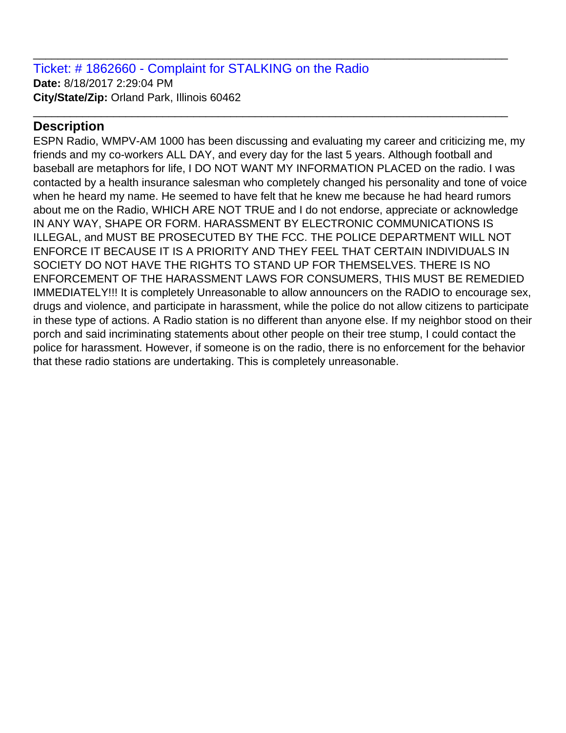#### Ticket: # 1862660 - Complaint for STALKING on the Radio **Date:** 8/18/2017 2:29:04 PM **City/State/Zip:** Orland Park, Illinois 60462

#### **Description**

ESPN Radio, WMPV-AM 1000 has been discussing and evaluating my career and criticizing me, my friends and my co-workers ALL DAY, and every day for the last 5 years. Although football and baseball are metaphors for life, I DO NOT WANT MY INFORMATION PLACED on the radio. I was contacted by a health insurance salesman who completely changed his personality and tone of voice when he heard my name. He seemed to have felt that he knew me because he had heard rumors about me on the Radio, WHICH ARE NOT TRUE and I do not endorse, appreciate or acknowledge IN ANY WAY, SHAPE OR FORM. HARASSMENT BY ELECTRONIC COMMUNICATIONS IS ILLEGAL, and MUST BE PROSECUTED BY THE FCC. THE POLICE DEPARTMENT WILL NOT ENFORCE IT BECAUSE IT IS A PRIORITY AND THEY FEEL THAT CERTAIN INDIVIDUALS IN SOCIETY DO NOT HAVE THE RIGHTS TO STAND UP FOR THEMSELVES. THERE IS NO ENFORCEMENT OF THE HARASSMENT LAWS FOR CONSUMERS, THIS MUST BE REMEDIED IMMEDIATELY!!! It is completely Unreasonable to allow announcers on the RADIO to encourage sex, drugs and violence, and participate in harassment, while the police do not allow citizens to participate in these type of actions. A Radio station is no different than anyone else. If my neighbor stood on their porch and said incriminating statements about other people on their tree stump, I could contact the police for harassment. However, if someone is on the radio, there is no enforcement for the behavior that these radio stations are undertaking. This is completely unreasonable.

\_\_\_\_\_\_\_\_\_\_\_\_\_\_\_\_\_\_\_\_\_\_\_\_\_\_\_\_\_\_\_\_\_\_\_\_\_\_\_\_\_\_\_\_\_\_\_\_\_\_\_\_\_\_\_\_\_\_\_\_\_\_\_\_\_\_\_\_\_\_\_\_\_\_\_\_\_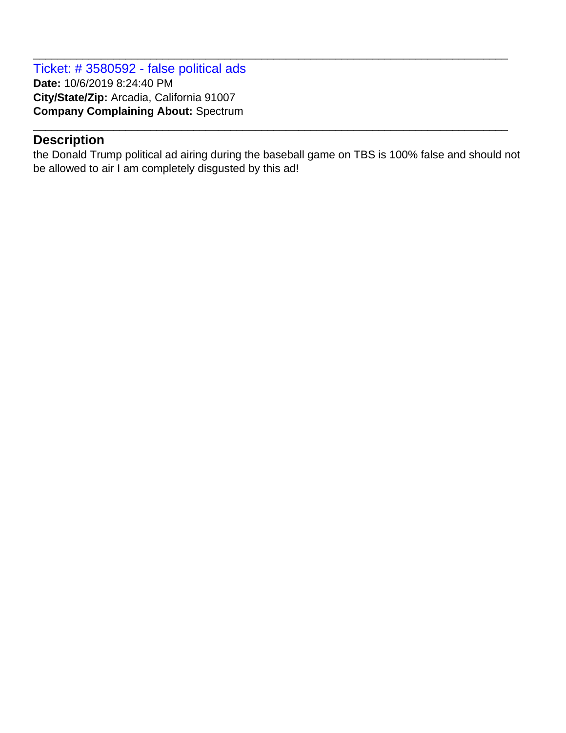Ticket: # 3580592 - false political ads **Date:** 10/6/2019 8:24:40 PM **City/State/Zip:** Arcadia, California 91007 **Company Complaining About:** Spectrum

## **Description**

the Donald Trump political ad airing during the baseball game on TBS is 100% false and should not be allowed to air I am completely disgusted by this ad!

\_\_\_\_\_\_\_\_\_\_\_\_\_\_\_\_\_\_\_\_\_\_\_\_\_\_\_\_\_\_\_\_\_\_\_\_\_\_\_\_\_\_\_\_\_\_\_\_\_\_\_\_\_\_\_\_\_\_\_\_\_\_\_\_\_\_\_\_\_\_\_\_\_\_\_\_\_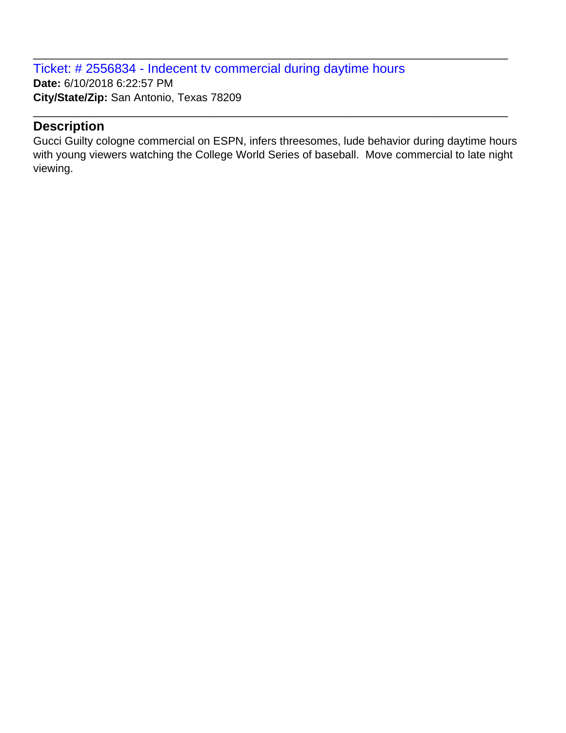Ticket: # 2556834 - Indecent tv commercial during daytime hours **Date:** 6/10/2018 6:22:57 PM **City/State/Zip:** San Antonio, Texas 78209

#### **Description**

Gucci Guilty cologne commercial on ESPN, infers threesomes, lude behavior during daytime hours with young viewers watching the College World Series of baseball. Move commercial to late night viewing.

\_\_\_\_\_\_\_\_\_\_\_\_\_\_\_\_\_\_\_\_\_\_\_\_\_\_\_\_\_\_\_\_\_\_\_\_\_\_\_\_\_\_\_\_\_\_\_\_\_\_\_\_\_\_\_\_\_\_\_\_\_\_\_\_\_\_\_\_\_\_\_\_\_\_\_\_\_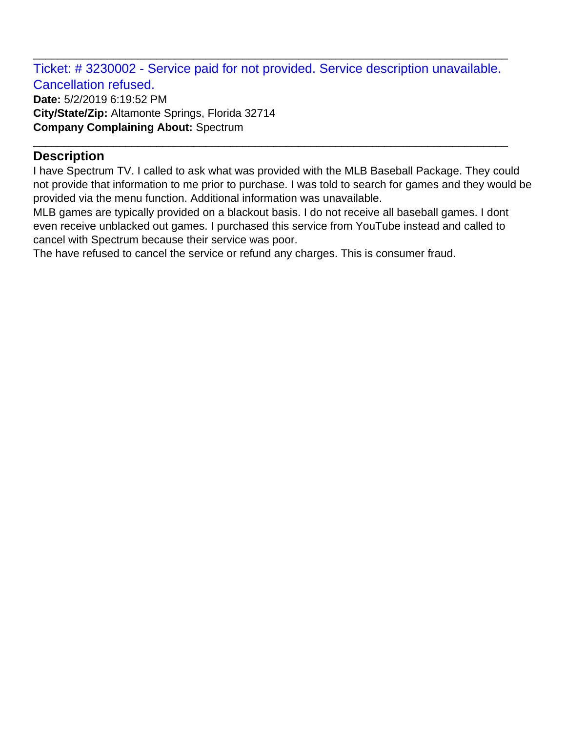Ticket: # 3230002 - Service paid for not provided. Service description unavailable. Cancellation refused.

\_\_\_\_\_\_\_\_\_\_\_\_\_\_\_\_\_\_\_\_\_\_\_\_\_\_\_\_\_\_\_\_\_\_\_\_\_\_\_\_\_\_\_\_\_\_\_\_\_\_\_\_\_\_\_\_\_\_\_\_\_\_\_\_\_\_\_\_\_\_\_\_\_\_\_\_\_

\_\_\_\_\_\_\_\_\_\_\_\_\_\_\_\_\_\_\_\_\_\_\_\_\_\_\_\_\_\_\_\_\_\_\_\_\_\_\_\_\_\_\_\_\_\_\_\_\_\_\_\_\_\_\_\_\_\_\_\_\_\_\_\_\_\_\_\_\_\_\_\_\_\_\_\_\_

**Date:** 5/2/2019 6:19:52 PM **City/State/Zip:** Altamonte Springs, Florida 32714 **Company Complaining About:** Spectrum

#### **Description**

I have Spectrum TV. I called to ask what was provided with the MLB Baseball Package. They could not provide that information to me prior to purchase. I was told to search for games and they would be provided via the menu function. Additional information was unavailable.

MLB games are typically provided on a blackout basis. I do not receive all baseball games. I dont even receive unblacked out games. I purchased this service from YouTube instead and called to cancel with Spectrum because their service was poor.

The have refused to cancel the service or refund any charges. This is consumer fraud.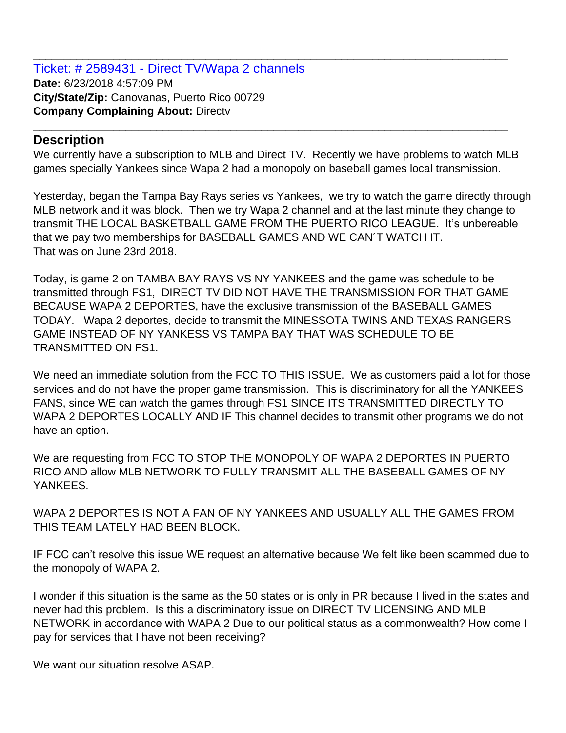Ticket: # 2589431 - Direct TV/Wapa 2 channels **Date:** 6/23/2018 4:57:09 PM **City/State/Zip:** Canovanas, Puerto Rico 00729 **Company Complaining About:** Directv

#### **Description**

We currently have a subscription to MLB and Direct TV. Recently we have problems to watch MLB games specially Yankees since Wapa 2 had a monopoly on baseball games local transmission.

\_\_\_\_\_\_\_\_\_\_\_\_\_\_\_\_\_\_\_\_\_\_\_\_\_\_\_\_\_\_\_\_\_\_\_\_\_\_\_\_\_\_\_\_\_\_\_\_\_\_\_\_\_\_\_\_\_\_\_\_\_\_\_\_\_\_\_\_\_\_\_\_\_\_\_\_\_

\_\_\_\_\_\_\_\_\_\_\_\_\_\_\_\_\_\_\_\_\_\_\_\_\_\_\_\_\_\_\_\_\_\_\_\_\_\_\_\_\_\_\_\_\_\_\_\_\_\_\_\_\_\_\_\_\_\_\_\_\_\_\_\_\_\_\_\_\_\_\_\_\_\_\_\_\_

Yesterday, began the Tampa Bay Rays series vs Yankees, we try to watch the game directly through MLB network and it was block. Then we try Wapa 2 channel and at the last minute they change to transmit THE LOCAL BASKETBALL GAME FROM THE PUERTO RICO LEAGUE. It's unbereable that we pay two memberships for BASEBALL GAMES AND WE CAN´T WATCH IT. That was on June 23rd 2018.

Today, is game 2 on TAMBA BAY RAYS VS NY YANKEES and the game was schedule to be transmitted through FS1, DIRECT TV DID NOT HAVE THE TRANSMISSION FOR THAT GAME BECAUSE WAPA 2 DEPORTES, have the exclusive transmission of the BASEBALL GAMES TODAY. Wapa 2 deportes, decide to transmit the MINESSOTA TWINS AND TEXAS RANGERS GAME INSTEAD OF NY YANKESS VS TAMPA BAY THAT WAS SCHEDULE TO BE TRANSMITTED ON FS1.

We need an immediate solution from the FCC TO THIS ISSUE. We as customers paid a lot for those services and do not have the proper game transmission. This is discriminatory for all the YANKEES FANS, since WE can watch the games through FS1 SINCE ITS TRANSMITTED DIRECTLY TO WAPA 2 DEPORTES LOCALLY AND IF This channel decides to transmit other programs we do not have an option.

We are requesting from FCC TO STOP THE MONOPOLY OF WAPA 2 DEPORTES IN PUERTO RICO AND allow MLB NETWORK TO FULLY TRANSMIT ALL THE BASEBALL GAMES OF NY YANKEES.

WAPA 2 DEPORTES IS NOT A FAN OF NY YANKEES AND USUALLY ALL THE GAMES FROM THIS TEAM LATELY HAD BEEN BLOCK.

IF FCC can't resolve this issue WE request an alternative because We felt like been scammed due to the monopoly of WAPA 2.

I wonder if this situation is the same as the 50 states or is only in PR because I lived in the states and never had this problem. Is this a discriminatory issue on DIRECT TV LICENSING AND MLB NETWORK in accordance with WAPA 2 Due to our political status as a commonwealth? How come I pay for services that I have not been receiving?

We want our situation resolve ASAP.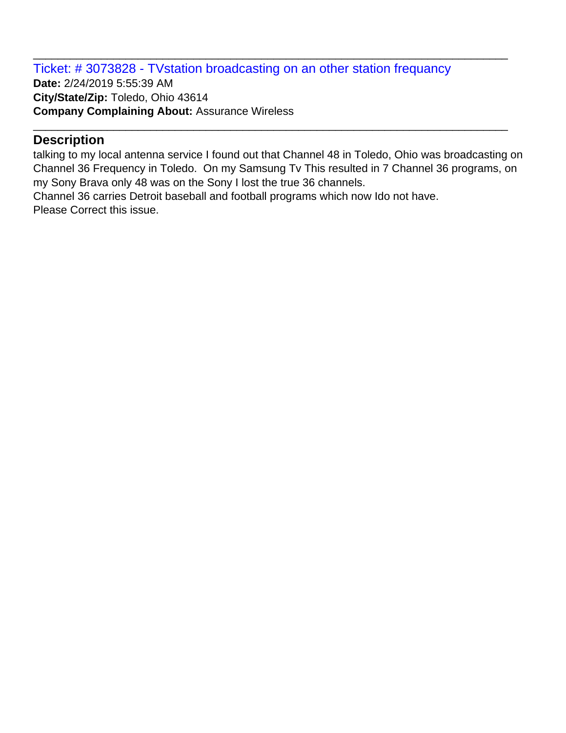Ticket: # 3073828 - TVstation broadcasting on an other station frequancy **Date:** 2/24/2019 5:55:39 AM **City/State/Zip:** Toledo, Ohio 43614 **Company Complaining About:** Assurance Wireless

#### **Description**

talking to my local antenna service I found out that Channel 48 in Toledo, Ohio was broadcasting on Channel 36 Frequency in Toledo. On my Samsung Tv This resulted in 7 Channel 36 programs, on my Sony Brava only 48 was on the Sony I lost the true 36 channels.

\_\_\_\_\_\_\_\_\_\_\_\_\_\_\_\_\_\_\_\_\_\_\_\_\_\_\_\_\_\_\_\_\_\_\_\_\_\_\_\_\_\_\_\_\_\_\_\_\_\_\_\_\_\_\_\_\_\_\_\_\_\_\_\_\_\_\_\_\_\_\_\_\_\_\_\_\_

\_\_\_\_\_\_\_\_\_\_\_\_\_\_\_\_\_\_\_\_\_\_\_\_\_\_\_\_\_\_\_\_\_\_\_\_\_\_\_\_\_\_\_\_\_\_\_\_\_\_\_\_\_\_\_\_\_\_\_\_\_\_\_\_\_\_\_\_\_\_\_\_\_\_\_\_\_

Channel 36 carries Detroit baseball and football programs which now Ido not have. Please Correct this issue.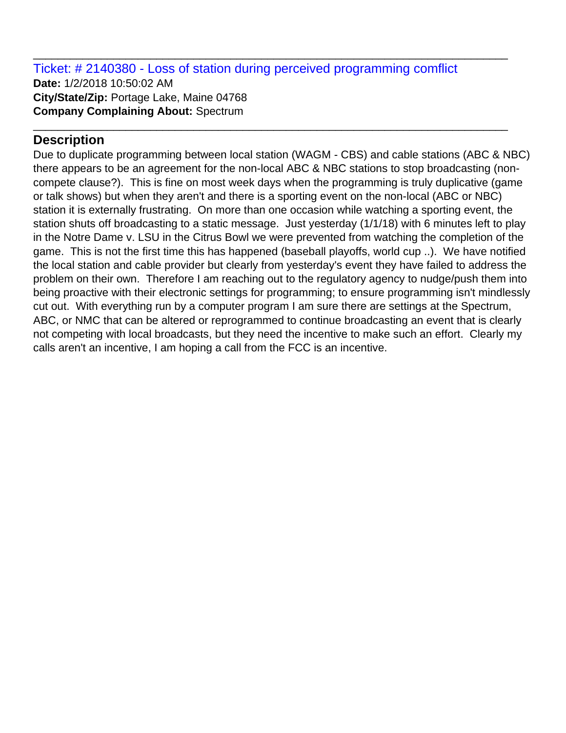Ticket: # 2140380 - Loss of station during perceived programming comflict **Date:** 1/2/2018 10:50:02 AM **City/State/Zip:** Portage Lake, Maine 04768 **Company Complaining About:** Spectrum

\_\_\_\_\_\_\_\_\_\_\_\_\_\_\_\_\_\_\_\_\_\_\_\_\_\_\_\_\_\_\_\_\_\_\_\_\_\_\_\_\_\_\_\_\_\_\_\_\_\_\_\_\_\_\_\_\_\_\_\_\_\_\_\_\_\_\_\_\_\_\_\_\_\_\_\_\_

\_\_\_\_\_\_\_\_\_\_\_\_\_\_\_\_\_\_\_\_\_\_\_\_\_\_\_\_\_\_\_\_\_\_\_\_\_\_\_\_\_\_\_\_\_\_\_\_\_\_\_\_\_\_\_\_\_\_\_\_\_\_\_\_\_\_\_\_\_\_\_\_\_\_\_\_\_

## **Description**

Due to duplicate programming between local station (WAGM - CBS) and cable stations (ABC & NBC) there appears to be an agreement for the non-local ABC & NBC stations to stop broadcasting (noncompete clause?). This is fine on most week days when the programming is truly duplicative (game or talk shows) but when they aren't and there is a sporting event on the non-local (ABC or NBC) station it is externally frustrating. On more than one occasion while watching a sporting event, the station shuts off broadcasting to a static message. Just yesterday (1/1/18) with 6 minutes left to play in the Notre Dame v. LSU in the Citrus Bowl we were prevented from watching the completion of the game. This is not the first time this has happened (baseball playoffs, world cup ..). We have notified the local station and cable provider but clearly from yesterday's event they have failed to address the problem on their own. Therefore I am reaching out to the regulatory agency to nudge/push them into being proactive with their electronic settings for programming; to ensure programming isn't mindlessly cut out. With everything run by a computer program I am sure there are settings at the Spectrum, ABC, or NMC that can be altered or reprogrammed to continue broadcasting an event that is clearly not competing with local broadcasts, but they need the incentive to make such an effort. Clearly my calls aren't an incentive, I am hoping a call from the FCC is an incentive.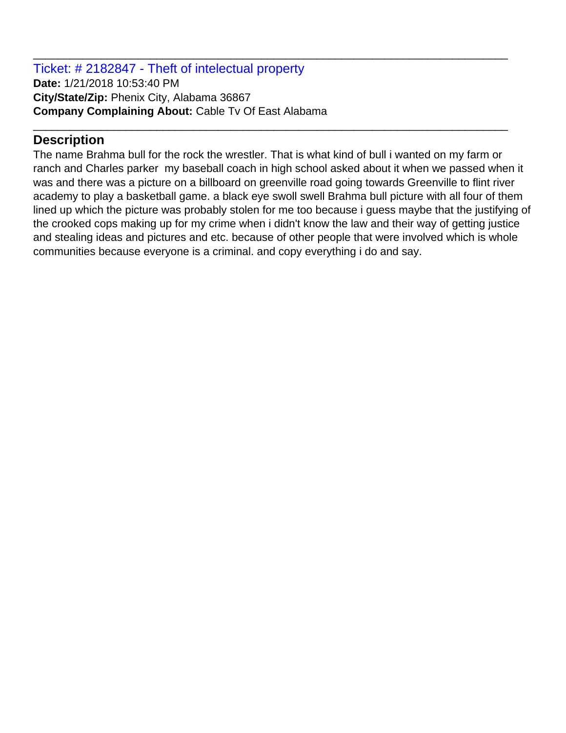Ticket: # 2182847 - Theft of intelectual property **Date:** 1/21/2018 10:53:40 PM **City/State/Zip:** Phenix City, Alabama 36867 **Company Complaining About:** Cable Tv Of East Alabama

## **Description**

The name Brahma bull for the rock the wrestler. That is what kind of bull i wanted on my farm or ranch and Charles parker my baseball coach in high school asked about it when we passed when it was and there was a picture on a billboard on greenville road going towards Greenville to flint river academy to play a basketball game. a black eye swoll swell Brahma bull picture with all four of them lined up which the picture was probably stolen for me too because i guess maybe that the justifying of the crooked cops making up for my crime when i didn't know the law and their way of getting justice and stealing ideas and pictures and etc. because of other people that were involved which is whole communities because everyone is a criminal. and copy everything i do and say.

\_\_\_\_\_\_\_\_\_\_\_\_\_\_\_\_\_\_\_\_\_\_\_\_\_\_\_\_\_\_\_\_\_\_\_\_\_\_\_\_\_\_\_\_\_\_\_\_\_\_\_\_\_\_\_\_\_\_\_\_\_\_\_\_\_\_\_\_\_\_\_\_\_\_\_\_\_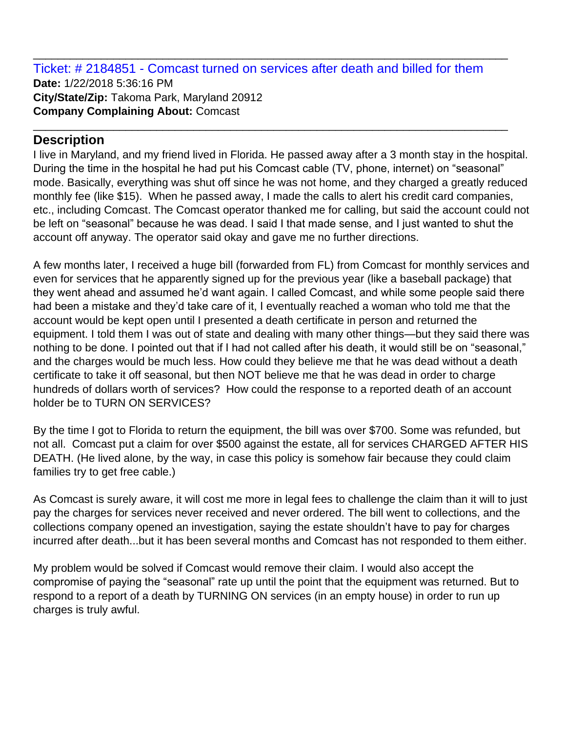Ticket: # 2184851 - Comcast turned on services after death and billed for them **Date:** 1/22/2018 5:36:16 PM **City/State/Zip:** Takoma Park, Maryland 20912 **Company Complaining About:** Comcast

\_\_\_\_\_\_\_\_\_\_\_\_\_\_\_\_\_\_\_\_\_\_\_\_\_\_\_\_\_\_\_\_\_\_\_\_\_\_\_\_\_\_\_\_\_\_\_\_\_\_\_\_\_\_\_\_\_\_\_\_\_\_\_\_\_\_\_\_\_\_\_\_\_\_\_\_\_

\_\_\_\_\_\_\_\_\_\_\_\_\_\_\_\_\_\_\_\_\_\_\_\_\_\_\_\_\_\_\_\_\_\_\_\_\_\_\_\_\_\_\_\_\_\_\_\_\_\_\_\_\_\_\_\_\_\_\_\_\_\_\_\_\_\_\_\_\_\_\_\_\_\_\_\_\_

## **Description**

I live in Maryland, and my friend lived in Florida. He passed away after a 3 month stay in the hospital. During the time in the hospital he had put his Comcast cable (TV, phone, internet) on "seasonal" mode. Basically, everything was shut off since he was not home, and they charged a greatly reduced monthly fee (like \$15). When he passed away, I made the calls to alert his credit card companies, etc., including Comcast. The Comcast operator thanked me for calling, but said the account could not be left on "seasonal" because he was dead. I said I that made sense, and I just wanted to shut the account off anyway. The operator said okay and gave me no further directions.

A few months later, I received a huge bill (forwarded from FL) from Comcast for monthly services and even for services that he apparently signed up for the previous year (like a baseball package) that they went ahead and assumed he'd want again. I called Comcast, and while some people said there had been a mistake and they'd take care of it, I eventually reached a woman who told me that the account would be kept open until I presented a death certificate in person and returned the equipment. I told them I was out of state and dealing with many other things—but they said there was nothing to be done. I pointed out that if I had not called after his death, it would still be on "seasonal," and the charges would be much less. How could they believe me that he was dead without a death certificate to take it off seasonal, but then NOT believe me that he was dead in order to charge hundreds of dollars worth of services? How could the response to a reported death of an account holder be to TURN ON SERVICES?

By the time I got to Florida to return the equipment, the bill was over \$700. Some was refunded, but not all. Comcast put a claim for over \$500 against the estate, all for services CHARGED AFTER HIS DEATH. (He lived alone, by the way, in case this policy is somehow fair because they could claim families try to get free cable.)

As Comcast is surely aware, it will cost me more in legal fees to challenge the claim than it will to just pay the charges for services never received and never ordered. The bill went to collections, and the collections company opened an investigation, saying the estate shouldn't have to pay for charges incurred after death...but it has been several months and Comcast has not responded to them either.

My problem would be solved if Comcast would remove their claim. I would also accept the compromise of paying the "seasonal" rate up until the point that the equipment was returned. But to respond to a report of a death by TURNING ON services (in an empty house) in order to run up charges is truly awful.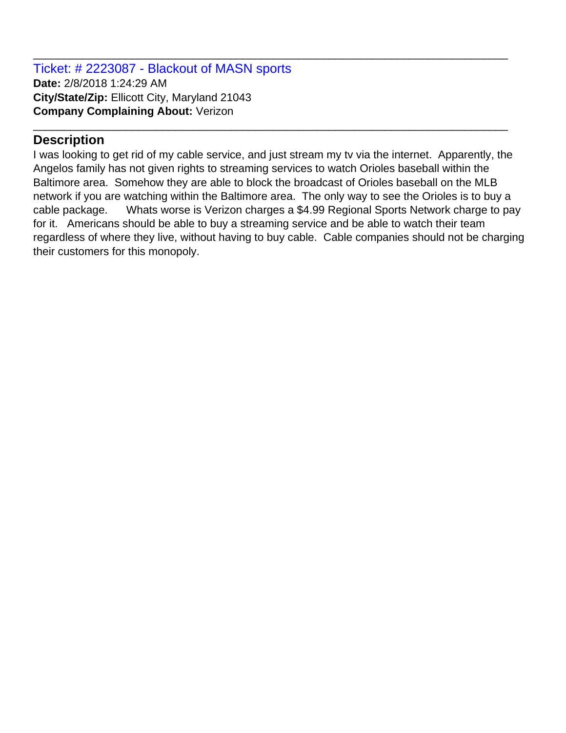Ticket: # 2223087 - Blackout of MASN sports **Date:** 2/8/2018 1:24:29 AM **City/State/Zip:** Ellicott City, Maryland 21043 **Company Complaining About:** Verizon

## **Description**

I was looking to get rid of my cable service, and just stream my tv via the internet. Apparently, the Angelos family has not given rights to streaming services to watch Orioles baseball within the Baltimore area. Somehow they are able to block the broadcast of Orioles baseball on the MLB network if you are watching within the Baltimore area. The only way to see the Orioles is to buy a cable package. Whats worse is Verizon charges a \$4.99 Regional Sports Network charge to pay for it. Americans should be able to buy a streaming service and be able to watch their team regardless of where they live, without having to buy cable. Cable companies should not be charging their customers for this monopoly.

\_\_\_\_\_\_\_\_\_\_\_\_\_\_\_\_\_\_\_\_\_\_\_\_\_\_\_\_\_\_\_\_\_\_\_\_\_\_\_\_\_\_\_\_\_\_\_\_\_\_\_\_\_\_\_\_\_\_\_\_\_\_\_\_\_\_\_\_\_\_\_\_\_\_\_\_\_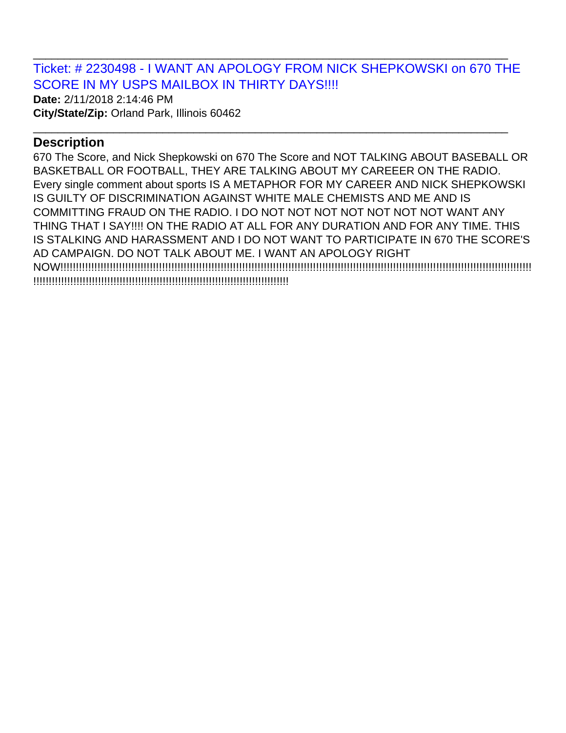Ticket: # 2230498 - I WANT AN APOLOGY FROM NICK SHEPKOWSKI on 670 THE SCORE IN MY USPS MAILBOX IN THIRTY DAYS!!!!

\_\_\_\_\_\_\_\_\_\_\_\_\_\_\_\_\_\_\_\_\_\_\_\_\_\_\_\_\_\_\_\_\_\_\_\_\_\_\_\_\_\_\_\_\_\_\_\_\_\_\_\_\_\_\_\_\_\_\_\_\_\_\_\_\_\_\_\_\_\_\_\_\_\_\_\_\_

\_\_\_\_\_\_\_\_\_\_\_\_\_\_\_\_\_\_\_\_\_\_\_\_\_\_\_\_\_\_\_\_\_\_\_\_\_\_\_\_\_\_\_\_\_\_\_\_\_\_\_\_\_\_\_\_\_\_\_\_\_\_\_\_\_\_\_\_\_\_\_\_\_\_\_\_\_

**Date:** 2/11/2018 2:14:46 PM **City/State/Zip:** Orland Park, Illinois 60462

#### **Description**

670 The Score, and Nick Shepkowski on 670 The Score and NOT TALKING ABOUT BASEBALL OR BASKETBALL OR FOOTBALL, THEY ARE TALKING ABOUT MY CAREEER ON THE RADIO. Every single comment about sports IS A METAPHOR FOR MY CAREER AND NICK SHEPKOWSKI IS GUILTY OF DISCRIMINATION AGAINST WHITE MALE CHEMISTS AND ME AND IS COMMITTING FRAUD ON THE RADIO. I DO NOT NOT NOT NOT NOT NOT NOT WANT ANY THING THAT I SAY!!!! ON THE RADIO AT ALL FOR ANY DURATION AND FOR ANY TIME. THIS IS STALKING AND HARASSMENT AND I DO NOT WANT TO PARTICIPATE IN 670 THE SCORE'S AD CAMPAIGN. DO NOT TALK ABOUT ME. I WANT AN APOLOGY RIGHT NOW!!!!!!!!!!!!!!!!!!!!!!!!!!!!!!!!!!!!!!!!!!!!!!!!!!!!!!!!!!!!!!!!!!!!!!!!!!!!!!!!!!!!!!!!!!!!!!!!!!!!!!!!!!!!!!!!!!!!!!!!!!!!!!!!!!!!!!!!!!!!!!!!!!!!!!!!! !!!!!!!!!!!!!!!!!!!!!!!!!!!!!!!!!!!!!!!!!!!!!!!!!!!!!!!!!!!!!!!!!!!!!!!!!!!!!!!!!!!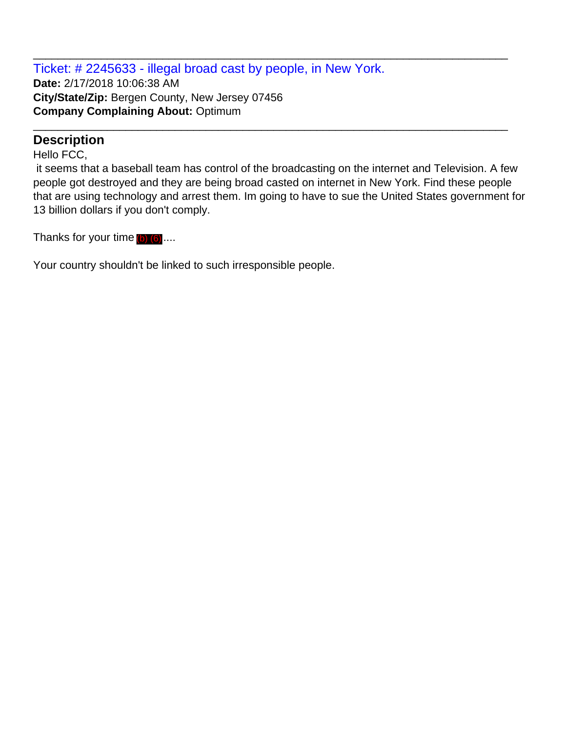Ticket: # 2245633 - illegal broad cast by people, in New York. **Date:** 2/17/2018 10:06:38 AM **City/State/Zip:** Bergen County, New Jersey 07456 **Company Complaining About:** Optimum

## **Description**

Hello FCC,

it seems that a baseball team has control of the broadcasting on the internet and Television. A few people got destroyed and they are being broad casted on internet in New York. Find these people that are using technology and arrest them. Im going to have to sue the United States government for 13 billion dollars if you don't comply.

\_\_\_\_\_\_\_\_\_\_\_\_\_\_\_\_\_\_\_\_\_\_\_\_\_\_\_\_\_\_\_\_\_\_\_\_\_\_\_\_\_\_\_\_\_\_\_\_\_\_\_\_\_\_\_\_\_\_\_\_\_\_\_\_\_\_\_\_\_\_\_\_\_\_\_\_\_

\_\_\_\_\_\_\_\_\_\_\_\_\_\_\_\_\_\_\_\_\_\_\_\_\_\_\_\_\_\_\_\_\_\_\_\_\_\_\_\_\_\_\_\_\_\_\_\_\_\_\_\_\_\_\_\_\_\_\_\_\_\_\_\_\_\_\_\_\_\_\_\_\_\_\_\_\_

Thanks for your time (b) (6)....

Your country shouldn't be linked to such irresponsible people.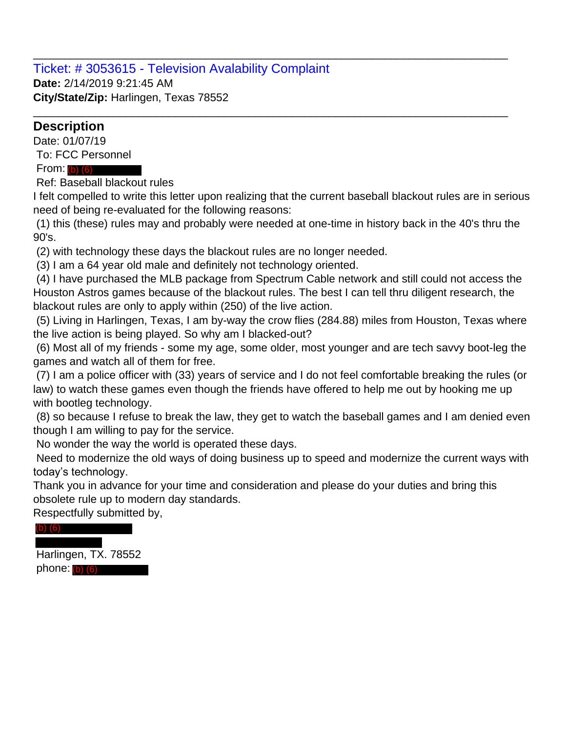#### Ticket: # 3053615 - Television Avalability Complaint **Date:** 2/14/2019 9:21:45 AM **City/State/Zip:** Harlingen, Texas 78552

#### **Description**

Date: 01/07/19

To: FCC Personnel

From: (b) (6)

Ref: Baseball blackout rules

I felt compelled to write this letter upon realizing that the current baseball blackout rules are in serious need of being re-evaluated for the following reasons:

\_\_\_\_\_\_\_\_\_\_\_\_\_\_\_\_\_\_\_\_\_\_\_\_\_\_\_\_\_\_\_\_\_\_\_\_\_\_\_\_\_\_\_\_\_\_\_\_\_\_\_\_\_\_\_\_\_\_\_\_\_\_\_\_\_\_\_\_\_\_\_\_\_\_\_\_\_

\_\_\_\_\_\_\_\_\_\_\_\_\_\_\_\_\_\_\_\_\_\_\_\_\_\_\_\_\_\_\_\_\_\_\_\_\_\_\_\_\_\_\_\_\_\_\_\_\_\_\_\_\_\_\_\_\_\_\_\_\_\_\_\_\_\_\_\_\_\_\_\_\_\_\_\_\_

(1) this (these) rules may and probably were needed at one-time in history back in the 40's thru the 90's.

(2) with technology these days the blackout rules are no longer needed.

(3) I am a 64 year old male and definitely not technology oriented.

(4) I have purchased the MLB package from Spectrum Cable network and still could not access the Houston Astros games because of the blackout rules. The best I can tell thru diligent research, the blackout rules are only to apply within (250) of the live action.

(5) Living in Harlingen, Texas, I am by-way the crow flies (284.88) miles from Houston, Texas where the live action is being played. So why am I blacked-out?

(6) Most all of my friends - some my age, some older, most younger and are tech savvy boot-leg the games and watch all of them for free.

(7) I am a police officer with (33) years of service and I do not feel comfortable breaking the rules (or law) to watch these games even though the friends have offered to help me out by hooking me up with bootleg technology.

(8) so because I refuse to break the law, they get to watch the baseball games and I am denied even though I am willing to pay for the service.

No wonder the way the world is operated these days.

Need to modernize the old ways of doing business up to speed and modernize the current ways with today's technology.

Thank you in advance for your time and consideration and please do your duties and bring this obsolete rule up to modern day standards.

Respectfully submitted by,

#### (b) (6)

Harlingen, TX. 78552 phone: (b) (6)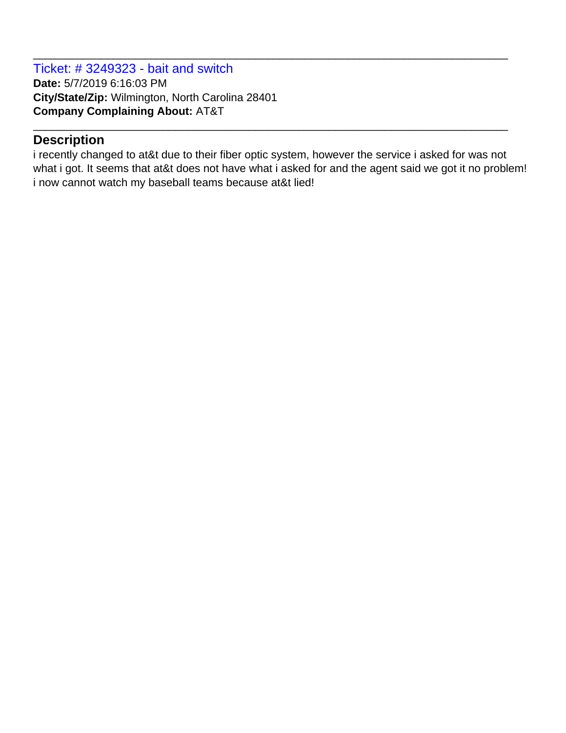Ticket: # 3249323 - bait and switch **Date:** 5/7/2019 6:16:03 PM **City/State/Zip:** Wilmington, North Carolina 28401 **Company Complaining About:** AT&T

## **Description**

i recently changed to at&t due to their fiber optic system, however the service i asked for was not what i got. It seems that at&t does not have what i asked for and the agent said we got it no problem! i now cannot watch my baseball teams because at&t lied!

\_\_\_\_\_\_\_\_\_\_\_\_\_\_\_\_\_\_\_\_\_\_\_\_\_\_\_\_\_\_\_\_\_\_\_\_\_\_\_\_\_\_\_\_\_\_\_\_\_\_\_\_\_\_\_\_\_\_\_\_\_\_\_\_\_\_\_\_\_\_\_\_\_\_\_\_\_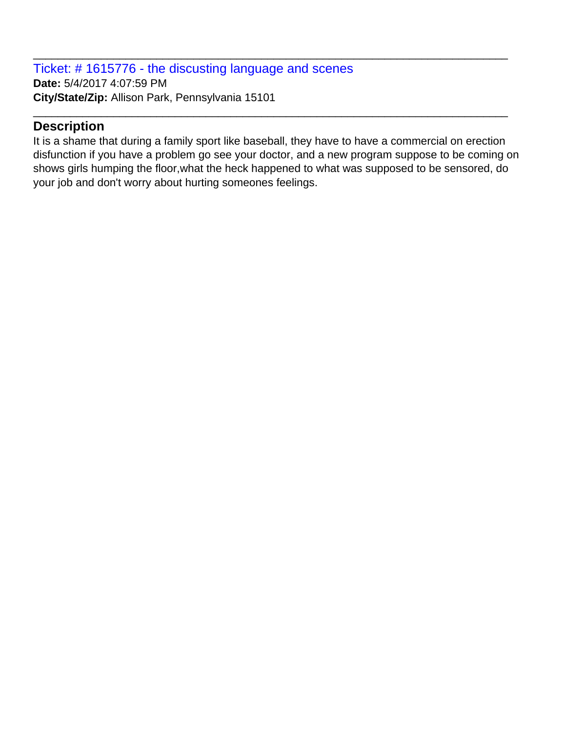Ticket: # 1615776 - the discusting language and scenes **Date:** 5/4/2017 4:07:59 PM **City/State/Zip:** Allison Park, Pennsylvania 15101

#### **Description**

It is a shame that during a family sport like baseball, they have to have a commercial on erection disfunction if you have a problem go see your doctor, and a new program suppose to be coming on shows girls humping the floor,what the heck happened to what was supposed to be sensored, do your job and don't worry about hurting someones feelings.

\_\_\_\_\_\_\_\_\_\_\_\_\_\_\_\_\_\_\_\_\_\_\_\_\_\_\_\_\_\_\_\_\_\_\_\_\_\_\_\_\_\_\_\_\_\_\_\_\_\_\_\_\_\_\_\_\_\_\_\_\_\_\_\_\_\_\_\_\_\_\_\_\_\_\_\_\_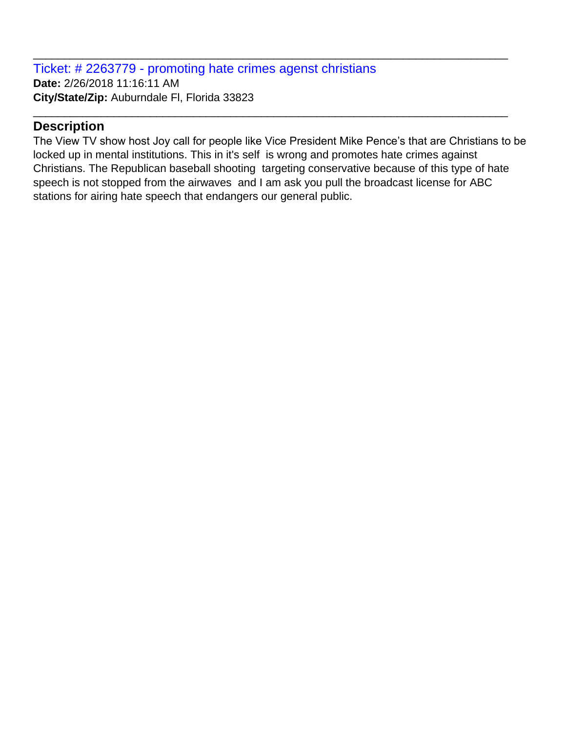Ticket: # 2263779 - promoting hate crimes agenst christians **Date:** 2/26/2018 11:16:11 AM **City/State/Zip:** Auburndale Fl, Florida 33823

#### **Description**

The View TV show host Joy call for people like Vice President Mike Pence's that are Christians to be locked up in mental institutions. This in it's self is wrong and promotes hate crimes against Christians. The Republican baseball shooting targeting conservative because of this type of hate speech is not stopped from the airwaves and I am ask you pull the broadcast license for ABC stations for airing hate speech that endangers our general public.

\_\_\_\_\_\_\_\_\_\_\_\_\_\_\_\_\_\_\_\_\_\_\_\_\_\_\_\_\_\_\_\_\_\_\_\_\_\_\_\_\_\_\_\_\_\_\_\_\_\_\_\_\_\_\_\_\_\_\_\_\_\_\_\_\_\_\_\_\_\_\_\_\_\_\_\_\_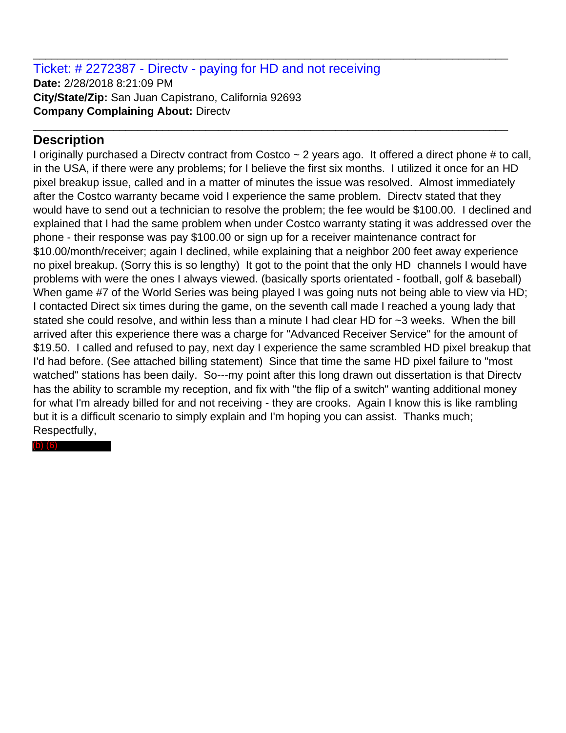Ticket: # 2272387 - Directv - paying for HD and not receiving **Date:** 2/28/2018 8:21:09 PM **City/State/Zip:** San Juan Capistrano, California 92693 **Company Complaining About:** Directv

#### **Description**

I originally purchased a Directy contract from Costco  $\sim$  2 years ago. It offered a direct phone # to call, in the USA, if there were any problems; for I believe the first six months. I utilized it once for an HD pixel breakup issue, called and in a matter of minutes the issue was resolved. Almost immediately after the Costco warranty became void I experience the same problem. Directv stated that they would have to send out a technician to resolve the problem; the fee would be \$100.00. I declined and explained that I had the same problem when under Costco warranty stating it was addressed over the phone - their response was pay \$100.00 or sign up for a receiver maintenance contract for \$10.00/month/receiver; again I declined, while explaining that a neighbor 200 feet away experience no pixel breakup. (Sorry this is so lengthy) It got to the point that the only HD channels I would have problems with were the ones I always viewed. (basically sports orientated - football, golf & baseball) When game #7 of the World Series was being played I was going nuts not being able to view via HD; I contacted Direct six times during the game, on the seventh call made I reached a young lady that stated she could resolve, and within less than a minute I had clear HD for ~3 weeks. When the bill arrived after this experience there was a charge for "Advanced Receiver Service" for the amount of \$19.50. I called and refused to pay, next day I experience the same scrambled HD pixel breakup that I'd had before. (See attached billing statement) Since that time the same HD pixel failure to "most watched" stations has been daily. So---my point after this long drawn out dissertation is that Directv has the ability to scramble my reception, and fix with "the flip of a switch" wanting additional money for what I'm already billed for and not receiving - they are crooks. Again I know this is like rambling but it is a difficult scenario to simply explain and I'm hoping you can assist. Thanks much; Respectfully,

\_\_\_\_\_\_\_\_\_\_\_\_\_\_\_\_\_\_\_\_\_\_\_\_\_\_\_\_\_\_\_\_\_\_\_\_\_\_\_\_\_\_\_\_\_\_\_\_\_\_\_\_\_\_\_\_\_\_\_\_\_\_\_\_\_\_\_\_\_\_\_\_\_\_\_\_\_

\_\_\_\_\_\_\_\_\_\_\_\_\_\_\_\_\_\_\_\_\_\_\_\_\_\_\_\_\_\_\_\_\_\_\_\_\_\_\_\_\_\_\_\_\_\_\_\_\_\_\_\_\_\_\_\_\_\_\_\_\_\_\_\_\_\_\_\_\_\_\_\_\_\_\_\_\_

(b) (6)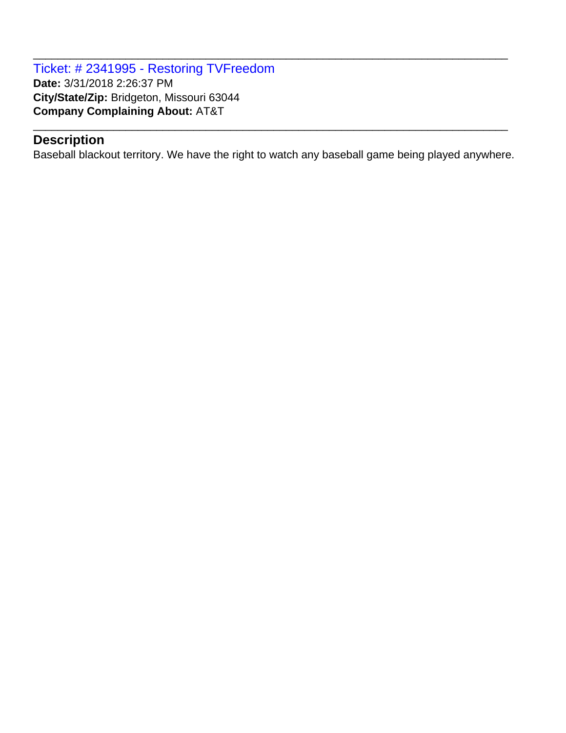Ticket: # 2341995 - Restoring TVFreedom **Date:** 3/31/2018 2:26:37 PM **City/State/Zip:** Bridgeton, Missouri 63044 **Company Complaining About:** AT&T

# **Description**

Baseball blackout territory. We have the right to watch any baseball game being played anywhere.

\_\_\_\_\_\_\_\_\_\_\_\_\_\_\_\_\_\_\_\_\_\_\_\_\_\_\_\_\_\_\_\_\_\_\_\_\_\_\_\_\_\_\_\_\_\_\_\_\_\_\_\_\_\_\_\_\_\_\_\_\_\_\_\_\_\_\_\_\_\_\_\_\_\_\_\_\_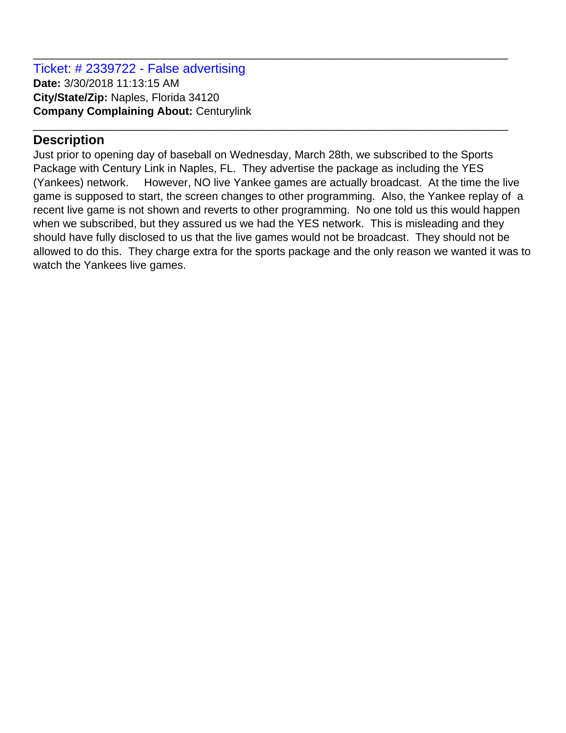Ticket: # 2339722 - False advertising **Date:** 3/30/2018 11:13:15 AM **City/State/Zip:** Naples, Florida 34120 **Company Complaining About:** Centurylink

## **Description**

Just prior to opening day of baseball on Wednesday, March 28th, we subscribed to the Sports Package with Century Link in Naples, FL. They advertise the package as including the YES (Yankees) network. However, NO live Yankee games are actually broadcast. At the time the live game is supposed to start, the screen changes to other programming. Also, the Yankee replay of a recent live game is not shown and reverts to other programming. No one told us this would happen when we subscribed, but they assured us we had the YES network. This is misleading and they should have fully disclosed to us that the live games would not be broadcast. They should not be allowed to do this. They charge extra for the sports package and the only reason we wanted it was to watch the Yankees live games.

\_\_\_\_\_\_\_\_\_\_\_\_\_\_\_\_\_\_\_\_\_\_\_\_\_\_\_\_\_\_\_\_\_\_\_\_\_\_\_\_\_\_\_\_\_\_\_\_\_\_\_\_\_\_\_\_\_\_\_\_\_\_\_\_\_\_\_\_\_\_\_\_\_\_\_\_\_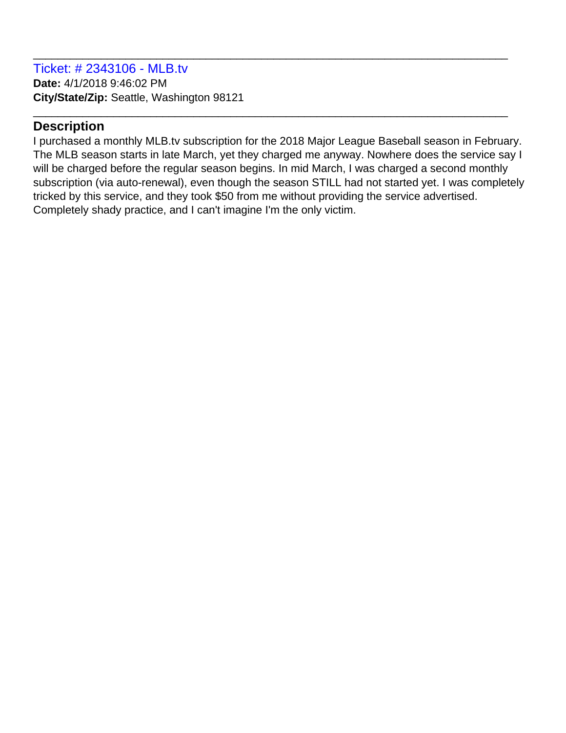Ticket: # 2343106 - MLB.tv **Date:** 4/1/2018 9:46:02 PM **City/State/Zip:** Seattle, Washington 98121

#### **Description**

I purchased a monthly MLB.tv subscription for the 2018 Major League Baseball season in February. The MLB season starts in late March, yet they charged me anyway. Nowhere does the service say I will be charged before the regular season begins. In mid March, I was charged a second monthly subscription (via auto-renewal), even though the season STILL had not started yet. I was completely tricked by this service, and they took \$50 from me without providing the service advertised. Completely shady practice, and I can't imagine I'm the only victim.

\_\_\_\_\_\_\_\_\_\_\_\_\_\_\_\_\_\_\_\_\_\_\_\_\_\_\_\_\_\_\_\_\_\_\_\_\_\_\_\_\_\_\_\_\_\_\_\_\_\_\_\_\_\_\_\_\_\_\_\_\_\_\_\_\_\_\_\_\_\_\_\_\_\_\_\_\_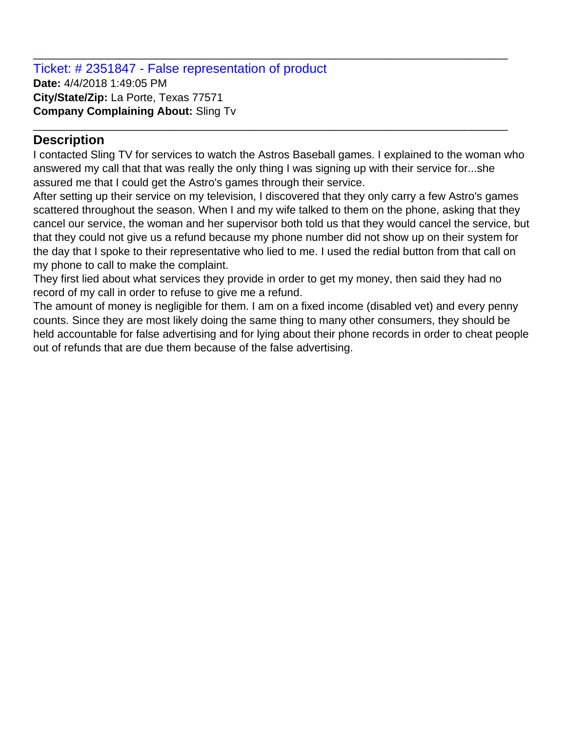Ticket: # 2351847 - False representation of product **Date:** 4/4/2018 1:49:05 PM **City/State/Zip:** La Porte, Texas 77571 **Company Complaining About:** Sling Tv

## **Description**

I contacted Sling TV for services to watch the Astros Baseball games. I explained to the woman who answered my call that that was really the only thing I was signing up with their service for...she assured me that I could get the Astro's games through their service.

\_\_\_\_\_\_\_\_\_\_\_\_\_\_\_\_\_\_\_\_\_\_\_\_\_\_\_\_\_\_\_\_\_\_\_\_\_\_\_\_\_\_\_\_\_\_\_\_\_\_\_\_\_\_\_\_\_\_\_\_\_\_\_\_\_\_\_\_\_\_\_\_\_\_\_\_\_

\_\_\_\_\_\_\_\_\_\_\_\_\_\_\_\_\_\_\_\_\_\_\_\_\_\_\_\_\_\_\_\_\_\_\_\_\_\_\_\_\_\_\_\_\_\_\_\_\_\_\_\_\_\_\_\_\_\_\_\_\_\_\_\_\_\_\_\_\_\_\_\_\_\_\_\_\_

After setting up their service on my television, I discovered that they only carry a few Astro's games scattered throughout the season. When I and my wife talked to them on the phone, asking that they cancel our service, the woman and her supervisor both told us that they would cancel the service, but that they could not give us a refund because my phone number did not show up on their system for the day that I spoke to their representative who lied to me. I used the redial button from that call on my phone to call to make the complaint.

They first lied about what services they provide in order to get my money, then said they had no record of my call in order to refuse to give me a refund.

The amount of money is negligible for them. I am on a fixed income (disabled vet) and every penny counts. Since they are most likely doing the same thing to many other consumers, they should be held accountable for false advertising and for lying about their phone records in order to cheat people out of refunds that are due them because of the false advertising.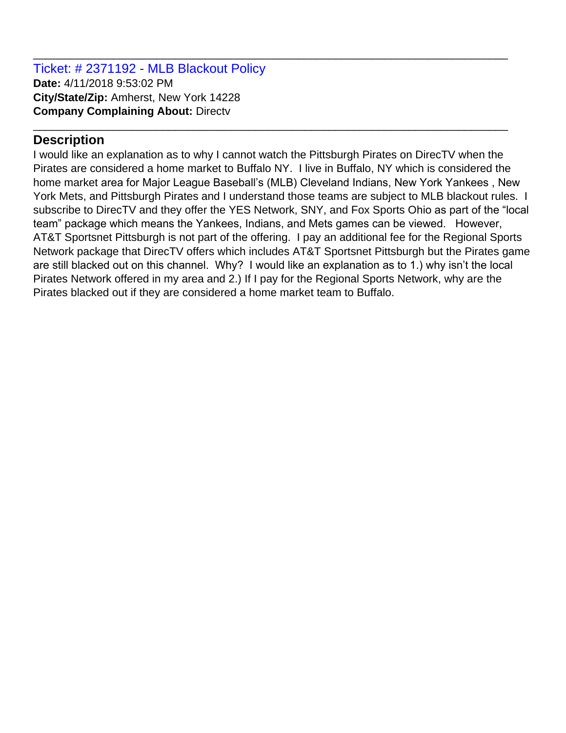Ticket: # 2371192 - MLB Blackout Policy **Date:** 4/11/2018 9:53:02 PM **City/State/Zip:** Amherst, New York 14228 **Company Complaining About:** Directv

## **Description**

I would like an explanation as to why I cannot watch the Pittsburgh Pirates on DirecTV when the Pirates are considered a home market to Buffalo NY. I live in Buffalo, NY which is considered the home market area for Major League Baseball's (MLB) Cleveland Indians, New York Yankees , New York Mets, and Pittsburgh Pirates and I understand those teams are subject to MLB blackout rules. I subscribe to DirecTV and they offer the YES Network, SNY, and Fox Sports Ohio as part of the "local team" package which means the Yankees, Indians, and Mets games can be viewed. However, AT&T Sportsnet Pittsburgh is not part of the offering. I pay an additional fee for the Regional Sports Network package that DirecTV offers which includes AT&T Sportsnet Pittsburgh but the Pirates game are still blacked out on this channel. Why? I would like an explanation as to 1.) why isn't the local Pirates Network offered in my area and 2.) If I pay for the Regional Sports Network, why are the Pirates blacked out if they are considered a home market team to Buffalo.

\_\_\_\_\_\_\_\_\_\_\_\_\_\_\_\_\_\_\_\_\_\_\_\_\_\_\_\_\_\_\_\_\_\_\_\_\_\_\_\_\_\_\_\_\_\_\_\_\_\_\_\_\_\_\_\_\_\_\_\_\_\_\_\_\_\_\_\_\_\_\_\_\_\_\_\_\_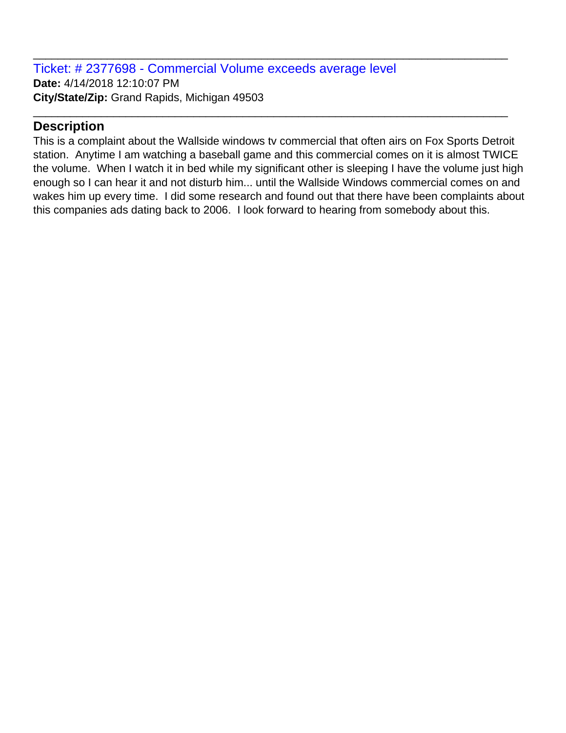Ticket: # 2377698 - Commercial Volume exceeds average level **Date:** 4/14/2018 12:10:07 PM **City/State/Zip:** Grand Rapids, Michigan 49503

#### **Description**

This is a complaint about the Wallside windows tv commercial that often airs on Fox Sports Detroit station. Anytime I am watching a baseball game and this commercial comes on it is almost TWICE the volume. When I watch it in bed while my significant other is sleeping I have the volume just high enough so I can hear it and not disturb him... until the Wallside Windows commercial comes on and wakes him up every time. I did some research and found out that there have been complaints about this companies ads dating back to 2006. I look forward to hearing from somebody about this.

\_\_\_\_\_\_\_\_\_\_\_\_\_\_\_\_\_\_\_\_\_\_\_\_\_\_\_\_\_\_\_\_\_\_\_\_\_\_\_\_\_\_\_\_\_\_\_\_\_\_\_\_\_\_\_\_\_\_\_\_\_\_\_\_\_\_\_\_\_\_\_\_\_\_\_\_\_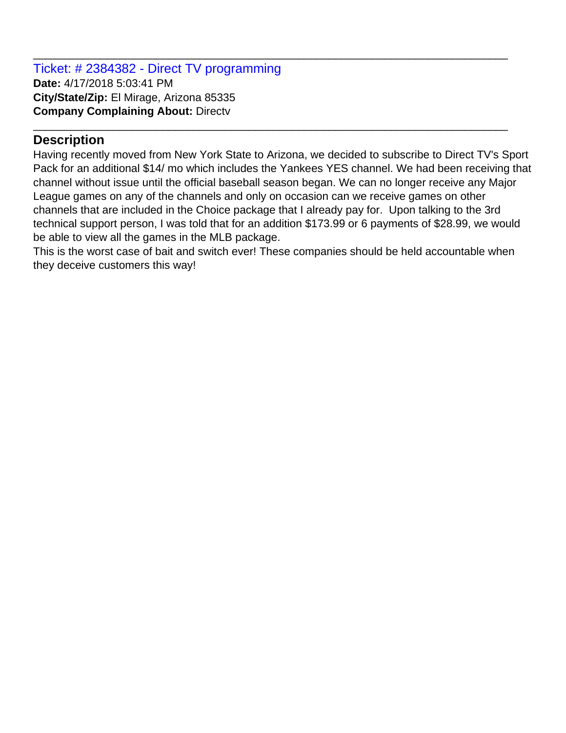Ticket: # 2384382 - Direct TV programming **Date:** 4/17/2018 5:03:41 PM **City/State/Zip:** El Mirage, Arizona 85335 **Company Complaining About:** Directv

## **Description**

Having recently moved from New York State to Arizona, we decided to subscribe to Direct TV's Sport Pack for an additional \$14/ mo which includes the Yankees YES channel. We had been receiving that channel without issue until the official baseball season began. We can no longer receive any Major League games on any of the channels and only on occasion can we receive games on other channels that are included in the Choice package that I already pay for. Upon talking to the 3rd technical support person, I was told that for an addition \$173.99 or 6 payments of \$28.99, we would be able to view all the games in the MLB package.

\_\_\_\_\_\_\_\_\_\_\_\_\_\_\_\_\_\_\_\_\_\_\_\_\_\_\_\_\_\_\_\_\_\_\_\_\_\_\_\_\_\_\_\_\_\_\_\_\_\_\_\_\_\_\_\_\_\_\_\_\_\_\_\_\_\_\_\_\_\_\_\_\_\_\_\_\_

\_\_\_\_\_\_\_\_\_\_\_\_\_\_\_\_\_\_\_\_\_\_\_\_\_\_\_\_\_\_\_\_\_\_\_\_\_\_\_\_\_\_\_\_\_\_\_\_\_\_\_\_\_\_\_\_\_\_\_\_\_\_\_\_\_\_\_\_\_\_\_\_\_\_\_\_\_

This is the worst case of bait and switch ever! These companies should be held accountable when they deceive customers this way!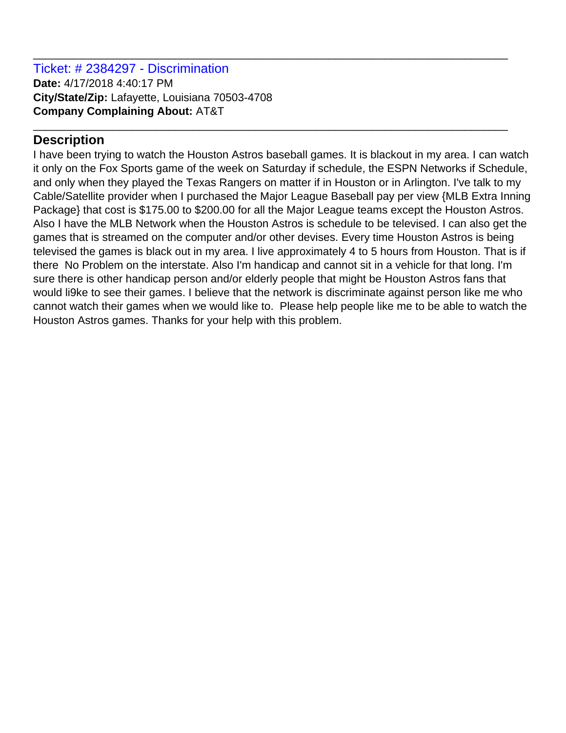#### Ticket: # 2384297 - Discrimination **Date:** 4/17/2018 4:40:17 PM **City/State/Zip:** Lafayette, Louisiana 70503-4708 **Company Complaining About:** AT&T

## **Description**

I have been trying to watch the Houston Astros baseball games. It is blackout in my area. I can watch it only on the Fox Sports game of the week on Saturday if schedule, the ESPN Networks if Schedule, and only when they played the Texas Rangers on matter if in Houston or in Arlington. I've talk to my Cable/Satellite provider when I purchased the Major League Baseball pay per view {MLB Extra Inning Package} that cost is \$175.00 to \$200.00 for all the Major League teams except the Houston Astros. Also I have the MLB Network when the Houston Astros is schedule to be televised. I can also get the games that is streamed on the computer and/or other devises. Every time Houston Astros is being televised the games is black out in my area. I live approximately 4 to 5 hours from Houston. That is if there No Problem on the interstate. Also I'm handicap and cannot sit in a vehicle for that long. I'm sure there is other handicap person and/or elderly people that might be Houston Astros fans that would li9ke to see their games. I believe that the network is discriminate against person like me who cannot watch their games when we would like to. Please help people like me to be able to watch the Houston Astros games. Thanks for your help with this problem.

\_\_\_\_\_\_\_\_\_\_\_\_\_\_\_\_\_\_\_\_\_\_\_\_\_\_\_\_\_\_\_\_\_\_\_\_\_\_\_\_\_\_\_\_\_\_\_\_\_\_\_\_\_\_\_\_\_\_\_\_\_\_\_\_\_\_\_\_\_\_\_\_\_\_\_\_\_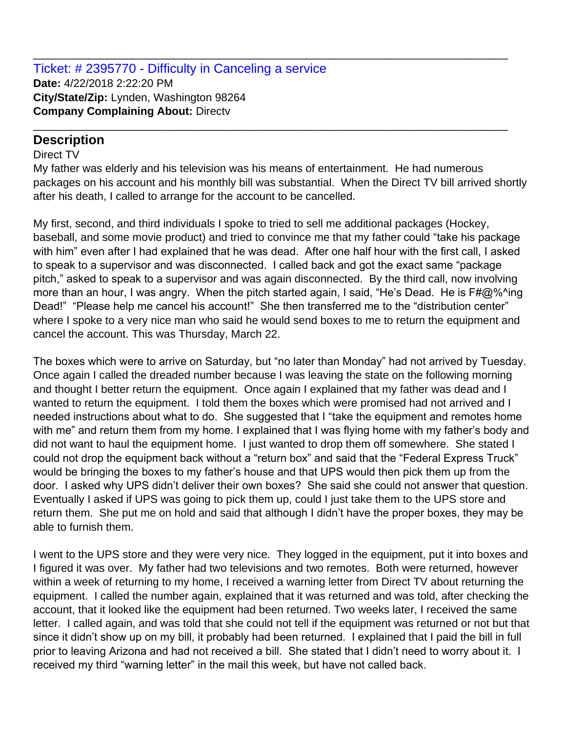Ticket: # 2395770 - Difficulty in Canceling a service **Date:** 4/22/2018 2:22:20 PM **City/State/Zip:** Lynden, Washington 98264 **Company Complaining About:** Directv

#### **Description**

#### Direct TV

My father was elderly and his television was his means of entertainment. He had numerous packages on his account and his monthly bill was substantial. When the Direct TV bill arrived shortly after his death, I called to arrange for the account to be cancelled.

\_\_\_\_\_\_\_\_\_\_\_\_\_\_\_\_\_\_\_\_\_\_\_\_\_\_\_\_\_\_\_\_\_\_\_\_\_\_\_\_\_\_\_\_\_\_\_\_\_\_\_\_\_\_\_\_\_\_\_\_\_\_\_\_\_\_\_\_\_\_\_\_\_\_\_\_\_

\_\_\_\_\_\_\_\_\_\_\_\_\_\_\_\_\_\_\_\_\_\_\_\_\_\_\_\_\_\_\_\_\_\_\_\_\_\_\_\_\_\_\_\_\_\_\_\_\_\_\_\_\_\_\_\_\_\_\_\_\_\_\_\_\_\_\_\_\_\_\_\_\_\_\_\_\_

My first, second, and third individuals I spoke to tried to sell me additional packages (Hockey, baseball, and some movie product) and tried to convince me that my father could "take his package with him" even after I had explained that he was dead. After one half hour with the first call, I asked to speak to a supervisor and was disconnected. I called back and got the exact same "package pitch," asked to speak to a supervisor and was again disconnected. By the third call, now involving more than an hour, I was angry. When the pitch started again, I said, "He's Dead. He is F#@%^ing Dead!" "Please help me cancel his account!" She then transferred me to the "distribution center" where I spoke to a very nice man who said he would send boxes to me to return the equipment and cancel the account. This was Thursday, March 22.

The boxes which were to arrive on Saturday, but "no later than Monday" had not arrived by Tuesday. Once again I called the dreaded number because I was leaving the state on the following morning and thought I better return the equipment. Once again I explained that my father was dead and I wanted to return the equipment. I told them the boxes which were promised had not arrived and I needed instructions about what to do. She suggested that I "take the equipment and remotes home with me" and return them from my home. I explained that I was flying home with my father's body and did not want to haul the equipment home. I just wanted to drop them off somewhere. She stated I could not drop the equipment back without a "return box" and said that the "Federal Express Truck" would be bringing the boxes to my father's house and that UPS would then pick them up from the door. I asked why UPS didn't deliver their own boxes? She said she could not answer that question. Eventually I asked if UPS was going to pick them up, could I just take them to the UPS store and return them. She put me on hold and said that although I didn't have the proper boxes, they may be able to furnish them.

I went to the UPS store and they were very nice. They logged in the equipment, put it into boxes and I figured it was over. My father had two televisions and two remotes. Both were returned, however within a week of returning to my home, I received a warning letter from Direct TV about returning the equipment. I called the number again, explained that it was returned and was told, after checking the account, that it looked like the equipment had been returned. Two weeks later, I received the same letter. I called again, and was told that she could not tell if the equipment was returned or not but that since it didn't show up on my bill, it probably had been returned. I explained that I paid the bill in full prior to leaving Arizona and had not received a bill. She stated that I didn't need to worry about it. I received my third "warning letter" in the mail this week, but have not called back.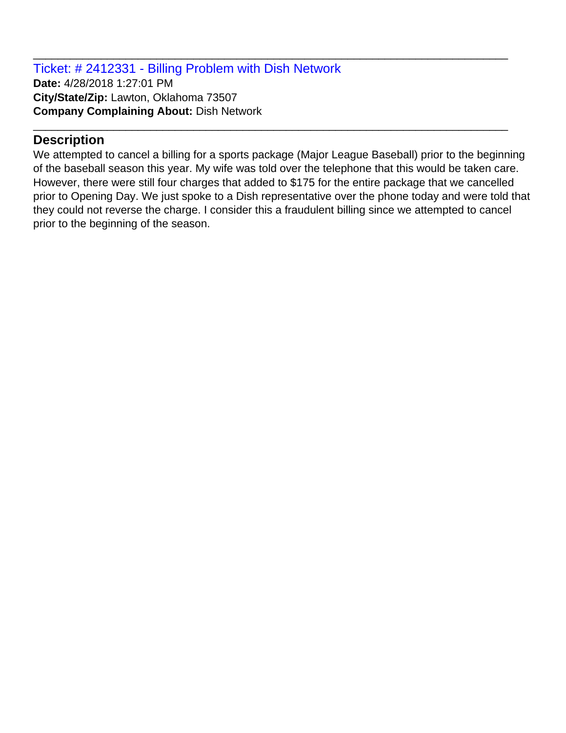Ticket: # 2412331 - Billing Problem with Dish Network **Date:** 4/28/2018 1:27:01 PM **City/State/Zip:** Lawton, Oklahoma 73507 **Company Complaining About:** Dish Network

#### **Description**

We attempted to cancel a billing for a sports package (Major League Baseball) prior to the beginning of the baseball season this year. My wife was told over the telephone that this would be taken care. However, there were still four charges that added to \$175 for the entire package that we cancelled prior to Opening Day. We just spoke to a Dish representative over the phone today and were told that they could not reverse the charge. I consider this a fraudulent billing since we attempted to cancel prior to the beginning of the season.

\_\_\_\_\_\_\_\_\_\_\_\_\_\_\_\_\_\_\_\_\_\_\_\_\_\_\_\_\_\_\_\_\_\_\_\_\_\_\_\_\_\_\_\_\_\_\_\_\_\_\_\_\_\_\_\_\_\_\_\_\_\_\_\_\_\_\_\_\_\_\_\_\_\_\_\_\_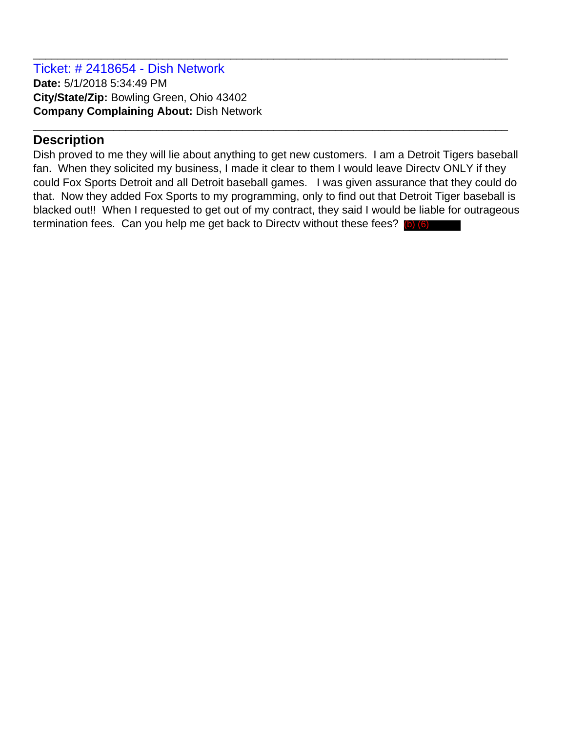Ticket: # 2418654 - Dish Network **Date:** 5/1/2018 5:34:49 PM **City/State/Zip:** Bowling Green, Ohio 43402 **Company Complaining About:** Dish Network

#### **Description**

Dish proved to me they will lie about anything to get new customers. I am a Detroit Tigers baseball fan. When they solicited my business, I made it clear to them I would leave Directv ONLY if they could Fox Sports Detroit and all Detroit baseball games. I was given assurance that they could do that. Now they added Fox Sports to my programming, only to find out that Detroit Tiger baseball is blacked out!! When I requested to get out of my contract, they said I would be liable for outrageous termination fees. Can you help me get back to Directv without these fees? (b) (6)

\_\_\_\_\_\_\_\_\_\_\_\_\_\_\_\_\_\_\_\_\_\_\_\_\_\_\_\_\_\_\_\_\_\_\_\_\_\_\_\_\_\_\_\_\_\_\_\_\_\_\_\_\_\_\_\_\_\_\_\_\_\_\_\_\_\_\_\_\_\_\_\_\_\_\_\_\_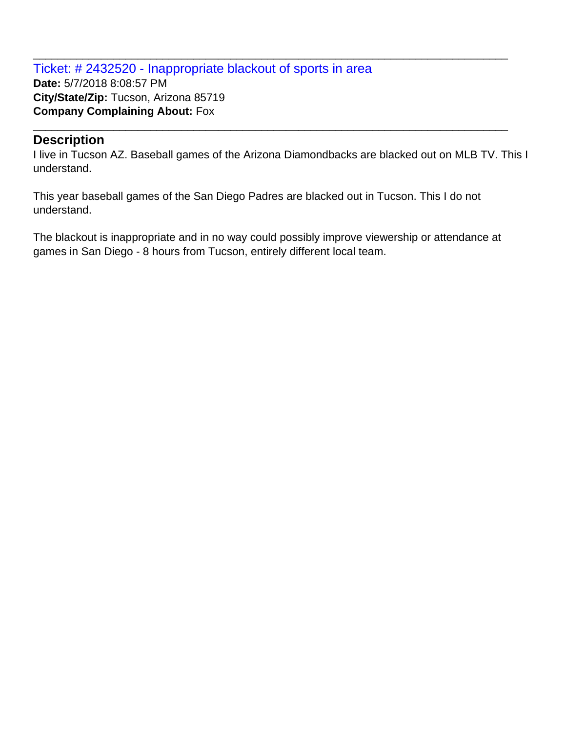Ticket: # 2432520 - Inappropriate blackout of sports in area **Date:** 5/7/2018 8:08:57 PM **City/State/Zip:** Tucson, Arizona 85719 **Company Complaining About:** Fox

#### **Description**

I live in Tucson AZ. Baseball games of the Arizona Diamondbacks are blacked out on MLB TV. This I understand.

\_\_\_\_\_\_\_\_\_\_\_\_\_\_\_\_\_\_\_\_\_\_\_\_\_\_\_\_\_\_\_\_\_\_\_\_\_\_\_\_\_\_\_\_\_\_\_\_\_\_\_\_\_\_\_\_\_\_\_\_\_\_\_\_\_\_\_\_\_\_\_\_\_\_\_\_\_

\_\_\_\_\_\_\_\_\_\_\_\_\_\_\_\_\_\_\_\_\_\_\_\_\_\_\_\_\_\_\_\_\_\_\_\_\_\_\_\_\_\_\_\_\_\_\_\_\_\_\_\_\_\_\_\_\_\_\_\_\_\_\_\_\_\_\_\_\_\_\_\_\_\_\_\_\_

This year baseball games of the San Diego Padres are blacked out in Tucson. This I do not understand.

The blackout is inappropriate and in no way could possibly improve viewership or attendance at games in San Diego - 8 hours from Tucson, entirely different local team.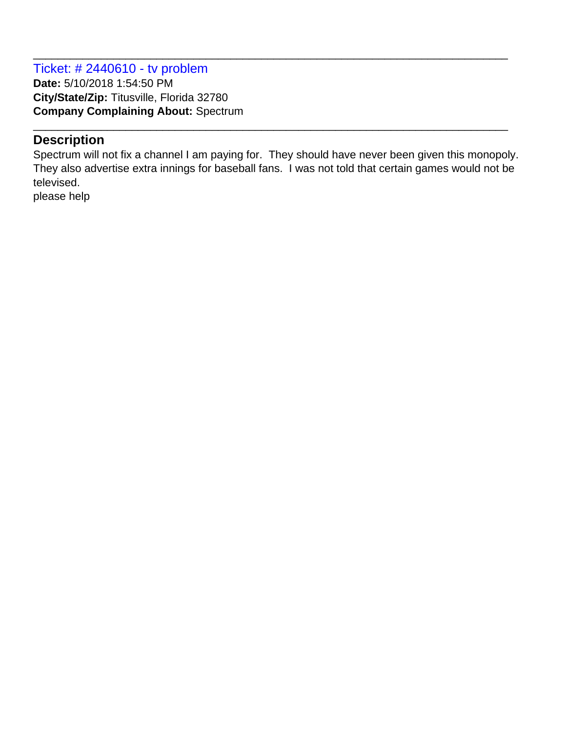#### Ticket: # 2440610 - tv problem **Date:** 5/10/2018 1:54:50 PM **City/State/Zip:** Titusville, Florida 32780 **Company Complaining About:** Spectrum

#### **Description**

Spectrum will not fix a channel I am paying for. They should have never been given this monopoly. They also advertise extra innings for baseball fans. I was not told that certain games would not be televised.

\_\_\_\_\_\_\_\_\_\_\_\_\_\_\_\_\_\_\_\_\_\_\_\_\_\_\_\_\_\_\_\_\_\_\_\_\_\_\_\_\_\_\_\_\_\_\_\_\_\_\_\_\_\_\_\_\_\_\_\_\_\_\_\_\_\_\_\_\_\_\_\_\_\_\_\_\_

\_\_\_\_\_\_\_\_\_\_\_\_\_\_\_\_\_\_\_\_\_\_\_\_\_\_\_\_\_\_\_\_\_\_\_\_\_\_\_\_\_\_\_\_\_\_\_\_\_\_\_\_\_\_\_\_\_\_\_\_\_\_\_\_\_\_\_\_\_\_\_\_\_\_\_\_\_

please help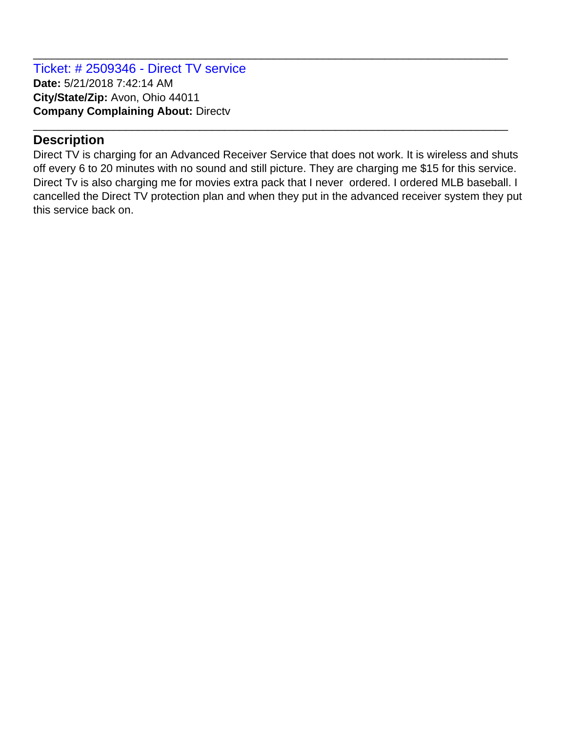Ticket: # 2509346 - Direct TV service **Date:** 5/21/2018 7:42:14 AM **City/State/Zip:** Avon, Ohio 44011 **Company Complaining About:** Directv

#### **Description**

Direct TV is charging for an Advanced Receiver Service that does not work. It is wireless and shuts off every 6 to 20 minutes with no sound and still picture. They are charging me \$15 for this service. Direct Tv is also charging me for movies extra pack that I never ordered. I ordered MLB baseball. I cancelled the Direct TV protection plan and when they put in the advanced receiver system they put this service back on.

\_\_\_\_\_\_\_\_\_\_\_\_\_\_\_\_\_\_\_\_\_\_\_\_\_\_\_\_\_\_\_\_\_\_\_\_\_\_\_\_\_\_\_\_\_\_\_\_\_\_\_\_\_\_\_\_\_\_\_\_\_\_\_\_\_\_\_\_\_\_\_\_\_\_\_\_\_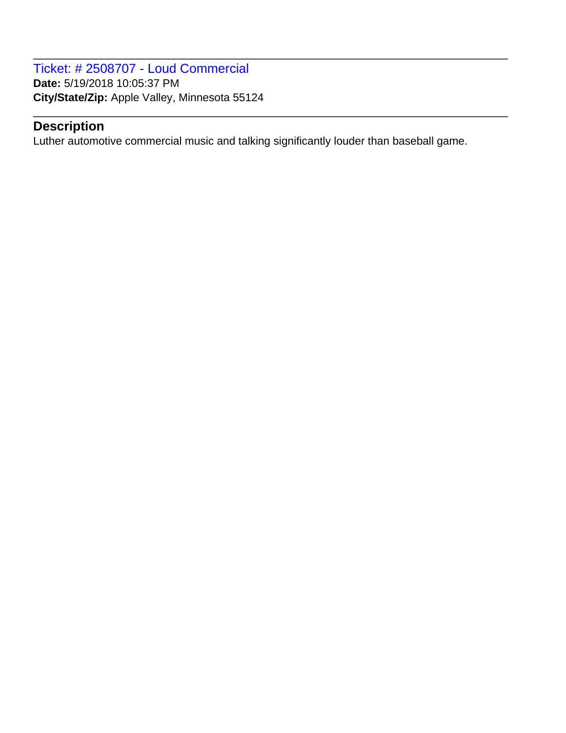Ticket: # 2508707 - Loud Commercial **Date:** 5/19/2018 10:05:37 PM **City/State/Zip:** Apple Valley, Minnesota 55124

#### **Description**

Luther automotive commercial music and talking significantly louder than baseball game.

\_\_\_\_\_\_\_\_\_\_\_\_\_\_\_\_\_\_\_\_\_\_\_\_\_\_\_\_\_\_\_\_\_\_\_\_\_\_\_\_\_\_\_\_\_\_\_\_\_\_\_\_\_\_\_\_\_\_\_\_\_\_\_\_\_\_\_\_\_\_\_\_\_\_\_\_\_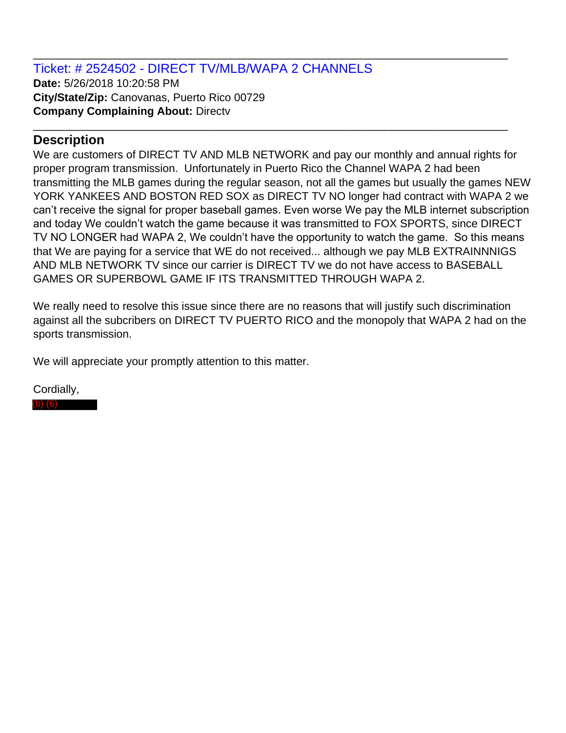Ticket: # 2524502 - DIRECT TV/MLB/WAPA 2 CHANNELS **Date:** 5/26/2018 10:20:58 PM **City/State/Zip:** Canovanas, Puerto Rico 00729 **Company Complaining About:** Directv

#### **Description**

We are customers of DIRECT TV AND MLB NETWORK and pay our monthly and annual rights for proper program transmission. Unfortunately in Puerto Rico the Channel WAPA 2 had been transmitting the MLB games during the regular season, not all the games but usually the games NEW YORK YANKEES AND BOSTON RED SOX as DIRECT TV NO longer had contract with WAPA 2 we can't receive the signal for proper baseball games. Even worse We pay the MLB internet subscription and today We couldn't watch the game because it was transmitted to FOX SPORTS, since DIRECT TV NO LONGER had WAPA 2, We couldn't have the opportunity to watch the game. So this means that We are paying for a service that WE do not received... although we pay MLB EXTRAINNNIGS AND MLB NETWORK TV since our carrier is DIRECT TV we do not have access to BASEBALL GAMES OR SUPERBOWL GAME IF ITS TRANSMITTED THROUGH WAPA 2.

\_\_\_\_\_\_\_\_\_\_\_\_\_\_\_\_\_\_\_\_\_\_\_\_\_\_\_\_\_\_\_\_\_\_\_\_\_\_\_\_\_\_\_\_\_\_\_\_\_\_\_\_\_\_\_\_\_\_\_\_\_\_\_\_\_\_\_\_\_\_\_\_\_\_\_\_\_

\_\_\_\_\_\_\_\_\_\_\_\_\_\_\_\_\_\_\_\_\_\_\_\_\_\_\_\_\_\_\_\_\_\_\_\_\_\_\_\_\_\_\_\_\_\_\_\_\_\_\_\_\_\_\_\_\_\_\_\_\_\_\_\_\_\_\_\_\_\_\_\_\_\_\_\_\_

We really need to resolve this issue since there are no reasons that will justify such discrimination against all the subcribers on DIRECT TV PUERTO RICO and the monopoly that WAPA 2 had on the sports transmission.

We will appreciate your promptly attention to this matter.

Cordially,

(b) (6)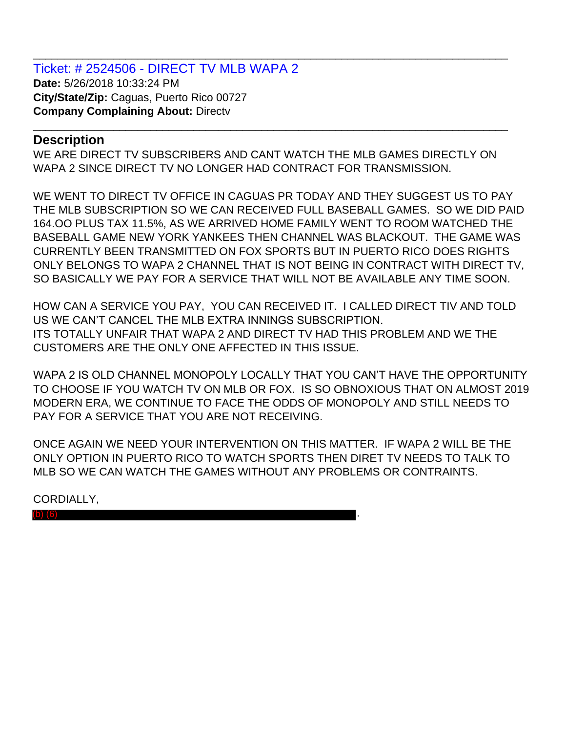Ticket: # 2524506 - DIRECT TV MLB WAPA 2 **Date:** 5/26/2018 10:33:24 PM **City/State/Zip:** Caguas, Puerto Rico 00727 **Company Complaining About:** Directv

#### **Description**

WE ARE DIRECT TV SUBSCRIBERS AND CANT WATCH THE MLB GAMES DIRECTLY ON WAPA 2 SINCE DIRECT TV NO LONGER HAD CONTRACT FOR TRANSMISSION.

\_\_\_\_\_\_\_\_\_\_\_\_\_\_\_\_\_\_\_\_\_\_\_\_\_\_\_\_\_\_\_\_\_\_\_\_\_\_\_\_\_\_\_\_\_\_\_\_\_\_\_\_\_\_\_\_\_\_\_\_\_\_\_\_\_\_\_\_\_\_\_\_\_\_\_\_\_

\_\_\_\_\_\_\_\_\_\_\_\_\_\_\_\_\_\_\_\_\_\_\_\_\_\_\_\_\_\_\_\_\_\_\_\_\_\_\_\_\_\_\_\_\_\_\_\_\_\_\_\_\_\_\_\_\_\_\_\_\_\_\_\_\_\_\_\_\_\_\_\_\_\_\_\_\_

WE WENT TO DIRECT TV OFFICE IN CAGUAS PR TODAY AND THEY SUGGEST US TO PAY THE MLB SUBSCRIPTION SO WE CAN RECEIVED FULL BASEBALL GAMES. SO WE DID PAID 164.OO PLUS TAX 11.5%, AS WE ARRIVED HOME FAMILY WENT TO ROOM WATCHED THE BASEBALL GAME NEW YORK YANKEES THEN CHANNEL WAS BLACKOUT. THE GAME WAS CURRENTLY BEEN TRANSMITTED ON FOX SPORTS BUT IN PUERTO RICO DOES RIGHTS ONLY BELONGS TO WAPA 2 CHANNEL THAT IS NOT BEING IN CONTRACT WITH DIRECT TV, SO BASICALLY WE PAY FOR A SERVICE THAT WILL NOT BE AVAILABLE ANY TIME SOON.

HOW CAN A SERVICE YOU PAY, YOU CAN RECEIVED IT. I CALLED DIRECT TIV AND TOLD US WE CAN'T CANCEL THE MLB EXTRA INNINGS SUBSCRIPTION. ITS TOTALLY UNFAIR THAT WAPA 2 AND DIRECT TV HAD THIS PROBLEM AND WE THE CUSTOMERS ARE THE ONLY ONE AFFECTED IN THIS ISSUE.

WAPA 2 IS OLD CHANNEL MONOPOLY LOCALLY THAT YOU CAN'T HAVE THE OPPORTUNITY TO CHOOSE IF YOU WATCH TV ON MLB OR FOX. IS SO OBNOXIOUS THAT ON ALMOST 2019 MODERN ERA, WE CONTINUE TO FACE THE ODDS OF MONOPOLY AND STILL NEEDS TO PAY FOR A SERVICE THAT YOU ARE NOT RECEIVING.

ONCE AGAIN WE NEED YOUR INTERVENTION ON THIS MATTER. IF WAPA 2 WILL BE THE ONLY OPTION IN PUERTO RICO TO WATCH SPORTS THEN DIRET TV NEEDS TO TALK TO MLB SO WE CAN WATCH THE GAMES WITHOUT ANY PROBLEMS OR CONTRAINTS.

CORDIALLY,

(b)  $(6)$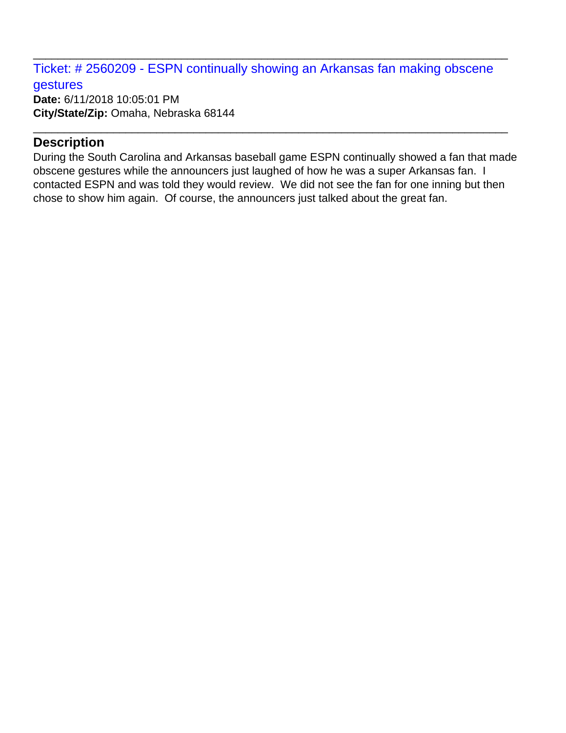Ticket: # 2560209 - ESPN continually showing an Arkansas fan making obscene gestures

\_\_\_\_\_\_\_\_\_\_\_\_\_\_\_\_\_\_\_\_\_\_\_\_\_\_\_\_\_\_\_\_\_\_\_\_\_\_\_\_\_\_\_\_\_\_\_\_\_\_\_\_\_\_\_\_\_\_\_\_\_\_\_\_\_\_\_\_\_\_\_\_\_\_\_\_\_

\_\_\_\_\_\_\_\_\_\_\_\_\_\_\_\_\_\_\_\_\_\_\_\_\_\_\_\_\_\_\_\_\_\_\_\_\_\_\_\_\_\_\_\_\_\_\_\_\_\_\_\_\_\_\_\_\_\_\_\_\_\_\_\_\_\_\_\_\_\_\_\_\_\_\_\_\_

**Date:** 6/11/2018 10:05:01 PM **City/State/Zip:** Omaha, Nebraska 68144

#### **Description**

During the South Carolina and Arkansas baseball game ESPN continually showed a fan that made obscene gestures while the announcers just laughed of how he was a super Arkansas fan. I contacted ESPN and was told they would review. We did not see the fan for one inning but then chose to show him again. Of course, the announcers just talked about the great fan.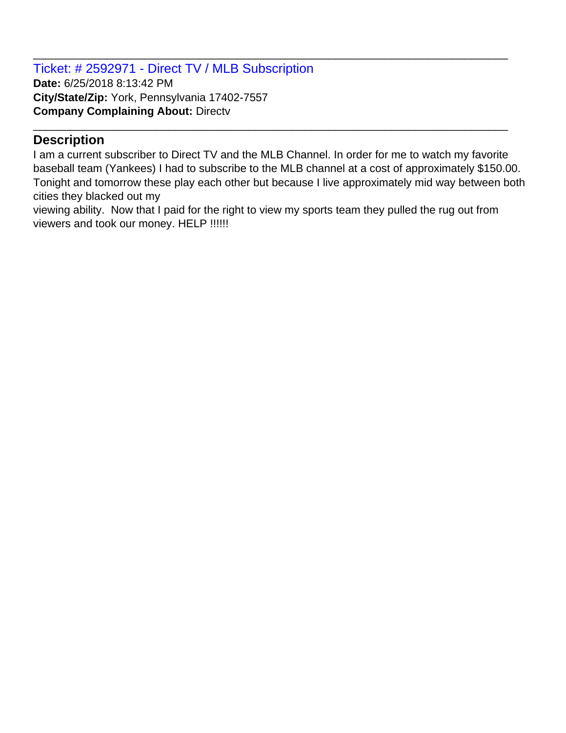Ticket: # 2592971 - Direct TV / MLB Subscription **Date:** 6/25/2018 8:13:42 PM **City/State/Zip:** York, Pennsylvania 17402-7557 **Company Complaining About:** Directv

## **Description**

I am a current subscriber to Direct TV and the MLB Channel. In order for me to watch my favorite baseball team (Yankees) I had to subscribe to the MLB channel at a cost of approximately \$150.00. Tonight and tomorrow these play each other but because I live approximately mid way between both cities they blacked out my

\_\_\_\_\_\_\_\_\_\_\_\_\_\_\_\_\_\_\_\_\_\_\_\_\_\_\_\_\_\_\_\_\_\_\_\_\_\_\_\_\_\_\_\_\_\_\_\_\_\_\_\_\_\_\_\_\_\_\_\_\_\_\_\_\_\_\_\_\_\_\_\_\_\_\_\_\_

\_\_\_\_\_\_\_\_\_\_\_\_\_\_\_\_\_\_\_\_\_\_\_\_\_\_\_\_\_\_\_\_\_\_\_\_\_\_\_\_\_\_\_\_\_\_\_\_\_\_\_\_\_\_\_\_\_\_\_\_\_\_\_\_\_\_\_\_\_\_\_\_\_\_\_\_\_

viewing ability. Now that I paid for the right to view my sports team they pulled the rug out from viewers and took our money. HELP !!!!!!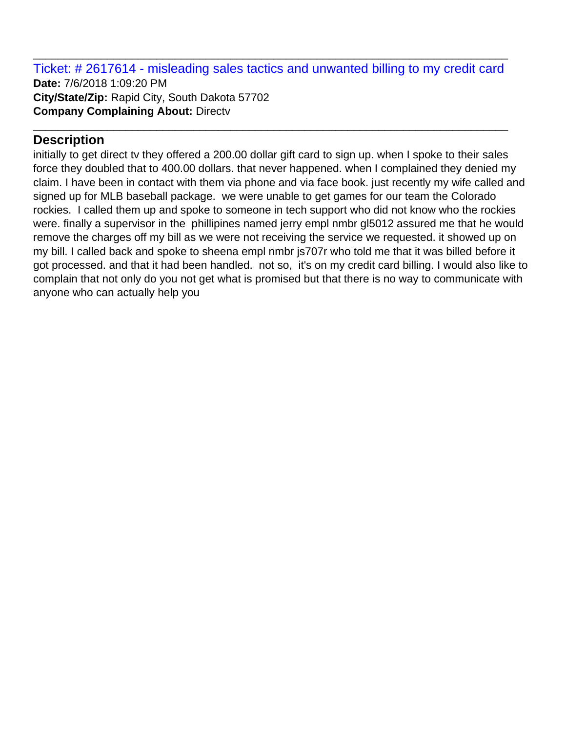Ticket: # 2617614 - misleading sales tactics and unwanted billing to my credit card **Date:** 7/6/2018 1:09:20 PM **City/State/Zip:** Rapid City, South Dakota 57702 **Company Complaining About:** Directv

\_\_\_\_\_\_\_\_\_\_\_\_\_\_\_\_\_\_\_\_\_\_\_\_\_\_\_\_\_\_\_\_\_\_\_\_\_\_\_\_\_\_\_\_\_\_\_\_\_\_\_\_\_\_\_\_\_\_\_\_\_\_\_\_\_\_\_\_\_\_\_\_\_\_\_\_\_

\_\_\_\_\_\_\_\_\_\_\_\_\_\_\_\_\_\_\_\_\_\_\_\_\_\_\_\_\_\_\_\_\_\_\_\_\_\_\_\_\_\_\_\_\_\_\_\_\_\_\_\_\_\_\_\_\_\_\_\_\_\_\_\_\_\_\_\_\_\_\_\_\_\_\_\_\_

## **Description**

initially to get direct tv they offered a 200.00 dollar gift card to sign up. when I spoke to their sales force they doubled that to 400.00 dollars. that never happened. when I complained they denied my claim. I have been in contact with them via phone and via face book. just recently my wife called and signed up for MLB baseball package. we were unable to get games for our team the Colorado rockies. I called them up and spoke to someone in tech support who did not know who the rockies were. finally a supervisor in the phillipines named jerry empl nmbr gl5012 assured me that he would remove the charges off my bill as we were not receiving the service we requested. it showed up on my bill. I called back and spoke to sheena empl nmbr js707r who told me that it was billed before it got processed. and that it had been handled. not so, it's on my credit card billing. I would also like to complain that not only do you not get what is promised but that there is no way to communicate with anyone who can actually help you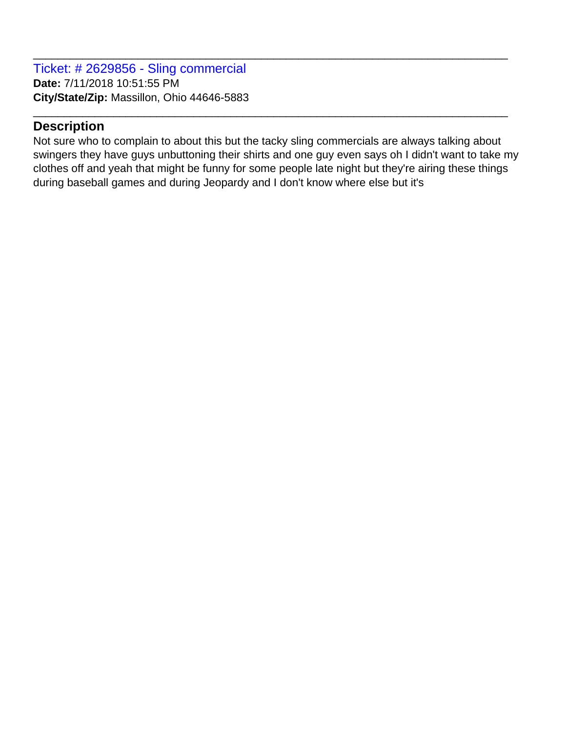Ticket: # 2629856 - Sling commercial **Date:** 7/11/2018 10:51:55 PM **City/State/Zip:** Massillon, Ohio 44646-5883

## **Description**

Not sure who to complain to about this but the tacky sling commercials are always talking about swingers they have guys unbuttoning their shirts and one guy even says oh I didn't want to take my clothes off and yeah that might be funny for some people late night but they're airing these things during baseball games and during Jeopardy and I don't know where else but it's

\_\_\_\_\_\_\_\_\_\_\_\_\_\_\_\_\_\_\_\_\_\_\_\_\_\_\_\_\_\_\_\_\_\_\_\_\_\_\_\_\_\_\_\_\_\_\_\_\_\_\_\_\_\_\_\_\_\_\_\_\_\_\_\_\_\_\_\_\_\_\_\_\_\_\_\_\_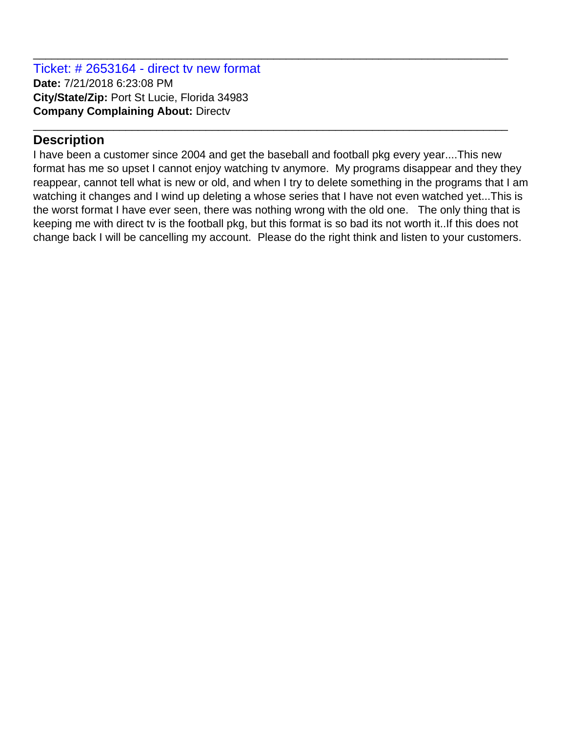Ticket: # 2653164 - direct tv new format **Date:** 7/21/2018 6:23:08 PM **City/State/Zip:** Port St Lucie, Florida 34983 **Company Complaining About:** Directv

## **Description**

I have been a customer since 2004 and get the baseball and football pkg every year....This new format has me so upset I cannot enjoy watching tv anymore. My programs disappear and they they reappear, cannot tell what is new or old, and when I try to delete something in the programs that I am watching it changes and I wind up deleting a whose series that I have not even watched yet...This is the worst format I have ever seen, there was nothing wrong with the old one. The only thing that is keeping me with direct tv is the football pkg, but this format is so bad its not worth it..If this does not change back I will be cancelling my account. Please do the right think and listen to your customers.

\_\_\_\_\_\_\_\_\_\_\_\_\_\_\_\_\_\_\_\_\_\_\_\_\_\_\_\_\_\_\_\_\_\_\_\_\_\_\_\_\_\_\_\_\_\_\_\_\_\_\_\_\_\_\_\_\_\_\_\_\_\_\_\_\_\_\_\_\_\_\_\_\_\_\_\_\_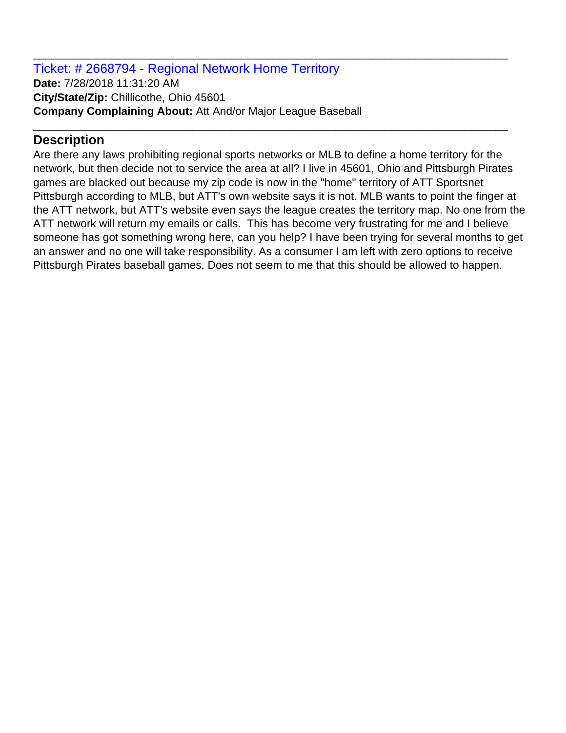Ticket: # 2668794 - Regional Network Home Territory **Date:** 7/28/2018 11:31:20 AM **City/State/Zip:** Chillicothe, Ohio 45601 **Company Complaining About:** Att And/or Major League Baseball

# **Description**

Are there any laws prohibiting regional sports networks or MLB to define a home territory for the network, but then decide not to service the area at all? I live in 45601, Ohio and Pittsburgh Pirates games are blacked out because my zip code is now in the "home" territory of ATT Sportsnet Pittsburgh according to MLB, but ATT's own website says it is not. MLB wants to point the finger at the ATT network, but ATT's website even says the league creates the territory map. No one from the ATT network will return my emails or calls. This has become very frustrating for me and I believe someone has got something wrong here, can you help? I have been trying for several months to get an answer and no one will take responsibility. As a consumer I am left with zero options to receive Pittsburgh Pirates baseball games. Does not seem to me that this should be allowed to happen.

\_\_\_\_\_\_\_\_\_\_\_\_\_\_\_\_\_\_\_\_\_\_\_\_\_\_\_\_\_\_\_\_\_\_\_\_\_\_\_\_\_\_\_\_\_\_\_\_\_\_\_\_\_\_\_\_\_\_\_\_\_\_\_\_\_\_\_\_\_\_\_\_\_\_\_\_\_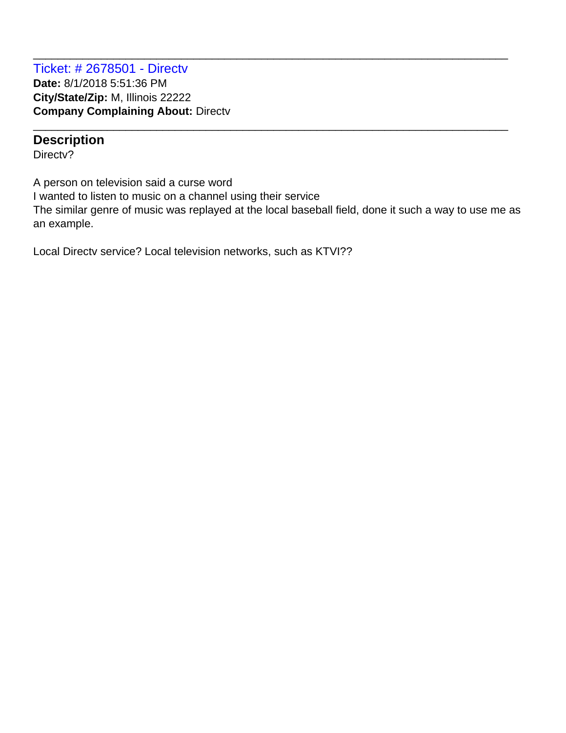Ticket: # 2678501 - Directv **Date:** 8/1/2018 5:51:36 PM **City/State/Zip:** M, Illinois 22222 **Company Complaining About:** Directv

## **Description**

Directv?

A person on television said a curse word I wanted to listen to music on a channel using their service The similar genre of music was replayed at the local baseball field, done it such a way to use me as an example.

\_\_\_\_\_\_\_\_\_\_\_\_\_\_\_\_\_\_\_\_\_\_\_\_\_\_\_\_\_\_\_\_\_\_\_\_\_\_\_\_\_\_\_\_\_\_\_\_\_\_\_\_\_\_\_\_\_\_\_\_\_\_\_\_\_\_\_\_\_\_\_\_\_\_\_\_\_

\_\_\_\_\_\_\_\_\_\_\_\_\_\_\_\_\_\_\_\_\_\_\_\_\_\_\_\_\_\_\_\_\_\_\_\_\_\_\_\_\_\_\_\_\_\_\_\_\_\_\_\_\_\_\_\_\_\_\_\_\_\_\_\_\_\_\_\_\_\_\_\_\_\_\_\_\_

Local Directv service? Local television networks, such as KTVI??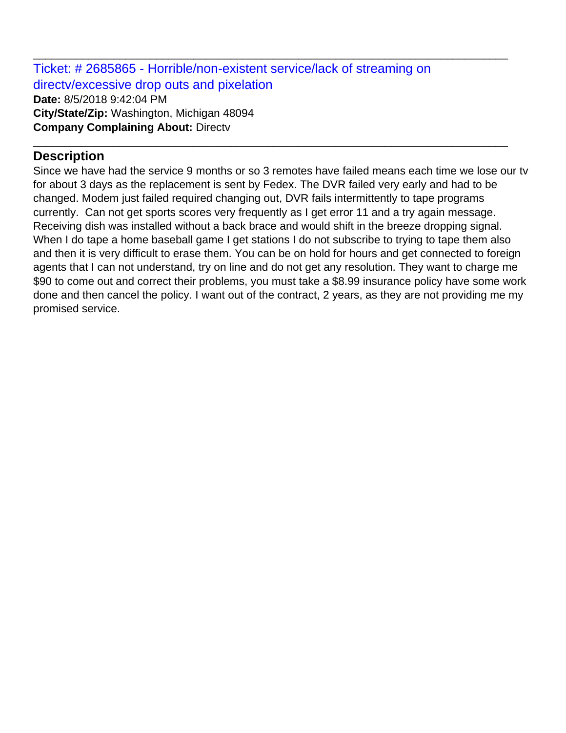Ticket: # 2685865 - Horrible/non-existent service/lack of streaming on directv/excessive drop outs and pixelation **Date:** 8/5/2018 9:42:04 PM **City/State/Zip:** Washington, Michigan 48094

\_\_\_\_\_\_\_\_\_\_\_\_\_\_\_\_\_\_\_\_\_\_\_\_\_\_\_\_\_\_\_\_\_\_\_\_\_\_\_\_\_\_\_\_\_\_\_\_\_\_\_\_\_\_\_\_\_\_\_\_\_\_\_\_\_\_\_\_\_\_\_\_\_\_\_\_\_

\_\_\_\_\_\_\_\_\_\_\_\_\_\_\_\_\_\_\_\_\_\_\_\_\_\_\_\_\_\_\_\_\_\_\_\_\_\_\_\_\_\_\_\_\_\_\_\_\_\_\_\_\_\_\_\_\_\_\_\_\_\_\_\_\_\_\_\_\_\_\_\_\_\_\_\_\_

**Company Complaining About:** Directv

# **Description**

Since we have had the service 9 months or so 3 remotes have failed means each time we lose our tv for about 3 days as the replacement is sent by Fedex. The DVR failed very early and had to be changed. Modem just failed required changing out, DVR fails intermittently to tape programs currently. Can not get sports scores very frequently as I get error 11 and a try again message. Receiving dish was installed without a back brace and would shift in the breeze dropping signal. When I do tape a home baseball game I get stations I do not subscribe to trying to tape them also and then it is very difficult to erase them. You can be on hold for hours and get connected to foreign agents that I can not understand, try on line and do not get any resolution. They want to charge me \$90 to come out and correct their problems, you must take a \$8.99 insurance policy have some work done and then cancel the policy. I want out of the contract, 2 years, as they are not providing me my promised service.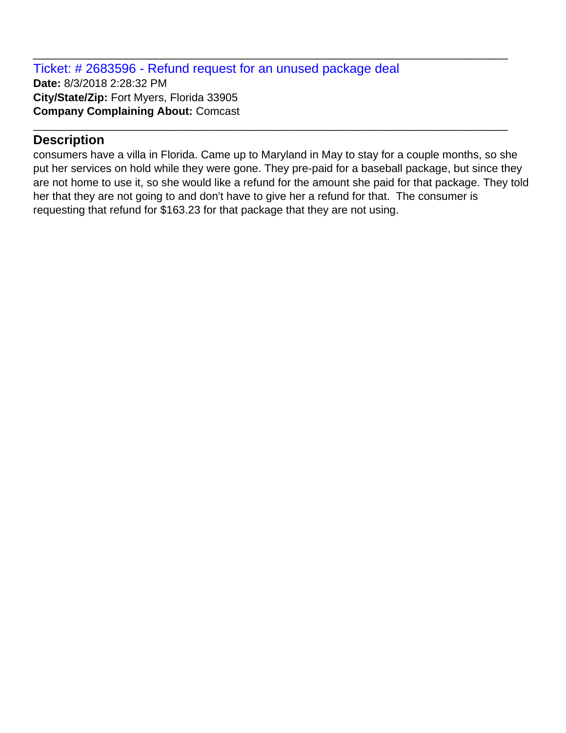Ticket: # 2683596 - Refund request for an unused package deal **Date:** 8/3/2018 2:28:32 PM **City/State/Zip:** Fort Myers, Florida 33905 **Company Complaining About:** Comcast

## **Description**

consumers have a villa in Florida. Came up to Maryland in May to stay for a couple months, so she put her services on hold while they were gone. They pre-paid for a baseball package, but since they are not home to use it, so she would like a refund for the amount she paid for that package. They told her that they are not going to and don't have to give her a refund for that. The consumer is requesting that refund for \$163.23 for that package that they are not using.

\_\_\_\_\_\_\_\_\_\_\_\_\_\_\_\_\_\_\_\_\_\_\_\_\_\_\_\_\_\_\_\_\_\_\_\_\_\_\_\_\_\_\_\_\_\_\_\_\_\_\_\_\_\_\_\_\_\_\_\_\_\_\_\_\_\_\_\_\_\_\_\_\_\_\_\_\_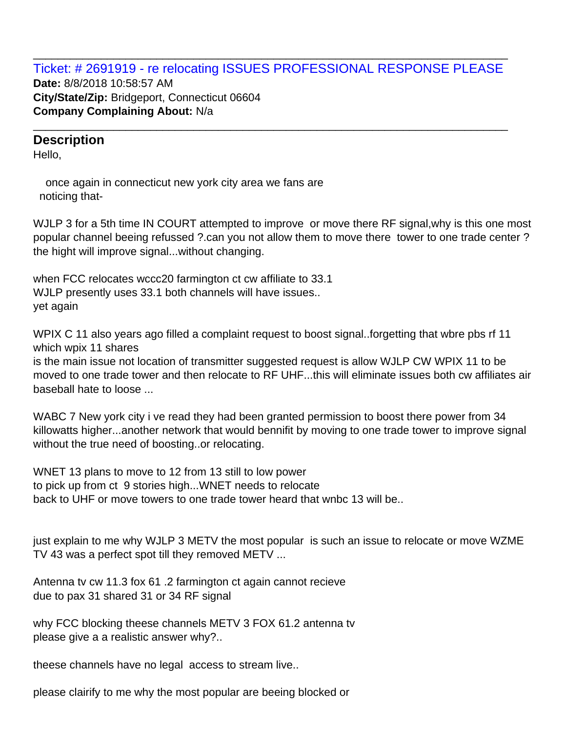## Ticket: # 2691919 - re relocating ISSUES PROFESSIONAL RESPONSE PLEASE **Date:** 8/8/2018 10:58:57 AM **City/State/Zip:** Bridgeport, Connecticut 06604 **Company Complaining About:** N/a

\_\_\_\_\_\_\_\_\_\_\_\_\_\_\_\_\_\_\_\_\_\_\_\_\_\_\_\_\_\_\_\_\_\_\_\_\_\_\_\_\_\_\_\_\_\_\_\_\_\_\_\_\_\_\_\_\_\_\_\_\_\_\_\_\_\_\_\_\_\_\_\_\_\_\_\_\_

\_\_\_\_\_\_\_\_\_\_\_\_\_\_\_\_\_\_\_\_\_\_\_\_\_\_\_\_\_\_\_\_\_\_\_\_\_\_\_\_\_\_\_\_\_\_\_\_\_\_\_\_\_\_\_\_\_\_\_\_\_\_\_\_\_\_\_\_\_\_\_\_\_\_\_\_\_

#### **Description**

Hello,

 once again in connecticut new york city area we fans are noticing that-

WJLP 3 for a 5th time IN COURT attempted to improve or move there RF signal,why is this one most popular channel beeing refussed ?.can you not allow them to move there tower to one trade center ? the hight will improve signal...without changing.

when FCC relocates wccc20 farmington ct cw affiliate to 33.1 WJLP presently uses 33.1 both channels will have issues.. yet again

WPIX C 11 also years ago filled a complaint request to boost signal..forgetting that wbre pbs rf 11 which wpix 11 shares

is the main issue not location of transmitter suggested request is allow WJLP CW WPIX 11 to be moved to one trade tower and then relocate to RF UHF...this will eliminate issues both cw affiliates air baseball hate to loose ...

WABC 7 New york city i ve read they had been granted permission to boost there power from 34 killowatts higher...another network that would bennifit by moving to one trade tower to improve signal without the true need of boosting..or relocating.

WNET 13 plans to move to 12 from 13 still to low power to pick up from ct 9 stories high...WNET needs to relocate back to UHF or move towers to one trade tower heard that wnbc 13 will be..

just explain to me why WJLP 3 METV the most popular is such an issue to relocate or move WZME TV 43 was a perfect spot till they removed METV ...

Antenna tv cw 11.3 fox 61 .2 farmington ct again cannot recieve due to pax 31 shared 31 or 34 RF signal

why FCC blocking theese channels METV 3 FOX 61.2 antenna tv please give a a realistic answer why?..

theese channels have no legal access to stream live..

please clairify to me why the most popular are beeing blocked or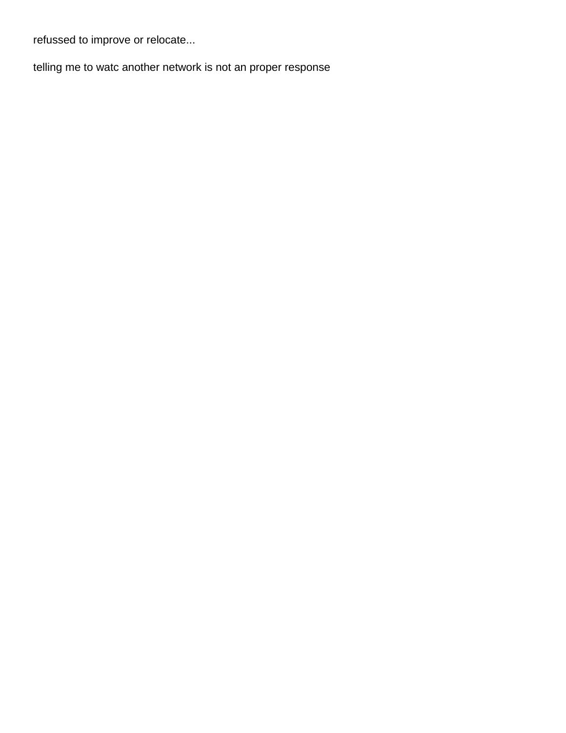refussed to improve or relocate...

telling me to watc another network is not an proper response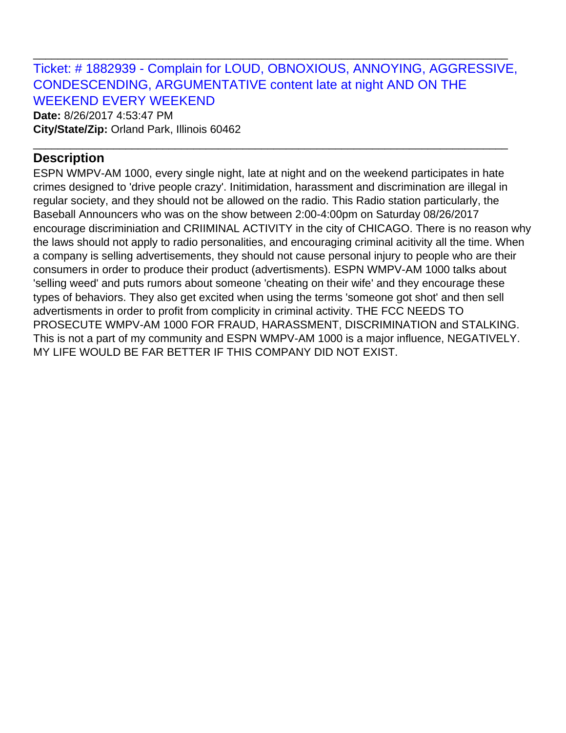Ticket: # 1882939 - Complain for LOUD, OBNOXIOUS, ANNOYING, AGGRESSIVE, CONDESCENDING, ARGUMENTATIVE content late at night AND ON THE WEEKEND EVERY WEEKEND

\_\_\_\_\_\_\_\_\_\_\_\_\_\_\_\_\_\_\_\_\_\_\_\_\_\_\_\_\_\_\_\_\_\_\_\_\_\_\_\_\_\_\_\_\_\_\_\_\_\_\_\_\_\_\_\_\_\_\_\_\_\_\_\_\_\_\_\_\_\_\_\_\_\_\_\_\_

\_\_\_\_\_\_\_\_\_\_\_\_\_\_\_\_\_\_\_\_\_\_\_\_\_\_\_\_\_\_\_\_\_\_\_\_\_\_\_\_\_\_\_\_\_\_\_\_\_\_\_\_\_\_\_\_\_\_\_\_\_\_\_\_\_\_\_\_\_\_\_\_\_\_\_\_\_

**Date:** 8/26/2017 4:53:47 PM **City/State/Zip:** Orland Park, Illinois 60462

## **Description**

ESPN WMPV-AM 1000, every single night, late at night and on the weekend participates in hate crimes designed to 'drive people crazy'. Initimidation, harassment and discrimination are illegal in regular society, and they should not be allowed on the radio. This Radio station particularly, the Baseball Announcers who was on the show between 2:00-4:00pm on Saturday 08/26/2017 encourage discriminiation and CRIIMINAL ACTIVITY in the city of CHICAGO. There is no reason why the laws should not apply to radio personalities, and encouraging criminal acitivity all the time. When a company is selling advertisements, they should not cause personal injury to people who are their consumers in order to produce their product (advertisments). ESPN WMPV-AM 1000 talks about 'selling weed' and puts rumors about someone 'cheating on their wife' and they encourage these types of behaviors. They also get excited when using the terms 'someone got shot' and then sell advertisments in order to profit from complicity in criminal activity. THE FCC NEEDS TO PROSECUTE WMPV-AM 1000 FOR FRAUD, HARASSMENT, DISCRIMINATION and STALKING. This is not a part of my community and ESPN WMPV-AM 1000 is a major influence, NEGATIVELY. MY LIFE WOULD BE FAR BETTER IF THIS COMPANY DID NOT EXIST.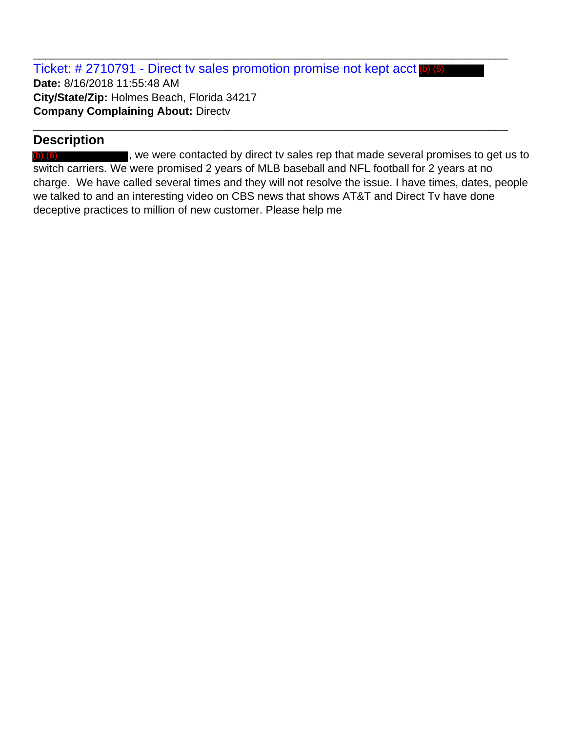Ticket: # 2710791 - Direct tv sales promotion promise not kept acct (b) (6) **Date:** 8/16/2018 11:55:48 AM **City/State/Zip:** Holmes Beach, Florida 34217 **Company Complaining About:** Directv

\_\_\_\_\_\_\_\_\_\_\_\_\_\_\_\_\_\_\_\_\_\_\_\_\_\_\_\_\_\_\_\_\_\_\_\_\_\_\_\_\_\_\_\_\_\_\_\_\_\_\_\_\_\_\_\_\_\_\_\_\_\_\_\_\_\_\_\_\_\_\_\_\_\_\_\_\_

\_\_\_\_\_\_\_\_\_\_\_\_\_\_\_\_\_\_\_\_\_\_\_\_\_\_\_\_\_\_\_\_\_\_\_\_\_\_\_\_\_\_\_\_\_\_\_\_\_\_\_\_\_\_\_\_\_\_\_\_\_\_\_\_\_\_\_\_\_\_\_\_\_\_\_\_\_

# **Description**

, we were contacted by direct tv sales rep that made several promises to get us to switch carriers. We were promised 2 years of MLB baseball and NFL football for 2 years at no charge. We have called several times and they will not resolve the issue. I have times, dates, people we talked to and an interesting video on CBS news that shows AT&T and Direct Tv have done deceptive practices to million of new customer. Please help me (b) (6)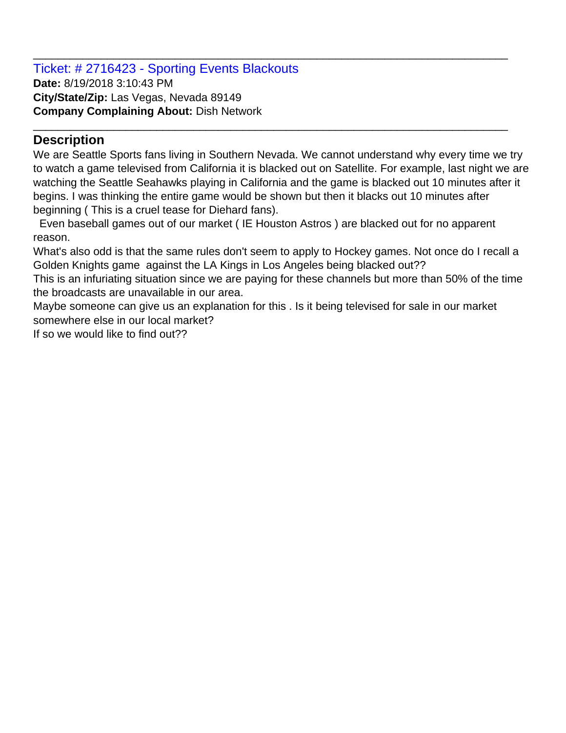Ticket: # 2716423 - Sporting Events Blackouts **Date:** 8/19/2018 3:10:43 PM **City/State/Zip:** Las Vegas, Nevada 89149 **Company Complaining About:** Dish Network

## **Description**

We are Seattle Sports fans living in Southern Nevada. We cannot understand why every time we try to watch a game televised from California it is blacked out on Satellite. For example, last night we are watching the Seattle Seahawks playing in California and the game is blacked out 10 minutes after it begins. I was thinking the entire game would be shown but then it blacks out 10 minutes after beginning ( This is a cruel tease for Diehard fans).

\_\_\_\_\_\_\_\_\_\_\_\_\_\_\_\_\_\_\_\_\_\_\_\_\_\_\_\_\_\_\_\_\_\_\_\_\_\_\_\_\_\_\_\_\_\_\_\_\_\_\_\_\_\_\_\_\_\_\_\_\_\_\_\_\_\_\_\_\_\_\_\_\_\_\_\_\_

\_\_\_\_\_\_\_\_\_\_\_\_\_\_\_\_\_\_\_\_\_\_\_\_\_\_\_\_\_\_\_\_\_\_\_\_\_\_\_\_\_\_\_\_\_\_\_\_\_\_\_\_\_\_\_\_\_\_\_\_\_\_\_\_\_\_\_\_\_\_\_\_\_\_\_\_\_

 Even baseball games out of our market ( IE Houston Astros ) are blacked out for no apparent reason.

What's also odd is that the same rules don't seem to apply to Hockey games. Not once do I recall a Golden Knights game against the LA Kings in Los Angeles being blacked out??

This is an infuriating situation since we are paying for these channels but more than 50% of the time the broadcasts are unavailable in our area.

Maybe someone can give us an explanation for this . Is it being televised for sale in our market somewhere else in our local market?

If so we would like to find out??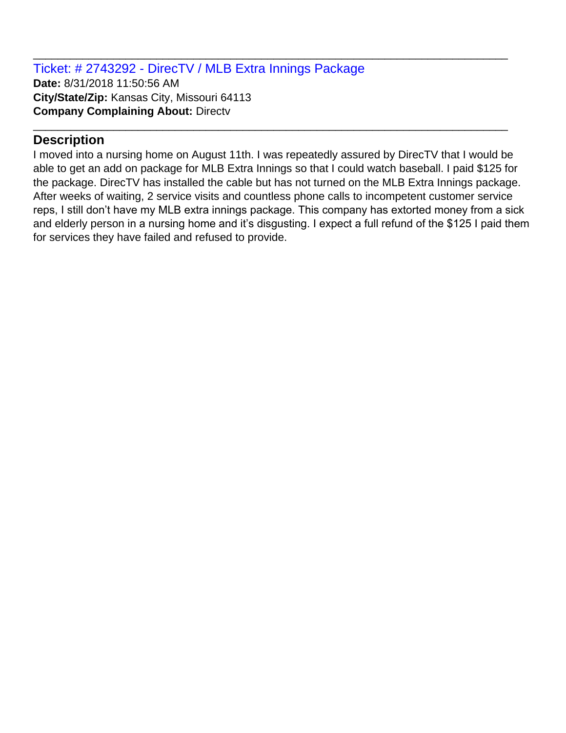Ticket: # 2743292 - DirecTV / MLB Extra Innings Package **Date:** 8/31/2018 11:50:56 AM **City/State/Zip:** Kansas City, Missouri 64113 **Company Complaining About:** Directv

# **Description**

I moved into a nursing home on August 11th. I was repeatedly assured by DirecTV that I would be able to get an add on package for MLB Extra Innings so that I could watch baseball. I paid \$125 for the package. DirecTV has installed the cable but has not turned on the MLB Extra Innings package. After weeks of waiting, 2 service visits and countless phone calls to incompetent customer service reps, I still don't have my MLB extra innings package. This company has extorted money from a sick and elderly person in a nursing home and it's disgusting. I expect a full refund of the \$125 I paid them for services they have failed and refused to provide.

\_\_\_\_\_\_\_\_\_\_\_\_\_\_\_\_\_\_\_\_\_\_\_\_\_\_\_\_\_\_\_\_\_\_\_\_\_\_\_\_\_\_\_\_\_\_\_\_\_\_\_\_\_\_\_\_\_\_\_\_\_\_\_\_\_\_\_\_\_\_\_\_\_\_\_\_\_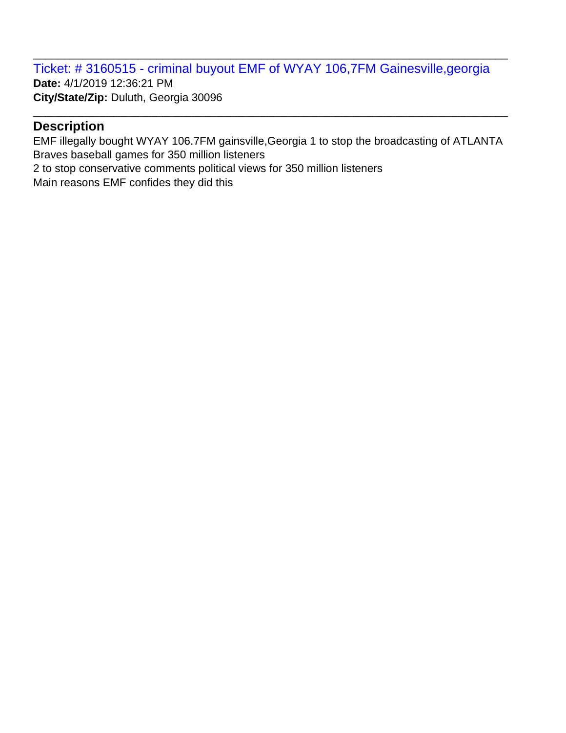## Ticket: # 3160515 - criminal buyout EMF of WYAY 106,7FM Gainesville,georgia **Date:** 4/1/2019 12:36:21 PM **City/State/Zip:** Duluth, Georgia 30096

\_\_\_\_\_\_\_\_\_\_\_\_\_\_\_\_\_\_\_\_\_\_\_\_\_\_\_\_\_\_\_\_\_\_\_\_\_\_\_\_\_\_\_\_\_\_\_\_\_\_\_\_\_\_\_\_\_\_\_\_\_\_\_\_\_\_\_\_\_\_\_\_\_\_\_\_\_

## **Description**

EMF illegally bought WYAY 106.7FM gainsville,Georgia 1 to stop the broadcasting of ATLANTA Braves baseball games for 350 million listeners 2 to stop conservative comments political views for 350 million listeners Main reasons EMF confides they did this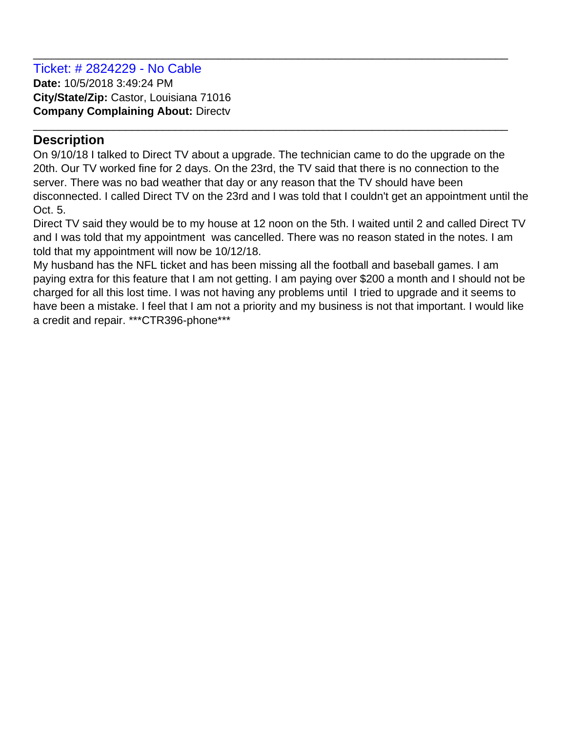#### Ticket: # 2824229 - No Cable **Date:** 10/5/2018 3:49:24 PM **City/State/Zip:** Castor, Louisiana 71016 **Company Complaining About:** Directv

## **Description**

On 9/10/18 I talked to Direct TV about a upgrade. The technician came to do the upgrade on the 20th. Our TV worked fine for 2 days. On the 23rd, the TV said that there is no connection to the server. There was no bad weather that day or any reason that the TV should have been disconnected. I called Direct TV on the 23rd and I was told that I couldn't get an appointment until the Oct. 5.

\_\_\_\_\_\_\_\_\_\_\_\_\_\_\_\_\_\_\_\_\_\_\_\_\_\_\_\_\_\_\_\_\_\_\_\_\_\_\_\_\_\_\_\_\_\_\_\_\_\_\_\_\_\_\_\_\_\_\_\_\_\_\_\_\_\_\_\_\_\_\_\_\_\_\_\_\_

\_\_\_\_\_\_\_\_\_\_\_\_\_\_\_\_\_\_\_\_\_\_\_\_\_\_\_\_\_\_\_\_\_\_\_\_\_\_\_\_\_\_\_\_\_\_\_\_\_\_\_\_\_\_\_\_\_\_\_\_\_\_\_\_\_\_\_\_\_\_\_\_\_\_\_\_\_

Direct TV said they would be to my house at 12 noon on the 5th. I waited until 2 and called Direct TV and I was told that my appointment was cancelled. There was no reason stated in the notes. I am told that my appointment will now be 10/12/18.

My husband has the NFL ticket and has been missing all the football and baseball games. I am paying extra for this feature that I am not getting. I am paying over \$200 a month and I should not be charged for all this lost time. I was not having any problems until I tried to upgrade and it seems to have been a mistake. I feel that I am not a priority and my business is not that important. I would like a credit and repair. \*\*\*CTR396-phone\*\*\*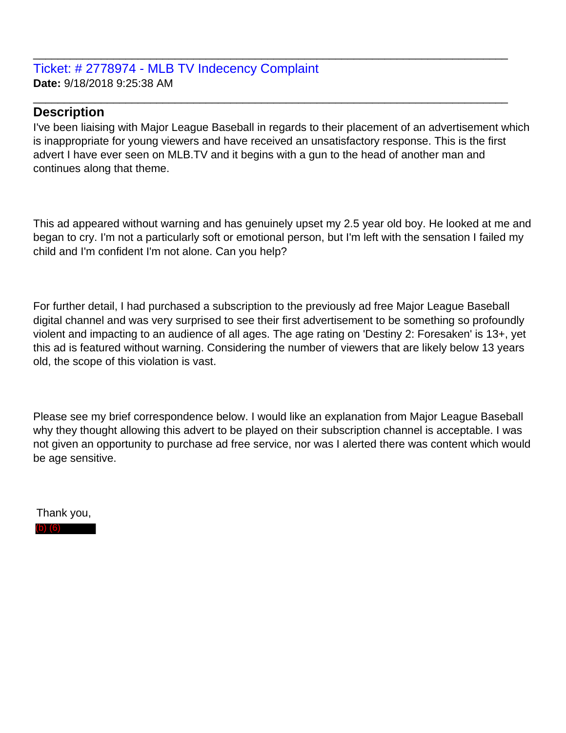Ticket: # 2778974 - MLB TV Indecency Complaint **Date:** 9/18/2018 9:25:38 AM

#### **Description**

I've been liaising with Major League Baseball in regards to their placement of an advertisement which is inappropriate for young viewers and have received an unsatisfactory response. This is the first advert I have ever seen on MLB.TV and it begins with a gun to the head of another man and continues along that theme.

\_\_\_\_\_\_\_\_\_\_\_\_\_\_\_\_\_\_\_\_\_\_\_\_\_\_\_\_\_\_\_\_\_\_\_\_\_\_\_\_\_\_\_\_\_\_\_\_\_\_\_\_\_\_\_\_\_\_\_\_\_\_\_\_\_\_\_\_\_\_\_\_\_\_\_\_\_

\_\_\_\_\_\_\_\_\_\_\_\_\_\_\_\_\_\_\_\_\_\_\_\_\_\_\_\_\_\_\_\_\_\_\_\_\_\_\_\_\_\_\_\_\_\_\_\_\_\_\_\_\_\_\_\_\_\_\_\_\_\_\_\_\_\_\_\_\_\_\_\_\_\_\_\_\_

This ad appeared without warning and has genuinely upset my 2.5 year old boy. He looked at me and began to cry. I'm not a particularly soft or emotional person, but I'm left with the sensation I failed my child and I'm confident I'm not alone. Can you help?

For further detail, I had purchased a subscription to the previously ad free Major League Baseball digital channel and was very surprised to see their first advertisement to be something so profoundly violent and impacting to an audience of all ages. The age rating on 'Destiny 2: Foresaken' is 13+, yet this ad is featured without warning. Considering the number of viewers that are likely below 13 years old, the scope of this violation is vast.

Please see my brief correspondence below. I would like an explanation from Major League Baseball why they thought allowing this advert to be played on their subscription channel is acceptable. I was not given an opportunity to purchase ad free service, nor was I alerted there was content which would be age sensitive.

Thank you, (b) (6)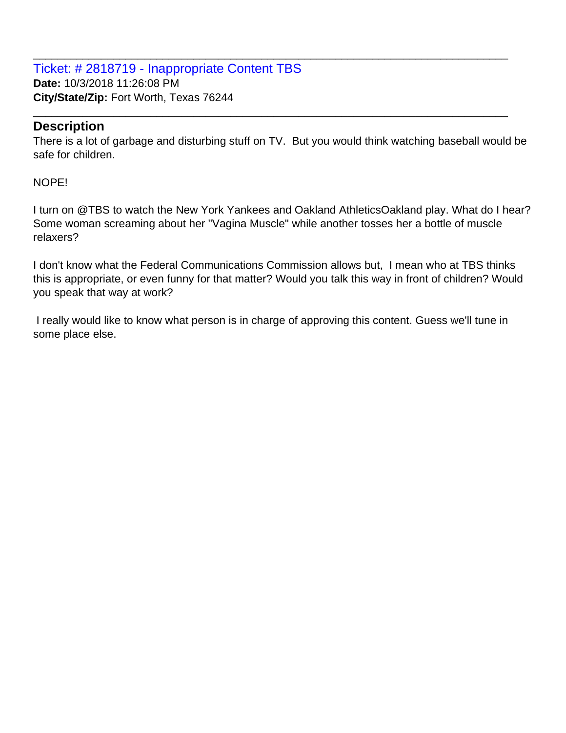#### Ticket: # 2818719 - Inappropriate Content TBS **Date:** 10/3/2018 11:26:08 PM **City/State/Zip:** Fort Worth, Texas 76244

#### **Description**

There is a lot of garbage and disturbing stuff on TV. But you would think watching baseball would be safe for children.

\_\_\_\_\_\_\_\_\_\_\_\_\_\_\_\_\_\_\_\_\_\_\_\_\_\_\_\_\_\_\_\_\_\_\_\_\_\_\_\_\_\_\_\_\_\_\_\_\_\_\_\_\_\_\_\_\_\_\_\_\_\_\_\_\_\_\_\_\_\_\_\_\_\_\_\_\_

\_\_\_\_\_\_\_\_\_\_\_\_\_\_\_\_\_\_\_\_\_\_\_\_\_\_\_\_\_\_\_\_\_\_\_\_\_\_\_\_\_\_\_\_\_\_\_\_\_\_\_\_\_\_\_\_\_\_\_\_\_\_\_\_\_\_\_\_\_\_\_\_\_\_\_\_\_

NOPE!

I turn on @TBS to watch the New York Yankees and Oakland AthleticsOakland play. What do I hear? Some woman screaming about her "Vagina Muscle" while another tosses her a bottle of muscle relaxers?

I don't know what the Federal Communications Commission allows but, I mean who at TBS thinks this is appropriate, or even funny for that matter? Would you talk this way in front of children? Would you speak that way at work?

I really would like to know what person is in charge of approving this content. Guess we'll tune in some place else.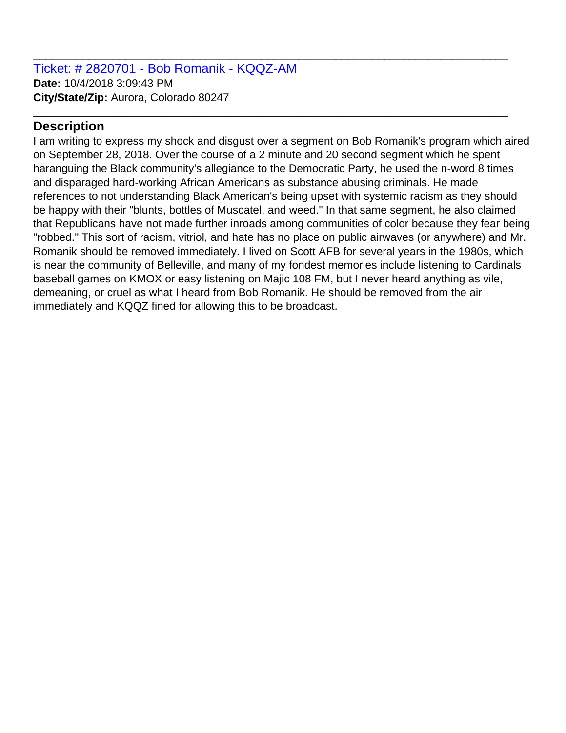Ticket: # 2820701 - Bob Romanik - KQQZ-AM **Date:** 10/4/2018 3:09:43 PM **City/State/Zip:** Aurora, Colorado 80247

## **Description**

I am writing to express my shock and disgust over a segment on Bob Romanik's program which aired on September 28, 2018. Over the course of a 2 minute and 20 second segment which he spent haranguing the Black community's allegiance to the Democratic Party, he used the n-word 8 times and disparaged hard-working African Americans as substance abusing criminals. He made references to not understanding Black American's being upset with systemic racism as they should be happy with their "blunts, bottles of Muscatel, and weed." In that same segment, he also claimed that Republicans have not made further inroads among communities of color because they fear being "robbed." This sort of racism, vitriol, and hate has no place on public airwaves (or anywhere) and Mr. Romanik should be removed immediately. I lived on Scott AFB for several years in the 1980s, which is near the community of Belleville, and many of my fondest memories include listening to Cardinals baseball games on KMOX or easy listening on Majic 108 FM, but I never heard anything as vile, demeaning, or cruel as what I heard from Bob Romanik. He should be removed from the air immediately and KQQZ fined for allowing this to be broadcast.

\_\_\_\_\_\_\_\_\_\_\_\_\_\_\_\_\_\_\_\_\_\_\_\_\_\_\_\_\_\_\_\_\_\_\_\_\_\_\_\_\_\_\_\_\_\_\_\_\_\_\_\_\_\_\_\_\_\_\_\_\_\_\_\_\_\_\_\_\_\_\_\_\_\_\_\_\_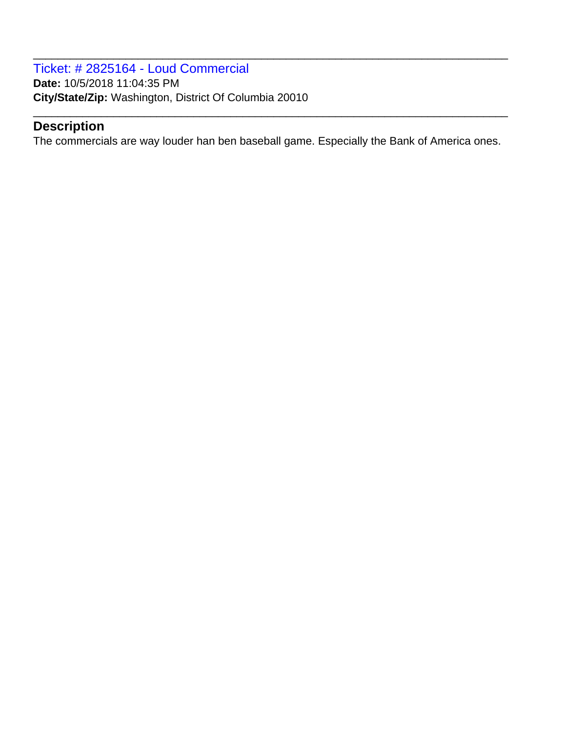Ticket: # 2825164 - Loud Commercial **Date:** 10/5/2018 11:04:35 PM **City/State/Zip:** Washington, District Of Columbia 20010

#### **Description**

The commercials are way louder han ben baseball game. Especially the Bank of America ones.

\_\_\_\_\_\_\_\_\_\_\_\_\_\_\_\_\_\_\_\_\_\_\_\_\_\_\_\_\_\_\_\_\_\_\_\_\_\_\_\_\_\_\_\_\_\_\_\_\_\_\_\_\_\_\_\_\_\_\_\_\_\_\_\_\_\_\_\_\_\_\_\_\_\_\_\_\_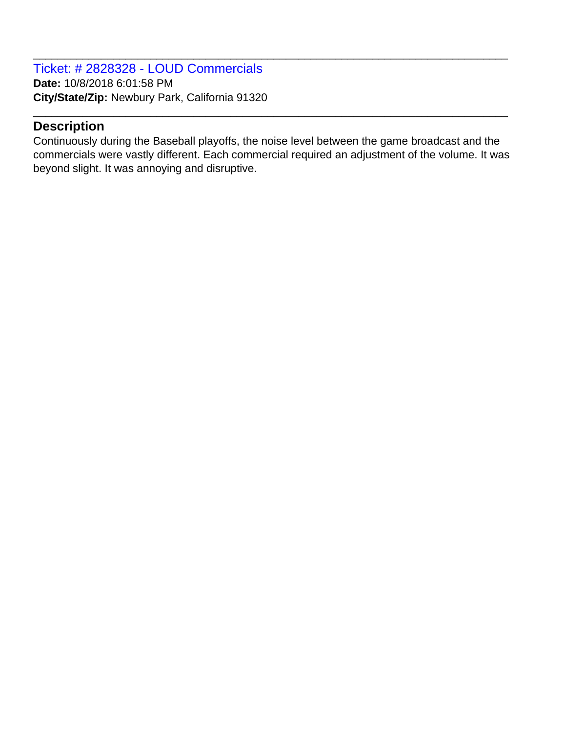Ticket: # 2828328 - LOUD Commercials **Date:** 10/8/2018 6:01:58 PM **City/State/Zip:** Newbury Park, California 91320

#### **Description**

Continuously during the Baseball playoffs, the noise level between the game broadcast and the commercials were vastly different. Each commercial required an adjustment of the volume. It was beyond slight. It was annoying and disruptive.

\_\_\_\_\_\_\_\_\_\_\_\_\_\_\_\_\_\_\_\_\_\_\_\_\_\_\_\_\_\_\_\_\_\_\_\_\_\_\_\_\_\_\_\_\_\_\_\_\_\_\_\_\_\_\_\_\_\_\_\_\_\_\_\_\_\_\_\_\_\_\_\_\_\_\_\_\_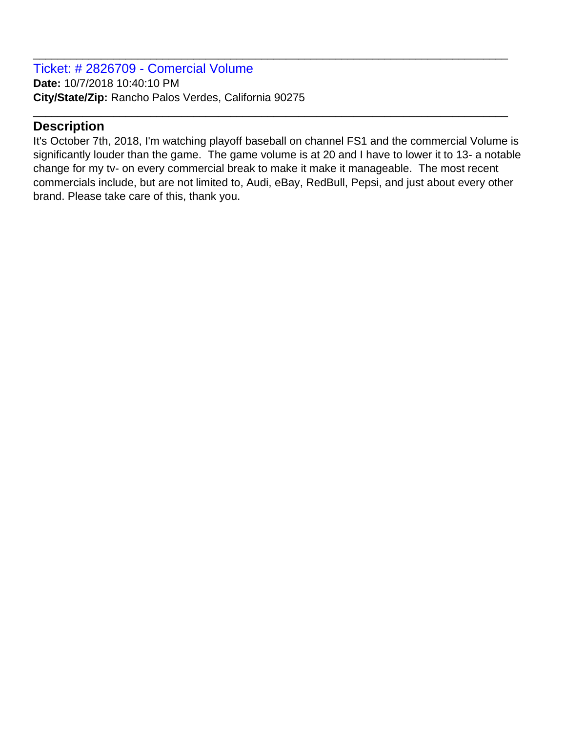Ticket: # 2826709 - Comercial Volume **Date:** 10/7/2018 10:40:10 PM **City/State/Zip:** Rancho Palos Verdes, California 90275

#### **Description**

It's October 7th, 2018, I'm watching playoff baseball on channel FS1 and the commercial Volume is significantly louder than the game. The game volume is at 20 and I have to lower it to 13- a notable change for my tv- on every commercial break to make it make it manageable. The most recent commercials include, but are not limited to, Audi, eBay, RedBull, Pepsi, and just about every other brand. Please take care of this, thank you.

\_\_\_\_\_\_\_\_\_\_\_\_\_\_\_\_\_\_\_\_\_\_\_\_\_\_\_\_\_\_\_\_\_\_\_\_\_\_\_\_\_\_\_\_\_\_\_\_\_\_\_\_\_\_\_\_\_\_\_\_\_\_\_\_\_\_\_\_\_\_\_\_\_\_\_\_\_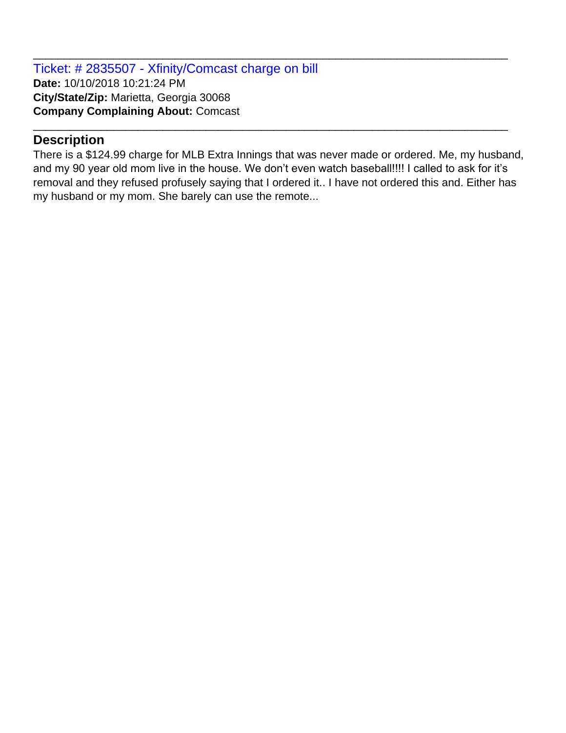Ticket: # 2835507 - Xfinity/Comcast charge on bill **Date:** 10/10/2018 10:21:24 PM **City/State/Zip:** Marietta, Georgia 30068 **Company Complaining About:** Comcast

## **Description**

There is a \$124.99 charge for MLB Extra Innings that was never made or ordered. Me, my husband, and my 90 year old mom live in the house. We don't even watch baseball!!!! I called to ask for it's removal and they refused profusely saying that I ordered it.. I have not ordered this and. Either has my husband or my mom. She barely can use the remote...

\_\_\_\_\_\_\_\_\_\_\_\_\_\_\_\_\_\_\_\_\_\_\_\_\_\_\_\_\_\_\_\_\_\_\_\_\_\_\_\_\_\_\_\_\_\_\_\_\_\_\_\_\_\_\_\_\_\_\_\_\_\_\_\_\_\_\_\_\_\_\_\_\_\_\_\_\_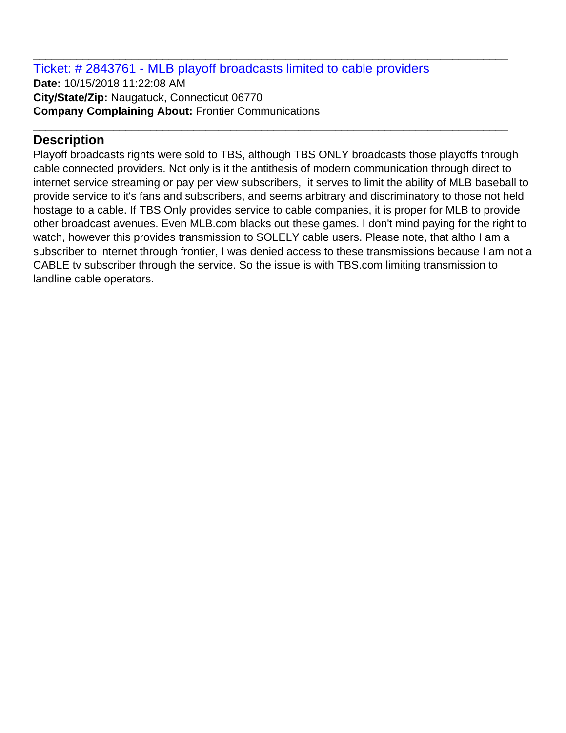Ticket: # 2843761 - MLB playoff broadcasts limited to cable providers **Date:** 10/15/2018 11:22:08 AM **City/State/Zip:** Naugatuck, Connecticut 06770 **Company Complaining About:** Frontier Communications

# **Description**

Playoff broadcasts rights were sold to TBS, although TBS ONLY broadcasts those playoffs through cable connected providers. Not only is it the antithesis of modern communication through direct to internet service streaming or pay per view subscribers, it serves to limit the ability of MLB baseball to provide service to it's fans and subscribers, and seems arbitrary and discriminatory to those not held hostage to a cable. If TBS Only provides service to cable companies, it is proper for MLB to provide other broadcast avenues. Even MLB.com blacks out these games. I don't mind paying for the right to watch, however this provides transmission to SOLELY cable users. Please note, that altho I am a subscriber to internet through frontier, I was denied access to these transmissions because I am not a CABLE tv subscriber through the service. So the issue is with TBS.com limiting transmission to landline cable operators.

\_\_\_\_\_\_\_\_\_\_\_\_\_\_\_\_\_\_\_\_\_\_\_\_\_\_\_\_\_\_\_\_\_\_\_\_\_\_\_\_\_\_\_\_\_\_\_\_\_\_\_\_\_\_\_\_\_\_\_\_\_\_\_\_\_\_\_\_\_\_\_\_\_\_\_\_\_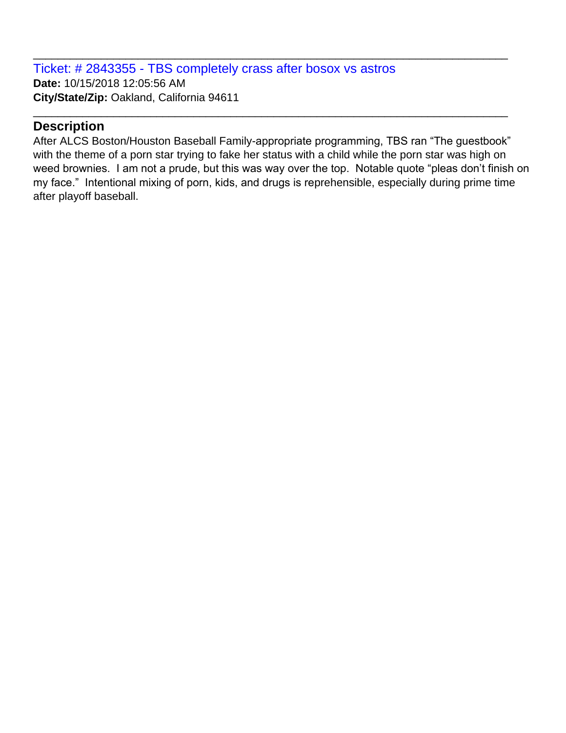Ticket: # 2843355 - TBS completely crass after bosox vs astros **Date:** 10/15/2018 12:05:56 AM **City/State/Zip:** Oakland, California 94611

## **Description**

After ALCS Boston/Houston Baseball Family-appropriate programming, TBS ran "The guestbook" with the theme of a porn star trying to fake her status with a child while the porn star was high on weed brownies. I am not a prude, but this was way over the top. Notable quote "pleas don't finish on my face." Intentional mixing of porn, kids, and drugs is reprehensible, especially during prime time after playoff baseball.

\_\_\_\_\_\_\_\_\_\_\_\_\_\_\_\_\_\_\_\_\_\_\_\_\_\_\_\_\_\_\_\_\_\_\_\_\_\_\_\_\_\_\_\_\_\_\_\_\_\_\_\_\_\_\_\_\_\_\_\_\_\_\_\_\_\_\_\_\_\_\_\_\_\_\_\_\_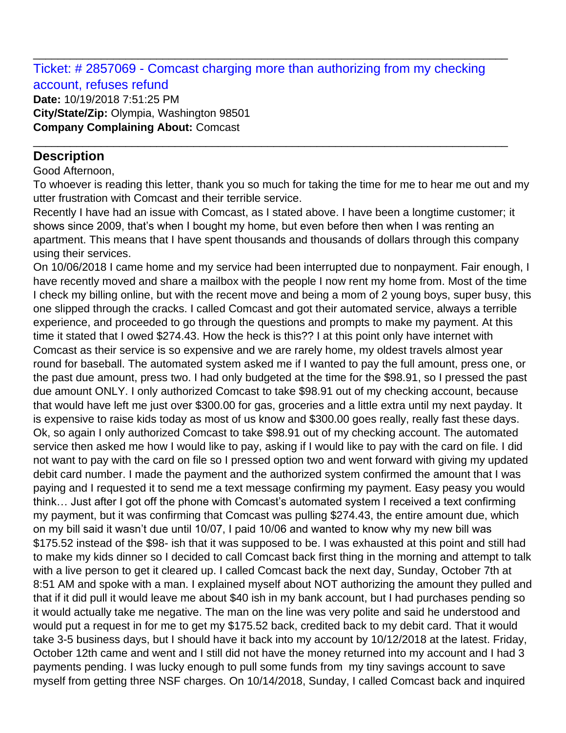## Ticket: # 2857069 - Comcast charging more than authorizing from my checking account, refuses refund

\_\_\_\_\_\_\_\_\_\_\_\_\_\_\_\_\_\_\_\_\_\_\_\_\_\_\_\_\_\_\_\_\_\_\_\_\_\_\_\_\_\_\_\_\_\_\_\_\_\_\_\_\_\_\_\_\_\_\_\_\_\_\_\_\_\_\_\_\_\_\_\_\_\_\_\_\_

\_\_\_\_\_\_\_\_\_\_\_\_\_\_\_\_\_\_\_\_\_\_\_\_\_\_\_\_\_\_\_\_\_\_\_\_\_\_\_\_\_\_\_\_\_\_\_\_\_\_\_\_\_\_\_\_\_\_\_\_\_\_\_\_\_\_\_\_\_\_\_\_\_\_\_\_\_

**Date:** 10/19/2018 7:51:25 PM **City/State/Zip:** Olympia, Washington 98501 **Company Complaining About:** Comcast

## **Description**

Good Afternoon,

To whoever is reading this letter, thank you so much for taking the time for me to hear me out and my utter frustration with Comcast and their terrible service.

Recently I have had an issue with Comcast, as I stated above. I have been a longtime customer; it shows since 2009, that's when I bought my home, but even before then when I was renting an apartment. This means that I have spent thousands and thousands of dollars through this company using their services.

On 10/06/2018 I came home and my service had been interrupted due to nonpayment. Fair enough, I have recently moved and share a mailbox with the people I now rent my home from. Most of the time I check my billing online, but with the recent move and being a mom of 2 young boys, super busy, this one slipped through the cracks. I called Comcast and got their automated service, always a terrible experience, and proceeded to go through the questions and prompts to make my payment. At this time it stated that I owed \$274.43. How the heck is this?? I at this point only have internet with Comcast as their service is so expensive and we are rarely home, my oldest travels almost year round for baseball. The automated system asked me if I wanted to pay the full amount, press one, or the past due amount, press two. I had only budgeted at the time for the \$98.91, so I pressed the past due amount ONLY. I only authorized Comcast to take \$98.91 out of my checking account, because that would have left me just over \$300.00 for gas, groceries and a little extra until my next payday. It is expensive to raise kids today as most of us know and \$300.00 goes really, really fast these days. Ok, so again I only authorized Comcast to take \$98.91 out of my checking account. The automated service then asked me how I would like to pay, asking if I would like to pay with the card on file. I did not want to pay with the card on file so I pressed option two and went forward with giving my updated debit card number. I made the payment and the authorized system confirmed the amount that I was paying and I requested it to send me a text message confirming my payment. Easy peasy you would think… Just after I got off the phone with Comcast's automated system I received a text confirming my payment, but it was confirming that Comcast was pulling \$274.43, the entire amount due, which on my bill said it wasn't due until 10/07, I paid 10/06 and wanted to know why my new bill was \$175.52 instead of the \$98- ish that it was supposed to be. I was exhausted at this point and still had to make my kids dinner so I decided to call Comcast back first thing in the morning and attempt to talk with a live person to get it cleared up. I called Comcast back the next day, Sunday, October 7th at 8:51 AM and spoke with a man. I explained myself about NOT authorizing the amount they pulled and that if it did pull it would leave me about \$40 ish in my bank account, but I had purchases pending so it would actually take me negative. The man on the line was very polite and said he understood and would put a request in for me to get my \$175.52 back, credited back to my debit card. That it would take 3-5 business days, but I should have it back into my account by 10/12/2018 at the latest. Friday, October 12th came and went and I still did not have the money returned into my account and I had 3 payments pending. I was lucky enough to pull some funds from my tiny savings account to save myself from getting three NSF charges. On 10/14/2018, Sunday, I called Comcast back and inquired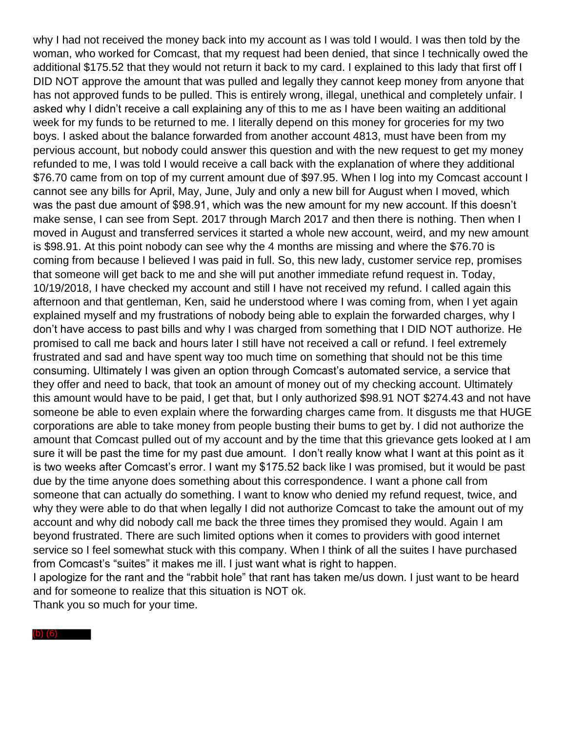why I had not received the money back into my account as I was told I would. I was then told by the woman, who worked for Comcast, that my request had been denied, that since I technically owed the additional \$175.52 that they would not return it back to my card. I explained to this lady that first off I DID NOT approve the amount that was pulled and legally they cannot keep money from anyone that has not approved funds to be pulled. This is entirely wrong, illegal, unethical and completely unfair. I asked why I didn't receive a call explaining any of this to me as I have been waiting an additional week for my funds to be returned to me. I literally depend on this money for groceries for my two boys. I asked about the balance forwarded from another account 4813, must have been from my pervious account, but nobody could answer this question and with the new request to get my money refunded to me, I was told I would receive a call back with the explanation of where they additional \$76.70 came from on top of my current amount due of \$97.95. When I log into my Comcast account I cannot see any bills for April, May, June, July and only a new bill for August when I moved, which was the past due amount of \$98.91, which was the new amount for my new account. If this doesn't make sense, I can see from Sept. 2017 through March 2017 and then there is nothing. Then when I moved in August and transferred services it started a whole new account, weird, and my new amount is \$98.91. At this point nobody can see why the 4 months are missing and where the \$76.70 is coming from because I believed I was paid in full. So, this new lady, customer service rep, promises that someone will get back to me and she will put another immediate refund request in. Today, 10/19/2018, I have checked my account and still I have not received my refund. I called again this afternoon and that gentleman, Ken, said he understood where I was coming from, when I yet again explained myself and my frustrations of nobody being able to explain the forwarded charges, why I don't have access to past bills and why I was charged from something that I DID NOT authorize. He promised to call me back and hours later I still have not received a call or refund. I feel extremely frustrated and sad and have spent way too much time on something that should not be this time consuming. Ultimately I was given an option through Comcast's automated service, a service that they offer and need to back, that took an amount of money out of my checking account. Ultimately this amount would have to be paid, I get that, but I only authorized \$98.91 NOT \$274.43 and not have someone be able to even explain where the forwarding charges came from. It disgusts me that HUGE corporations are able to take money from people busting their bums to get by. I did not authorize the amount that Comcast pulled out of my account and by the time that this grievance gets looked at I am sure it will be past the time for my past due amount. I don't really know what I want at this point as it is two weeks after Comcast's error. I want my \$175.52 back like I was promised, but it would be past due by the time anyone does something about this correspondence. I want a phone call from someone that can actually do something. I want to know who denied my refund request, twice, and why they were able to do that when legally I did not authorize Comcast to take the amount out of my account and why did nobody call me back the three times they promised they would. Again I am beyond frustrated. There are such limited options when it comes to providers with good internet service so I feel somewhat stuck with this company. When I think of all the suites I have purchased from Comcast's "suites" it makes me ill. I just want what is right to happen. I apologize for the rant and the "rabbit hole" that rant has taken me/us down. I just want to be heard and for someone to realize that this situation is NOT ok.

Thank you so much for your time.

#### (b) (6)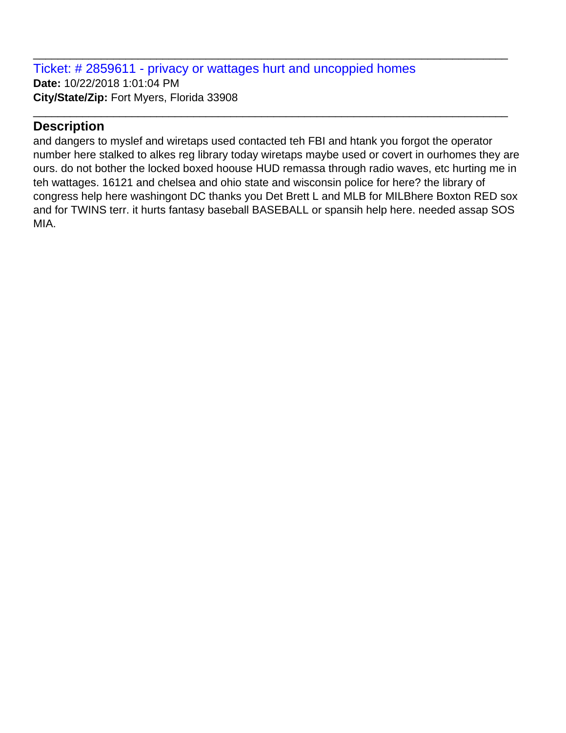Ticket: # 2859611 - privacy or wattages hurt and uncoppied homes **Date:** 10/22/2018 1:01:04 PM **City/State/Zip:** Fort Myers, Florida 33908

## **Description**

and dangers to myslef and wiretaps used contacted teh FBI and htank you forgot the operator number here stalked to alkes reg library today wiretaps maybe used or covert in ourhomes they are ours. do not bother the locked boxed hoouse HUD remassa through radio waves, etc hurting me in teh wattages. 16121 and chelsea and ohio state and wisconsin police for here? the library of congress help here washingont DC thanks you Det Brett L and MLB for MILBhere Boxton RED sox and for TWINS terr. it hurts fantasy baseball BASEBALL or spansih help here. needed assap SOS MIA.

\_\_\_\_\_\_\_\_\_\_\_\_\_\_\_\_\_\_\_\_\_\_\_\_\_\_\_\_\_\_\_\_\_\_\_\_\_\_\_\_\_\_\_\_\_\_\_\_\_\_\_\_\_\_\_\_\_\_\_\_\_\_\_\_\_\_\_\_\_\_\_\_\_\_\_\_\_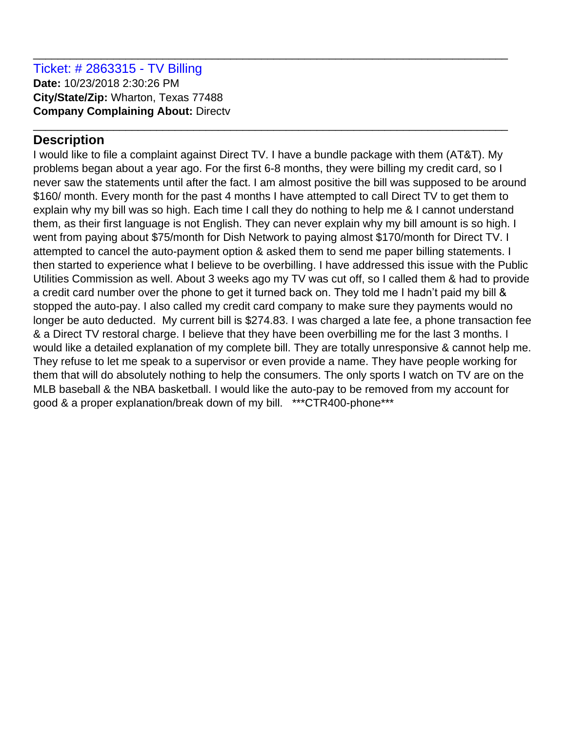#### Ticket: # 2863315 - TV Billing **Date:** 10/23/2018 2:30:26 PM **City/State/Zip:** Wharton, Texas 77488 **Company Complaining About:** Directv

# **Description**

I would like to file a complaint against Direct TV. I have a bundle package with them (AT&T). My problems began about a year ago. For the first 6-8 months, they were billing my credit card, so I never saw the statements until after the fact. I am almost positive the bill was supposed to be around \$160/ month. Every month for the past 4 months I have attempted to call Direct TV to get them to explain why my bill was so high. Each time I call they do nothing to help me & I cannot understand them, as their first language is not English. They can never explain why my bill amount is so high. I went from paying about \$75/month for Dish Network to paying almost \$170/month for Direct TV. I attempted to cancel the auto-payment option & asked them to send me paper billing statements. I then started to experience what I believe to be overbilling. I have addressed this issue with the Public Utilities Commission as well. About 3 weeks ago my TV was cut off, so I called them & had to provide a credit card number over the phone to get it turned back on. They told me I hadn't paid my bill & stopped the auto-pay. I also called my credit card company to make sure they payments would no longer be auto deducted. My current bill is \$274.83. I was charged a late fee, a phone transaction fee & a Direct TV restoral charge. I believe that they have been overbilling me for the last 3 months. I would like a detailed explanation of my complete bill. They are totally unresponsive & cannot help me. They refuse to let me speak to a supervisor or even provide a name. They have people working for them that will do absolutely nothing to help the consumers. The only sports I watch on TV are on the MLB baseball & the NBA basketball. I would like the auto-pay to be removed from my account for good & a proper explanation/break down of my bill. \*\*\*CTR400-phone\*\*\*

\_\_\_\_\_\_\_\_\_\_\_\_\_\_\_\_\_\_\_\_\_\_\_\_\_\_\_\_\_\_\_\_\_\_\_\_\_\_\_\_\_\_\_\_\_\_\_\_\_\_\_\_\_\_\_\_\_\_\_\_\_\_\_\_\_\_\_\_\_\_\_\_\_\_\_\_\_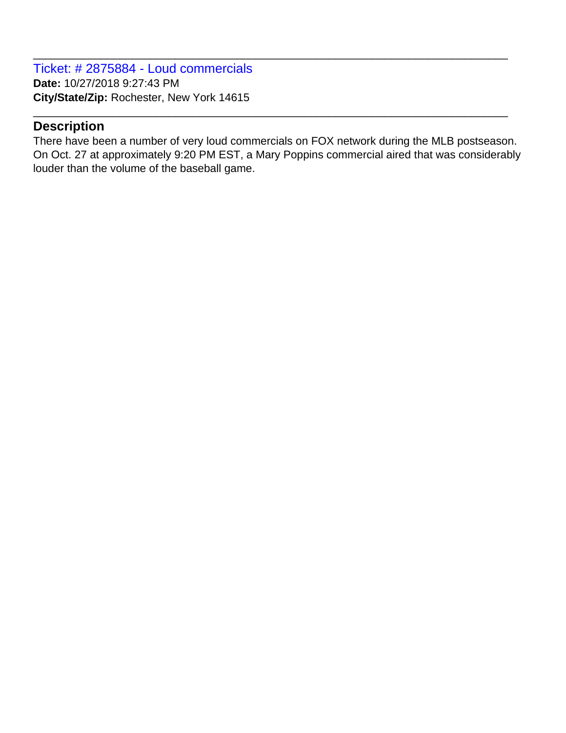Ticket: # 2875884 - Loud commercials **Date:** 10/27/2018 9:27:43 PM **City/State/Zip:** Rochester, New York 14615

#### **Description**

There have been a number of very loud commercials on FOX network during the MLB postseason. On Oct. 27 at approximately 9:20 PM EST, a Mary Poppins commercial aired that was considerably louder than the volume of the baseball game.

\_\_\_\_\_\_\_\_\_\_\_\_\_\_\_\_\_\_\_\_\_\_\_\_\_\_\_\_\_\_\_\_\_\_\_\_\_\_\_\_\_\_\_\_\_\_\_\_\_\_\_\_\_\_\_\_\_\_\_\_\_\_\_\_\_\_\_\_\_\_\_\_\_\_\_\_\_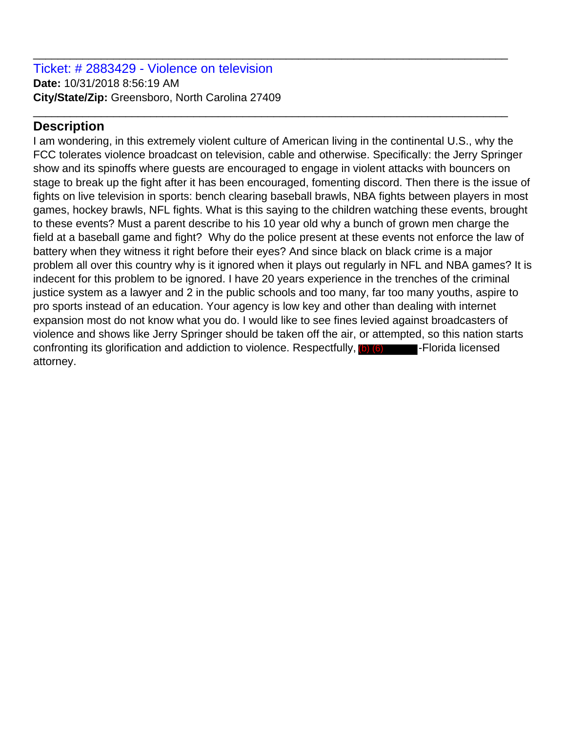#### Ticket: # 2883429 - Violence on television **Date:** 10/31/2018 8:56:19 AM **City/State/Zip:** Greensboro, North Carolina 27409

## **Description**

I am wondering, in this extremely violent culture of American living in the continental U.S., why the FCC tolerates violence broadcast on television, cable and otherwise. Specifically: the Jerry Springer show and its spinoffs where guests are encouraged to engage in violent attacks with bouncers on stage to break up the fight after it has been encouraged, fomenting discord. Then there is the issue of fights on live television in sports: bench clearing baseball brawls, NBA fights between players in most games, hockey brawls, NFL fights. What is this saying to the children watching these events, brought to these events? Must a parent describe to his 10 year old why a bunch of grown men charge the field at a baseball game and fight? Why do the police present at these events not enforce the law of battery when they witness it right before their eyes? And since black on black crime is a major problem all over this country why is it ignored when it plays out regularly in NFL and NBA games? It is indecent for this problem to be ignored. I have 20 years experience in the trenches of the criminal justice system as a lawyer and 2 in the public schools and too many, far too many youths, aspire to pro sports instead of an education. Your agency is low key and other than dealing with internet expansion most do not know what you do. I would like to see fines levied against broadcasters of violence and shows like Jerry Springer should be taken off the air, or attempted, so this nation starts confronting its glorification and addiction to violence. Respectfully, (b) (6) **Fig. 1**-Florida licensed attorney.

\_\_\_\_\_\_\_\_\_\_\_\_\_\_\_\_\_\_\_\_\_\_\_\_\_\_\_\_\_\_\_\_\_\_\_\_\_\_\_\_\_\_\_\_\_\_\_\_\_\_\_\_\_\_\_\_\_\_\_\_\_\_\_\_\_\_\_\_\_\_\_\_\_\_\_\_\_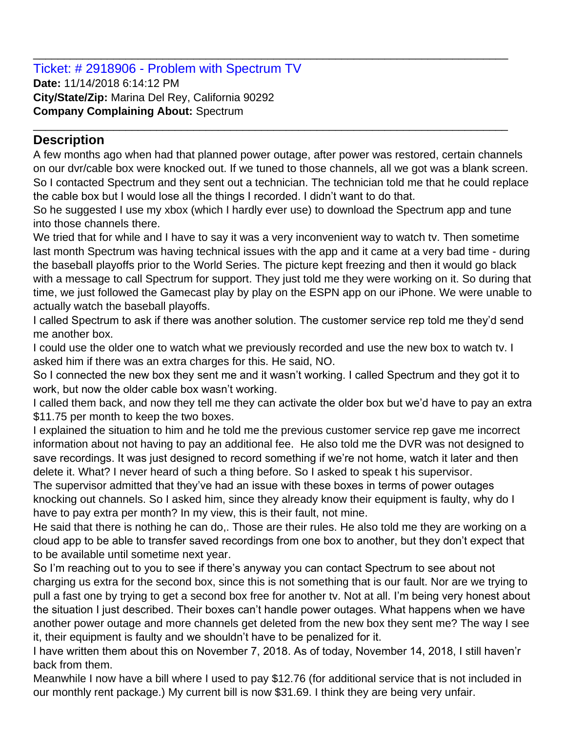Ticket: # 2918906 - Problem with Spectrum TV **Date:** 11/14/2018 6:14:12 PM **City/State/Zip:** Marina Del Rey, California 90292 **Company Complaining About:** Spectrum

# **Description**

A few months ago when had that planned power outage, after power was restored, certain channels on our dvr/cable box were knocked out. If we tuned to those channels, all we got was a blank screen. So I contacted Spectrum and they sent out a technician. The technician told me that he could replace the cable box but I would lose all the things I recorded. I didn't want to do that.

So he suggested I use my xbox (which I hardly ever use) to download the Spectrum app and tune into those channels there.

\_\_\_\_\_\_\_\_\_\_\_\_\_\_\_\_\_\_\_\_\_\_\_\_\_\_\_\_\_\_\_\_\_\_\_\_\_\_\_\_\_\_\_\_\_\_\_\_\_\_\_\_\_\_\_\_\_\_\_\_\_\_\_\_\_\_\_\_\_\_\_\_\_\_\_\_\_

\_\_\_\_\_\_\_\_\_\_\_\_\_\_\_\_\_\_\_\_\_\_\_\_\_\_\_\_\_\_\_\_\_\_\_\_\_\_\_\_\_\_\_\_\_\_\_\_\_\_\_\_\_\_\_\_\_\_\_\_\_\_\_\_\_\_\_\_\_\_\_\_\_\_\_\_\_

We tried that for while and I have to say it was a very inconvenient way to watch tv. Then sometime last month Spectrum was having technical issues with the app and it came at a very bad time - during the baseball playoffs prior to the World Series. The picture kept freezing and then it would go black with a message to call Spectrum for support. They just told me they were working on it. So during that time, we just followed the Gamecast play by play on the ESPN app on our iPhone. We were unable to actually watch the baseball playoffs.

I called Spectrum to ask if there was another solution. The customer service rep told me they'd send me another box.

I could use the older one to watch what we previously recorded and use the new box to watch tv. I asked him if there was an extra charges for this. He said, NO.

So I connected the new box they sent me and it wasn't working. I called Spectrum and they got it to work, but now the older cable box wasn't working.

I called them back, and now they tell me they can activate the older box but we'd have to pay an extra \$11.75 per month to keep the two boxes.

I explained the situation to him and he told me the previous customer service rep gave me incorrect information about not having to pay an additional fee. He also told me the DVR was not designed to save recordings. It was just designed to record something if we're not home, watch it later and then delete it. What? I never heard of such a thing before. So I asked to speak t his supervisor.

The supervisor admitted that they've had an issue with these boxes in terms of power outages knocking out channels. So I asked him, since they already know their equipment is faulty, why do I have to pay extra per month? In my view, this is their fault, not mine.

He said that there is nothing he can do,. Those are their rules. He also told me they are working on a cloud app to be able to transfer saved recordings from one box to another, but they don't expect that to be available until sometime next year.

So I'm reaching out to you to see if there's anyway you can contact Spectrum to see about not charging us extra for the second box, since this is not something that is our fault. Nor are we trying to pull a fast one by trying to get a second box free for another tv. Not at all. I'm being very honest about the situation I just described. Their boxes can't handle power outages. What happens when we have another power outage and more channels get deleted from the new box they sent me? The way I see it, their equipment is faulty and we shouldn't have to be penalized for it.

I have written them about this on November 7, 2018. As of today, November 14, 2018, I still haven'r back from them.

Meanwhile I now have a bill where I used to pay \$12.76 (for additional service that is not included in our monthly rent package.) My current bill is now \$31.69. I think they are being very unfair.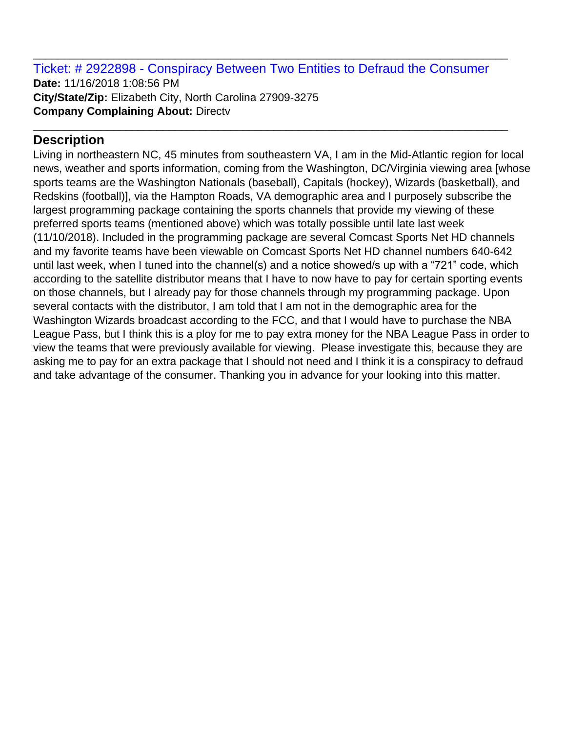Ticket: # 2922898 - Conspiracy Between Two Entities to Defraud the Consumer **Date:** 11/16/2018 1:08:56 PM **City/State/Zip:** Elizabeth City, North Carolina 27909-3275 **Company Complaining About:** Directv

\_\_\_\_\_\_\_\_\_\_\_\_\_\_\_\_\_\_\_\_\_\_\_\_\_\_\_\_\_\_\_\_\_\_\_\_\_\_\_\_\_\_\_\_\_\_\_\_\_\_\_\_\_\_\_\_\_\_\_\_\_\_\_\_\_\_\_\_\_\_\_\_\_\_\_\_\_

\_\_\_\_\_\_\_\_\_\_\_\_\_\_\_\_\_\_\_\_\_\_\_\_\_\_\_\_\_\_\_\_\_\_\_\_\_\_\_\_\_\_\_\_\_\_\_\_\_\_\_\_\_\_\_\_\_\_\_\_\_\_\_\_\_\_\_\_\_\_\_\_\_\_\_\_\_

# **Description**

Living in northeastern NC, 45 minutes from southeastern VA, I am in the Mid-Atlantic region for local news, weather and sports information, coming from the Washington, DC/Virginia viewing area [whose sports teams are the Washington Nationals (baseball), Capitals (hockey), Wizards (basketball), and Redskins (football)], via the Hampton Roads, VA demographic area and I purposely subscribe the largest programming package containing the sports channels that provide my viewing of these preferred sports teams (mentioned above) which was totally possible until late last week (11/10/2018). Included in the programming package are several Comcast Sports Net HD channels and my favorite teams have been viewable on Comcast Sports Net HD channel numbers 640-642 until last week, when I tuned into the channel(s) and a notice showed/s up with a "721" code, which according to the satellite distributor means that I have to now have to pay for certain sporting events on those channels, but I already pay for those channels through my programming package. Upon several contacts with the distributor, I am told that I am not in the demographic area for the Washington Wizards broadcast according to the FCC, and that I would have to purchase the NBA League Pass, but I think this is a ploy for me to pay extra money for the NBA League Pass in order to view the teams that were previously available for viewing. Please investigate this, because they are asking me to pay for an extra package that I should not need and I think it is a conspiracy to defraud and take advantage of the consumer. Thanking you in advance for your looking into this matter.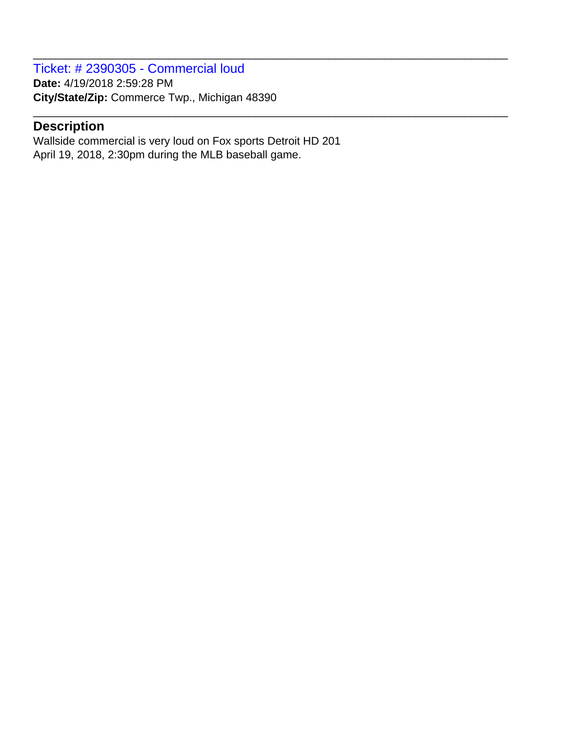Ticket: # 2390305 - Commercial loud **Date:** 4/19/2018 2:59:28 PM **City/State/Zip:** Commerce Twp., Michigan 48390

#### **Description**

Wallside commercial is very loud on Fox sports Detroit HD 201 April 19, 2018, 2:30pm during the MLB baseball game.

\_\_\_\_\_\_\_\_\_\_\_\_\_\_\_\_\_\_\_\_\_\_\_\_\_\_\_\_\_\_\_\_\_\_\_\_\_\_\_\_\_\_\_\_\_\_\_\_\_\_\_\_\_\_\_\_\_\_\_\_\_\_\_\_\_\_\_\_\_\_\_\_\_\_\_\_\_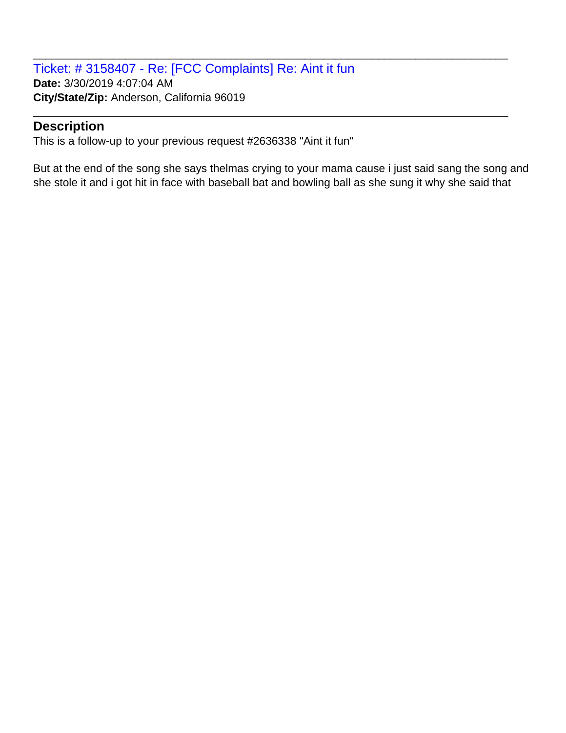Ticket: # 3158407 - Re: [FCC Complaints] Re: Aint it fun **Date:** 3/30/2019 4:07:04 AM **City/State/Zip:** Anderson, California 96019

#### **Description**

This is a follow-up to your previous request #2636338 "Aint it fun"

But at the end of the song she says thelmas crying to your mama cause i just said sang the song and she stole it and i got hit in face with baseball bat and bowling ball as she sung it why she said that

\_\_\_\_\_\_\_\_\_\_\_\_\_\_\_\_\_\_\_\_\_\_\_\_\_\_\_\_\_\_\_\_\_\_\_\_\_\_\_\_\_\_\_\_\_\_\_\_\_\_\_\_\_\_\_\_\_\_\_\_\_\_\_\_\_\_\_\_\_\_\_\_\_\_\_\_\_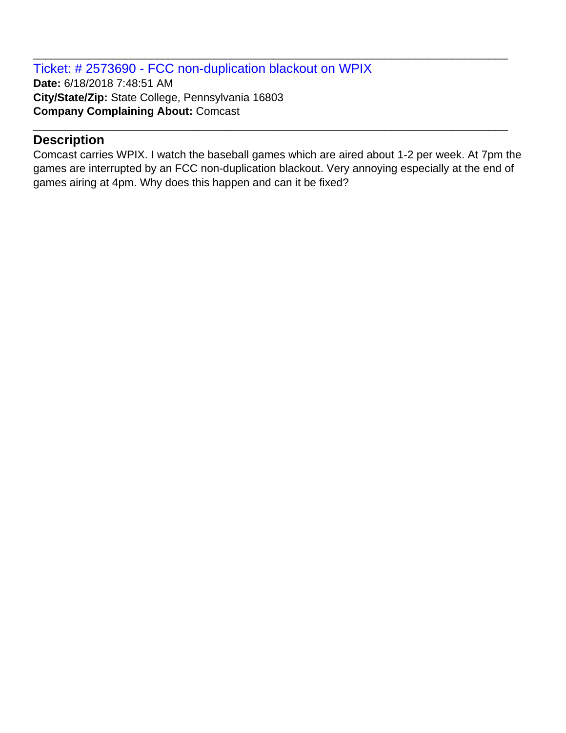Ticket: # 2573690 - FCC non-duplication blackout on WPIX **Date:** 6/18/2018 7:48:51 AM **City/State/Zip:** State College, Pennsylvania 16803 **Company Complaining About:** Comcast

## **Description**

Comcast carries WPIX. I watch the baseball games which are aired about 1-2 per week. At 7pm the games are interrupted by an FCC non-duplication blackout. Very annoying especially at the end of games airing at 4pm. Why does this happen and can it be fixed?

\_\_\_\_\_\_\_\_\_\_\_\_\_\_\_\_\_\_\_\_\_\_\_\_\_\_\_\_\_\_\_\_\_\_\_\_\_\_\_\_\_\_\_\_\_\_\_\_\_\_\_\_\_\_\_\_\_\_\_\_\_\_\_\_\_\_\_\_\_\_\_\_\_\_\_\_\_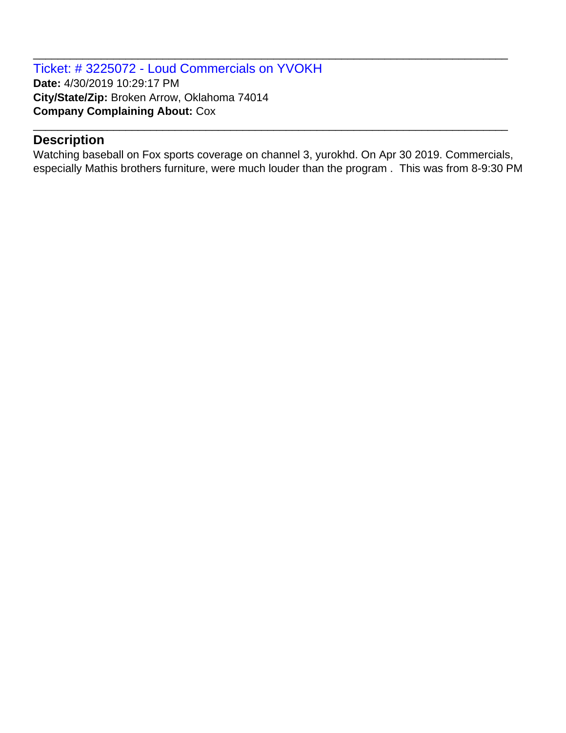Ticket: # 3225072 - Loud Commercials on YVOKH **Date:** 4/30/2019 10:29:17 PM **City/State/Zip:** Broken Arrow, Oklahoma 74014 **Company Complaining About:** Cox

## **Description**

Watching baseball on Fox sports coverage on channel 3, yurokhd. On Apr 30 2019. Commercials, especially Mathis brothers furniture, were much louder than the program . This was from 8-9:30 PM

\_\_\_\_\_\_\_\_\_\_\_\_\_\_\_\_\_\_\_\_\_\_\_\_\_\_\_\_\_\_\_\_\_\_\_\_\_\_\_\_\_\_\_\_\_\_\_\_\_\_\_\_\_\_\_\_\_\_\_\_\_\_\_\_\_\_\_\_\_\_\_\_\_\_\_\_\_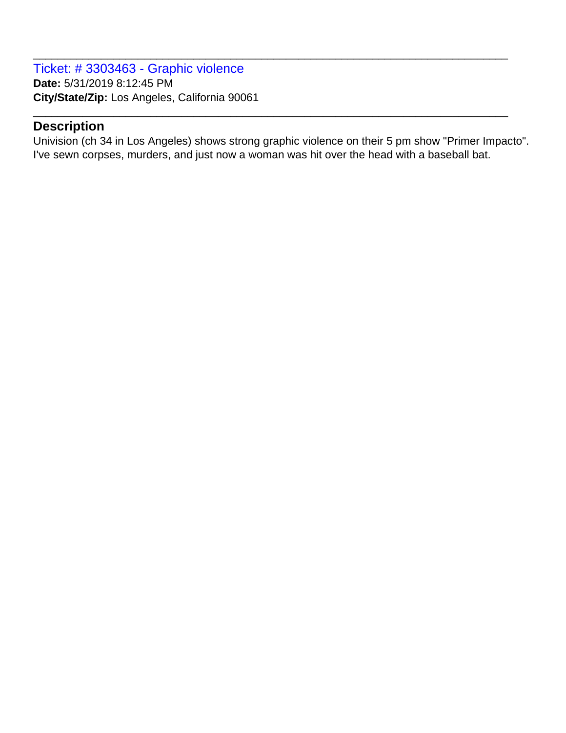Ticket: # 3303463 - Graphic violence **Date:** 5/31/2019 8:12:45 PM **City/State/Zip:** Los Angeles, California 90061

#### **Description**

Univision (ch 34 in Los Angeles) shows strong graphic violence on their 5 pm show "Primer Impacto". I've sewn corpses, murders, and just now a woman was hit over the head with a baseball bat.

\_\_\_\_\_\_\_\_\_\_\_\_\_\_\_\_\_\_\_\_\_\_\_\_\_\_\_\_\_\_\_\_\_\_\_\_\_\_\_\_\_\_\_\_\_\_\_\_\_\_\_\_\_\_\_\_\_\_\_\_\_\_\_\_\_\_\_\_\_\_\_\_\_\_\_\_\_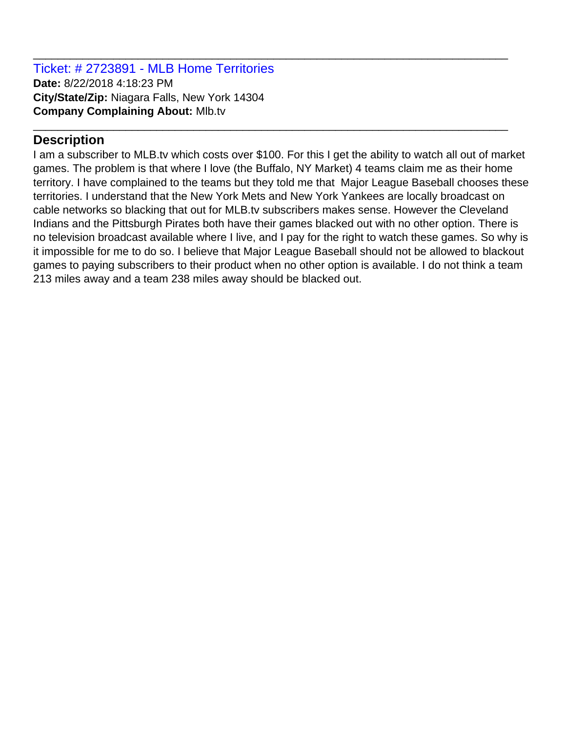Ticket: # 2723891 - MLB Home Territories **Date:** 8/22/2018 4:18:23 PM **City/State/Zip:** Niagara Falls, New York 14304 **Company Complaining About:** Mlb.tv

# **Description**

I am a subscriber to MLB.tv which costs over \$100. For this I get the ability to watch all out of market games. The problem is that where I love (the Buffalo, NY Market) 4 teams claim me as their home territory. I have complained to the teams but they told me that Major League Baseball chooses these territories. I understand that the New York Mets and New York Yankees are locally broadcast on cable networks so blacking that out for MLB.tv subscribers makes sense. However the Cleveland Indians and the Pittsburgh Pirates both have their games blacked out with no other option. There is no television broadcast available where I live, and I pay for the right to watch these games. So why is it impossible for me to do so. I believe that Major League Baseball should not be allowed to blackout games to paying subscribers to their product when no other option is available. I do not think a team 213 miles away and a team 238 miles away should be blacked out.

\_\_\_\_\_\_\_\_\_\_\_\_\_\_\_\_\_\_\_\_\_\_\_\_\_\_\_\_\_\_\_\_\_\_\_\_\_\_\_\_\_\_\_\_\_\_\_\_\_\_\_\_\_\_\_\_\_\_\_\_\_\_\_\_\_\_\_\_\_\_\_\_\_\_\_\_\_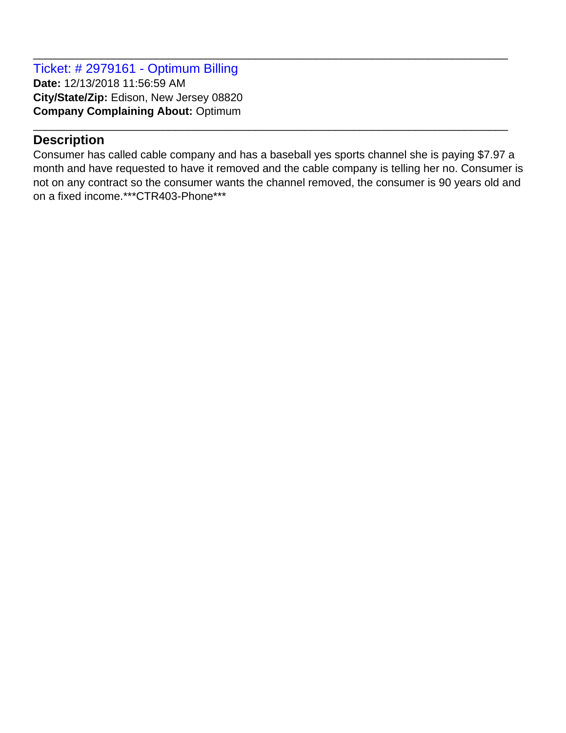Ticket: # 2979161 - Optimum Billing **Date:** 12/13/2018 11:56:59 AM **City/State/Zip:** Edison, New Jersey 08820 **Company Complaining About:** Optimum

# **Description**

Consumer has called cable company and has a baseball yes sports channel she is paying \$7.97 a month and have requested to have it removed and the cable company is telling her no. Consumer is not on any contract so the consumer wants the channel removed, the consumer is 90 years old and on a fixed income.\*\*\*CTR403-Phone\*\*\*

\_\_\_\_\_\_\_\_\_\_\_\_\_\_\_\_\_\_\_\_\_\_\_\_\_\_\_\_\_\_\_\_\_\_\_\_\_\_\_\_\_\_\_\_\_\_\_\_\_\_\_\_\_\_\_\_\_\_\_\_\_\_\_\_\_\_\_\_\_\_\_\_\_\_\_\_\_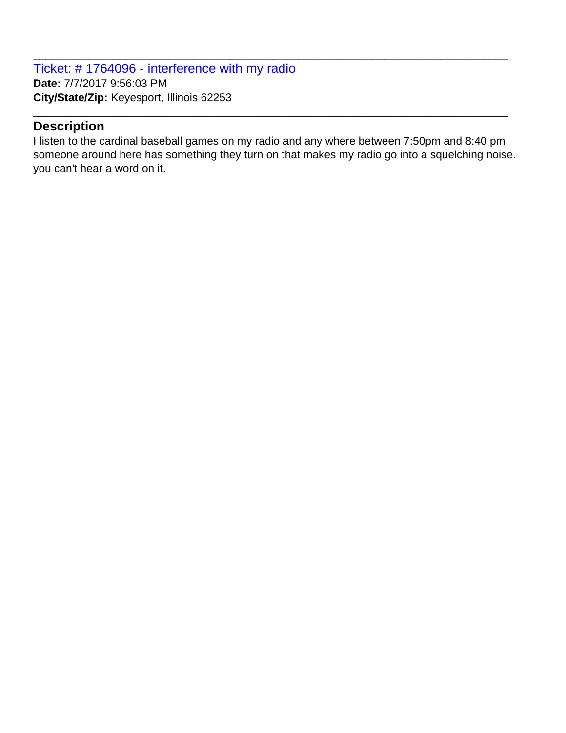Ticket: # 1764096 - interference with my radio **Date:** 7/7/2017 9:56:03 PM **City/State/Zip:** Keyesport, Illinois 62253

#### **Description**

I listen to the cardinal baseball games on my radio and any where between 7:50pm and 8:40 pm someone around here has something they turn on that makes my radio go into a squelching noise. you can't hear a word on it.

\_\_\_\_\_\_\_\_\_\_\_\_\_\_\_\_\_\_\_\_\_\_\_\_\_\_\_\_\_\_\_\_\_\_\_\_\_\_\_\_\_\_\_\_\_\_\_\_\_\_\_\_\_\_\_\_\_\_\_\_\_\_\_\_\_\_\_\_\_\_\_\_\_\_\_\_\_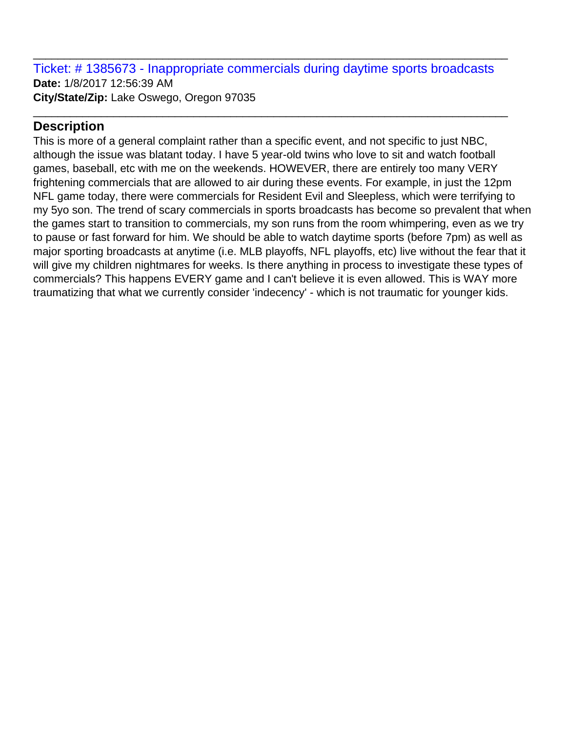Ticket: # 1385673 - Inappropriate commercials during daytime sports broadcasts **Date:** 1/8/2017 12:56:39 AM **City/State/Zip:** Lake Oswego, Oregon 97035

\_\_\_\_\_\_\_\_\_\_\_\_\_\_\_\_\_\_\_\_\_\_\_\_\_\_\_\_\_\_\_\_\_\_\_\_\_\_\_\_\_\_\_\_\_\_\_\_\_\_\_\_\_\_\_\_\_\_\_\_\_\_\_\_\_\_\_\_\_\_\_\_\_\_\_\_\_

\_\_\_\_\_\_\_\_\_\_\_\_\_\_\_\_\_\_\_\_\_\_\_\_\_\_\_\_\_\_\_\_\_\_\_\_\_\_\_\_\_\_\_\_\_\_\_\_\_\_\_\_\_\_\_\_\_\_\_\_\_\_\_\_\_\_\_\_\_\_\_\_\_\_\_\_\_

# **Description**

This is more of a general complaint rather than a specific event, and not specific to just NBC, although the issue was blatant today. I have 5 year-old twins who love to sit and watch football games, baseball, etc with me on the weekends. HOWEVER, there are entirely too many VERY frightening commercials that are allowed to air during these events. For example, in just the 12pm NFL game today, there were commercials for Resident Evil and Sleepless, which were terrifying to my 5yo son. The trend of scary commercials in sports broadcasts has become so prevalent that when the games start to transition to commercials, my son runs from the room whimpering, even as we try to pause or fast forward for him. We should be able to watch daytime sports (before 7pm) as well as major sporting broadcasts at anytime (i.e. MLB playoffs, NFL playoffs, etc) live without the fear that it will give my children nightmares for weeks. Is there anything in process to investigate these types of commercials? This happens EVERY game and I can't believe it is even allowed. This is WAY more traumatizing that what we currently consider 'indecency' - which is not traumatic for younger kids.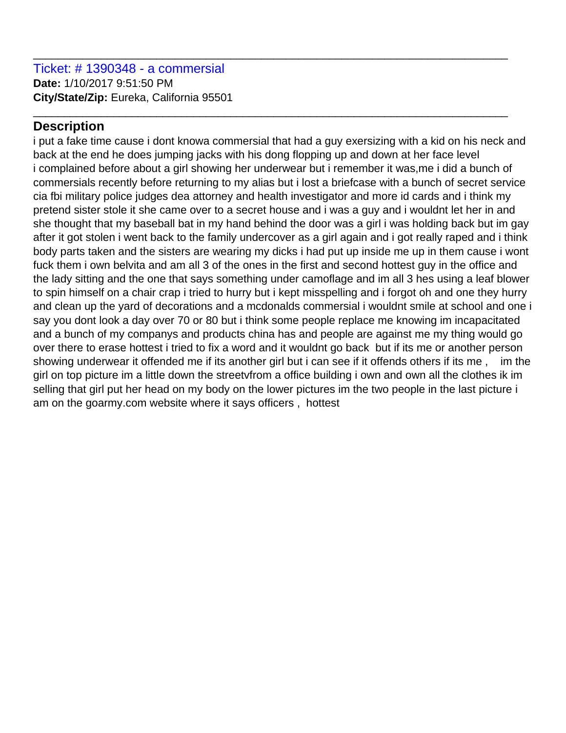# **Description**

i put a fake time cause i dont knowa commersial that had a guy exersizing with a kid on his neck and back at the end he does jumping jacks with his dong flopping up and down at her face level i complained before about a girl showing her underwear but i remember it was,me i did a bunch of commersials recently before returning to my alias but i lost a briefcase with a bunch of secret service cia fbi military police judges dea attorney and health investigator and more id cards and i think my pretend sister stole it she came over to a secret house and i was a guy and i wouldnt let her in and she thought that my baseball bat in my hand behind the door was a girl i was holding back but im gay after it got stolen i went back to the family undercover as a girl again and i got really raped and i think body parts taken and the sisters are wearing my dicks i had put up inside me up in them cause i wont fuck them i own belvita and am all 3 of the ones in the first and second hottest guy in the office and the lady sitting and the one that says something under camoflage and im all 3 hes using a leaf blower to spin himself on a chair crap i tried to hurry but i kept misspelling and i forgot oh and one they hurry and clean up the yard of decorations and a mcdonalds commersial i wouldnt smile at school and one i say you dont look a day over 70 or 80 but i think some people replace me knowing im incapacitated and a bunch of my companys and products china has and people are against me my thing would go over there to erase hottest i tried to fix a word and it wouldnt go back but if its me or another person showing underwear it offended me if its another girl but i can see if it offends others if its me , im the girl on top picture im a little down the streetvfrom a office building i own and own all the clothes ik im selling that girl put her head on my body on the lower pictures im the two people in the last picture i am on the goarmy.com website where it says officers , hottest

\_\_\_\_\_\_\_\_\_\_\_\_\_\_\_\_\_\_\_\_\_\_\_\_\_\_\_\_\_\_\_\_\_\_\_\_\_\_\_\_\_\_\_\_\_\_\_\_\_\_\_\_\_\_\_\_\_\_\_\_\_\_\_\_\_\_\_\_\_\_\_\_\_\_\_\_\_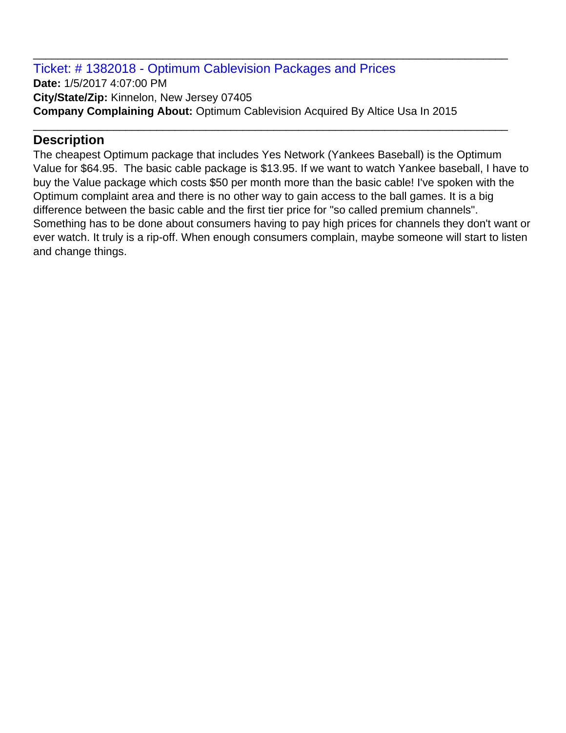Ticket: # 1382018 - Optimum Cablevision Packages and Prices **Date:** 1/5/2017 4:07:00 PM **City/State/Zip:** Kinnelon, New Jersey 07405 **Company Complaining About:** Optimum Cablevision Acquired By Altice Usa In 2015

\_\_\_\_\_\_\_\_\_\_\_\_\_\_\_\_\_\_\_\_\_\_\_\_\_\_\_\_\_\_\_\_\_\_\_\_\_\_\_\_\_\_\_\_\_\_\_\_\_\_\_\_\_\_\_\_\_\_\_\_\_\_\_\_\_\_\_\_\_\_\_\_\_\_\_\_\_

\_\_\_\_\_\_\_\_\_\_\_\_\_\_\_\_\_\_\_\_\_\_\_\_\_\_\_\_\_\_\_\_\_\_\_\_\_\_\_\_\_\_\_\_\_\_\_\_\_\_\_\_\_\_\_\_\_\_\_\_\_\_\_\_\_\_\_\_\_\_\_\_\_\_\_\_\_

# **Description**

The cheapest Optimum package that includes Yes Network (Yankees Baseball) is the Optimum Value for \$64.95. The basic cable package is \$13.95. If we want to watch Yankee baseball, I have to buy the Value package which costs \$50 per month more than the basic cable! I've spoken with the Optimum complaint area and there is no other way to gain access to the ball games. It is a big difference between the basic cable and the first tier price for "so called premium channels". Something has to be done about consumers having to pay high prices for channels they don't want or ever watch. It truly is a rip-off. When enough consumers complain, maybe someone will start to listen and change things.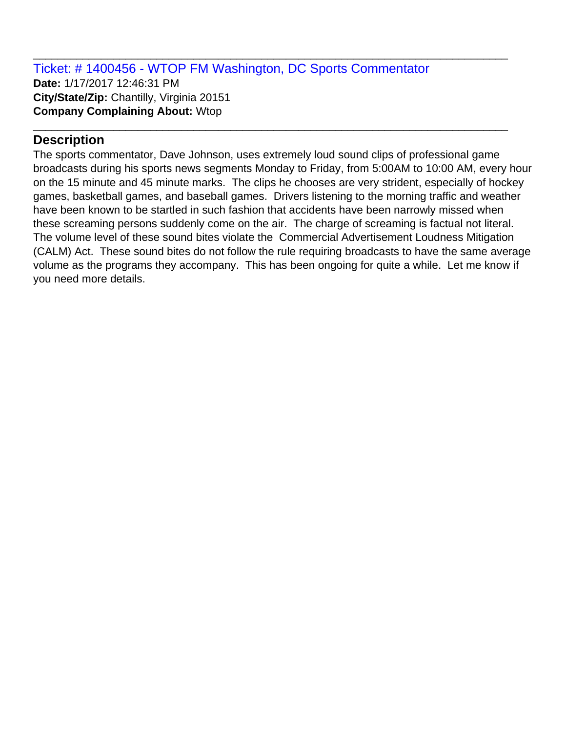Ticket: # 1400456 - WTOP FM Washington, DC Sports Commentator **Date:** 1/17/2017 12:46:31 PM **City/State/Zip:** Chantilly, Virginia 20151 **Company Complaining About:** Wtop

\_\_\_\_\_\_\_\_\_\_\_\_\_\_\_\_\_\_\_\_\_\_\_\_\_\_\_\_\_\_\_\_\_\_\_\_\_\_\_\_\_\_\_\_\_\_\_\_\_\_\_\_\_\_\_\_\_\_\_\_\_\_\_\_\_\_\_\_\_\_\_\_\_\_\_\_\_

\_\_\_\_\_\_\_\_\_\_\_\_\_\_\_\_\_\_\_\_\_\_\_\_\_\_\_\_\_\_\_\_\_\_\_\_\_\_\_\_\_\_\_\_\_\_\_\_\_\_\_\_\_\_\_\_\_\_\_\_\_\_\_\_\_\_\_\_\_\_\_\_\_\_\_\_\_

# **Description**

The sports commentator, Dave Johnson, uses extremely loud sound clips of professional game broadcasts during his sports news segments Monday to Friday, from 5:00AM to 10:00 AM, every hour on the 15 minute and 45 minute marks. The clips he chooses are very strident, especially of hockey games, basketball games, and baseball games. Drivers listening to the morning traffic and weather have been known to be startled in such fashion that accidents have been narrowly missed when these screaming persons suddenly come on the air. The charge of screaming is factual not literal. The volume level of these sound bites violate the Commercial Advertisement Loudness Mitigation (CALM) Act. These sound bites do not follow the rule requiring broadcasts to have the same average volume as the programs they accompany. This has been ongoing for quite a while. Let me know if you need more details.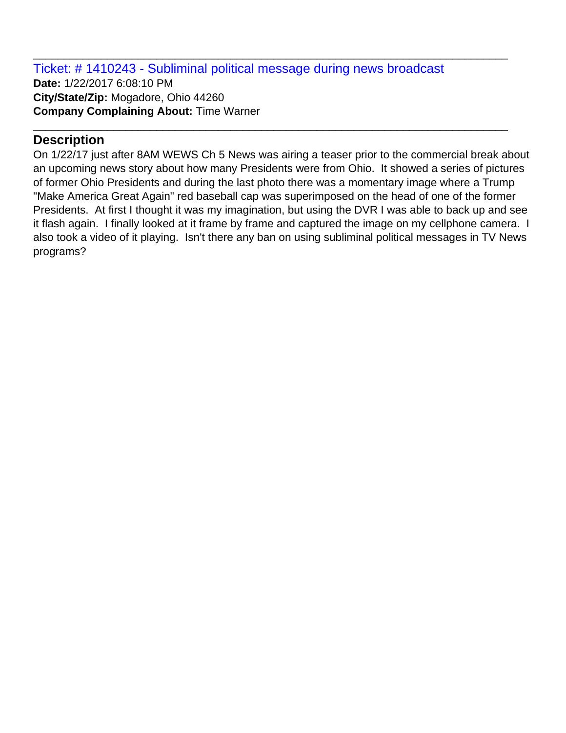Ticket: # 1410243 - Subliminal political message during news broadcast **Date:** 1/22/2017 6:08:10 PM **City/State/Zip:** Mogadore, Ohio 44260 **Company Complaining About:** Time Warner

\_\_\_\_\_\_\_\_\_\_\_\_\_\_\_\_\_\_\_\_\_\_\_\_\_\_\_\_\_\_\_\_\_\_\_\_\_\_\_\_\_\_\_\_\_\_\_\_\_\_\_\_\_\_\_\_\_\_\_\_\_\_\_\_\_\_\_\_\_\_\_\_\_\_\_\_\_

\_\_\_\_\_\_\_\_\_\_\_\_\_\_\_\_\_\_\_\_\_\_\_\_\_\_\_\_\_\_\_\_\_\_\_\_\_\_\_\_\_\_\_\_\_\_\_\_\_\_\_\_\_\_\_\_\_\_\_\_\_\_\_\_\_\_\_\_\_\_\_\_\_\_\_\_\_

# **Description**

On 1/22/17 just after 8AM WEWS Ch 5 News was airing a teaser prior to the commercial break about an upcoming news story about how many Presidents were from Ohio. It showed a series of pictures of former Ohio Presidents and during the last photo there was a momentary image where a Trump "Make America Great Again" red baseball cap was superimposed on the head of one of the former Presidents. At first I thought it was my imagination, but using the DVR I was able to back up and see it flash again. I finally looked at it frame by frame and captured the image on my cellphone camera. I also took a video of it playing. Isn't there any ban on using subliminal political messages in TV News programs?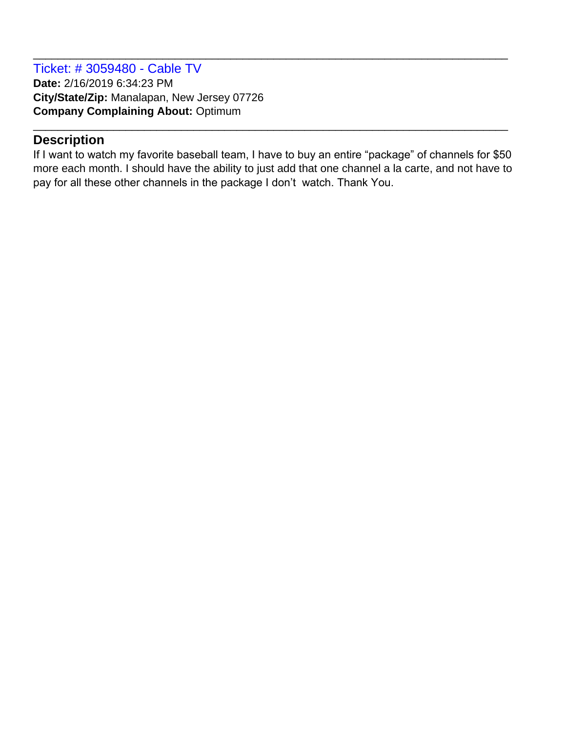Ticket: # 3059480 - Cable TV **Date:** 2/16/2019 6:34:23 PM **City/State/Zip:** Manalapan, New Jersey 07726 **Company Complaining About:** Optimum

# **Description**

If I want to watch my favorite baseball team, I have to buy an entire "package" of channels for \$50 more each month. I should have the ability to just add that one channel a la carte, and not have to pay for all these other channels in the package I don't watch. Thank You.

\_\_\_\_\_\_\_\_\_\_\_\_\_\_\_\_\_\_\_\_\_\_\_\_\_\_\_\_\_\_\_\_\_\_\_\_\_\_\_\_\_\_\_\_\_\_\_\_\_\_\_\_\_\_\_\_\_\_\_\_\_\_\_\_\_\_\_\_\_\_\_\_\_\_\_\_\_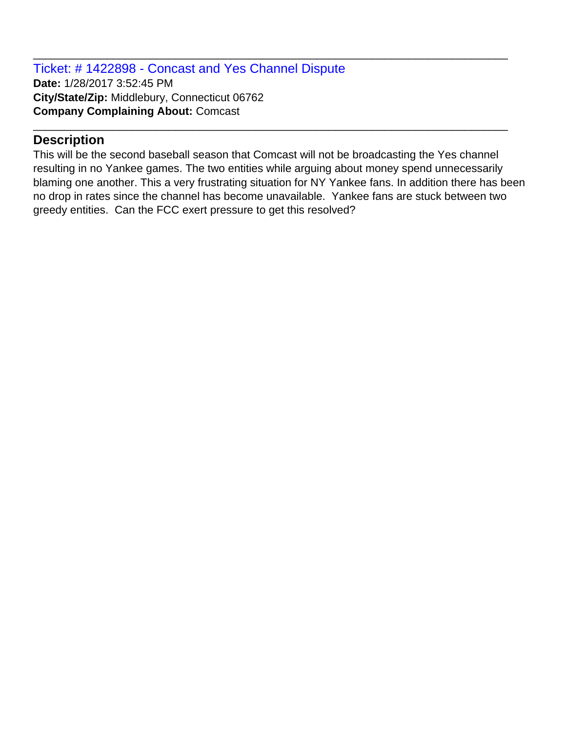Ticket: # 1422898 - Concast and Yes Channel Dispute **Date:** 1/28/2017 3:52:45 PM **City/State/Zip:** Middlebury, Connecticut 06762 **Company Complaining About:** Comcast

# **Description**

This will be the second baseball season that Comcast will not be broadcasting the Yes channel resulting in no Yankee games. The two entities while arguing about money spend unnecessarily blaming one another. This a very frustrating situation for NY Yankee fans. In addition there has been no drop in rates since the channel has become unavailable. Yankee fans are stuck between two greedy entities. Can the FCC exert pressure to get this resolved?

\_\_\_\_\_\_\_\_\_\_\_\_\_\_\_\_\_\_\_\_\_\_\_\_\_\_\_\_\_\_\_\_\_\_\_\_\_\_\_\_\_\_\_\_\_\_\_\_\_\_\_\_\_\_\_\_\_\_\_\_\_\_\_\_\_\_\_\_\_\_\_\_\_\_\_\_\_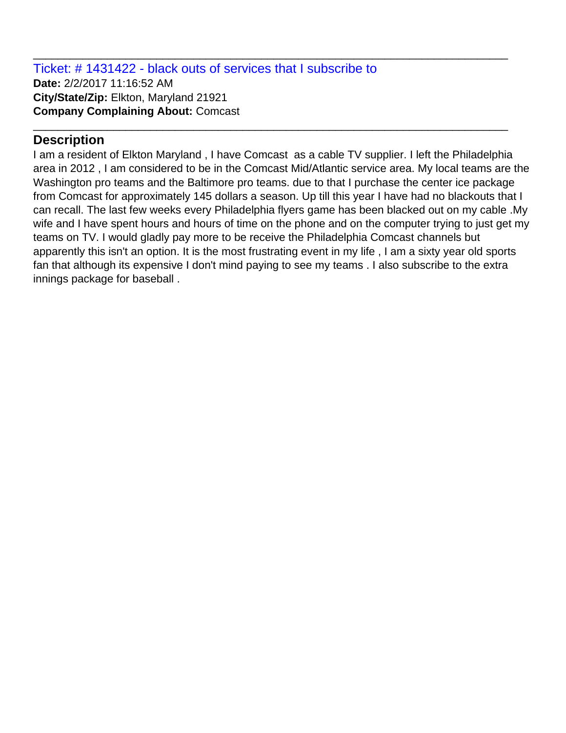Ticket: # 1431422 - black outs of services that I subscribe to **Date:** 2/2/2017 11:16:52 AM **City/State/Zip:** Elkton, Maryland 21921 **Company Complaining About:** Comcast

# **Description**

I am a resident of Elkton Maryland , I have Comcast as a cable TV supplier. I left the Philadelphia area in 2012 , I am considered to be in the Comcast Mid/Atlantic service area. My local teams are the Washington pro teams and the Baltimore pro teams. due to that I purchase the center ice package from Comcast for approximately 145 dollars a season. Up till this year I have had no blackouts that I can recall. The last few weeks every Philadelphia flyers game has been blacked out on my cable .My wife and I have spent hours and hours of time on the phone and on the computer trying to just get my teams on TV. I would gladly pay more to be receive the Philadelphia Comcast channels but apparently this isn't an option. It is the most frustrating event in my life , I am a sixty year old sports fan that although its expensive I don't mind paying to see my teams . I also subscribe to the extra innings package for baseball .

\_\_\_\_\_\_\_\_\_\_\_\_\_\_\_\_\_\_\_\_\_\_\_\_\_\_\_\_\_\_\_\_\_\_\_\_\_\_\_\_\_\_\_\_\_\_\_\_\_\_\_\_\_\_\_\_\_\_\_\_\_\_\_\_\_\_\_\_\_\_\_\_\_\_\_\_\_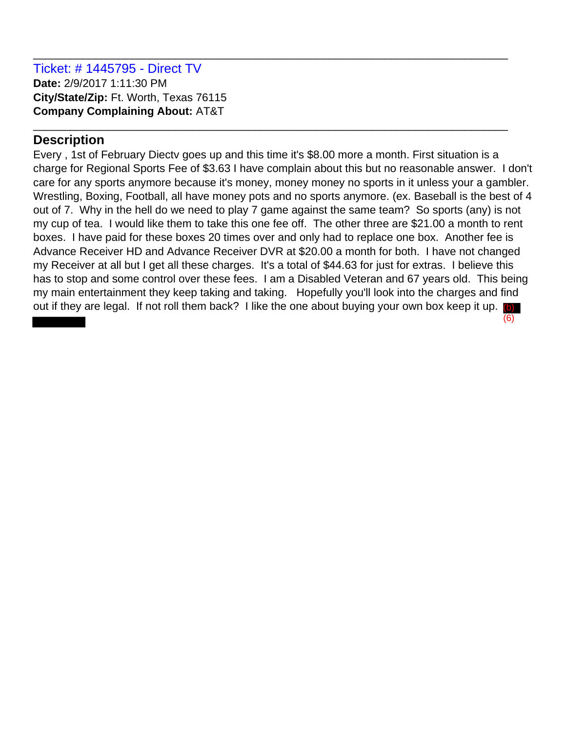Ticket: # 1445795 - Direct TV **Date:** 2/9/2017 1:11:30 PM **City/State/Zip:** Ft. Worth, Texas 76115 **Company Complaining About:** AT&T

#### **Description**

Every , 1st of February Diectv goes up and this time it's \$8.00 more a month. First situation is a charge for Regional Sports Fee of \$3.63 I have complain about this but no reasonable answer. I don't care for any sports anymore because it's money, money money no sports in it unless your a gambler. Wrestling, Boxing, Football, all have money pots and no sports anymore. (ex. Baseball is the best of 4 out of 7. Why in the hell do we need to play 7 game against the same team? So sports (any) is not my cup of tea. I would like them to take this one fee off. The other three are \$21.00 a month to rent boxes. I have paid for these boxes 20 times over and only had to replace one box. Another fee is Advance Receiver HD and Advance Receiver DVR at \$20.00 a month for both. I have not changed my Receiver at all but I get all these charges. It's a total of \$44.63 for just for extras. I believe this has to stop and some control over these fees. I am a Disabled Veteran and 67 years old. This being my main entertainment they keep taking and taking. Hopefully you'll look into the charges and find out if they are legal. If not roll them back? I like the one about buying your own box keep it up. (b) (6)

\_\_\_\_\_\_\_\_\_\_\_\_\_\_\_\_\_\_\_\_\_\_\_\_\_\_\_\_\_\_\_\_\_\_\_\_\_\_\_\_\_\_\_\_\_\_\_\_\_\_\_\_\_\_\_\_\_\_\_\_\_\_\_\_\_\_\_\_\_\_\_\_\_\_\_\_\_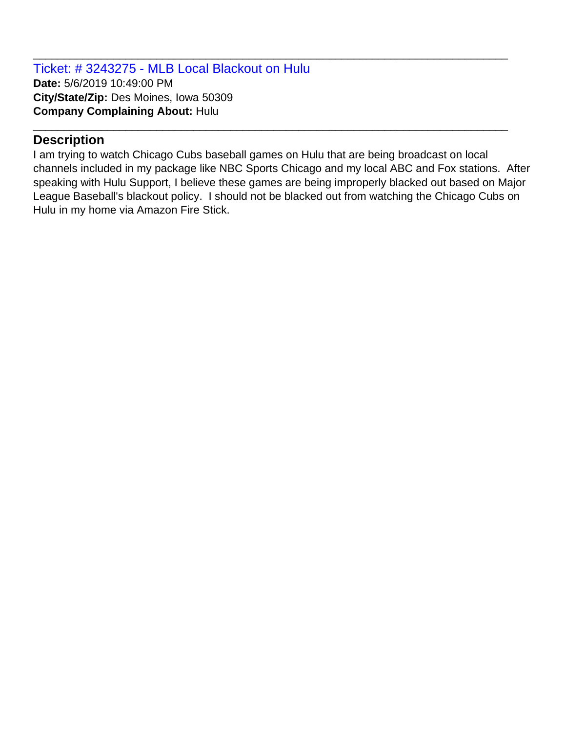Ticket: # 3243275 - MLB Local Blackout on Hulu **Date:** 5/6/2019 10:49:00 PM **City/State/Zip:** Des Moines, Iowa 50309 **Company Complaining About:** Hulu

### **Description**

I am trying to watch Chicago Cubs baseball games on Hulu that are being broadcast on local channels included in my package like NBC Sports Chicago and my local ABC and Fox stations. After speaking with Hulu Support, I believe these games are being improperly blacked out based on Major League Baseball's blackout policy. I should not be blacked out from watching the Chicago Cubs on Hulu in my home via Amazon Fire Stick.

\_\_\_\_\_\_\_\_\_\_\_\_\_\_\_\_\_\_\_\_\_\_\_\_\_\_\_\_\_\_\_\_\_\_\_\_\_\_\_\_\_\_\_\_\_\_\_\_\_\_\_\_\_\_\_\_\_\_\_\_\_\_\_\_\_\_\_\_\_\_\_\_\_\_\_\_\_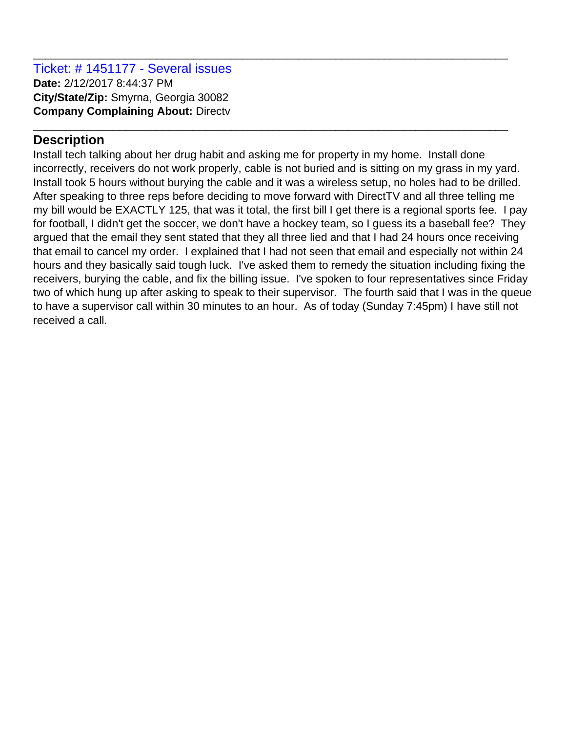Ticket: # 1451177 - Several issues **Date:** 2/12/2017 8:44:37 PM **City/State/Zip:** Smyrna, Georgia 30082 **Company Complaining About:** Directv

# **Description**

Install tech talking about her drug habit and asking me for property in my home. Install done incorrectly, receivers do not work properly, cable is not buried and is sitting on my grass in my yard. Install took 5 hours without burying the cable and it was a wireless setup, no holes had to be drilled. After speaking to three reps before deciding to move forward with DirectTV and all three telling me my bill would be EXACTLY 125, that was it total, the first bill I get there is a regional sports fee. I pay for football, I didn't get the soccer, we don't have a hockey team, so I guess its a baseball fee? They argued that the email they sent stated that they all three lied and that I had 24 hours once receiving that email to cancel my order. I explained that I had not seen that email and especially not within 24 hours and they basically said tough luck. I've asked them to remedy the situation including fixing the receivers, burying the cable, and fix the billing issue. I've spoken to four representatives since Friday two of which hung up after asking to speak to their supervisor. The fourth said that I was in the queue to have a supervisor call within 30 minutes to an hour. As of today (Sunday 7:45pm) I have still not received a call.

\_\_\_\_\_\_\_\_\_\_\_\_\_\_\_\_\_\_\_\_\_\_\_\_\_\_\_\_\_\_\_\_\_\_\_\_\_\_\_\_\_\_\_\_\_\_\_\_\_\_\_\_\_\_\_\_\_\_\_\_\_\_\_\_\_\_\_\_\_\_\_\_\_\_\_\_\_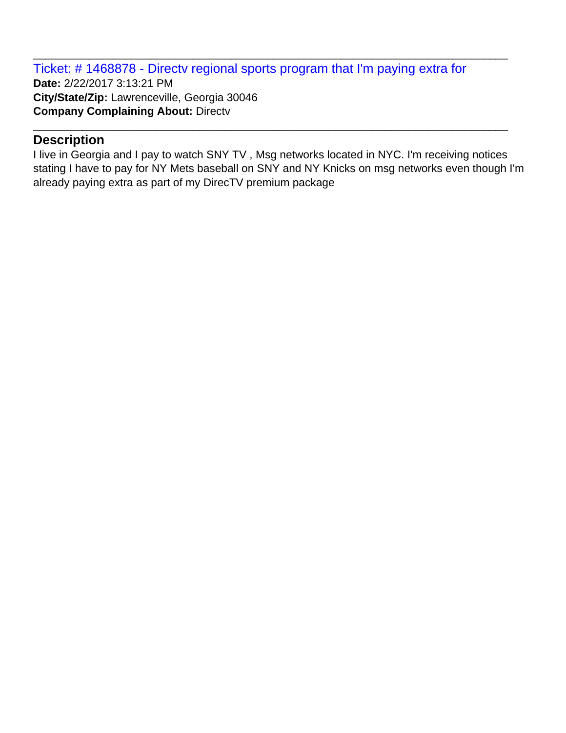Ticket: # 1468878 - Directv regional sports program that I'm paying extra for **Date:** 2/22/2017 3:13:21 PM **City/State/Zip:** Lawrenceville, Georgia 30046 **Company Complaining About:** Directv

\_\_\_\_\_\_\_\_\_\_\_\_\_\_\_\_\_\_\_\_\_\_\_\_\_\_\_\_\_\_\_\_\_\_\_\_\_\_\_\_\_\_\_\_\_\_\_\_\_\_\_\_\_\_\_\_\_\_\_\_\_\_\_\_\_\_\_\_\_\_\_\_\_\_\_\_\_

\_\_\_\_\_\_\_\_\_\_\_\_\_\_\_\_\_\_\_\_\_\_\_\_\_\_\_\_\_\_\_\_\_\_\_\_\_\_\_\_\_\_\_\_\_\_\_\_\_\_\_\_\_\_\_\_\_\_\_\_\_\_\_\_\_\_\_\_\_\_\_\_\_\_\_\_\_

### **Description**

I live in Georgia and I pay to watch SNY TV , Msg networks located in NYC. I'm receiving notices stating I have to pay for NY Mets baseball on SNY and NY Knicks on msg networks even though I'm already paying extra as part of my DirecTV premium package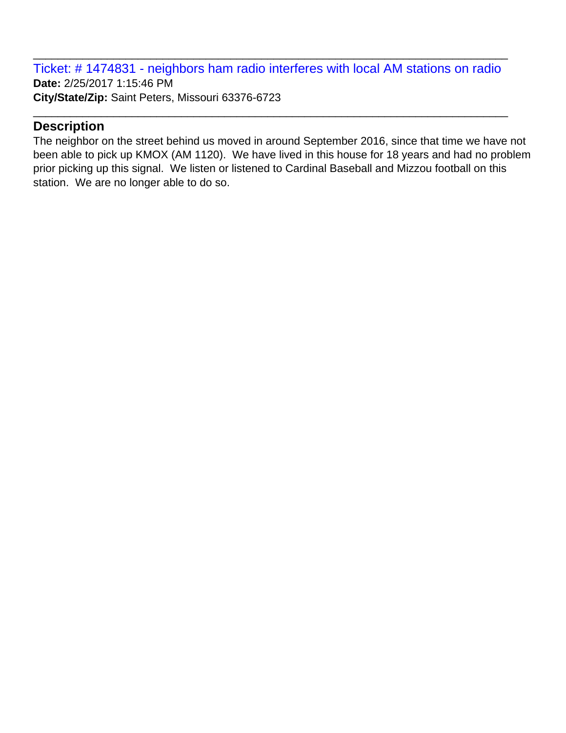Ticket: # 1474831 - neighbors ham radio interferes with local AM stations on radio **Date:** 2/25/2017 1:15:46 PM **City/State/Zip:** Saint Peters, Missouri 63376-6723

\_\_\_\_\_\_\_\_\_\_\_\_\_\_\_\_\_\_\_\_\_\_\_\_\_\_\_\_\_\_\_\_\_\_\_\_\_\_\_\_\_\_\_\_\_\_\_\_\_\_\_\_\_\_\_\_\_\_\_\_\_\_\_\_\_\_\_\_\_\_\_\_\_\_\_\_\_

\_\_\_\_\_\_\_\_\_\_\_\_\_\_\_\_\_\_\_\_\_\_\_\_\_\_\_\_\_\_\_\_\_\_\_\_\_\_\_\_\_\_\_\_\_\_\_\_\_\_\_\_\_\_\_\_\_\_\_\_\_\_\_\_\_\_\_\_\_\_\_\_\_\_\_\_\_

#### **Description**

The neighbor on the street behind us moved in around September 2016, since that time we have not been able to pick up KMOX (AM 1120). We have lived in this house for 18 years and had no problem prior picking up this signal. We listen or listened to Cardinal Baseball and Mizzou football on this station. We are no longer able to do so.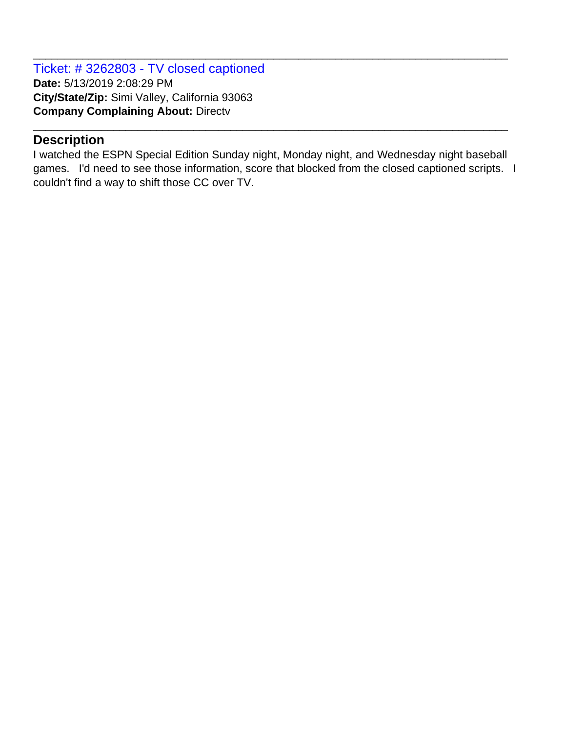Ticket: # 3262803 - TV closed captioned **Date:** 5/13/2019 2:08:29 PM **City/State/Zip:** Simi Valley, California 93063 **Company Complaining About:** Directv

### **Description**

I watched the ESPN Special Edition Sunday night, Monday night, and Wednesday night baseball games. I'd need to see those information, score that blocked from the closed captioned scripts. I couldn't find a way to shift those CC over TV.

\_\_\_\_\_\_\_\_\_\_\_\_\_\_\_\_\_\_\_\_\_\_\_\_\_\_\_\_\_\_\_\_\_\_\_\_\_\_\_\_\_\_\_\_\_\_\_\_\_\_\_\_\_\_\_\_\_\_\_\_\_\_\_\_\_\_\_\_\_\_\_\_\_\_\_\_\_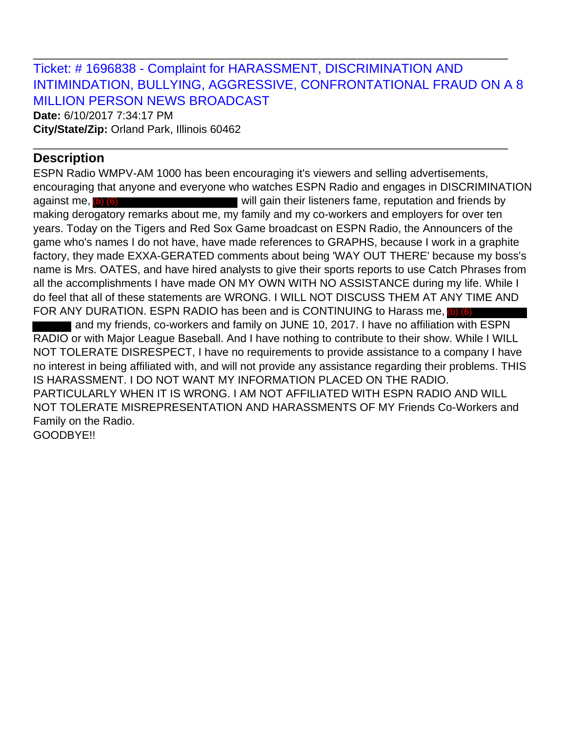Ticket: # 1696838 - Complaint for HARASSMENT, DISCRIMINATION AND INTIMINDATION, BULLYING, AGGRESSIVE, CONFRONTATIONAL FRAUD ON A 8 MILLION PERSON NEWS BROADCAST

\_\_\_\_\_\_\_\_\_\_\_\_\_\_\_\_\_\_\_\_\_\_\_\_\_\_\_\_\_\_\_\_\_\_\_\_\_\_\_\_\_\_\_\_\_\_\_\_\_\_\_\_\_\_\_\_\_\_\_\_\_\_\_\_\_\_\_\_\_\_\_\_\_\_\_\_\_

\_\_\_\_\_\_\_\_\_\_\_\_\_\_\_\_\_\_\_\_\_\_\_\_\_\_\_\_\_\_\_\_\_\_\_\_\_\_\_\_\_\_\_\_\_\_\_\_\_\_\_\_\_\_\_\_\_\_\_\_\_\_\_\_\_\_\_\_\_\_\_\_\_\_\_\_\_

**Date:** 6/10/2017 7:34:17 PM **City/State/Zip:** Orland Park, Illinois 60462

# **Description**

ESPN Radio WMPV-AM 1000 has been encouraging it's viewers and selling advertisements, encouraging that anyone and everyone who watches ESPN Radio and engages in DISCRIMINATION will gain their listeners fame, reputation and friends by making derogatory remarks about me, my family and my co-workers and employers for over ten years. Today on the Tigers and Red Sox Game broadcast on ESPN Radio, the Announcers of the game who's names I do not have, have made references to GRAPHS, because I work in a graphite factory, they made EXXA-GERATED comments about being 'WAY OUT THERE' because my boss's name is Mrs. OATES, and have hired analysts to give their sports reports to use Catch Phrases from all the accomplishments I have made ON MY OWN WITH NO ASSISTANCE during my life. While I do feel that all of these statements are WRONG. I WILL NOT DISCUSS THEM AT ANY TIME AND FOR ANY DURATION. ESPN RADIO has been and is CONTINUING to Harass me, **(b) (6)**  and my friends, co-workers and family on JUNE 10, 2017. I have no affiliation with ESPN RADIO or with Major League Baseball. And I have nothing to contribute to their show. While I WILL NOT TOLERATE DISRESPECT, I have no requirements to provide assistance to a company I have no interest in being affiliated with, and will not provide any assistance regarding their problems. THIS IS HARASSMENT. I DO NOT WANT MY INFORMATION PLACED ON THE RADIO. PARTICULARLY WHEN IT IS WRONG. I AM NOT AFFILIATED WITH ESPN RADIO AND WILL NOT TOLERATE MISREPRESENTATION AND HARASSMENTS OF MY Friends Co-Workers and Family on the Radio. against me, (b) (6)

GOODBYE!!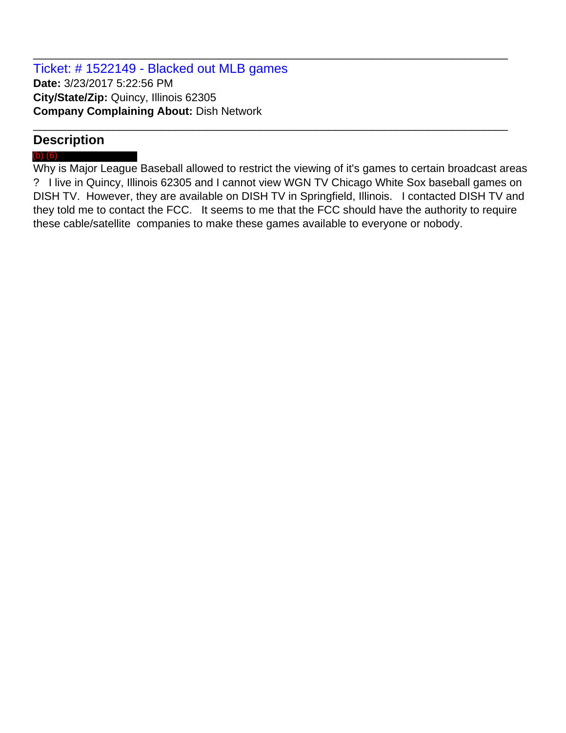Ticket: # 1522149 - Blacked out MLB games **Date:** 3/23/2017 5:22:56 PM **City/State/Zip:** Quincy, Illinois 62305 **Company Complaining About:** Dish Network

# **Description**

#### (b) (6)

Why is Major League Baseball allowed to restrict the viewing of it's games to certain broadcast areas ? I live in Quincy, Illinois 62305 and I cannot view WGN TV Chicago White Sox baseball games on DISH TV. However, they are available on DISH TV in Springfield, Illinois. I contacted DISH TV and they told me to contact the FCC. It seems to me that the FCC should have the authority to require these cable/satellite companies to make these games available to everyone or nobody.

\_\_\_\_\_\_\_\_\_\_\_\_\_\_\_\_\_\_\_\_\_\_\_\_\_\_\_\_\_\_\_\_\_\_\_\_\_\_\_\_\_\_\_\_\_\_\_\_\_\_\_\_\_\_\_\_\_\_\_\_\_\_\_\_\_\_\_\_\_\_\_\_\_\_\_\_\_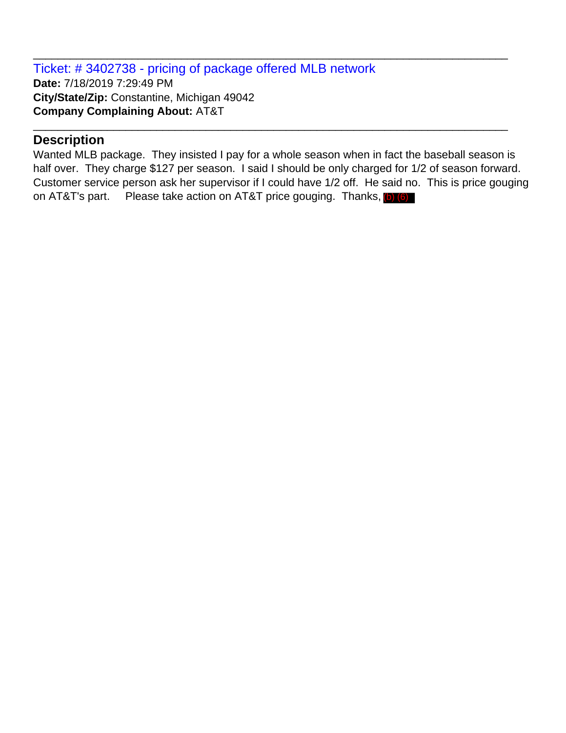Ticket: # 3402738 - pricing of package offered MLB network **Date:** 7/18/2019 7:29:49 PM **City/State/Zip:** Constantine, Michigan 49042 **Company Complaining About:** AT&T

#### **Description**

Wanted MLB package. They insisted I pay for a whole season when in fact the baseball season is half over. They charge \$127 per season. I said I should be only charged for 1/2 of season forward. Customer service person ask her supervisor if I could have 1/2 off. He said no. This is price gouging on AT&T's part. Please take action on AT&T price gouging. Thanks, (b) (6)

\_\_\_\_\_\_\_\_\_\_\_\_\_\_\_\_\_\_\_\_\_\_\_\_\_\_\_\_\_\_\_\_\_\_\_\_\_\_\_\_\_\_\_\_\_\_\_\_\_\_\_\_\_\_\_\_\_\_\_\_\_\_\_\_\_\_\_\_\_\_\_\_\_\_\_\_\_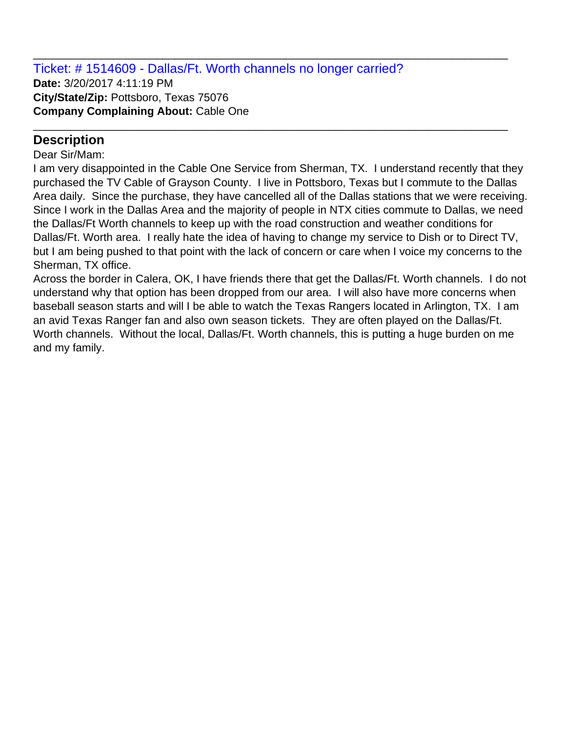Ticket: # 1514609 - Dallas/Ft. Worth channels no longer carried? **Date:** 3/20/2017 4:11:19 PM **City/State/Zip:** Pottsboro, Texas 75076 **Company Complaining About:** Cable One

# **Description**

Dear Sir/Mam:

I am very disappointed in the Cable One Service from Sherman, TX. I understand recently that they purchased the TV Cable of Grayson County. I live in Pottsboro, Texas but I commute to the Dallas Area daily. Since the purchase, they have cancelled all of the Dallas stations that we were receiving. Since I work in the Dallas Area and the majority of people in NTX cities commute to Dallas, we need the Dallas/Ft Worth channels to keep up with the road construction and weather conditions for Dallas/Ft. Worth area. I really hate the idea of having to change my service to Dish or to Direct TV, but I am being pushed to that point with the lack of concern or care when I voice my concerns to the Sherman, TX office.

\_\_\_\_\_\_\_\_\_\_\_\_\_\_\_\_\_\_\_\_\_\_\_\_\_\_\_\_\_\_\_\_\_\_\_\_\_\_\_\_\_\_\_\_\_\_\_\_\_\_\_\_\_\_\_\_\_\_\_\_\_\_\_\_\_\_\_\_\_\_\_\_\_\_\_\_\_

\_\_\_\_\_\_\_\_\_\_\_\_\_\_\_\_\_\_\_\_\_\_\_\_\_\_\_\_\_\_\_\_\_\_\_\_\_\_\_\_\_\_\_\_\_\_\_\_\_\_\_\_\_\_\_\_\_\_\_\_\_\_\_\_\_\_\_\_\_\_\_\_\_\_\_\_\_

Across the border in Calera, OK, I have friends there that get the Dallas/Ft. Worth channels. I do not understand why that option has been dropped from our area. I will also have more concerns when baseball season starts and will I be able to watch the Texas Rangers located in Arlington, TX. I am an avid Texas Ranger fan and also own season tickets. They are often played on the Dallas/Ft. Worth channels. Without the local, Dallas/Ft. Worth channels, this is putting a huge burden on me and my family.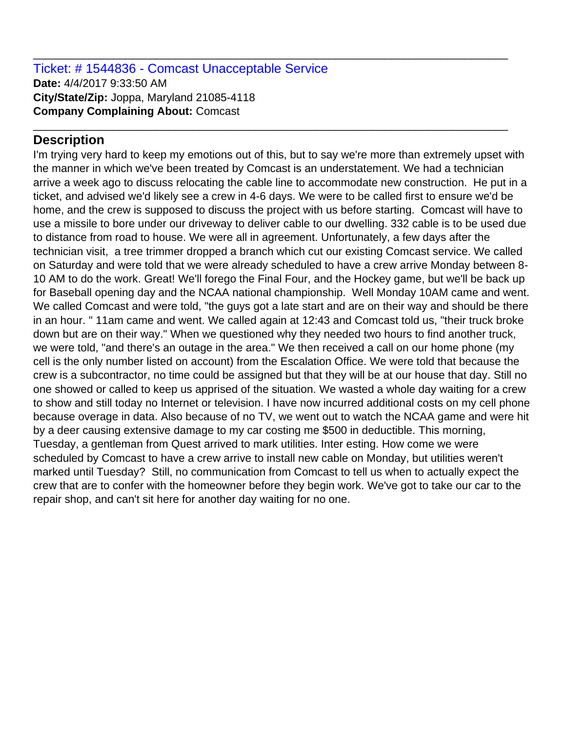#### Ticket: # 1544836 - Comcast Unacceptable Service **Date:** 4/4/2017 9:33:50 AM **City/State/Zip:** Joppa, Maryland 21085-4118 **Company Complaining About:** Comcast

# **Description**

I'm trying very hard to keep my emotions out of this, but to say we're more than extremely upset with the manner in which we've been treated by Comcast is an understatement. We had a technician arrive a week ago to discuss relocating the cable line to accommodate new construction. He put in a ticket, and advised we'd likely see a crew in 4-6 days. We were to be called first to ensure we'd be home, and the crew is supposed to discuss the project with us before starting. Comcast will have to use a missile to bore under our driveway to deliver cable to our dwelling. 332 cable is to be used due to distance from road to house. We were all in agreement. Unfortunately, a few days after the technician visit, a tree trimmer dropped a branch which cut our existing Comcast service. We called on Saturday and were told that we were already scheduled to have a crew arrive Monday between 8- 10 AM to do the work. Great! We'll forego the Final Four, and the Hockey game, but we'll be back up for Baseball opening day and the NCAA national championship. Well Monday 10AM came and went. We called Comcast and were told, "the guys got a late start and are on their way and should be there in an hour. " 11am came and went. We called again at 12:43 and Comcast told us, "their truck broke down but are on their way." When we questioned why they needed two hours to find another truck, we were told, "and there's an outage in the area." We then received a call on our home phone (my cell is the only number listed on account) from the Escalation Office. We were told that because the crew is a subcontractor, no time could be assigned but that they will be at our house that day. Still no one showed or called to keep us apprised of the situation. We wasted a whole day waiting for a crew to show and still today no Internet or television. I have now incurred additional costs on my cell phone because overage in data. Also because of no TV, we went out to watch the NCAA game and were hit by a deer causing extensive damage to my car costing me \$500 in deductible. This morning, Tuesday, a gentleman from Quest arrived to mark utilities. Inter esting. How come we were scheduled by Comcast to have a crew arrive to install new cable on Monday, but utilities weren't marked until Tuesday? Still, no communication from Comcast to tell us when to actually expect the crew that are to confer with the homeowner before they begin work. We've got to take our car to the repair shop, and can't sit here for another day waiting for no one.

\_\_\_\_\_\_\_\_\_\_\_\_\_\_\_\_\_\_\_\_\_\_\_\_\_\_\_\_\_\_\_\_\_\_\_\_\_\_\_\_\_\_\_\_\_\_\_\_\_\_\_\_\_\_\_\_\_\_\_\_\_\_\_\_\_\_\_\_\_\_\_\_\_\_\_\_\_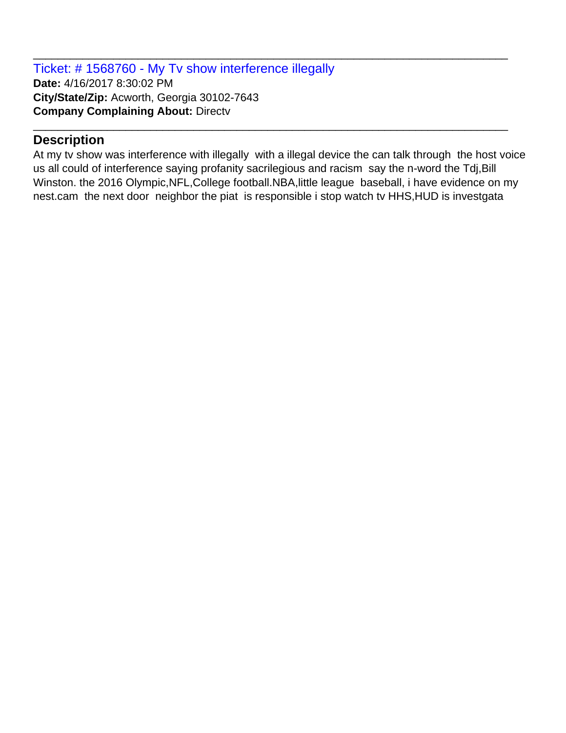Ticket: # 1568760 - My Tv show interference illegally **Date:** 4/16/2017 8:30:02 PM **City/State/Zip:** Acworth, Georgia 30102-7643 **Company Complaining About:** Directv

# **Description**

At my tv show was interference with illegally with a illegal device the can talk through the host voice us all could of interference saying profanity sacrilegious and racism say the n-word the Tdj,Bill Winston. the 2016 Olympic,NFL,College football.NBA,little league baseball, i have evidence on my nest.cam the next door neighbor the piat is responsible i stop watch tv HHS,HUD is investgata

\_\_\_\_\_\_\_\_\_\_\_\_\_\_\_\_\_\_\_\_\_\_\_\_\_\_\_\_\_\_\_\_\_\_\_\_\_\_\_\_\_\_\_\_\_\_\_\_\_\_\_\_\_\_\_\_\_\_\_\_\_\_\_\_\_\_\_\_\_\_\_\_\_\_\_\_\_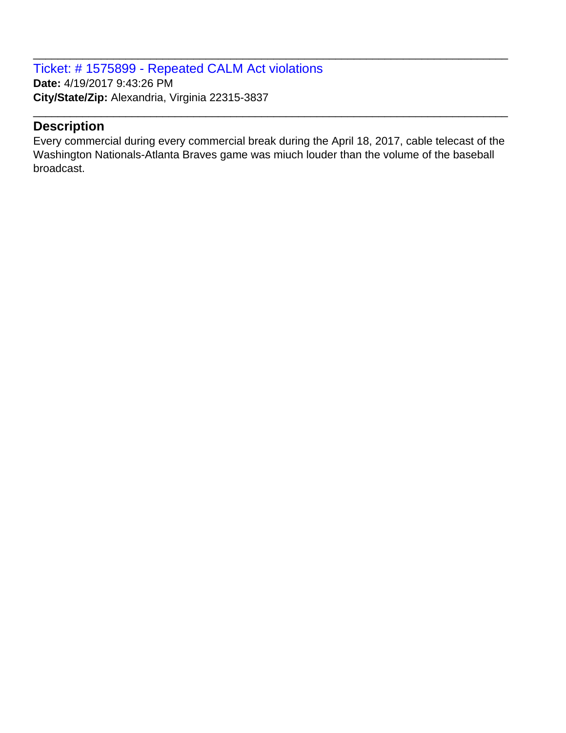Ticket: # 1575899 - Repeated CALM Act violations **Date:** 4/19/2017 9:43:26 PM **City/State/Zip:** Alexandria, Virginia 22315-3837

# **Description**

Every commercial during every commercial break during the April 18, 2017, cable telecast of the Washington Nationals-Atlanta Braves game was miuch louder than the volume of the baseball broadcast.

\_\_\_\_\_\_\_\_\_\_\_\_\_\_\_\_\_\_\_\_\_\_\_\_\_\_\_\_\_\_\_\_\_\_\_\_\_\_\_\_\_\_\_\_\_\_\_\_\_\_\_\_\_\_\_\_\_\_\_\_\_\_\_\_\_\_\_\_\_\_\_\_\_\_\_\_\_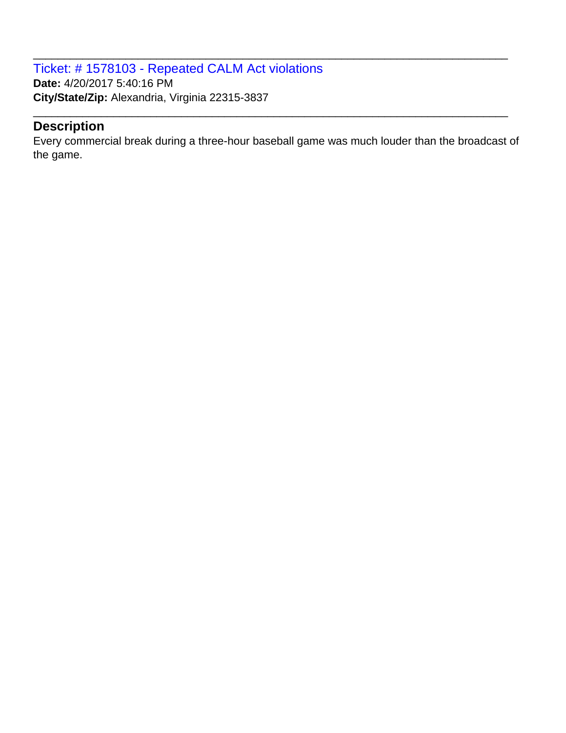Ticket: # 1578103 - Repeated CALM Act violations **Date:** 4/20/2017 5:40:16 PM **City/State/Zip:** Alexandria, Virginia 22315-3837

### **Description**

Every commercial break during a three-hour baseball game was much louder than the broadcast of the game.

\_\_\_\_\_\_\_\_\_\_\_\_\_\_\_\_\_\_\_\_\_\_\_\_\_\_\_\_\_\_\_\_\_\_\_\_\_\_\_\_\_\_\_\_\_\_\_\_\_\_\_\_\_\_\_\_\_\_\_\_\_\_\_\_\_\_\_\_\_\_\_\_\_\_\_\_\_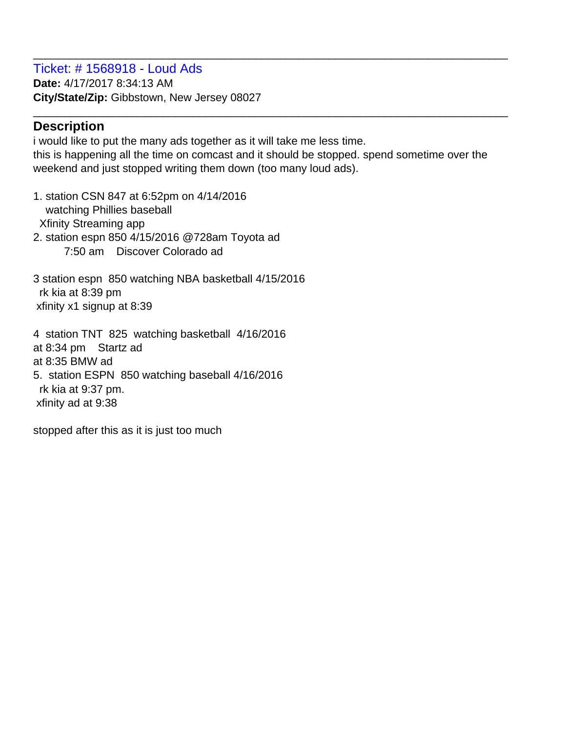#### Ticket: # 1568918 - Loud Ads **Date:** 4/17/2017 8:34:13 AM **City/State/Zip:** Gibbstown, New Jersey 08027

# **Description**

i would like to put the many ads together as it will take me less time. this is happening all the time on comcast and it should be stopped. spend sometime over the weekend and just stopped writing them down (too many loud ads).

\_\_\_\_\_\_\_\_\_\_\_\_\_\_\_\_\_\_\_\_\_\_\_\_\_\_\_\_\_\_\_\_\_\_\_\_\_\_\_\_\_\_\_\_\_\_\_\_\_\_\_\_\_\_\_\_\_\_\_\_\_\_\_\_\_\_\_\_\_\_\_\_\_\_\_\_\_

\_\_\_\_\_\_\_\_\_\_\_\_\_\_\_\_\_\_\_\_\_\_\_\_\_\_\_\_\_\_\_\_\_\_\_\_\_\_\_\_\_\_\_\_\_\_\_\_\_\_\_\_\_\_\_\_\_\_\_\_\_\_\_\_\_\_\_\_\_\_\_\_\_\_\_\_\_

1. station CSN 847 at 6:52pm on 4/14/2016 watching Phillies baseball Xfinity Streaming app 2. station espn 850 4/15/2016 @728am Toyota ad 7:50 am Discover Colorado ad

3 station espn 850 watching NBA basketball 4/15/2016 rk kia at 8:39 pm xfinity x1 signup at 8:39

4 station TNT 825 watching basketball 4/16/2016 at 8:34 pm Startz ad at 8:35 BMW ad 5. station ESPN 850 watching baseball 4/16/2016 rk kia at 9:37 pm. xfinity ad at 9:38

stopped after this as it is just too much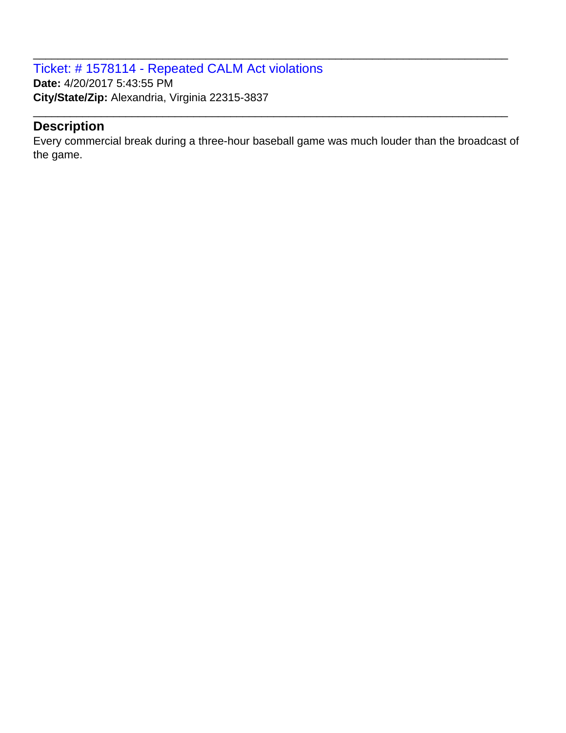Ticket: # 1578114 - Repeated CALM Act violations **Date:** 4/20/2017 5:43:55 PM **City/State/Zip:** Alexandria, Virginia 22315-3837

# **Description**

Every commercial break during a three-hour baseball game was much louder than the broadcast of the game.

\_\_\_\_\_\_\_\_\_\_\_\_\_\_\_\_\_\_\_\_\_\_\_\_\_\_\_\_\_\_\_\_\_\_\_\_\_\_\_\_\_\_\_\_\_\_\_\_\_\_\_\_\_\_\_\_\_\_\_\_\_\_\_\_\_\_\_\_\_\_\_\_\_\_\_\_\_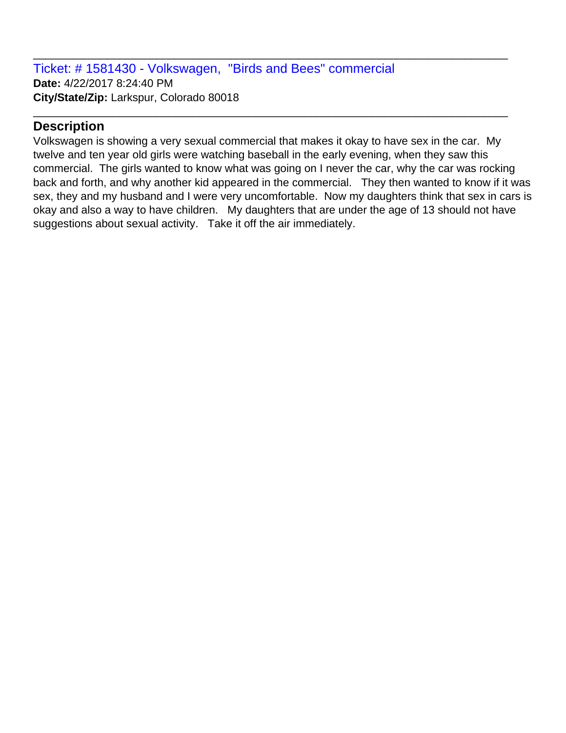Ticket: # 1581430 - Volkswagen, "Birds and Bees" commercial **Date:** 4/22/2017 8:24:40 PM **City/State/Zip:** Larkspur, Colorado 80018

#### **Description**

Volkswagen is showing a very sexual commercial that makes it okay to have sex in the car. My twelve and ten year old girls were watching baseball in the early evening, when they saw this commercial. The girls wanted to know what was going on I never the car, why the car was rocking back and forth, and why another kid appeared in the commercial. They then wanted to know if it was sex, they and my husband and I were very uncomfortable. Now my daughters think that sex in cars is okay and also a way to have children. My daughters that are under the age of 13 should not have suggestions about sexual activity. Take it off the air immediately.

\_\_\_\_\_\_\_\_\_\_\_\_\_\_\_\_\_\_\_\_\_\_\_\_\_\_\_\_\_\_\_\_\_\_\_\_\_\_\_\_\_\_\_\_\_\_\_\_\_\_\_\_\_\_\_\_\_\_\_\_\_\_\_\_\_\_\_\_\_\_\_\_\_\_\_\_\_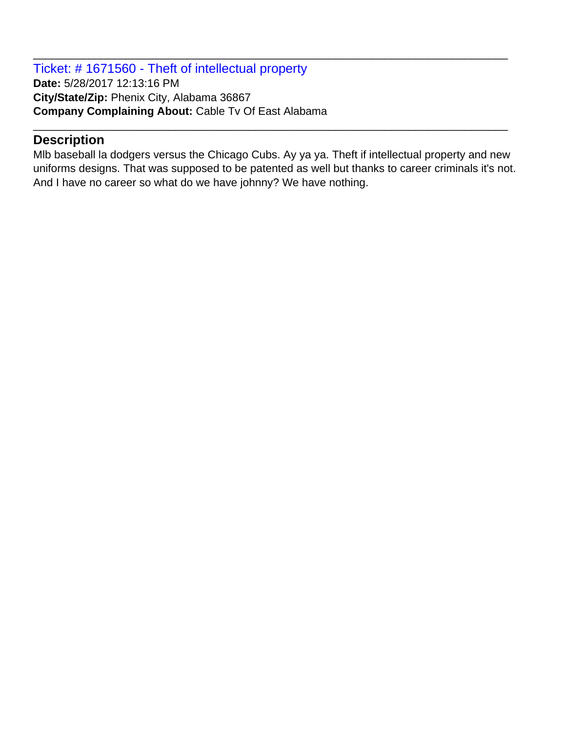Ticket: # 1671560 - Theft of intellectual property **Date:** 5/28/2017 12:13:16 PM **City/State/Zip:** Phenix City, Alabama 36867 **Company Complaining About:** Cable Tv Of East Alabama

# **Description**

Mlb baseball la dodgers versus the Chicago Cubs. Ay ya ya. Theft if intellectual property and new uniforms designs. That was supposed to be patented as well but thanks to career criminals it's not. And I have no career so what do we have johnny? We have nothing.

\_\_\_\_\_\_\_\_\_\_\_\_\_\_\_\_\_\_\_\_\_\_\_\_\_\_\_\_\_\_\_\_\_\_\_\_\_\_\_\_\_\_\_\_\_\_\_\_\_\_\_\_\_\_\_\_\_\_\_\_\_\_\_\_\_\_\_\_\_\_\_\_\_\_\_\_\_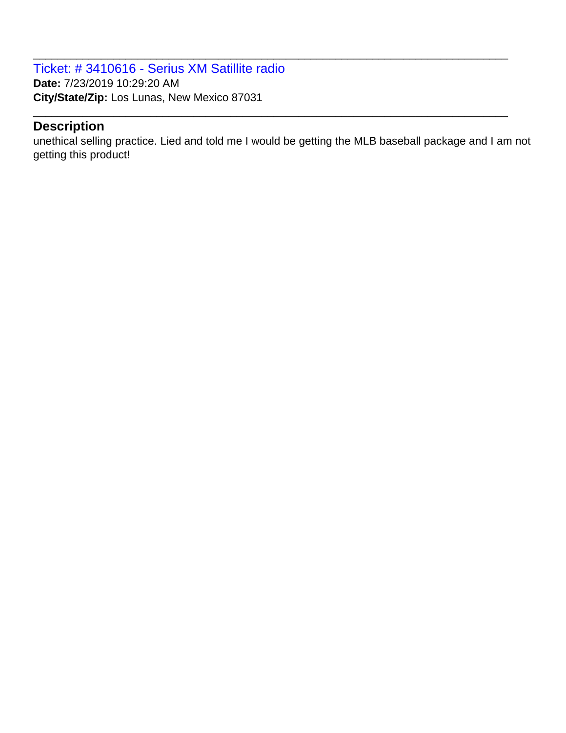Ticket: # 3410616 - Serius XM Satillite radio **Date:** 7/23/2019 10:29:20 AM **City/State/Zip:** Los Lunas, New Mexico 87031

# **Description**

unethical selling practice. Lied and told me I would be getting the MLB baseball package and I am not getting this product!

\_\_\_\_\_\_\_\_\_\_\_\_\_\_\_\_\_\_\_\_\_\_\_\_\_\_\_\_\_\_\_\_\_\_\_\_\_\_\_\_\_\_\_\_\_\_\_\_\_\_\_\_\_\_\_\_\_\_\_\_\_\_\_\_\_\_\_\_\_\_\_\_\_\_\_\_\_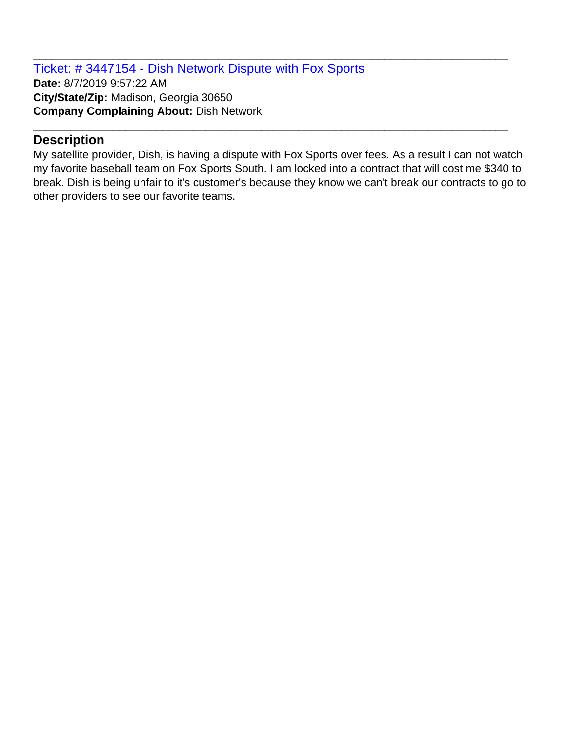Ticket: # 3447154 - Dish Network Dispute with Fox Sports **Date:** 8/7/2019 9:57:22 AM **City/State/Zip:** Madison, Georgia 30650 **Company Complaining About:** Dish Network

### **Description**

My satellite provider, Dish, is having a dispute with Fox Sports over fees. As a result I can not watch my favorite baseball team on Fox Sports South. I am locked into a contract that will cost me \$340 to break. Dish is being unfair to it's customer's because they know we can't break our contracts to go to other providers to see our favorite teams.

\_\_\_\_\_\_\_\_\_\_\_\_\_\_\_\_\_\_\_\_\_\_\_\_\_\_\_\_\_\_\_\_\_\_\_\_\_\_\_\_\_\_\_\_\_\_\_\_\_\_\_\_\_\_\_\_\_\_\_\_\_\_\_\_\_\_\_\_\_\_\_\_\_\_\_\_\_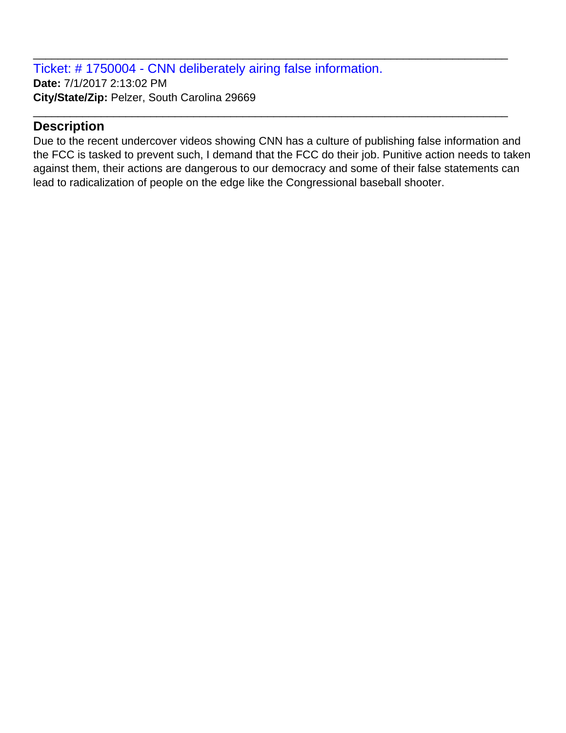Ticket: # 1750004 - CNN deliberately airing false information. **Date:** 7/1/2017 2:13:02 PM **City/State/Zip:** Pelzer, South Carolina 29669

### **Description**

Due to the recent undercover videos showing CNN has a culture of publishing false information and the FCC is tasked to prevent such, I demand that the FCC do their job. Punitive action needs to taken against them, their actions are dangerous to our democracy and some of their false statements can lead to radicalization of people on the edge like the Congressional baseball shooter.

\_\_\_\_\_\_\_\_\_\_\_\_\_\_\_\_\_\_\_\_\_\_\_\_\_\_\_\_\_\_\_\_\_\_\_\_\_\_\_\_\_\_\_\_\_\_\_\_\_\_\_\_\_\_\_\_\_\_\_\_\_\_\_\_\_\_\_\_\_\_\_\_\_\_\_\_\_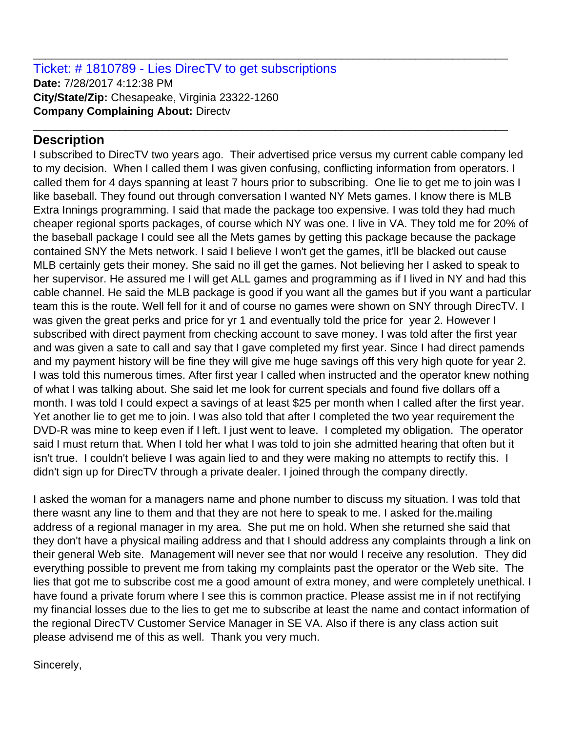#### Ticket: # 1810789 - Lies DirecTV to get subscriptions **Date:** 7/28/2017 4:12:38 PM **City/State/Zip:** Chesapeake, Virginia 23322-1260 **Company Complaining About:** Directv

# **Description**

I subscribed to DirecTV two years ago. Their advertised price versus my current cable company led to my decision. When I called them I was given confusing, conflicting information from operators. I called them for 4 days spanning at least 7 hours prior to subscribing. One lie to get me to join was I like baseball. They found out through conversation I wanted NY Mets games. I know there is MLB Extra Innings programming. I said that made the package too expensive. I was told they had much cheaper regional sports packages, of course which NY was one. I live in VA. They told me for 20% of the baseball package I could see all the Mets games by getting this package because the package contained SNY the Mets network. I said I believe I won't get the games, it'll be blacked out cause MLB certainly gets their money. She said no ill get the games. Not believing her I asked to speak to her supervisor. He assured me I will get ALL games and programming as if I lived in NY and had this cable channel. He said the MLB package is good if you want all the games but if you want a particular team this is the route. Well fell for it and of course no games were shown on SNY through DirecTV. I was given the great perks and price for yr 1 and eventually told the price for year 2. However I subscribed with direct payment from checking account to save money. I was told after the first year and was given a sate to call and say that I gave completed my first year. Since I had direct pamends and my payment history will be fine they will give me huge savings off this very high quote for year 2. I was told this numerous times. After first year I called when instructed and the operator knew nothing of what I was talking about. She said let me look for current specials and found five dollars off a month. I was told I could expect a savings of at least \$25 per month when I called after the first year. Yet another lie to get me to join. I was also told that after I completed the two year requirement the DVD-R was mine to keep even if I left. I just went to leave. I completed my obligation. The operator said I must return that. When I told her what I was told to join she admitted hearing that often but it isn't true. I couldn't believe I was again lied to and they were making no attempts to rectify this. I didn't sign up for DirecTV through a private dealer. I joined through the company directly.

\_\_\_\_\_\_\_\_\_\_\_\_\_\_\_\_\_\_\_\_\_\_\_\_\_\_\_\_\_\_\_\_\_\_\_\_\_\_\_\_\_\_\_\_\_\_\_\_\_\_\_\_\_\_\_\_\_\_\_\_\_\_\_\_\_\_\_\_\_\_\_\_\_\_\_\_\_

\_\_\_\_\_\_\_\_\_\_\_\_\_\_\_\_\_\_\_\_\_\_\_\_\_\_\_\_\_\_\_\_\_\_\_\_\_\_\_\_\_\_\_\_\_\_\_\_\_\_\_\_\_\_\_\_\_\_\_\_\_\_\_\_\_\_\_\_\_\_\_\_\_\_\_\_\_

I asked the woman for a managers name and phone number to discuss my situation. I was told that there wasnt any line to them and that they are not here to speak to me. I asked for the.mailing address of a regional manager in my area. She put me on hold. When she returned she said that they don't have a physical mailing address and that I should address any complaints through a link on their general Web site. Management will never see that nor would I receive any resolution. They did everything possible to prevent me from taking my complaints past the operator or the Web site. The lies that got me to subscribe cost me a good amount of extra money, and were completely unethical. I have found a private forum where I see this is common practice. Please assist me in if not rectifying my financial losses due to the lies to get me to subscribe at least the name and contact information of the regional DirecTV Customer Service Manager in SE VA. Also if there is any class action suit please advisend me of this as well. Thank you very much.

Sincerely,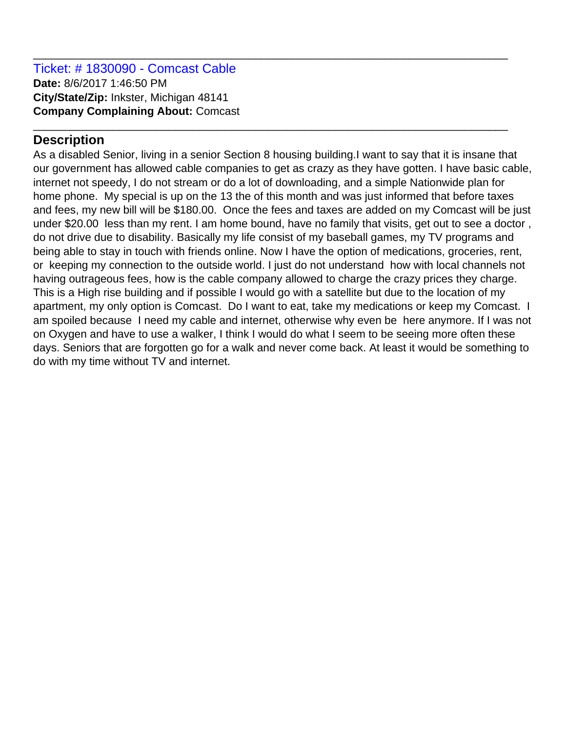#### Ticket: # 1830090 - Comcast Cable **Date:** 8/6/2017 1:46:50 PM **City/State/Zip:** Inkster, Michigan 48141 **Company Complaining About:** Comcast

# **Description**

As a disabled Senior, living in a senior Section 8 housing building.I want to say that it is insane that our government has allowed cable companies to get as crazy as they have gotten. I have basic cable, internet not speedy, I do not stream or do a lot of downloading, and a simple Nationwide plan for home phone. My special is up on the 13 the of this month and was just informed that before taxes and fees, my new bill will be \$180.00. Once the fees and taxes are added on my Comcast will be just under \$20.00 less than my rent. I am home bound, have no family that visits, get out to see a doctor , do not drive due to disability. Basically my life consist of my baseball games, my TV programs and being able to stay in touch with friends online. Now I have the option of medications, groceries, rent, or keeping my connection to the outside world. I just do not understand how with local channels not having outrageous fees, how is the cable company allowed to charge the crazy prices they charge. This is a High rise building and if possible I would go with a satellite but due to the location of my apartment, my only option is Comcast. Do I want to eat, take my medications or keep my Comcast. I am spoiled because I need my cable and internet, otherwise why even be here anymore. If I was not on Oxygen and have to use a walker, I think I would do what I seem to be seeing more often these days. Seniors that are forgotten go for a walk and never come back. At least it would be something to do with my time without TV and internet.

\_\_\_\_\_\_\_\_\_\_\_\_\_\_\_\_\_\_\_\_\_\_\_\_\_\_\_\_\_\_\_\_\_\_\_\_\_\_\_\_\_\_\_\_\_\_\_\_\_\_\_\_\_\_\_\_\_\_\_\_\_\_\_\_\_\_\_\_\_\_\_\_\_\_\_\_\_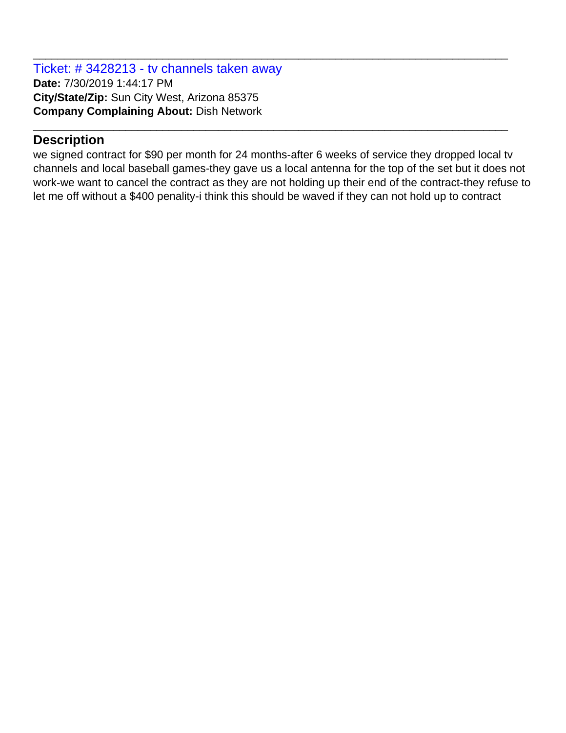Ticket: # 3428213 - tv channels taken away **Date:** 7/30/2019 1:44:17 PM **City/State/Zip:** Sun City West, Arizona 85375 **Company Complaining About:** Dish Network

# **Description**

we signed contract for \$90 per month for 24 months-after 6 weeks of service they dropped local tv channels and local baseball games-they gave us a local antenna for the top of the set but it does not work-we want to cancel the contract as they are not holding up their end of the contract-they refuse to let me off without a \$400 penality-i think this should be waved if they can not hold up to contract

\_\_\_\_\_\_\_\_\_\_\_\_\_\_\_\_\_\_\_\_\_\_\_\_\_\_\_\_\_\_\_\_\_\_\_\_\_\_\_\_\_\_\_\_\_\_\_\_\_\_\_\_\_\_\_\_\_\_\_\_\_\_\_\_\_\_\_\_\_\_\_\_\_\_\_\_\_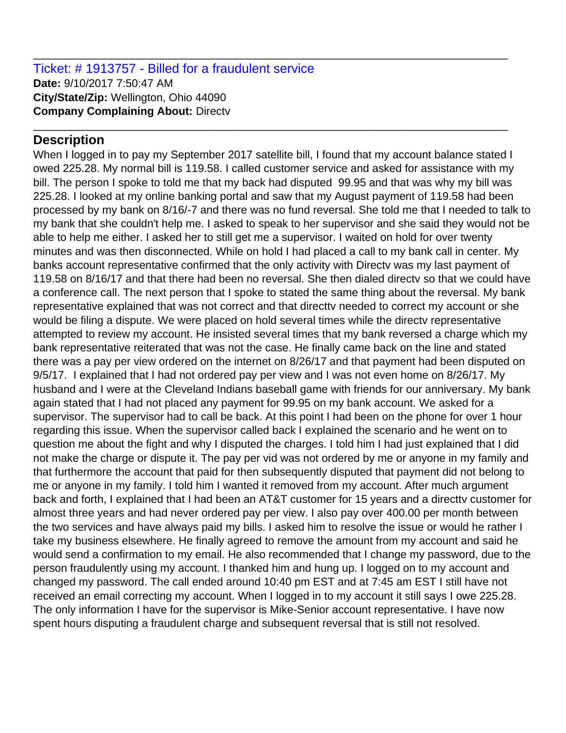#### Ticket: # 1913757 - Billed for a fraudulent service **Date:** 9/10/2017 7:50:47 AM **City/State/Zip:** Wellington, Ohio 44090 **Company Complaining About:** Directv

# **Description**

When I logged in to pay my September 2017 satellite bill, I found that my account balance stated I owed 225.28. My normal bill is 119.58. I called customer service and asked for assistance with my bill. The person I spoke to told me that my back had disputed 99.95 and that was why my bill was 225.28. I looked at my online banking portal and saw that my August payment of 119.58 had been processed by my bank on 8/16/-7 and there was no fund reversal. She told me that I needed to talk to my bank that she couldn't help me. I asked to speak to her supervisor and she said they would not be able to help me either. I asked her to still get me a supervisor. I waited on hold for over twenty minutes and was then disconnected. While on hold I had placed a call to my bank call in center. My banks account representative confirmed that the only activity with Directv was my last payment of 119.58 on 8/16/17 and that there had been no reversal. She then dialed directv so that we could have a conference call. The next person that I spoke to stated the same thing about the reversal. My bank representative explained that was not correct and that directtv needed to correct my account or she would be filing a dispute. We were placed on hold several times while the directv representative attempted to review my account. He insisted several times that my bank reversed a charge which my bank representative reiterated that was not the case. He finally came back on the line and stated there was a pay per view ordered on the internet on 8/26/17 and that payment had been disputed on 9/5/17. I explained that I had not ordered pay per view and I was not even home on 8/26/17. My husband and I were at the Cleveland Indians baseball game with friends for our anniversary. My bank again stated that I had not placed any payment for 99.95 on my bank account. We asked for a supervisor. The supervisor had to call be back. At this point I had been on the phone for over 1 hour regarding this issue. When the supervisor called back I explained the scenario and he went on to question me about the fight and why I disputed the charges. I told him I had just explained that I did not make the charge or dispute it. The pay per vid was not ordered by me or anyone in my family and that furthermore the account that paid for then subsequently disputed that payment did not belong to me or anyone in my family. I told him I wanted it removed from my account. After much argument back and forth, I explained that I had been an AT&T customer for 15 years and a directtv customer for almost three years and had never ordered pay per view. I also pay over 400.00 per month between the two services and have always paid my bills. I asked him to resolve the issue or would he rather I take my business elsewhere. He finally agreed to remove the amount from my account and said he would send a confirmation to my email. He also recommended that I change my password, due to the person fraudulently using my account. I thanked him and hung up. I logged on to my account and changed my password. The call ended around 10:40 pm EST and at 7:45 am EST I still have not received an email correcting my account. When I logged in to my account it still says I owe 225.28. The only information I have for the supervisor is Mike-Senior account representative. I have now spent hours disputing a fraudulent charge and subsequent reversal that is still not resolved.

\_\_\_\_\_\_\_\_\_\_\_\_\_\_\_\_\_\_\_\_\_\_\_\_\_\_\_\_\_\_\_\_\_\_\_\_\_\_\_\_\_\_\_\_\_\_\_\_\_\_\_\_\_\_\_\_\_\_\_\_\_\_\_\_\_\_\_\_\_\_\_\_\_\_\_\_\_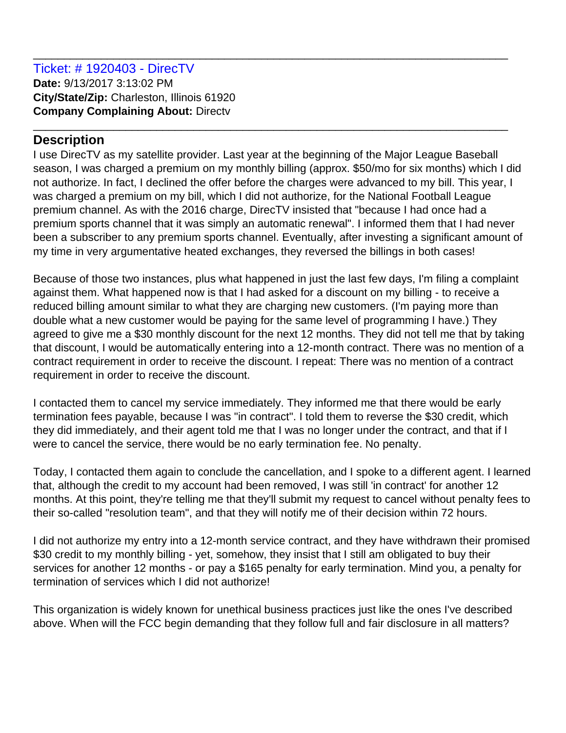Ticket: # 1920403 - DirecTV **Date:** 9/13/2017 3:13:02 PM **City/State/Zip:** Charleston, Illinois 61920 **Company Complaining About:** Directv

# **Description**

I use DirecTV as my satellite provider. Last year at the beginning of the Major League Baseball season, I was charged a premium on my monthly billing (approx. \$50/mo for six months) which I did not authorize. In fact, I declined the offer before the charges were advanced to my bill. This year, I was charged a premium on my bill, which I did not authorize, for the National Football League premium channel. As with the 2016 charge, DirecTV insisted that "because I had once had a premium sports channel that it was simply an automatic renewal". I informed them that I had never been a subscriber to any premium sports channel. Eventually, after investing a significant amount of my time in very argumentative heated exchanges, they reversed the billings in both cases!

\_\_\_\_\_\_\_\_\_\_\_\_\_\_\_\_\_\_\_\_\_\_\_\_\_\_\_\_\_\_\_\_\_\_\_\_\_\_\_\_\_\_\_\_\_\_\_\_\_\_\_\_\_\_\_\_\_\_\_\_\_\_\_\_\_\_\_\_\_\_\_\_\_\_\_\_\_

\_\_\_\_\_\_\_\_\_\_\_\_\_\_\_\_\_\_\_\_\_\_\_\_\_\_\_\_\_\_\_\_\_\_\_\_\_\_\_\_\_\_\_\_\_\_\_\_\_\_\_\_\_\_\_\_\_\_\_\_\_\_\_\_\_\_\_\_\_\_\_\_\_\_\_\_\_

Because of those two instances, plus what happened in just the last few days, I'm filing a complaint against them. What happened now is that I had asked for a discount on my billing - to receive a reduced billing amount similar to what they are charging new customers. (I'm paying more than double what a new customer would be paying for the same level of programming I have.) They agreed to give me a \$30 monthly discount for the next 12 months. They did not tell me that by taking that discount, I would be automatically entering into a 12-month contract. There was no mention of a contract requirement in order to receive the discount. I repeat: There was no mention of a contract requirement in order to receive the discount.

I contacted them to cancel my service immediately. They informed me that there would be early termination fees payable, because I was "in contract". I told them to reverse the \$30 credit, which they did immediately, and their agent told me that I was no longer under the contract, and that if I were to cancel the service, there would be no early termination fee. No penalty.

Today, I contacted them again to conclude the cancellation, and I spoke to a different agent. I learned that, although the credit to my account had been removed, I was still 'in contract' for another 12 months. At this point, they're telling me that they'll submit my request to cancel without penalty fees to their so-called "resolution team", and that they will notify me of their decision within 72 hours.

I did not authorize my entry into a 12-month service contract, and they have withdrawn their promised \$30 credit to my monthly billing - yet, somehow, they insist that I still am obligated to buy their services for another 12 months - or pay a \$165 penalty for early termination. Mind you, a penalty for termination of services which I did not authorize!

This organization is widely known for unethical business practices just like the ones I've described above. When will the FCC begin demanding that they follow full and fair disclosure in all matters?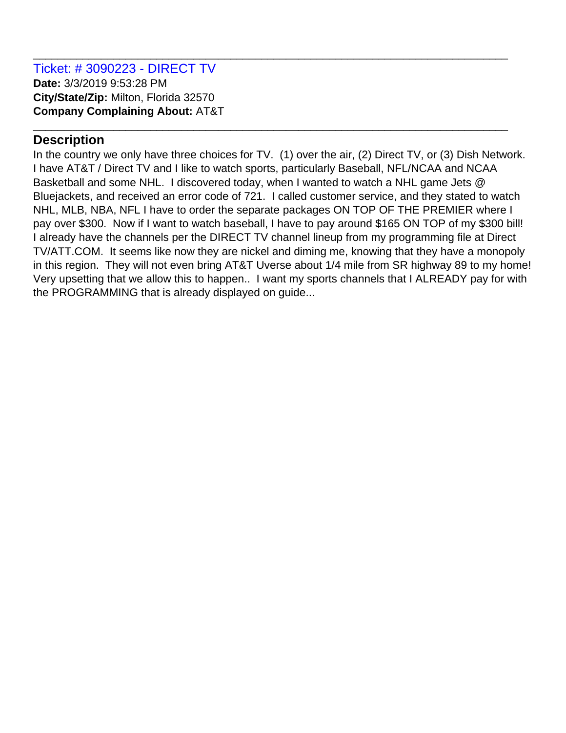# **Description**

In the country we only have three choices for TV. (1) over the air, (2) Direct TV, or (3) Dish Network. I have AT&T / Direct TV and I like to watch sports, particularly Baseball, NFL/NCAA and NCAA Basketball and some NHL. I discovered today, when I wanted to watch a NHL game Jets @ Bluejackets, and received an error code of 721. I called customer service, and they stated to watch NHL, MLB, NBA, NFL I have to order the separate packages ON TOP OF THE PREMIER where I pay over \$300. Now if I want to watch baseball, I have to pay around \$165 ON TOP of my \$300 bill! I already have the channels per the DIRECT TV channel lineup from my programming file at Direct TV/ATT.COM. It seems like now they are nickel and diming me, knowing that they have a monopoly in this region. They will not even bring AT&T Uverse about 1/4 mile from SR highway 89 to my home! Very upsetting that we allow this to happen.. I want my sports channels that I ALREADY pay for with the PROGRAMMING that is already displayed on guide...

\_\_\_\_\_\_\_\_\_\_\_\_\_\_\_\_\_\_\_\_\_\_\_\_\_\_\_\_\_\_\_\_\_\_\_\_\_\_\_\_\_\_\_\_\_\_\_\_\_\_\_\_\_\_\_\_\_\_\_\_\_\_\_\_\_\_\_\_\_\_\_\_\_\_\_\_\_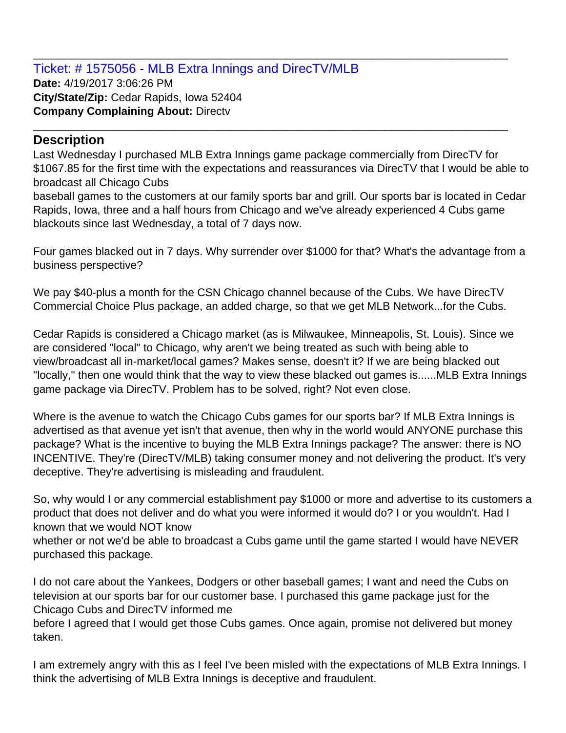Ticket: # 1575056 - MLB Extra Innings and DirecTV/MLB **Date:** 4/19/2017 3:06:26 PM **City/State/Zip:** Cedar Rapids, Iowa 52404 **Company Complaining About:** Directv \_\_\_\_\_\_\_\_\_\_\_\_\_\_\_\_\_\_\_\_\_\_\_\_\_\_\_\_\_\_\_\_\_\_\_\_\_\_\_\_\_\_\_\_\_\_\_\_\_\_\_\_\_\_\_\_\_\_\_\_\_\_\_\_\_\_\_\_\_\_\_\_\_\_\_\_\_

### **Description**

Last Wednesday I purchased MLB Extra Innings game package commercially from DirecTV for \$1067.85 for the first time with the expectations and reassurances via DirecTV that I would be able to broadcast all Chicago Cubs

\_\_\_\_\_\_\_\_\_\_\_\_\_\_\_\_\_\_\_\_\_\_\_\_\_\_\_\_\_\_\_\_\_\_\_\_\_\_\_\_\_\_\_\_\_\_\_\_\_\_\_\_\_\_\_\_\_\_\_\_\_\_\_\_\_\_\_\_\_\_\_\_\_\_\_\_\_

baseball games to the customers at our family sports bar and grill. Our sports bar is located in Cedar Rapids, Iowa, three and a half hours from Chicago and we've already experienced 4 Cubs game blackouts since last Wednesday, a total of 7 days now.

Four games blacked out in 7 days. Why surrender over \$1000 for that? What's the advantage from a business perspective?

We pay \$40-plus a month for the CSN Chicago channel because of the Cubs. We have DirecTV Commercial Choice Plus package, an added charge, so that we get MLB Network...for the Cubs.

Cedar Rapids is considered a Chicago market (as is Milwaukee, Minneapolis, St. Louis). Since we are considered "local" to Chicago, why aren't we being treated as such with being able to view/broadcast all in-market/local games? Makes sense, doesn't it? If we are being blacked out "locally," then one would think that the way to view these blacked out games is......MLB Extra Innings game package via DirecTV. Problem has to be solved, right? Not even close.

Where is the avenue to watch the Chicago Cubs games for our sports bar? If MLB Extra Innings is advertised as that avenue yet isn't that avenue, then why in the world would ANYONE purchase this package? What is the incentive to buying the MLB Extra Innings package? The answer: there is NO INCENTIVE. They're (DirecTV/MLB) taking consumer money and not delivering the product. It's very deceptive. They're advertising is misleading and fraudulent.

So, why would I or any commercial establishment pay \$1000 or more and advertise to its customers a product that does not deliver and do what you were informed it would do? I or you wouldn't. Had I known that we would NOT know

whether or not we'd be able to broadcast a Cubs game until the game started I would have NEVER purchased this package.

I do not care about the Yankees, Dodgers or other baseball games; I want and need the Cubs on television at our sports bar for our customer base. I purchased this game package just for the Chicago Cubs and DirecTV informed me

before I agreed that I would get those Cubs games. Once again, promise not delivered but money taken.

I am extremely angry with this as I feel I've been misled with the expectations of MLB Extra Innings. I think the advertising of MLB Extra Innings is deceptive and fraudulent.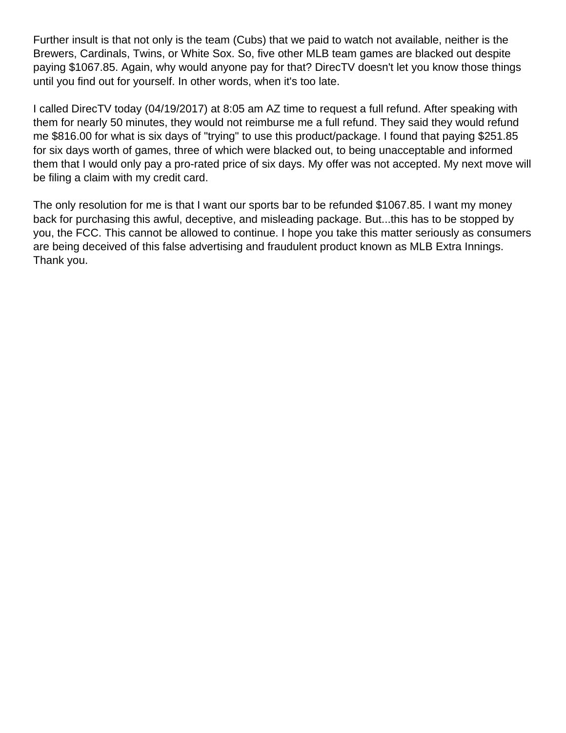Further insult is that not only is the team (Cubs) that we paid to watch not available, neither is the Brewers, Cardinals, Twins, or White Sox. So, five other MLB team games are blacked out despite paying \$1067.85. Again, why would anyone pay for that? DirecTV doesn't let you know those things until you find out for yourself. In other words, when it's too late.

I called DirecTV today (04/19/2017) at 8:05 am AZ time to request a full refund. After speaking with them for nearly 50 minutes, they would not reimburse me a full refund. They said they would refund me \$816.00 for what is six days of "trying" to use this product/package. I found that paying \$251.85 for six days worth of games, three of which were blacked out, to being unacceptable and informed them that I would only pay a pro-rated price of six days. My offer was not accepted. My next move will be filing a claim with my credit card.

The only resolution for me is that I want our sports bar to be refunded \$1067.85. I want my money back for purchasing this awful, deceptive, and misleading package. But...this has to be stopped by you, the FCC. This cannot be allowed to continue. I hope you take this matter seriously as consumers are being deceived of this false advertising and fraudulent product known as MLB Extra Innings. Thank you.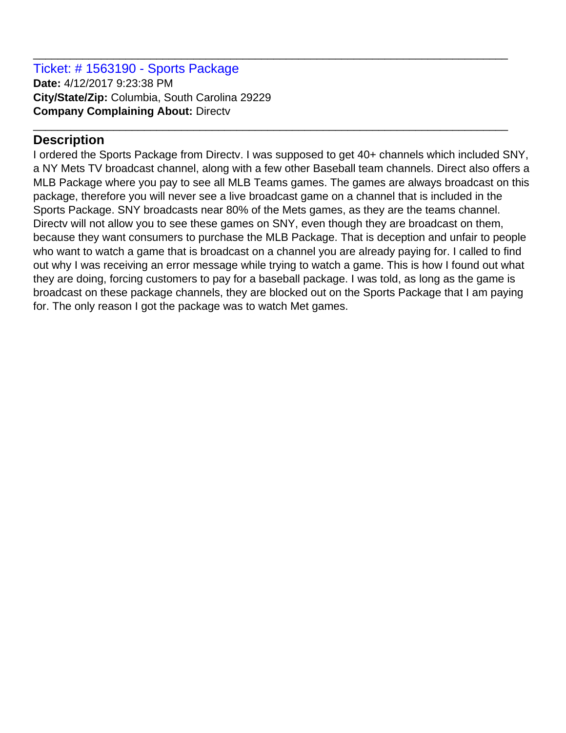#### Ticket: # 1563190 - Sports Package **Date:** 4/12/2017 9:23:38 PM **City/State/Zip:** Columbia, South Carolina 29229 **Company Complaining About:** Directv

# **Description**

I ordered the Sports Package from Directv. I was supposed to get 40+ channels which included SNY, a NY Mets TV broadcast channel, along with a few other Baseball team channels. Direct also offers a MLB Package where you pay to see all MLB Teams games. The games are always broadcast on this package, therefore you will never see a live broadcast game on a channel that is included in the Sports Package. SNY broadcasts near 80% of the Mets games, as they are the teams channel. Directv will not allow you to see these games on SNY, even though they are broadcast on them, because they want consumers to purchase the MLB Package. That is deception and unfair to people who want to watch a game that is broadcast on a channel you are already paying for. I called to find out why I was receiving an error message while trying to watch a game. This is how I found out what they are doing, forcing customers to pay for a baseball package. I was told, as long as the game is broadcast on these package channels, they are blocked out on the Sports Package that I am paying for. The only reason I got the package was to watch Met games.

\_\_\_\_\_\_\_\_\_\_\_\_\_\_\_\_\_\_\_\_\_\_\_\_\_\_\_\_\_\_\_\_\_\_\_\_\_\_\_\_\_\_\_\_\_\_\_\_\_\_\_\_\_\_\_\_\_\_\_\_\_\_\_\_\_\_\_\_\_\_\_\_\_\_\_\_\_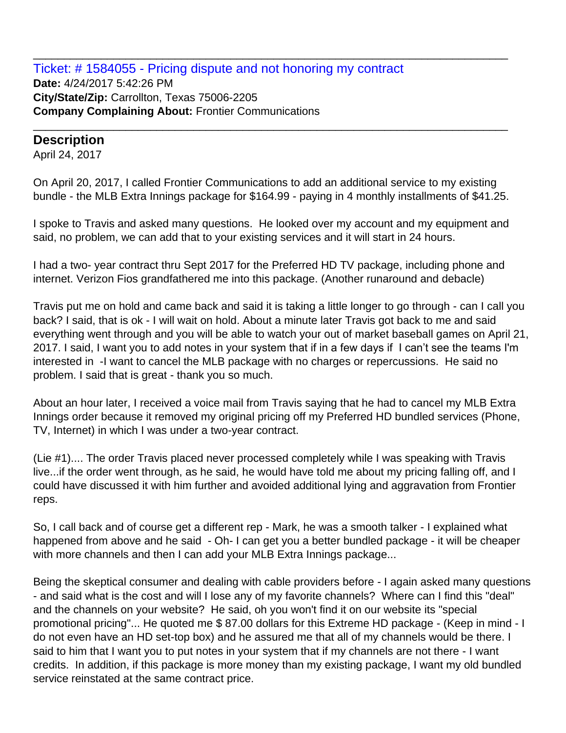Ticket: # 1584055 - Pricing dispute and not honoring my contract **Date:** 4/24/2017 5:42:26 PM **City/State/Zip:** Carrollton, Texas 75006-2205 **Company Complaining About:** Frontier Communications

### **Description**

April 24, 2017

On April 20, 2017, I called Frontier Communications to add an additional service to my existing bundle - the MLB Extra Innings package for \$164.99 - paying in 4 monthly installments of \$41.25.

\_\_\_\_\_\_\_\_\_\_\_\_\_\_\_\_\_\_\_\_\_\_\_\_\_\_\_\_\_\_\_\_\_\_\_\_\_\_\_\_\_\_\_\_\_\_\_\_\_\_\_\_\_\_\_\_\_\_\_\_\_\_\_\_\_\_\_\_\_\_\_\_\_\_\_\_\_

\_\_\_\_\_\_\_\_\_\_\_\_\_\_\_\_\_\_\_\_\_\_\_\_\_\_\_\_\_\_\_\_\_\_\_\_\_\_\_\_\_\_\_\_\_\_\_\_\_\_\_\_\_\_\_\_\_\_\_\_\_\_\_\_\_\_\_\_\_\_\_\_\_\_\_\_\_

I spoke to Travis and asked many questions. He looked over my account and my equipment and said, no problem, we can add that to your existing services and it will start in 24 hours.

I had a two- year contract thru Sept 2017 for the Preferred HD TV package, including phone and internet. Verizon Fios grandfathered me into this package. (Another runaround and debacle)

Travis put me on hold and came back and said it is taking a little longer to go through - can I call you back? I said, that is ok - I will wait on hold. About a minute later Travis got back to me and said everything went through and you will be able to watch your out of market baseball games on April 21, 2017. I said, I want you to add notes in your system that if in a few days if I can't see the teams I'm interested in -I want to cancel the MLB package with no charges or repercussions. He said no problem. I said that is great - thank you so much.

About an hour later, I received a voice mail from Travis saying that he had to cancel my MLB Extra Innings order because it removed my original pricing off my Preferred HD bundled services (Phone, TV, Internet) in which I was under a two-year contract.

(Lie #1).... The order Travis placed never processed completely while I was speaking with Travis live...if the order went through, as he said, he would have told me about my pricing falling off, and I could have discussed it with him further and avoided additional lying and aggravation from Frontier reps.

So, I call back and of course get a different rep - Mark, he was a smooth talker - I explained what happened from above and he said - Oh- I can get you a better bundled package - it will be cheaper with more channels and then I can add your MLB Extra Innings package...

Being the skeptical consumer and dealing with cable providers before - I again asked many questions - and said what is the cost and will I lose any of my favorite channels? Where can I find this "deal" and the channels on your website? He said, oh you won't find it on our website its "special promotional pricing"... He quoted me \$ 87.00 dollars for this Extreme HD package - (Keep in mind - I do not even have an HD set-top box) and he assured me that all of my channels would be there. I said to him that I want you to put notes in your system that if my channels are not there - I want credits. In addition, if this package is more money than my existing package, I want my old bundled service reinstated at the same contract price.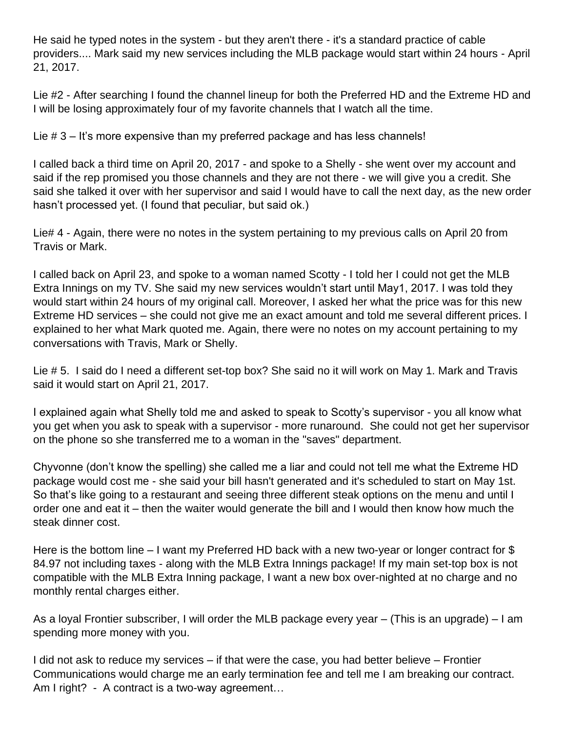He said he typed notes in the system - but they aren't there - it's a standard practice of cable providers.... Mark said my new services including the MLB package would start within 24 hours - April 21, 2017.

Lie #2 - After searching I found the channel lineup for both the Preferred HD and the Extreme HD and I will be losing approximately four of my favorite channels that I watch all the time.

Lie # 3 – It's more expensive than my preferred package and has less channels!

I called back a third time on April 20, 2017 - and spoke to a Shelly - she went over my account and said if the rep promised you those channels and they are not there - we will give you a credit. She said she talked it over with her supervisor and said I would have to call the next day, as the new order hasn't processed yet. (I found that peculiar, but said ok.)

Lie# 4 - Again, there were no notes in the system pertaining to my previous calls on April 20 from Travis or Mark.

I called back on April 23, and spoke to a woman named Scotty - I told her I could not get the MLB Extra Innings on my TV. She said my new services wouldn't start until May1, 2017. I was told they would start within 24 hours of my original call. Moreover, I asked her what the price was for this new Extreme HD services – she could not give me an exact amount and told me several different prices. I explained to her what Mark quoted me. Again, there were no notes on my account pertaining to my conversations with Travis, Mark or Shelly.

Lie # 5. I said do I need a different set-top box? She said no it will work on May 1. Mark and Travis said it would start on April 21, 2017.

I explained again what Shelly told me and asked to speak to Scotty's supervisor - you all know what you get when you ask to speak with a supervisor - more runaround. She could not get her supervisor on the phone so she transferred me to a woman in the "saves" department.

Chyvonne (don't know the spelling) she called me a liar and could not tell me what the Extreme HD package would cost me - she said your bill hasn't generated and it's scheduled to start on May 1st. So that's like going to a restaurant and seeing three different steak options on the menu and until I order one and eat it – then the waiter would generate the bill and I would then know how much the steak dinner cost.

Here is the bottom line – I want my Preferred HD back with a new two-year or longer contract for \$ 84.97 not including taxes - along with the MLB Extra Innings package! If my main set-top box is not compatible with the MLB Extra Inning package, I want a new box over-nighted at no charge and no monthly rental charges either.

As a loyal Frontier subscriber, I will order the MLB package every year – (This is an upgrade) – I am spending more money with you.

I did not ask to reduce my services – if that were the case, you had better believe – Frontier Communications would charge me an early termination fee and tell me I am breaking our contract. Am I right? - A contract is a two-way agreement...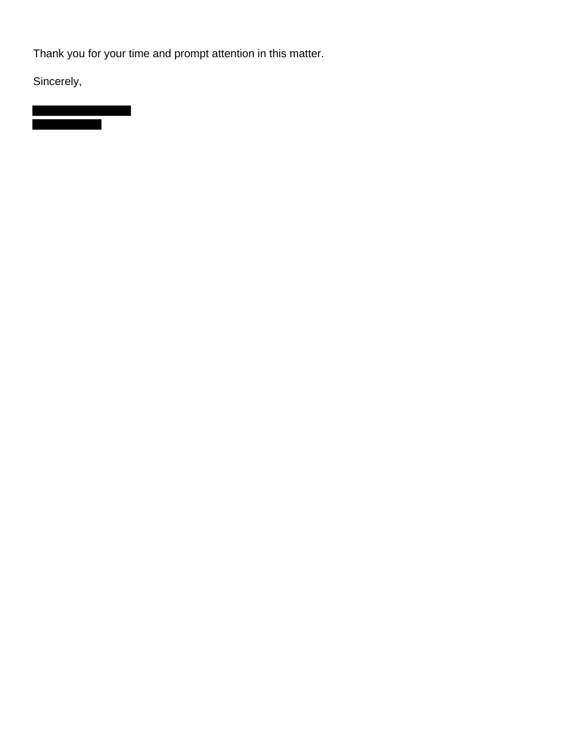Thank you for your time and prompt attention in this matter.

Sincerely,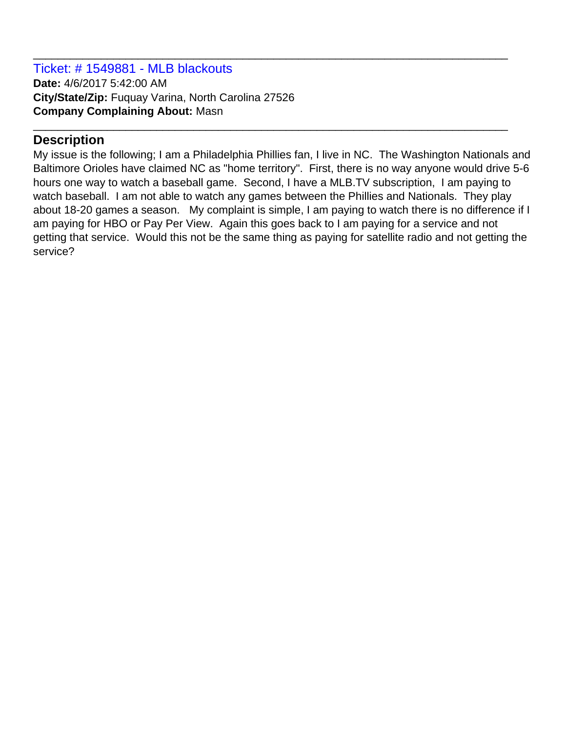#### Ticket: # 1549881 - MLB blackouts **Date:** 4/6/2017 5:42:00 AM **City/State/Zip:** Fuquay Varina, North Carolina 27526 **Company Complaining About:** Masn

# **Description**

My issue is the following; I am a Philadelphia Phillies fan, I live in NC. The Washington Nationals and Baltimore Orioles have claimed NC as "home territory". First, there is no way anyone would drive 5-6 hours one way to watch a baseball game. Second, I have a MLB.TV subscription, I am paying to watch baseball. I am not able to watch any games between the Phillies and Nationals. They play about 18-20 games a season. My complaint is simple, I am paying to watch there is no difference if I am paying for HBO or Pay Per View. Again this goes back to I am paying for a service and not getting that service. Would this not be the same thing as paying for satellite radio and not getting the service?

\_\_\_\_\_\_\_\_\_\_\_\_\_\_\_\_\_\_\_\_\_\_\_\_\_\_\_\_\_\_\_\_\_\_\_\_\_\_\_\_\_\_\_\_\_\_\_\_\_\_\_\_\_\_\_\_\_\_\_\_\_\_\_\_\_\_\_\_\_\_\_\_\_\_\_\_\_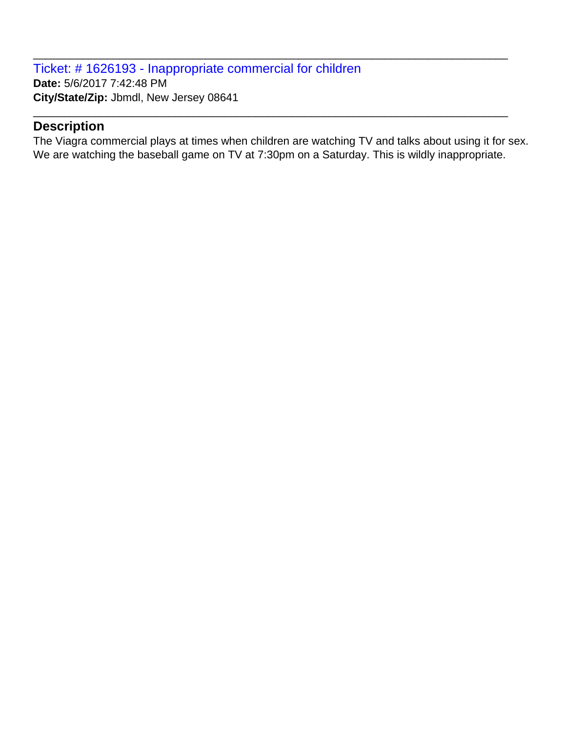Ticket: # 1626193 - Inappropriate commercial for children **Date:** 5/6/2017 7:42:48 PM **City/State/Zip:** Jbmdl, New Jersey 08641

### **Description**

The Viagra commercial plays at times when children are watching TV and talks about using it for sex. We are watching the baseball game on TV at 7:30pm on a Saturday. This is wildly inappropriate.

\_\_\_\_\_\_\_\_\_\_\_\_\_\_\_\_\_\_\_\_\_\_\_\_\_\_\_\_\_\_\_\_\_\_\_\_\_\_\_\_\_\_\_\_\_\_\_\_\_\_\_\_\_\_\_\_\_\_\_\_\_\_\_\_\_\_\_\_\_\_\_\_\_\_\_\_\_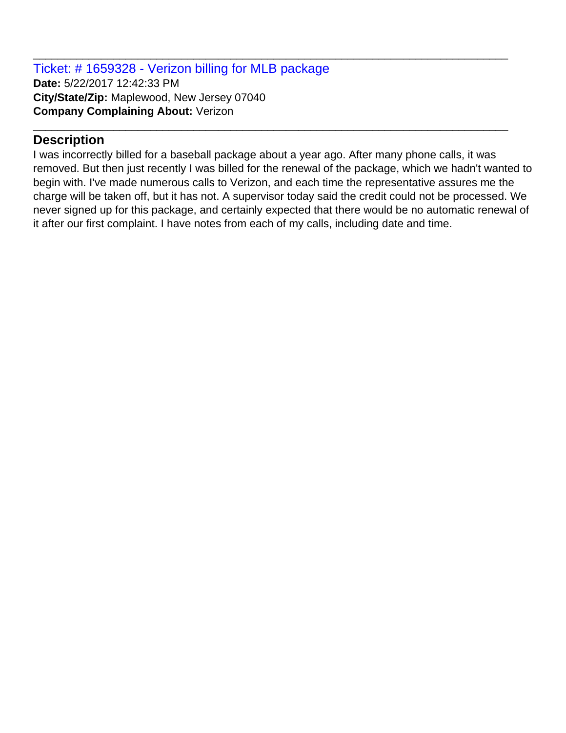Ticket: # 1659328 - Verizon billing for MLB package **Date:** 5/22/2017 12:42:33 PM **City/State/Zip:** Maplewood, New Jersey 07040 **Company Complaining About:** Verizon

# **Description**

I was incorrectly billed for a baseball package about a year ago. After many phone calls, it was removed. But then just recently I was billed for the renewal of the package, which we hadn't wanted to begin with. I've made numerous calls to Verizon, and each time the representative assures me the charge will be taken off, but it has not. A supervisor today said the credit could not be processed. We never signed up for this package, and certainly expected that there would be no automatic renewal of it after our first complaint. I have notes from each of my calls, including date and time.

\_\_\_\_\_\_\_\_\_\_\_\_\_\_\_\_\_\_\_\_\_\_\_\_\_\_\_\_\_\_\_\_\_\_\_\_\_\_\_\_\_\_\_\_\_\_\_\_\_\_\_\_\_\_\_\_\_\_\_\_\_\_\_\_\_\_\_\_\_\_\_\_\_\_\_\_\_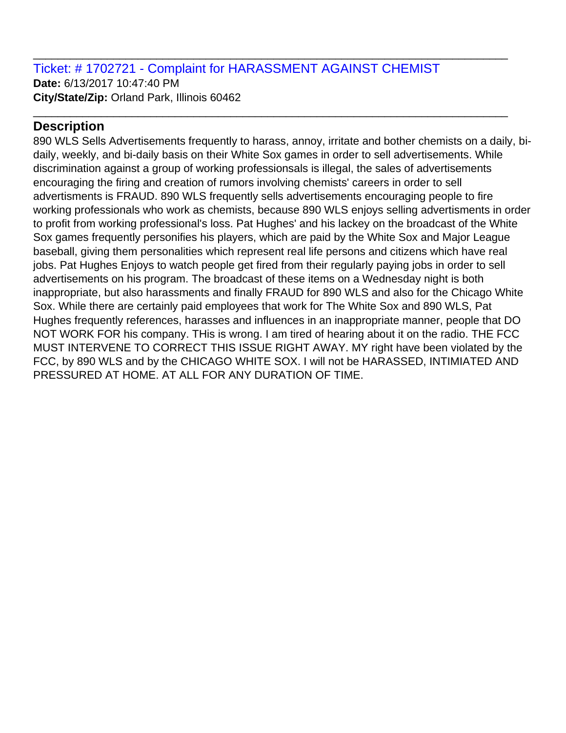# Ticket: # 1702721 - Complaint for HARASSMENT AGAINST CHEMIST **Date:** 6/13/2017 10:47:40 PM **City/State/Zip:** Orland Park, Illinois 60462

\_\_\_\_\_\_\_\_\_\_\_\_\_\_\_\_\_\_\_\_\_\_\_\_\_\_\_\_\_\_\_\_\_\_\_\_\_\_\_\_\_\_\_\_\_\_\_\_\_\_\_\_\_\_\_\_\_\_\_\_\_\_\_\_\_\_\_\_\_\_\_\_\_\_\_\_\_

\_\_\_\_\_\_\_\_\_\_\_\_\_\_\_\_\_\_\_\_\_\_\_\_\_\_\_\_\_\_\_\_\_\_\_\_\_\_\_\_\_\_\_\_\_\_\_\_\_\_\_\_\_\_\_\_\_\_\_\_\_\_\_\_\_\_\_\_\_\_\_\_\_\_\_\_\_

# **Description**

890 WLS Sells Advertisements frequently to harass, annoy, irritate and bother chemists on a daily, bidaily, weekly, and bi-daily basis on their White Sox games in order to sell advertisements. While discrimination against a group of working professionsals is illegal, the sales of advertisements encouraging the firing and creation of rumors involving chemists' careers in order to sell advertisments is FRAUD. 890 WLS frequently sells advertisements encouraging people to fire working professionals who work as chemists, because 890 WLS enjoys selling advertisments in order to profit from working professional's loss. Pat Hughes' and his lackey on the broadcast of the White Sox games frequently personifies his players, which are paid by the White Sox and Major League baseball, giving them personalities which represent real life persons and citizens which have real jobs. Pat Hughes Enjoys to watch people get fired from their regularly paying jobs in order to sell advertisements on his program. The broadcast of these items on a Wednesday night is both inappropriate, but also harassments and finally FRAUD for 890 WLS and also for the Chicago White Sox. While there are certainly paid employees that work for The White Sox and 890 WLS, Pat Hughes frequently references, harasses and influences in an inappropriate manner, people that DO NOT WORK FOR his company. THis is wrong. I am tired of hearing about it on the radio. THE FCC MUST INTERVENE TO CORRECT THIS ISSUE RIGHT AWAY. MY right have been violated by the FCC, by 890 WLS and by the CHICAGO WHITE SOX. I will not be HARASSED, INTIMIATED AND PRESSURED AT HOME. AT ALL FOR ANY DURATION OF TIME.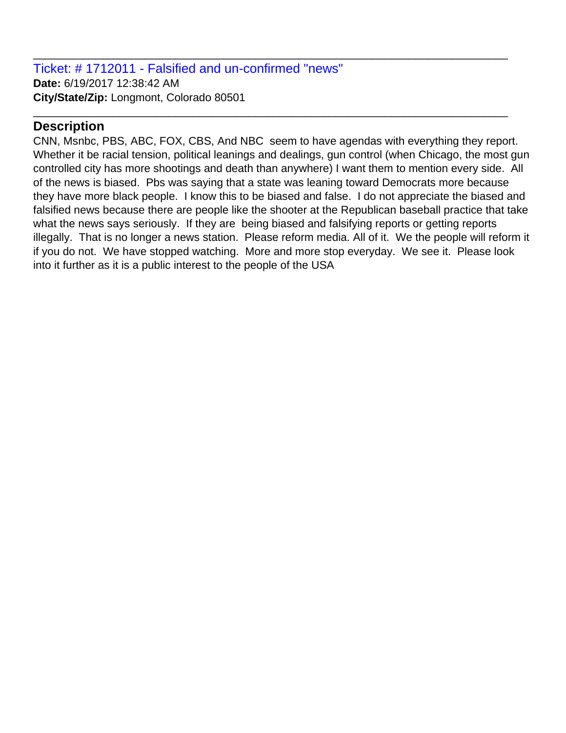Ticket: # 1712011 - Falsified and un-confirmed "news" **Date:** 6/19/2017 12:38:42 AM **City/State/Zip:** Longmont, Colorado 80501

### **Description**

CNN, Msnbc, PBS, ABC, FOX, CBS, And NBC seem to have agendas with everything they report. Whether it be racial tension, political leanings and dealings, gun control (when Chicago, the most gun controlled city has more shootings and death than anywhere) I want them to mention every side. All of the news is biased. Pbs was saying that a state was leaning toward Democrats more because they have more black people. I know this to be biased and false. I do not appreciate the biased and falsified news because there are people like the shooter at the Republican baseball practice that take what the news says seriously. If they are being biased and falsifying reports or getting reports illegally. That is no longer a news station. Please reform media. All of it. We the people will reform it if you do not. We have stopped watching. More and more stop everyday. We see it. Please look into it further as it is a public interest to the people of the USA

\_\_\_\_\_\_\_\_\_\_\_\_\_\_\_\_\_\_\_\_\_\_\_\_\_\_\_\_\_\_\_\_\_\_\_\_\_\_\_\_\_\_\_\_\_\_\_\_\_\_\_\_\_\_\_\_\_\_\_\_\_\_\_\_\_\_\_\_\_\_\_\_\_\_\_\_\_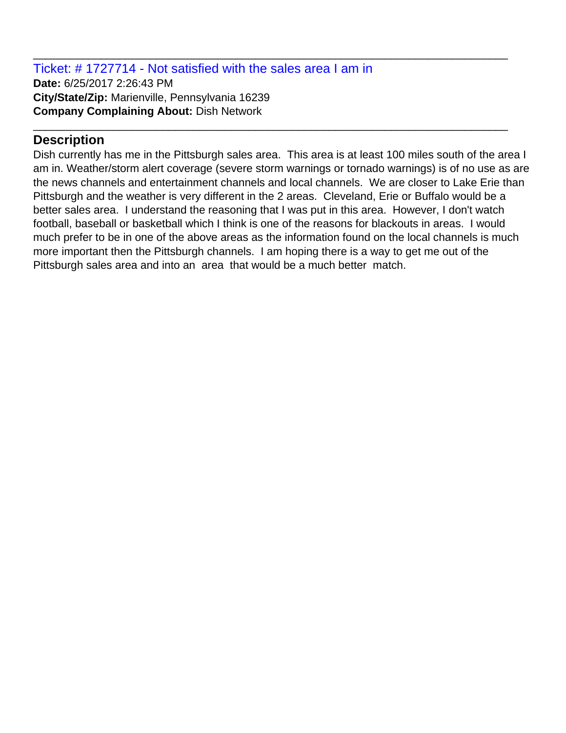Ticket: # 1727714 - Not satisfied with the sales area I am in **Date:** 6/25/2017 2:26:43 PM **City/State/Zip:** Marienville, Pennsylvania 16239 **Company Complaining About:** Dish Network

# **Description**

Dish currently has me in the Pittsburgh sales area. This area is at least 100 miles south of the area I am in. Weather/storm alert coverage (severe storm warnings or tornado warnings) is of no use as are the news channels and entertainment channels and local channels. We are closer to Lake Erie than Pittsburgh and the weather is very different in the 2 areas. Cleveland, Erie or Buffalo would be a better sales area. I understand the reasoning that I was put in this area. However, I don't watch football, baseball or basketball which I think is one of the reasons for blackouts in areas. I would much prefer to be in one of the above areas as the information found on the local channels is much more important then the Pittsburgh channels. I am hoping there is a way to get me out of the Pittsburgh sales area and into an area that would be a much better match.

\_\_\_\_\_\_\_\_\_\_\_\_\_\_\_\_\_\_\_\_\_\_\_\_\_\_\_\_\_\_\_\_\_\_\_\_\_\_\_\_\_\_\_\_\_\_\_\_\_\_\_\_\_\_\_\_\_\_\_\_\_\_\_\_\_\_\_\_\_\_\_\_\_\_\_\_\_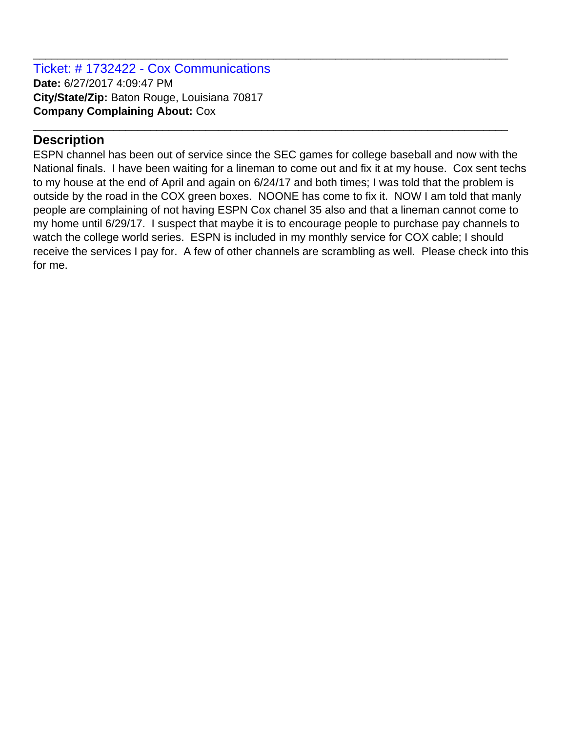Ticket: # 1732422 - Cox Communications **Date:** 6/27/2017 4:09:47 PM **City/State/Zip:** Baton Rouge, Louisiana 70817 **Company Complaining About:** Cox

# **Description**

ESPN channel has been out of service since the SEC games for college baseball and now with the National finals. I have been waiting for a lineman to come out and fix it at my house. Cox sent techs to my house at the end of April and again on 6/24/17 and both times; I was told that the problem is outside by the road in the COX green boxes. NOONE has come to fix it. NOW I am told that manly people are complaining of not having ESPN Cox chanel 35 also and that a lineman cannot come to my home until 6/29/17. I suspect that maybe it is to encourage people to purchase pay channels to watch the college world series. ESPN is included in my monthly service for COX cable; I should receive the services I pay for. A few of other channels are scrambling as well. Please check into this for me.

\_\_\_\_\_\_\_\_\_\_\_\_\_\_\_\_\_\_\_\_\_\_\_\_\_\_\_\_\_\_\_\_\_\_\_\_\_\_\_\_\_\_\_\_\_\_\_\_\_\_\_\_\_\_\_\_\_\_\_\_\_\_\_\_\_\_\_\_\_\_\_\_\_\_\_\_\_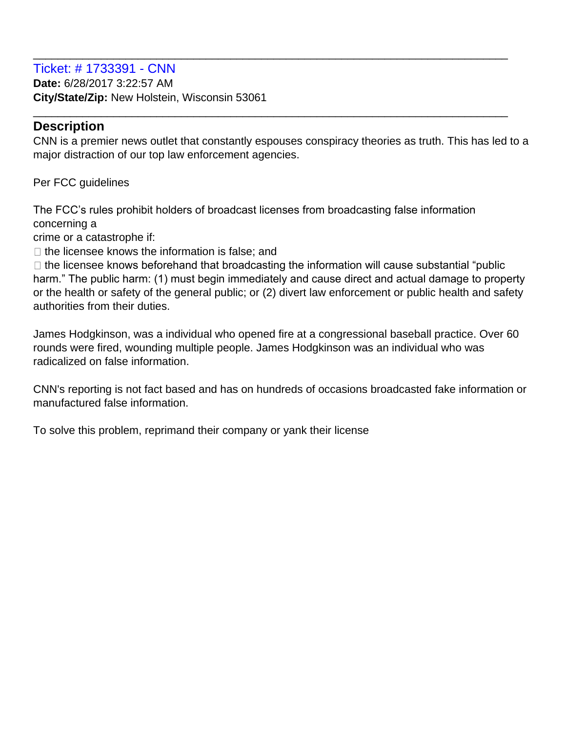Ticket: # 1733391 - CNN **Date:** 6/28/2017 3:22:57 AM **City/State/Zip:** New Holstein, Wisconsin 53061

# **Description**

CNN is a premier news outlet that constantly espouses conspiracy theories as truth. This has led to a major distraction of our top law enforcement agencies.

\_\_\_\_\_\_\_\_\_\_\_\_\_\_\_\_\_\_\_\_\_\_\_\_\_\_\_\_\_\_\_\_\_\_\_\_\_\_\_\_\_\_\_\_\_\_\_\_\_\_\_\_\_\_\_\_\_\_\_\_\_\_\_\_\_\_\_\_\_\_\_\_\_\_\_\_\_

\_\_\_\_\_\_\_\_\_\_\_\_\_\_\_\_\_\_\_\_\_\_\_\_\_\_\_\_\_\_\_\_\_\_\_\_\_\_\_\_\_\_\_\_\_\_\_\_\_\_\_\_\_\_\_\_\_\_\_\_\_\_\_\_\_\_\_\_\_\_\_\_\_\_\_\_\_

Per FCC guidelines

The FCC's rules prohibit holders of broadcast licenses from broadcasting false information concerning a

crime or a catastrophe if:

 $\Box$  the licensee knows the information is false; and

 $\Box$  the licensee knows beforehand that broadcasting the information will cause substantial "public harm." The public harm: (1) must begin immediately and cause direct and actual damage to property or the health or safety of the general public; or (2) divert law enforcement or public health and safety authorities from their duties.

James Hodgkinson, was a individual who opened fire at a congressional baseball practice. Over 60 rounds were fired, wounding multiple people. James Hodgkinson was an individual who was radicalized on false information.

CNN's reporting is not fact based and has on hundreds of occasions broadcasted fake information or manufactured false information.

To solve this problem, reprimand their company or yank their license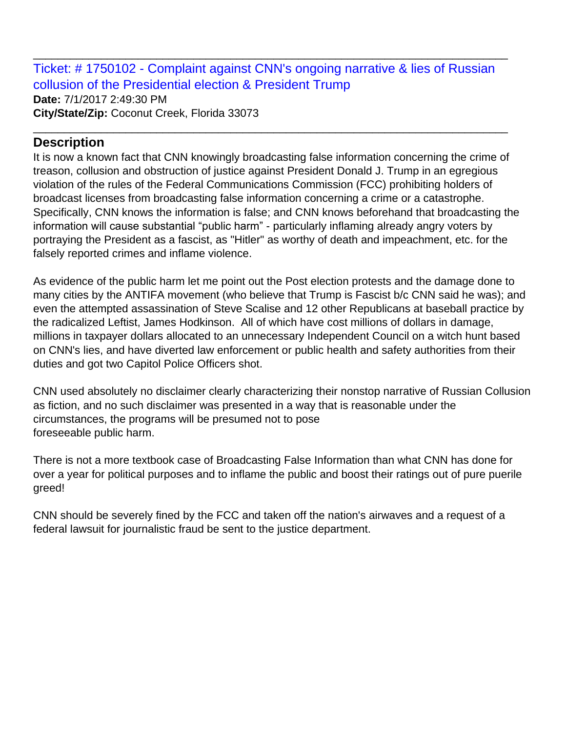Ticket: # 1750102 - Complaint against CNN's ongoing narrative & lies of Russian collusion of the Presidential election & President Trump **Date:** 7/1/2017 2:49:30 PM **City/State/Zip:** Coconut Creek, Florida 33073

\_\_\_\_\_\_\_\_\_\_\_\_\_\_\_\_\_\_\_\_\_\_\_\_\_\_\_\_\_\_\_\_\_\_\_\_\_\_\_\_\_\_\_\_\_\_\_\_\_\_\_\_\_\_\_\_\_\_\_\_\_\_\_\_\_\_\_\_\_\_\_\_\_\_\_\_\_

\_\_\_\_\_\_\_\_\_\_\_\_\_\_\_\_\_\_\_\_\_\_\_\_\_\_\_\_\_\_\_\_\_\_\_\_\_\_\_\_\_\_\_\_\_\_\_\_\_\_\_\_\_\_\_\_\_\_\_\_\_\_\_\_\_\_\_\_\_\_\_\_\_\_\_\_\_

# **Description**

It is now a known fact that CNN knowingly broadcasting false information concerning the crime of treason, collusion and obstruction of justice against President Donald J. Trump in an egregious violation of the rules of the Federal Communications Commission (FCC) prohibiting holders of broadcast licenses from broadcasting false information concerning a crime or a catastrophe. Specifically, CNN knows the information is false; and CNN knows beforehand that broadcasting the information will cause substantial "public harm" - particularly inflaming already angry voters by portraying the President as a fascist, as "Hitler" as worthy of death and impeachment, etc. for the falsely reported crimes and inflame violence.

As evidence of the public harm let me point out the Post election protests and the damage done to many cities by the ANTIFA movement (who believe that Trump is Fascist b/c CNN said he was); and even the attempted assassination of Steve Scalise and 12 other Republicans at baseball practice by the radicalized Leftist, James Hodkinson. All of which have cost millions of dollars in damage, millions in taxpayer dollars allocated to an unnecessary Independent Council on a witch hunt based on CNN's lies, and have diverted law enforcement or public health and safety authorities from their duties and got two Capitol Police Officers shot.

CNN used absolutely no disclaimer clearly characterizing their nonstop narrative of Russian Collusion as fiction, and no such disclaimer was presented in a way that is reasonable under the circumstances, the programs will be presumed not to pose foreseeable public harm.

There is not a more textbook case of Broadcasting False Information than what CNN has done for over a year for political purposes and to inflame the public and boost their ratings out of pure puerile greed!

CNN should be severely fined by the FCC and taken off the nation's airwaves and a request of a federal lawsuit for journalistic fraud be sent to the justice department.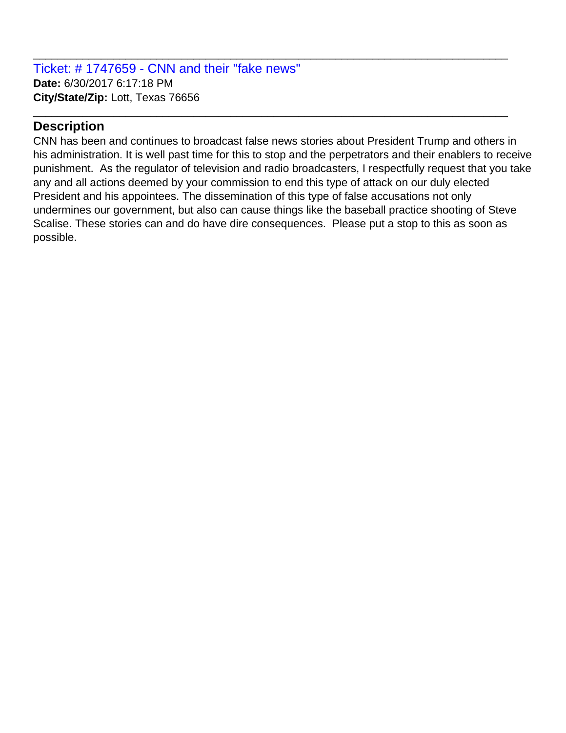Ticket: # 1747659 - CNN and their "fake news" **Date:** 6/30/2017 6:17:18 PM **City/State/Zip:** Lott, Texas 76656

# **Description**

CNN has been and continues to broadcast false news stories about President Trump and others in his administration. It is well past time for this to stop and the perpetrators and their enablers to receive punishment. As the regulator of television and radio broadcasters, I respectfully request that you take any and all actions deemed by your commission to end this type of attack on our duly elected President and his appointees. The dissemination of this type of false accusations not only undermines our government, but also can cause things like the baseball practice shooting of Steve Scalise. These stories can and do have dire consequences. Please put a stop to this as soon as possible.

\_\_\_\_\_\_\_\_\_\_\_\_\_\_\_\_\_\_\_\_\_\_\_\_\_\_\_\_\_\_\_\_\_\_\_\_\_\_\_\_\_\_\_\_\_\_\_\_\_\_\_\_\_\_\_\_\_\_\_\_\_\_\_\_\_\_\_\_\_\_\_\_\_\_\_\_\_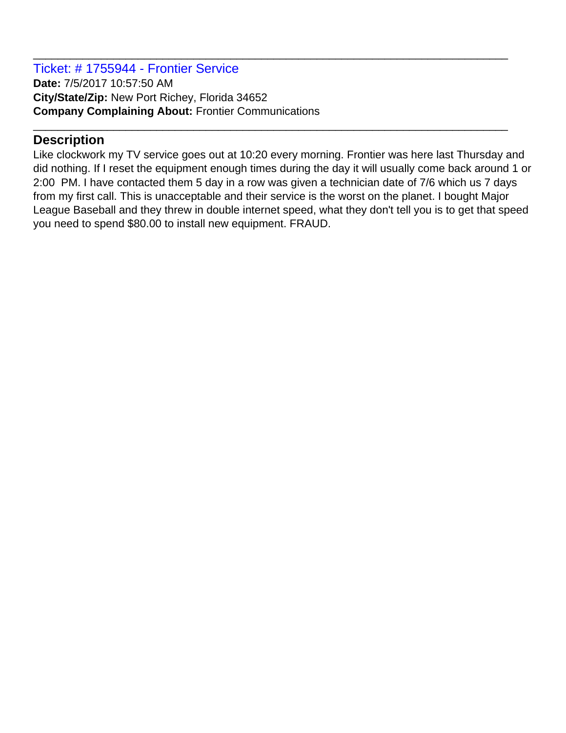#### Ticket: # 1755944 - Frontier Service **Date:** 7/5/2017 10:57:50 AM **City/State/Zip:** New Port Richey, Florida 34652 **Company Complaining About:** Frontier Communications

# **Description**

Like clockwork my TV service goes out at 10:20 every morning. Frontier was here last Thursday and did nothing. If I reset the equipment enough times during the day it will usually come back around 1 or 2:00 PM. I have contacted them 5 day in a row was given a technician date of 7/6 which us 7 days from my first call. This is unacceptable and their service is the worst on the planet. I bought Major League Baseball and they threw in double internet speed, what they don't tell you is to get that speed you need to spend \$80.00 to install new equipment. FRAUD.

\_\_\_\_\_\_\_\_\_\_\_\_\_\_\_\_\_\_\_\_\_\_\_\_\_\_\_\_\_\_\_\_\_\_\_\_\_\_\_\_\_\_\_\_\_\_\_\_\_\_\_\_\_\_\_\_\_\_\_\_\_\_\_\_\_\_\_\_\_\_\_\_\_\_\_\_\_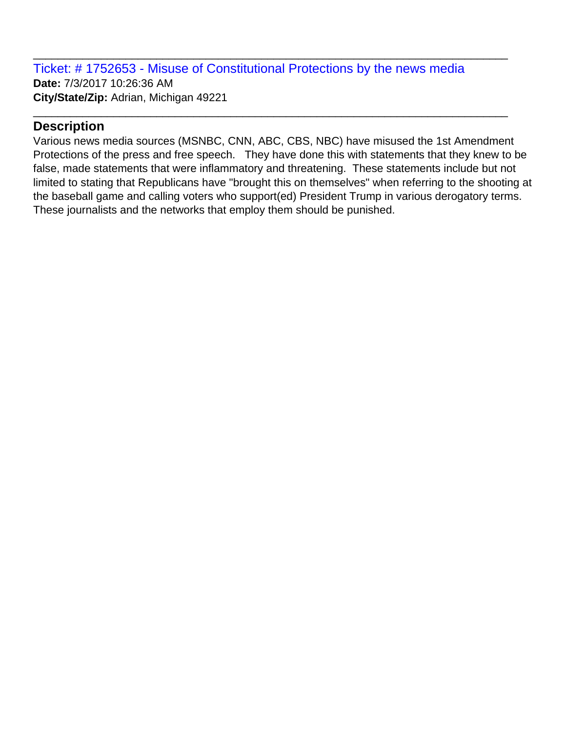Ticket: # 1752653 - Misuse of Constitutional Protections by the news media **Date:** 7/3/2017 10:26:36 AM **City/State/Zip:** Adrian, Michigan 49221

\_\_\_\_\_\_\_\_\_\_\_\_\_\_\_\_\_\_\_\_\_\_\_\_\_\_\_\_\_\_\_\_\_\_\_\_\_\_\_\_\_\_\_\_\_\_\_\_\_\_\_\_\_\_\_\_\_\_\_\_\_\_\_\_\_\_\_\_\_\_\_\_\_\_\_\_\_

\_\_\_\_\_\_\_\_\_\_\_\_\_\_\_\_\_\_\_\_\_\_\_\_\_\_\_\_\_\_\_\_\_\_\_\_\_\_\_\_\_\_\_\_\_\_\_\_\_\_\_\_\_\_\_\_\_\_\_\_\_\_\_\_\_\_\_\_\_\_\_\_\_\_\_\_\_

### **Description**

Various news media sources (MSNBC, CNN, ABC, CBS, NBC) have misused the 1st Amendment Protections of the press and free speech. They have done this with statements that they knew to be false, made statements that were inflammatory and threatening. These statements include but not limited to stating that Republicans have "brought this on themselves" when referring to the shooting at the baseball game and calling voters who support(ed) President Trump in various derogatory terms. These journalists and the networks that employ them should be punished.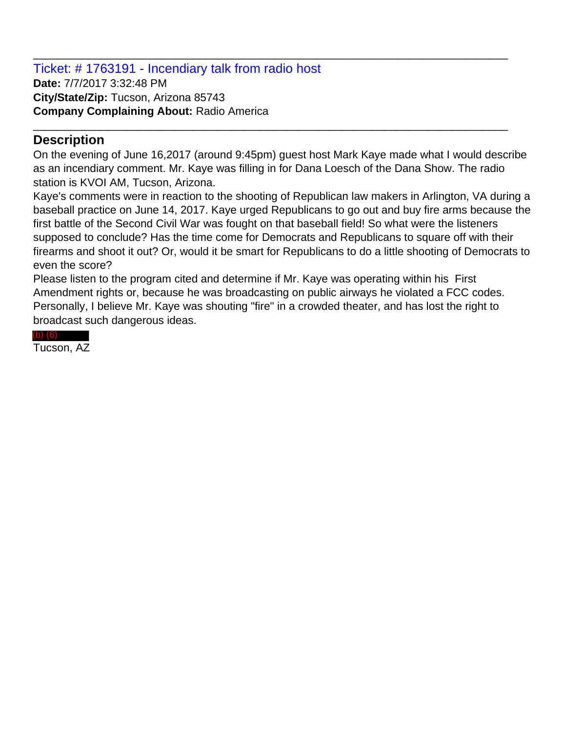Ticket: # 1763191 - Incendiary talk from radio host **Date:** 7/7/2017 3:32:48 PM **City/State/Zip:** Tucson, Arizona 85743 **Company Complaining About:** Radio America

# **Description**

On the evening of June 16,2017 (around 9:45pm) guest host Mark Kaye made what I would describe as an incendiary comment. Mr. Kaye was filling in for Dana Loesch of the Dana Show. The radio station is KVOI AM, Tucson, Arizona.

\_\_\_\_\_\_\_\_\_\_\_\_\_\_\_\_\_\_\_\_\_\_\_\_\_\_\_\_\_\_\_\_\_\_\_\_\_\_\_\_\_\_\_\_\_\_\_\_\_\_\_\_\_\_\_\_\_\_\_\_\_\_\_\_\_\_\_\_\_\_\_\_\_\_\_\_\_

\_\_\_\_\_\_\_\_\_\_\_\_\_\_\_\_\_\_\_\_\_\_\_\_\_\_\_\_\_\_\_\_\_\_\_\_\_\_\_\_\_\_\_\_\_\_\_\_\_\_\_\_\_\_\_\_\_\_\_\_\_\_\_\_\_\_\_\_\_\_\_\_\_\_\_\_\_

Kaye's comments were in reaction to the shooting of Republican law makers in Arlington, VA during a baseball practice on June 14, 2017. Kaye urged Republicans to go out and buy fire arms because the first battle of the Second Civil War was fought on that baseball field! So what were the listeners supposed to conclude? Has the time come for Democrats and Republicans to square off with their firearms and shoot it out? Or, would it be smart for Republicans to do a little shooting of Democrats to even the score?

Please listen to the program cited and determine if Mr. Kaye was operating within his First Amendment rights or, because he was broadcasting on public airways he violated a FCC codes. Personally, I believe Mr. Kaye was shouting "fire" in a crowded theater, and has lost the right to broadcast such dangerous ideas.

#### (b) (6)

Tucson, AZ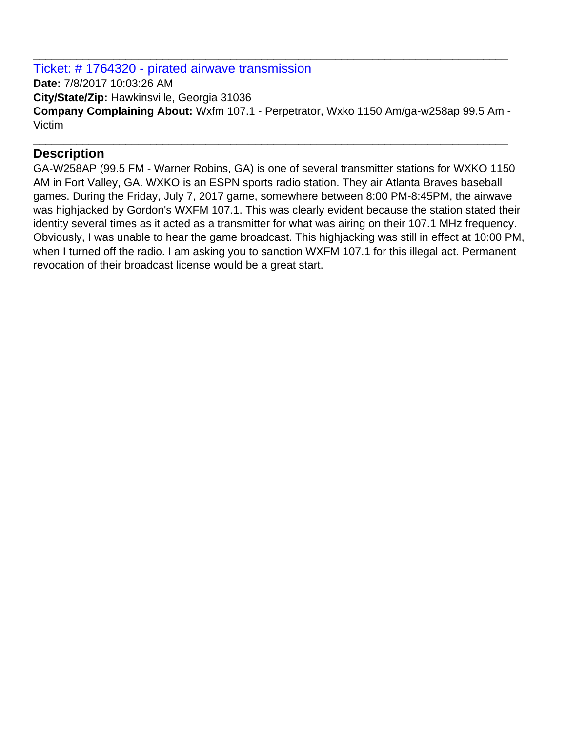#### Ticket: # 1764320 - pirated airwave transmission

**Date:** 7/8/2017 10:03:26 AM **City/State/Zip:** Hawkinsville, Georgia 31036 **Company Complaining About:** Wxfm 107.1 - Perpetrator, Wxko 1150 Am/ga-w258ap 99.5 Am - Victim

\_\_\_\_\_\_\_\_\_\_\_\_\_\_\_\_\_\_\_\_\_\_\_\_\_\_\_\_\_\_\_\_\_\_\_\_\_\_\_\_\_\_\_\_\_\_\_\_\_\_\_\_\_\_\_\_\_\_\_\_\_\_\_\_\_\_\_\_\_\_\_\_\_\_\_\_\_

\_\_\_\_\_\_\_\_\_\_\_\_\_\_\_\_\_\_\_\_\_\_\_\_\_\_\_\_\_\_\_\_\_\_\_\_\_\_\_\_\_\_\_\_\_\_\_\_\_\_\_\_\_\_\_\_\_\_\_\_\_\_\_\_\_\_\_\_\_\_\_\_\_\_\_\_\_

# **Description**

GA-W258AP (99.5 FM - Warner Robins, GA) is one of several transmitter stations for WXKO 1150 AM in Fort Valley, GA. WXKO is an ESPN sports radio station. They air Atlanta Braves baseball games. During the Friday, July 7, 2017 game, somewhere between 8:00 PM-8:45PM, the airwave was highjacked by Gordon's WXFM 107.1. This was clearly evident because the station stated their identity several times as it acted as a transmitter for what was airing on their 107.1 MHz frequency. Obviously, I was unable to hear the game broadcast. This highjacking was still in effect at 10:00 PM, when I turned off the radio. I am asking you to sanction WXFM 107.1 for this illegal act. Permanent revocation of their broadcast license would be a great start.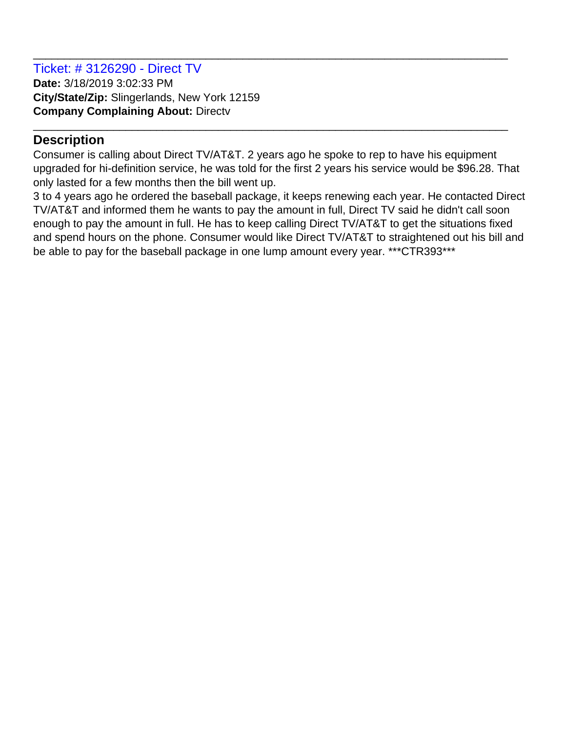Ticket: # 3126290 - Direct TV **Date:** 3/18/2019 3:02:33 PM **City/State/Zip:** Slingerlands, New York 12159 **Company Complaining About:** Directv

# **Description**

Consumer is calling about Direct TV/AT&T. 2 years ago he spoke to rep to have his equipment upgraded for hi-definition service, he was told for the first 2 years his service would be \$96.28. That only lasted for a few months then the bill went up.

\_\_\_\_\_\_\_\_\_\_\_\_\_\_\_\_\_\_\_\_\_\_\_\_\_\_\_\_\_\_\_\_\_\_\_\_\_\_\_\_\_\_\_\_\_\_\_\_\_\_\_\_\_\_\_\_\_\_\_\_\_\_\_\_\_\_\_\_\_\_\_\_\_\_\_\_\_

\_\_\_\_\_\_\_\_\_\_\_\_\_\_\_\_\_\_\_\_\_\_\_\_\_\_\_\_\_\_\_\_\_\_\_\_\_\_\_\_\_\_\_\_\_\_\_\_\_\_\_\_\_\_\_\_\_\_\_\_\_\_\_\_\_\_\_\_\_\_\_\_\_\_\_\_\_

3 to 4 years ago he ordered the baseball package, it keeps renewing each year. He contacted Direct TV/AT&T and informed them he wants to pay the amount in full, Direct TV said he didn't call soon enough to pay the amount in full. He has to keep calling Direct TV/AT&T to get the situations fixed and spend hours on the phone. Consumer would like Direct TV/AT&T to straightened out his bill and be able to pay for the baseball package in one lump amount every year. \*\*\*CTR393\*\*\*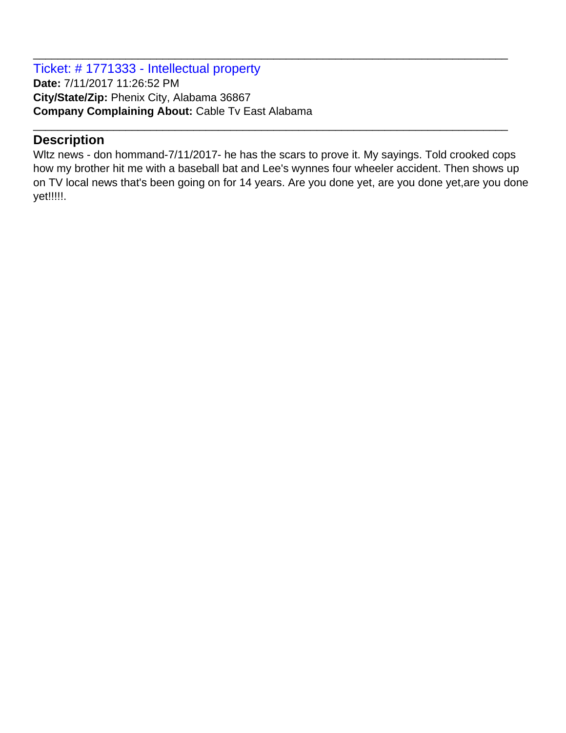Ticket: # 1771333 - Intellectual property **Date:** 7/11/2017 11:26:52 PM **City/State/Zip:** Phenix City, Alabama 36867 **Company Complaining About:** Cable Tv East Alabama

# **Description**

Wltz news - don hommand-7/11/2017- he has the scars to prove it. My sayings. Told crooked cops how my brother hit me with a baseball bat and Lee's wynnes four wheeler accident. Then shows up on TV local news that's been going on for 14 years. Are you done yet, are you done yet,are you done yet!!!!!.

\_\_\_\_\_\_\_\_\_\_\_\_\_\_\_\_\_\_\_\_\_\_\_\_\_\_\_\_\_\_\_\_\_\_\_\_\_\_\_\_\_\_\_\_\_\_\_\_\_\_\_\_\_\_\_\_\_\_\_\_\_\_\_\_\_\_\_\_\_\_\_\_\_\_\_\_\_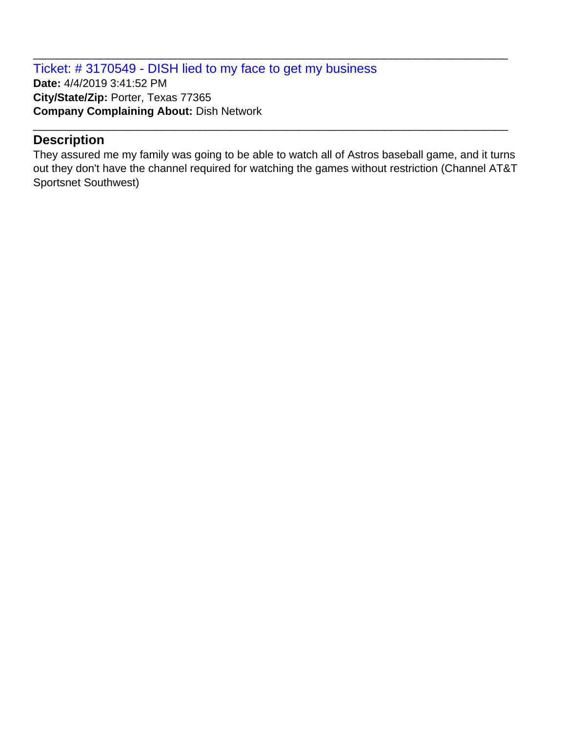Ticket: # 3170549 - DISH lied to my face to get my business **Date:** 4/4/2019 3:41:52 PM **City/State/Zip:** Porter, Texas 77365 **Company Complaining About:** Dish Network

# **Description**

They assured me my family was going to be able to watch all of Astros baseball game, and it turns out they don't have the channel required for watching the games without restriction (Channel AT&T Sportsnet Southwest)

\_\_\_\_\_\_\_\_\_\_\_\_\_\_\_\_\_\_\_\_\_\_\_\_\_\_\_\_\_\_\_\_\_\_\_\_\_\_\_\_\_\_\_\_\_\_\_\_\_\_\_\_\_\_\_\_\_\_\_\_\_\_\_\_\_\_\_\_\_\_\_\_\_\_\_\_\_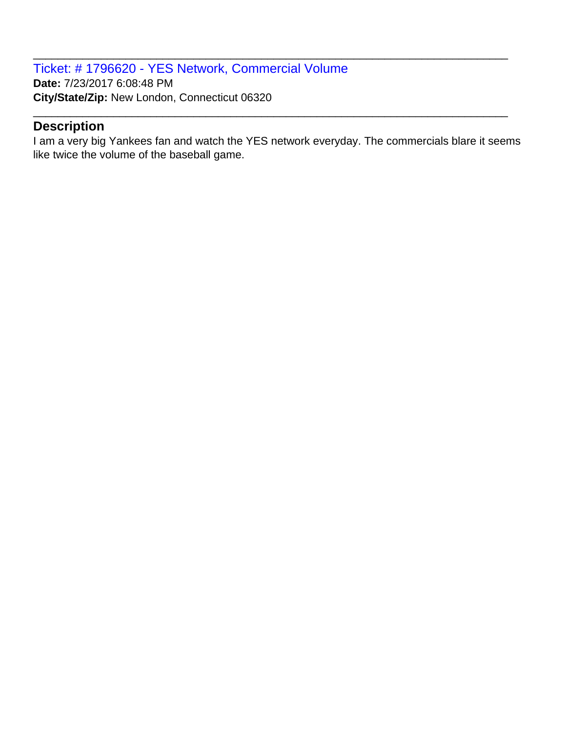Ticket: # 1796620 - YES Network, Commercial Volume **Date:** 7/23/2017 6:08:48 PM **City/State/Zip:** New London, Connecticut 06320

### **Description**

I am a very big Yankees fan and watch the YES network everyday. The commercials blare it seems like twice the volume of the baseball game.

\_\_\_\_\_\_\_\_\_\_\_\_\_\_\_\_\_\_\_\_\_\_\_\_\_\_\_\_\_\_\_\_\_\_\_\_\_\_\_\_\_\_\_\_\_\_\_\_\_\_\_\_\_\_\_\_\_\_\_\_\_\_\_\_\_\_\_\_\_\_\_\_\_\_\_\_\_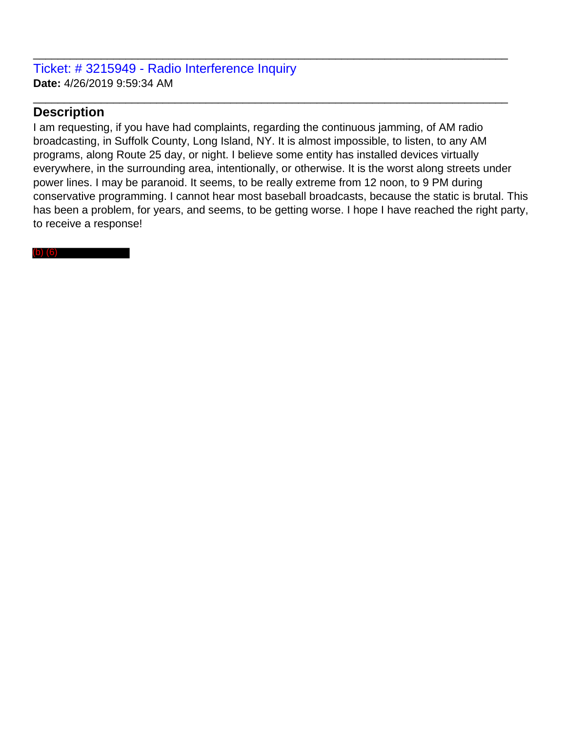### Ticket: # 3215949 - Radio Interference Inquiry **Date:** 4/26/2019 9:59:34 AM

### **Description**

I am requesting, if you have had complaints, regarding the continuous jamming, of AM radio broadcasting, in Suffolk County, Long Island, NY. It is almost impossible, to listen, to any AM programs, along Route 25 day, or night. I believe some entity has installed devices virtually everywhere, in the surrounding area, intentionally, or otherwise. It is the worst along streets under power lines. I may be paranoid. It seems, to be really extreme from 12 noon, to 9 PM during conservative programming. I cannot hear most baseball broadcasts, because the static is brutal. This has been a problem, for years, and seems, to be getting worse. I hope I have reached the right party, to receive a response!

\_\_\_\_\_\_\_\_\_\_\_\_\_\_\_\_\_\_\_\_\_\_\_\_\_\_\_\_\_\_\_\_\_\_\_\_\_\_\_\_\_\_\_\_\_\_\_\_\_\_\_\_\_\_\_\_\_\_\_\_\_\_\_\_\_\_\_\_\_\_\_\_\_\_\_\_\_

\_\_\_\_\_\_\_\_\_\_\_\_\_\_\_\_\_\_\_\_\_\_\_\_\_\_\_\_\_\_\_\_\_\_\_\_\_\_\_\_\_\_\_\_\_\_\_\_\_\_\_\_\_\_\_\_\_\_\_\_\_\_\_\_\_\_\_\_\_\_\_\_\_\_\_\_\_

(b) (6)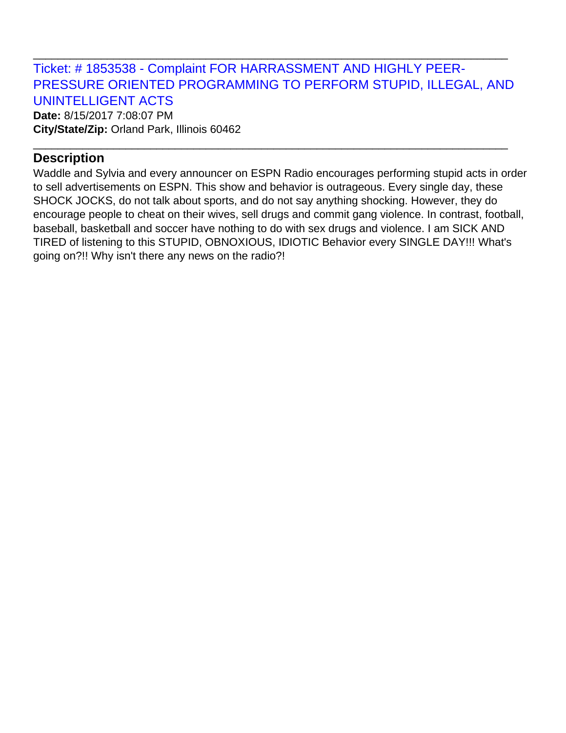# Ticket: # 1853538 - Complaint FOR HARRASSMENT AND HIGHLY PEER-PRESSURE ORIENTED PROGRAMMING TO PERFORM STUPID, ILLEGAL, AND UNINTELLIGENT ACTS

\_\_\_\_\_\_\_\_\_\_\_\_\_\_\_\_\_\_\_\_\_\_\_\_\_\_\_\_\_\_\_\_\_\_\_\_\_\_\_\_\_\_\_\_\_\_\_\_\_\_\_\_\_\_\_\_\_\_\_\_\_\_\_\_\_\_\_\_\_\_\_\_\_\_\_\_\_

\_\_\_\_\_\_\_\_\_\_\_\_\_\_\_\_\_\_\_\_\_\_\_\_\_\_\_\_\_\_\_\_\_\_\_\_\_\_\_\_\_\_\_\_\_\_\_\_\_\_\_\_\_\_\_\_\_\_\_\_\_\_\_\_\_\_\_\_\_\_\_\_\_\_\_\_\_

**Date:** 8/15/2017 7:08:07 PM **City/State/Zip:** Orland Park, Illinois 60462

# **Description**

Waddle and Sylvia and every announcer on ESPN Radio encourages performing stupid acts in order to sell advertisements on ESPN. This show and behavior is outrageous. Every single day, these SHOCK JOCKS, do not talk about sports, and do not say anything shocking. However, they do encourage people to cheat on their wives, sell drugs and commit gang violence. In contrast, football, baseball, basketball and soccer have nothing to do with sex drugs and violence. I am SICK AND TIRED of listening to this STUPID, OBNOXIOUS, IDIOTIC Behavior every SINGLE DAY!!! What's going on?!! Why isn't there any news on the radio?!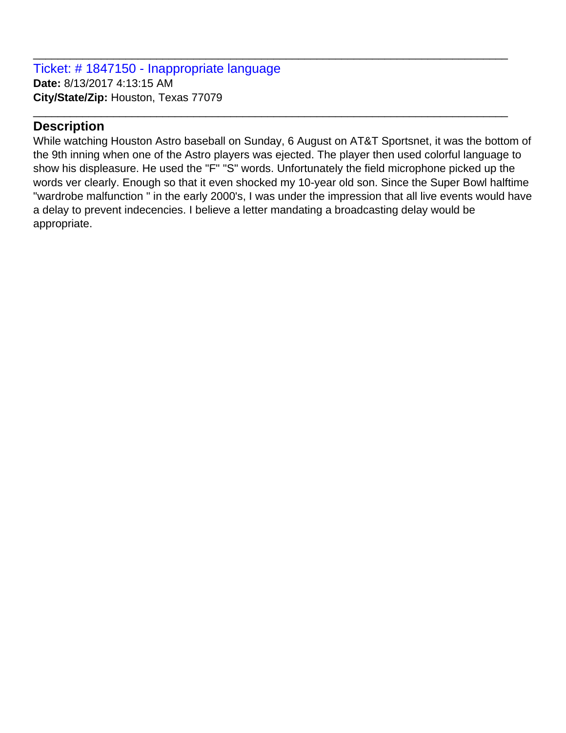Ticket: # 1847150 - Inappropriate language **Date:** 8/13/2017 4:13:15 AM **City/State/Zip:** Houston, Texas 77079

### **Description**

While watching Houston Astro baseball on Sunday, 6 August on AT&T Sportsnet, it was the bottom of the 9th inning when one of the Astro players was ejected. The player then used colorful language to show his displeasure. He used the "F" "S" words. Unfortunately the field microphone picked up the words ver clearly. Enough so that it even shocked my 10-year old son. Since the Super Bowl halftime "wardrobe malfunction " in the early 2000's, I was under the impression that all live events would have a delay to prevent indecencies. I believe a letter mandating a broadcasting delay would be appropriate.

\_\_\_\_\_\_\_\_\_\_\_\_\_\_\_\_\_\_\_\_\_\_\_\_\_\_\_\_\_\_\_\_\_\_\_\_\_\_\_\_\_\_\_\_\_\_\_\_\_\_\_\_\_\_\_\_\_\_\_\_\_\_\_\_\_\_\_\_\_\_\_\_\_\_\_\_\_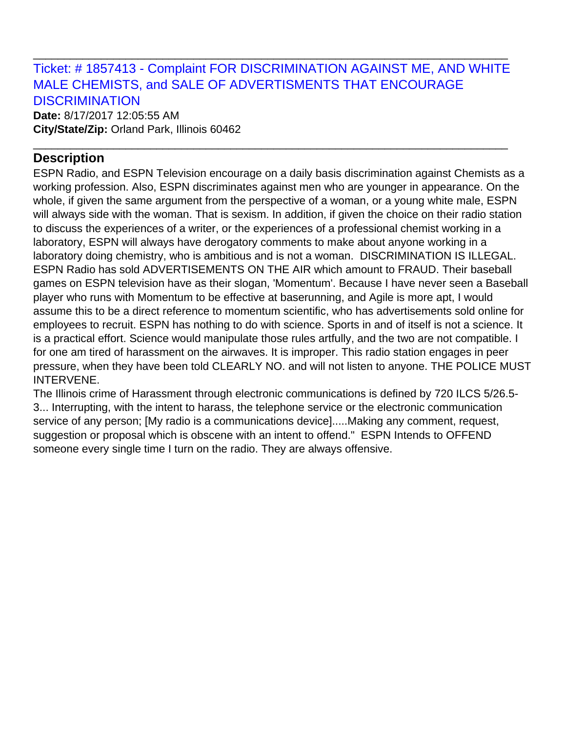# Ticket: # 1857413 - Complaint FOR DISCRIMINATION AGAINST ME, AND WHITE MALE CHEMISTS, and SALE OF ADVERTISMENTS THAT ENCOURAGE **DISCRIMINATION**

\_\_\_\_\_\_\_\_\_\_\_\_\_\_\_\_\_\_\_\_\_\_\_\_\_\_\_\_\_\_\_\_\_\_\_\_\_\_\_\_\_\_\_\_\_\_\_\_\_\_\_\_\_\_\_\_\_\_\_\_\_\_\_\_\_\_\_\_\_\_\_\_\_\_\_\_\_

\_\_\_\_\_\_\_\_\_\_\_\_\_\_\_\_\_\_\_\_\_\_\_\_\_\_\_\_\_\_\_\_\_\_\_\_\_\_\_\_\_\_\_\_\_\_\_\_\_\_\_\_\_\_\_\_\_\_\_\_\_\_\_\_\_\_\_\_\_\_\_\_\_\_\_\_\_

**Date:** 8/17/2017 12:05:55 AM **City/State/Zip:** Orland Park, Illinois 60462

# **Description**

ESPN Radio, and ESPN Television encourage on a daily basis discrimination against Chemists as a working profession. Also, ESPN discriminates against men who are younger in appearance. On the whole, if given the same argument from the perspective of a woman, or a young white male, ESPN will always side with the woman. That is sexism. In addition, if given the choice on their radio station to discuss the experiences of a writer, or the experiences of a professional chemist working in a laboratory, ESPN will always have derogatory comments to make about anyone working in a laboratory doing chemistry, who is ambitious and is not a woman. DISCRIMINATION IS ILLEGAL. ESPN Radio has sold ADVERTISEMENTS ON THE AIR which amount to FRAUD. Their baseball games on ESPN television have as their slogan, 'Momentum'. Because I have never seen a Baseball player who runs with Momentum to be effective at baserunning, and Agile is more apt, I would assume this to be a direct reference to momentum scientific, who has advertisements sold online for employees to recruit. ESPN has nothing to do with science. Sports in and of itself is not a science. It is a practical effort. Science would manipulate those rules artfully, and the two are not compatible. I for one am tired of harassment on the airwaves. It is improper. This radio station engages in peer pressure, when they have been told CLEARLY NO. and will not listen to anyone. THE POLICE MUST INTERVENE.

The Illinois crime of Harassment through electronic communications is defined by 720 ILCS 5/26.5- 3... Interrupting, with the intent to harass, the telephone service or the electronic communication service of any person; [My radio is a communications device].....Making any comment, request, suggestion or proposal which is obscene with an intent to offend." ESPN Intends to OFFEND someone every single time I turn on the radio. They are always offensive.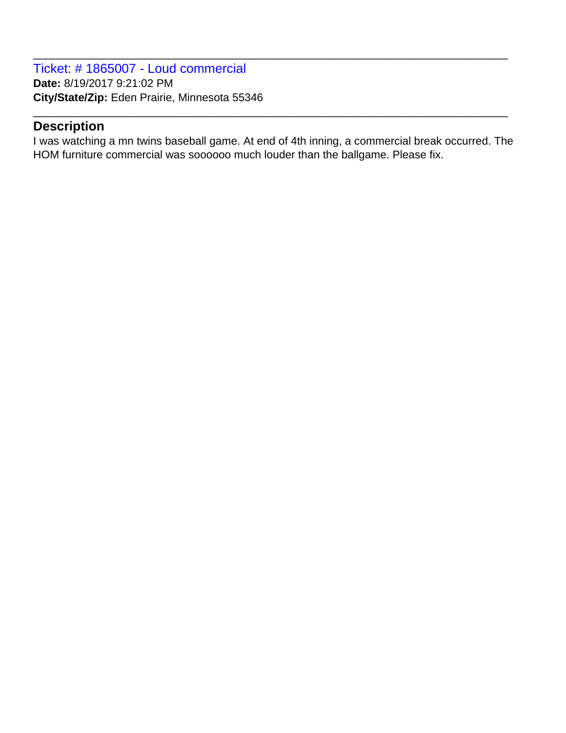Ticket: # 1865007 - Loud commercial **Date:** 8/19/2017 9:21:02 PM **City/State/Zip:** Eden Prairie, Minnesota 55346

# **Description**

I was watching a mn twins baseball game. At end of 4th inning, a commercial break occurred. The HOM furniture commercial was soooooo much louder than the ballgame. Please fix.

\_\_\_\_\_\_\_\_\_\_\_\_\_\_\_\_\_\_\_\_\_\_\_\_\_\_\_\_\_\_\_\_\_\_\_\_\_\_\_\_\_\_\_\_\_\_\_\_\_\_\_\_\_\_\_\_\_\_\_\_\_\_\_\_\_\_\_\_\_\_\_\_\_\_\_\_\_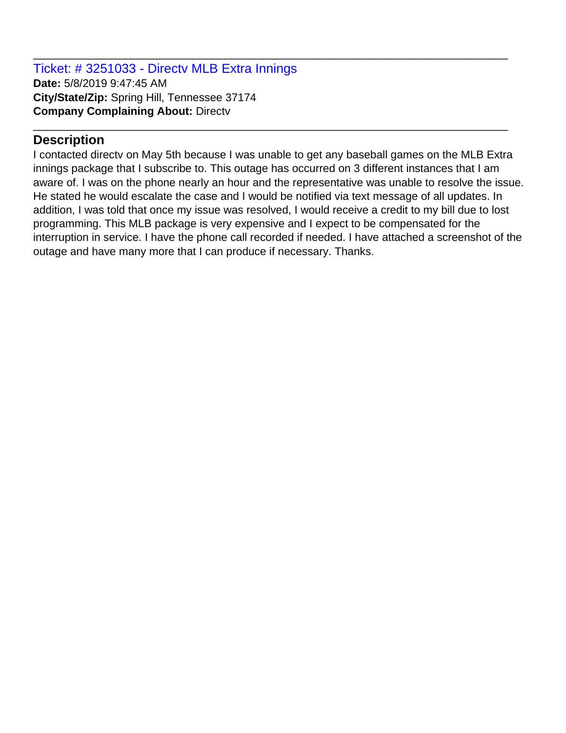Ticket: # 3251033 - Directv MLB Extra Innings **Date:** 5/8/2019 9:47:45 AM **City/State/Zip:** Spring Hill, Tennessee 37174 **Company Complaining About:** Directv

# **Description**

I contacted directv on May 5th because I was unable to get any baseball games on the MLB Extra innings package that I subscribe to. This outage has occurred on 3 different instances that I am aware of. I was on the phone nearly an hour and the representative was unable to resolve the issue. He stated he would escalate the case and I would be notified via text message of all updates. In addition, I was told that once my issue was resolved, I would receive a credit to my bill due to lost programming. This MLB package is very expensive and I expect to be compensated for the interruption in service. I have the phone call recorded if needed. I have attached a screenshot of the outage and have many more that I can produce if necessary. Thanks.

\_\_\_\_\_\_\_\_\_\_\_\_\_\_\_\_\_\_\_\_\_\_\_\_\_\_\_\_\_\_\_\_\_\_\_\_\_\_\_\_\_\_\_\_\_\_\_\_\_\_\_\_\_\_\_\_\_\_\_\_\_\_\_\_\_\_\_\_\_\_\_\_\_\_\_\_\_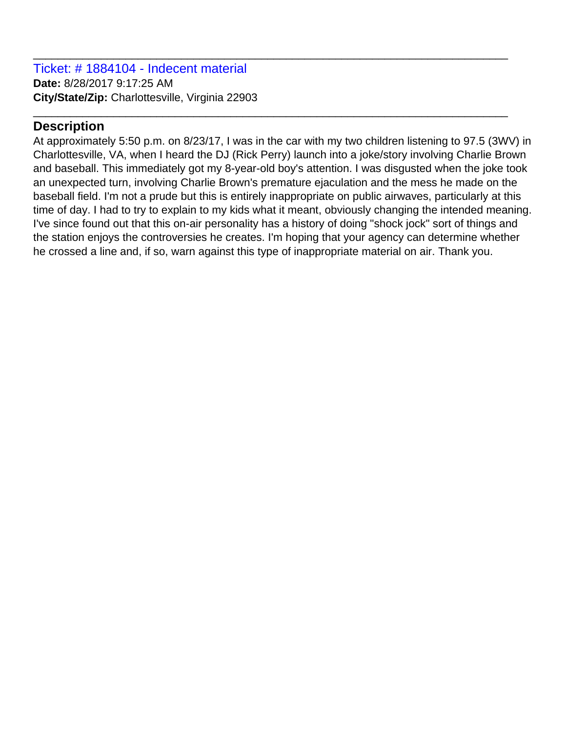#### Ticket: # 1884104 - Indecent material **Date:** 8/28/2017 9:17:25 AM **City/State/Zip:** Charlottesville, Virginia 22903

# **Description**

At approximately 5:50 p.m. on 8/23/17, I was in the car with my two children listening to 97.5 (3WV) in Charlottesville, VA, when I heard the DJ (Rick Perry) launch into a joke/story involving Charlie Brown and baseball. This immediately got my 8-year-old boy's attention. I was disgusted when the joke took an unexpected turn, involving Charlie Brown's premature ejaculation and the mess he made on the baseball field. I'm not a prude but this is entirely inappropriate on public airwaves, particularly at this time of day. I had to try to explain to my kids what it meant, obviously changing the intended meaning. I've since found out that this on-air personality has a history of doing "shock jock" sort of things and the station enjoys the controversies he creates. I'm hoping that your agency can determine whether he crossed a line and, if so, warn against this type of inappropriate material on air. Thank you.

\_\_\_\_\_\_\_\_\_\_\_\_\_\_\_\_\_\_\_\_\_\_\_\_\_\_\_\_\_\_\_\_\_\_\_\_\_\_\_\_\_\_\_\_\_\_\_\_\_\_\_\_\_\_\_\_\_\_\_\_\_\_\_\_\_\_\_\_\_\_\_\_\_\_\_\_\_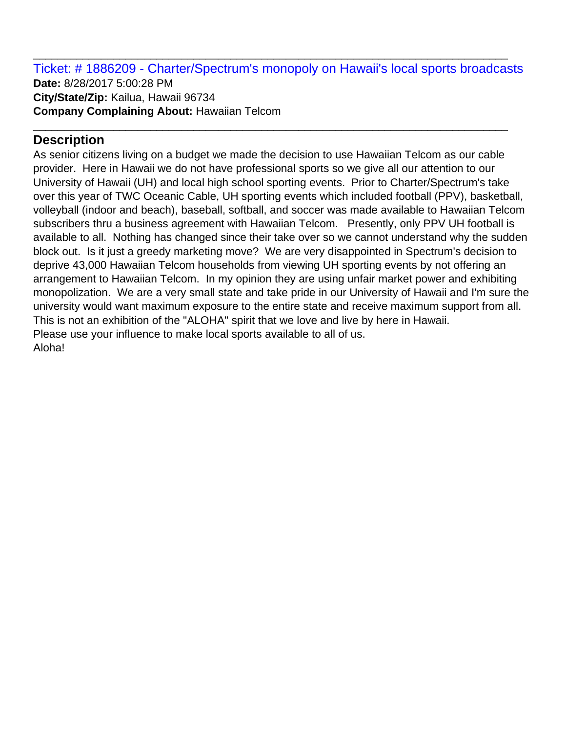Ticket: # 1886209 - Charter/Spectrum's monopoly on Hawaii's local sports broadcasts **Date:** 8/28/2017 5:00:28 PM **City/State/Zip:** Kailua, Hawaii 96734 **Company Complaining About:** Hawaiian Telcom

\_\_\_\_\_\_\_\_\_\_\_\_\_\_\_\_\_\_\_\_\_\_\_\_\_\_\_\_\_\_\_\_\_\_\_\_\_\_\_\_\_\_\_\_\_\_\_\_\_\_\_\_\_\_\_\_\_\_\_\_\_\_\_\_\_\_\_\_\_\_\_\_\_\_\_\_\_

\_\_\_\_\_\_\_\_\_\_\_\_\_\_\_\_\_\_\_\_\_\_\_\_\_\_\_\_\_\_\_\_\_\_\_\_\_\_\_\_\_\_\_\_\_\_\_\_\_\_\_\_\_\_\_\_\_\_\_\_\_\_\_\_\_\_\_\_\_\_\_\_\_\_\_\_\_

# **Description**

As senior citizens living on a budget we made the decision to use Hawaiian Telcom as our cable provider. Here in Hawaii we do not have professional sports so we give all our attention to our University of Hawaii (UH) and local high school sporting events. Prior to Charter/Spectrum's take over this year of TWC Oceanic Cable, UH sporting events which included football (PPV), basketball, volleyball (indoor and beach), baseball, softball, and soccer was made available to Hawaiian Telcom subscribers thru a business agreement with Hawaiian Telcom. Presently, only PPV UH football is available to all. Nothing has changed since their take over so we cannot understand why the sudden block out. Is it just a greedy marketing move? We are very disappointed in Spectrum's decision to deprive 43,000 Hawaiian Telcom households from viewing UH sporting events by not offering an arrangement to Hawaiian Telcom. In my opinion they are using unfair market power and exhibiting monopolization. We are a very small state and take pride in our University of Hawaii and I'm sure the university would want maximum exposure to the entire state and receive maximum support from all. This is not an exhibition of the "ALOHA" spirit that we love and live by here in Hawaii. Please use your influence to make local sports available to all of us. Aloha!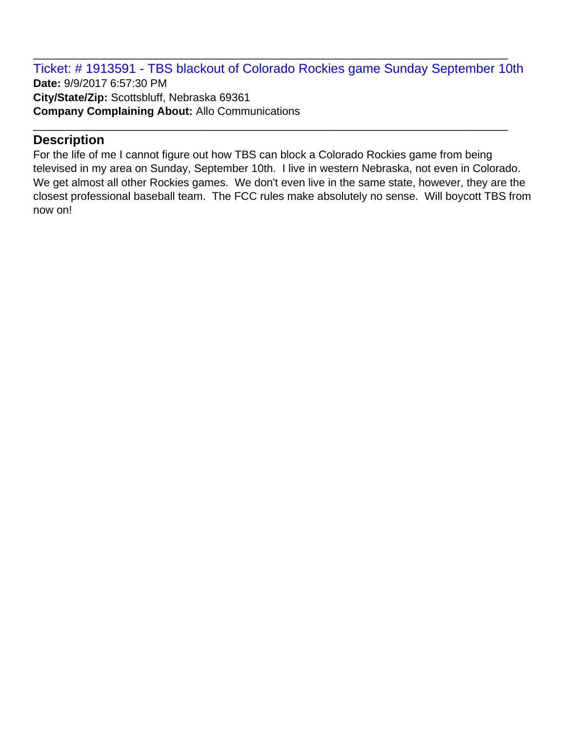Ticket: # 1913591 - TBS blackout of Colorado Rockies game Sunday September 10th **Date:** 9/9/2017 6:57:30 PM **City/State/Zip:** Scottsbluff, Nebraska 69361 **Company Complaining About:** Allo Communications \_\_\_\_\_\_\_\_\_\_\_\_\_\_\_\_\_\_\_\_\_\_\_\_\_\_\_\_\_\_\_\_\_\_\_\_\_\_\_\_\_\_\_\_\_\_\_\_\_\_\_\_\_\_\_\_\_\_\_\_\_\_\_\_\_\_\_\_\_\_\_\_\_\_\_\_\_

\_\_\_\_\_\_\_\_\_\_\_\_\_\_\_\_\_\_\_\_\_\_\_\_\_\_\_\_\_\_\_\_\_\_\_\_\_\_\_\_\_\_\_\_\_\_\_\_\_\_\_\_\_\_\_\_\_\_\_\_\_\_\_\_\_\_\_\_\_\_\_\_\_\_\_\_\_

### **Description**

For the life of me I cannot figure out how TBS can block a Colorado Rockies game from being televised in my area on Sunday, September 10th. I live in western Nebraska, not even in Colorado. We get almost all other Rockies games. We don't even live in the same state, however, they are the closest professional baseball team. The FCC rules make absolutely no sense. Will boycott TBS from now on!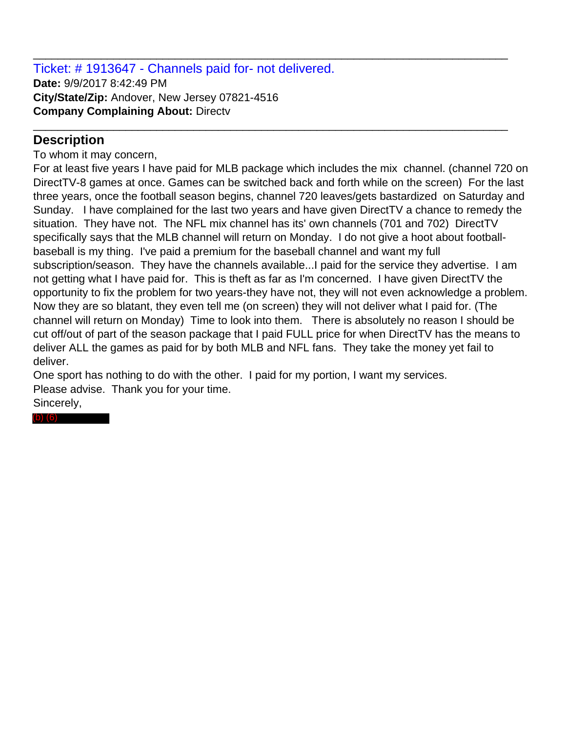Ticket: # 1913647 - Channels paid for- not delivered. **Date:** 9/9/2017 8:42:49 PM **City/State/Zip:** Andover, New Jersey 07821-4516 **Company Complaining About:** Directv

# **Description**

To whom it may concern,

For at least five years I have paid for MLB package which includes the mix channel. (channel 720 on DirectTV-8 games at once. Games can be switched back and forth while on the screen) For the last three years, once the football season begins, channel 720 leaves/gets bastardized on Saturday and Sunday. I have complained for the last two years and have given DirectTV a chance to remedy the situation. They have not. The NFL mix channel has its' own channels (701 and 702) DirectTV specifically says that the MLB channel will return on Monday. I do not give a hoot about footballbaseball is my thing. I've paid a premium for the baseball channel and want my full subscription/season. They have the channels available...I paid for the service they advertise. I am not getting what I have paid for. This is theft as far as I'm concerned. I have given DirectTV the opportunity to fix the problem for two years-they have not, they will not even acknowledge a problem. Now they are so blatant, they even tell me (on screen) they will not deliver what I paid for. (The channel will return on Monday) Time to look into them. There is absolutely no reason I should be cut off/out of part of the season package that I paid FULL price for when DirectTV has the means to deliver ALL the games as paid for by both MLB and NFL fans. They take the money yet fail to deliver.

\_\_\_\_\_\_\_\_\_\_\_\_\_\_\_\_\_\_\_\_\_\_\_\_\_\_\_\_\_\_\_\_\_\_\_\_\_\_\_\_\_\_\_\_\_\_\_\_\_\_\_\_\_\_\_\_\_\_\_\_\_\_\_\_\_\_\_\_\_\_\_\_\_\_\_\_\_

\_\_\_\_\_\_\_\_\_\_\_\_\_\_\_\_\_\_\_\_\_\_\_\_\_\_\_\_\_\_\_\_\_\_\_\_\_\_\_\_\_\_\_\_\_\_\_\_\_\_\_\_\_\_\_\_\_\_\_\_\_\_\_\_\_\_\_\_\_\_\_\_\_\_\_\_\_

One sport has nothing to do with the other. I paid for my portion, I want my services. Please advise. Thank you for your time. Sincerely,

(b) (6)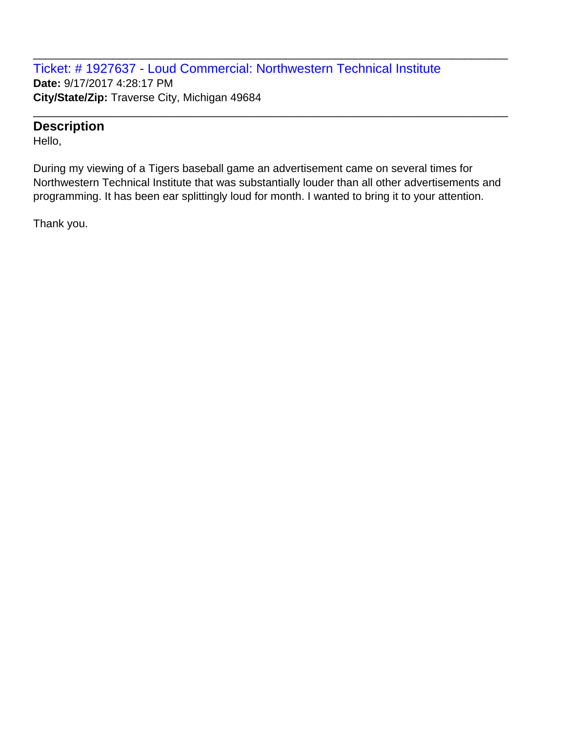Ticket: # 1927637 - Loud Commercial: Northwestern Technical Institute **Date:** 9/17/2017 4:28:17 PM **City/State/Zip:** Traverse City, Michigan 49684

#### **Description**

Hello,

During my viewing of a Tigers baseball game an advertisement came on several times for Northwestern Technical Institute that was substantially louder than all other advertisements and programming. It has been ear splittingly loud for month. I wanted to bring it to your attention.

\_\_\_\_\_\_\_\_\_\_\_\_\_\_\_\_\_\_\_\_\_\_\_\_\_\_\_\_\_\_\_\_\_\_\_\_\_\_\_\_\_\_\_\_\_\_\_\_\_\_\_\_\_\_\_\_\_\_\_\_\_\_\_\_\_\_\_\_\_\_\_\_\_\_\_\_\_

\_\_\_\_\_\_\_\_\_\_\_\_\_\_\_\_\_\_\_\_\_\_\_\_\_\_\_\_\_\_\_\_\_\_\_\_\_\_\_\_\_\_\_\_\_\_\_\_\_\_\_\_\_\_\_\_\_\_\_\_\_\_\_\_\_\_\_\_\_\_\_\_\_\_\_\_\_

Thank you.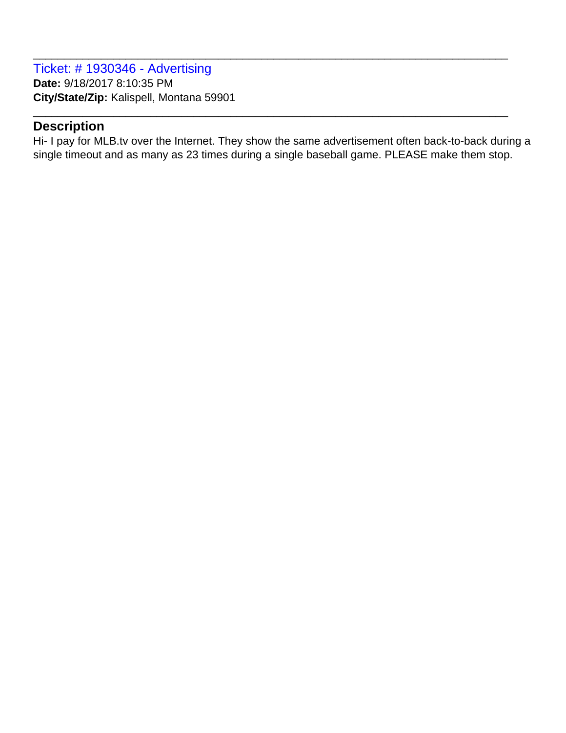Ticket: # 1930346 - Advertising **Date:** 9/18/2017 8:10:35 PM **City/State/Zip:** Kalispell, Montana 59901

#### **Description**

Hi- I pay for MLB.tv over the Internet. They show the same advertisement often back-to-back during a single timeout and as many as 23 times during a single baseball game. PLEASE make them stop.

\_\_\_\_\_\_\_\_\_\_\_\_\_\_\_\_\_\_\_\_\_\_\_\_\_\_\_\_\_\_\_\_\_\_\_\_\_\_\_\_\_\_\_\_\_\_\_\_\_\_\_\_\_\_\_\_\_\_\_\_\_\_\_\_\_\_\_\_\_\_\_\_\_\_\_\_\_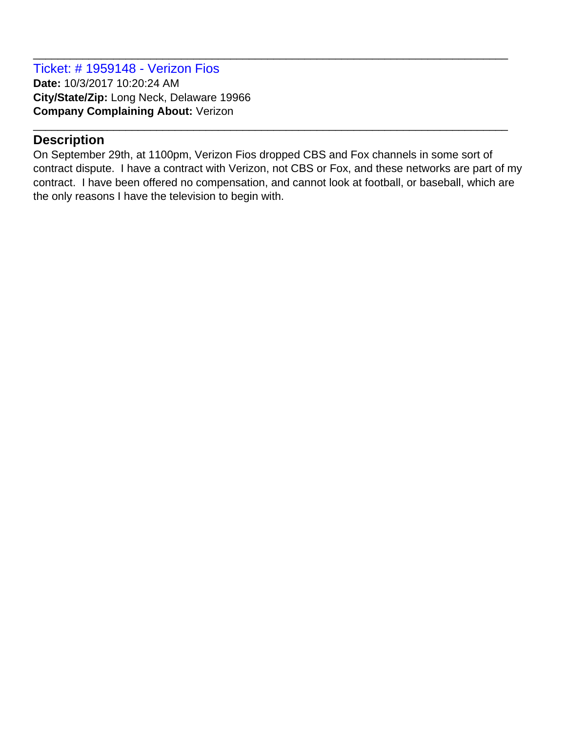Ticket: # 1959148 - Verizon Fios **Date:** 10/3/2017 10:20:24 AM **City/State/Zip:** Long Neck, Delaware 19966 **Company Complaining About:** Verizon

#### **Description**

On September 29th, at 1100pm, Verizon Fios dropped CBS and Fox channels in some sort of contract dispute. I have a contract with Verizon, not CBS or Fox, and these networks are part of my contract. I have been offered no compensation, and cannot look at football, or baseball, which are the only reasons I have the television to begin with.

\_\_\_\_\_\_\_\_\_\_\_\_\_\_\_\_\_\_\_\_\_\_\_\_\_\_\_\_\_\_\_\_\_\_\_\_\_\_\_\_\_\_\_\_\_\_\_\_\_\_\_\_\_\_\_\_\_\_\_\_\_\_\_\_\_\_\_\_\_\_\_\_\_\_\_\_\_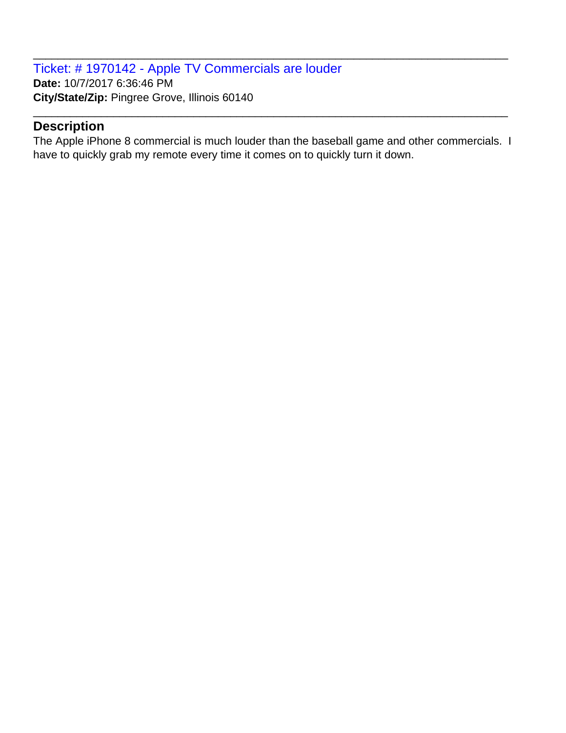Ticket: # 1970142 - Apple TV Commercials are louder **Date:** 10/7/2017 6:36:46 PM **City/State/Zip:** Pingree Grove, Illinois 60140

#### **Description**

The Apple iPhone 8 commercial is much louder than the baseball game and other commercials. I have to quickly grab my remote every time it comes on to quickly turn it down.

\_\_\_\_\_\_\_\_\_\_\_\_\_\_\_\_\_\_\_\_\_\_\_\_\_\_\_\_\_\_\_\_\_\_\_\_\_\_\_\_\_\_\_\_\_\_\_\_\_\_\_\_\_\_\_\_\_\_\_\_\_\_\_\_\_\_\_\_\_\_\_\_\_\_\_\_\_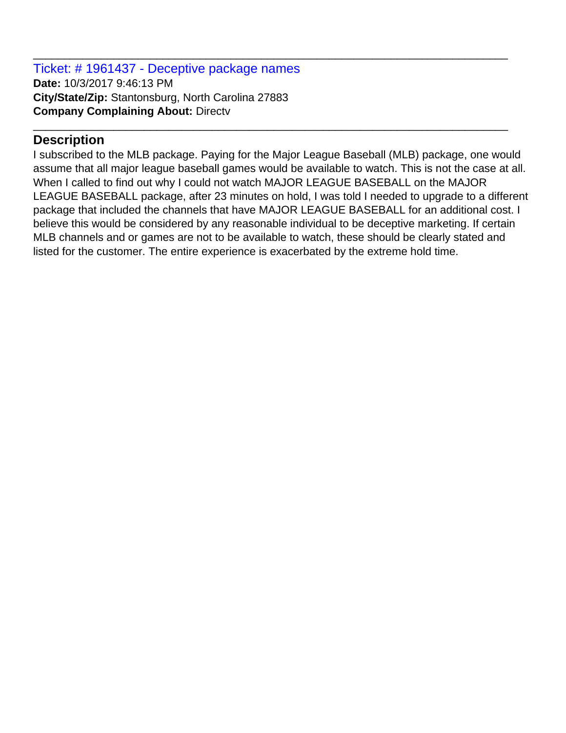Ticket: # 1961437 - Deceptive package names **Date:** 10/3/2017 9:46:13 PM **City/State/Zip:** Stantonsburg, North Carolina 27883 **Company Complaining About:** Directv

### **Description**

I subscribed to the MLB package. Paying for the Major League Baseball (MLB) package, one would assume that all major league baseball games would be available to watch. This is not the case at all. When I called to find out why I could not watch MAJOR LEAGUE BASEBALL on the MAJOR LEAGUE BASEBALL package, after 23 minutes on hold, I was told I needed to upgrade to a different package that included the channels that have MAJOR LEAGUE BASEBALL for an additional cost. I believe this would be considered by any reasonable individual to be deceptive marketing. If certain MLB channels and or games are not to be available to watch, these should be clearly stated and listed for the customer. The entire experience is exacerbated by the extreme hold time.

\_\_\_\_\_\_\_\_\_\_\_\_\_\_\_\_\_\_\_\_\_\_\_\_\_\_\_\_\_\_\_\_\_\_\_\_\_\_\_\_\_\_\_\_\_\_\_\_\_\_\_\_\_\_\_\_\_\_\_\_\_\_\_\_\_\_\_\_\_\_\_\_\_\_\_\_\_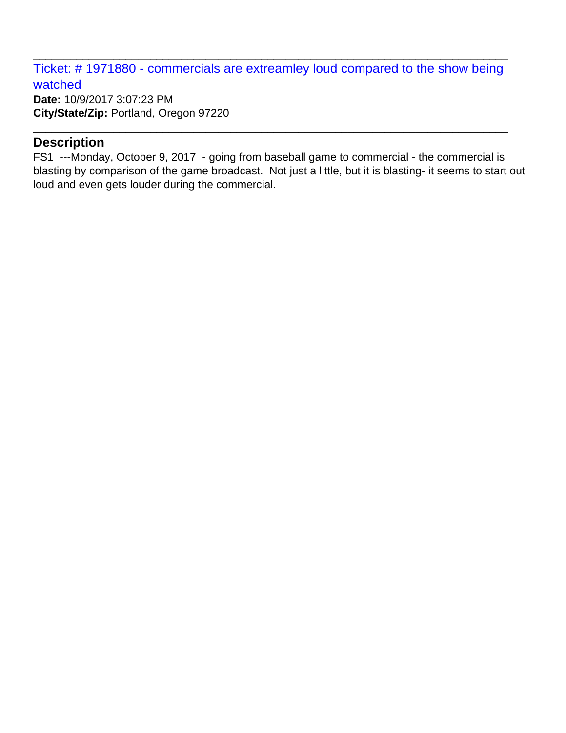Ticket: # 1971880 - commercials are extreamley loud compared to the show being watched

\_\_\_\_\_\_\_\_\_\_\_\_\_\_\_\_\_\_\_\_\_\_\_\_\_\_\_\_\_\_\_\_\_\_\_\_\_\_\_\_\_\_\_\_\_\_\_\_\_\_\_\_\_\_\_\_\_\_\_\_\_\_\_\_\_\_\_\_\_\_\_\_\_\_\_\_\_

\_\_\_\_\_\_\_\_\_\_\_\_\_\_\_\_\_\_\_\_\_\_\_\_\_\_\_\_\_\_\_\_\_\_\_\_\_\_\_\_\_\_\_\_\_\_\_\_\_\_\_\_\_\_\_\_\_\_\_\_\_\_\_\_\_\_\_\_\_\_\_\_\_\_\_\_\_

**Date:** 10/9/2017 3:07:23 PM **City/State/Zip:** Portland, Oregon 97220

### **Description**

FS1 ---Monday, October 9, 2017 - going from baseball game to commercial - the commercial is blasting by comparison of the game broadcast. Not just a little, but it is blasting- it seems to start out loud and even gets louder during the commercial.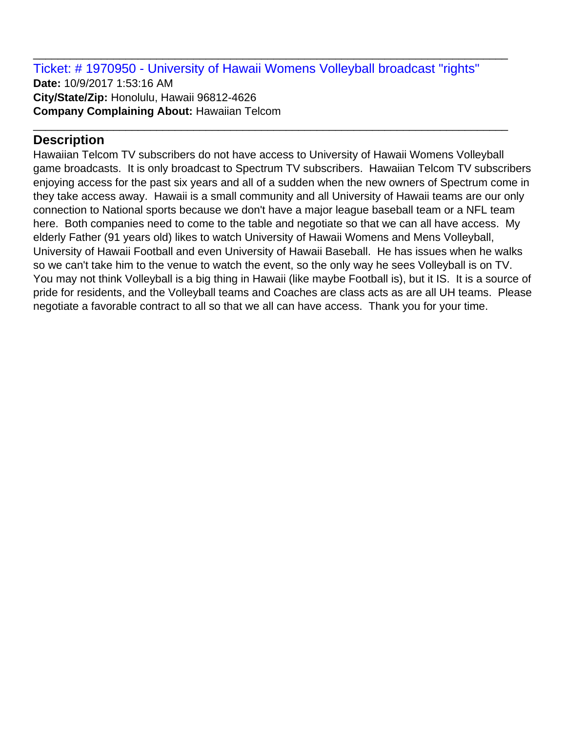Ticket: # 1970950 - University of Hawaii Womens Volleyball broadcast "rights" **Date:** 10/9/2017 1:53:16 AM **City/State/Zip:** Honolulu, Hawaii 96812-4626 **Company Complaining About:** Hawaiian Telcom

\_\_\_\_\_\_\_\_\_\_\_\_\_\_\_\_\_\_\_\_\_\_\_\_\_\_\_\_\_\_\_\_\_\_\_\_\_\_\_\_\_\_\_\_\_\_\_\_\_\_\_\_\_\_\_\_\_\_\_\_\_\_\_\_\_\_\_\_\_\_\_\_\_\_\_\_\_

\_\_\_\_\_\_\_\_\_\_\_\_\_\_\_\_\_\_\_\_\_\_\_\_\_\_\_\_\_\_\_\_\_\_\_\_\_\_\_\_\_\_\_\_\_\_\_\_\_\_\_\_\_\_\_\_\_\_\_\_\_\_\_\_\_\_\_\_\_\_\_\_\_\_\_\_\_

# **Description**

Hawaiian Telcom TV subscribers do not have access to University of Hawaii Womens Volleyball game broadcasts. It is only broadcast to Spectrum TV subscribers. Hawaiian Telcom TV subscribers enjoying access for the past six years and all of a sudden when the new owners of Spectrum come in they take access away. Hawaii is a small community and all University of Hawaii teams are our only connection to National sports because we don't have a major league baseball team or a NFL team here. Both companies need to come to the table and negotiate so that we can all have access. My elderly Father (91 years old) likes to watch University of Hawaii Womens and Mens Volleyball, University of Hawaii Football and even University of Hawaii Baseball. He has issues when he walks so we can't take him to the venue to watch the event, so the only way he sees Volleyball is on TV. You may not think Volleyball is a big thing in Hawaii (like maybe Football is), but it IS. It is a source of pride for residents, and the Volleyball teams and Coaches are class acts as are all UH teams. Please negotiate a favorable contract to all so that we all can have access. Thank you for your time.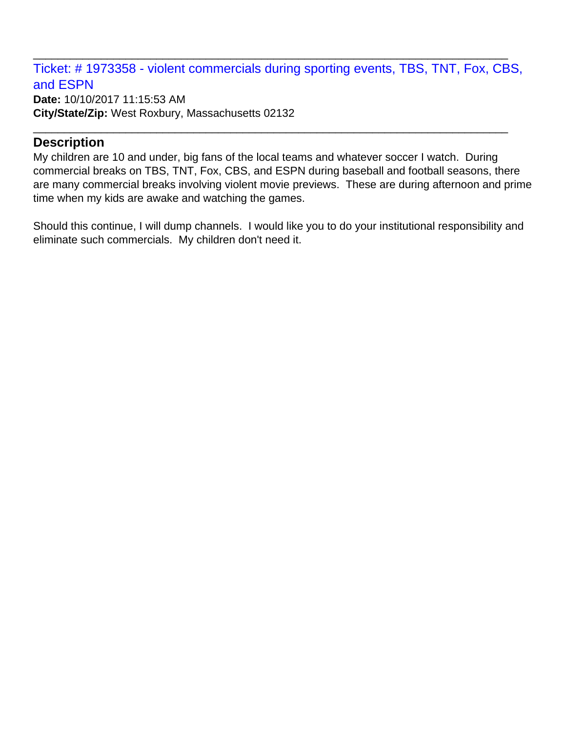Ticket: # 1973358 - violent commercials during sporting events, TBS, TNT, Fox, CBS, and ESPN

\_\_\_\_\_\_\_\_\_\_\_\_\_\_\_\_\_\_\_\_\_\_\_\_\_\_\_\_\_\_\_\_\_\_\_\_\_\_\_\_\_\_\_\_\_\_\_\_\_\_\_\_\_\_\_\_\_\_\_\_\_\_\_\_\_\_\_\_\_\_\_\_\_\_\_\_\_

\_\_\_\_\_\_\_\_\_\_\_\_\_\_\_\_\_\_\_\_\_\_\_\_\_\_\_\_\_\_\_\_\_\_\_\_\_\_\_\_\_\_\_\_\_\_\_\_\_\_\_\_\_\_\_\_\_\_\_\_\_\_\_\_\_\_\_\_\_\_\_\_\_\_\_\_\_

**Date:** 10/10/2017 11:15:53 AM **City/State/Zip:** West Roxbury, Massachusetts 02132

### **Description**

My children are 10 and under, big fans of the local teams and whatever soccer I watch. During commercial breaks on TBS, TNT, Fox, CBS, and ESPN during baseball and football seasons, there are many commercial breaks involving violent movie previews. These are during afternoon and prime time when my kids are awake and watching the games.

Should this continue, I will dump channels. I would like you to do your institutional responsibility and eliminate such commercials. My children don't need it.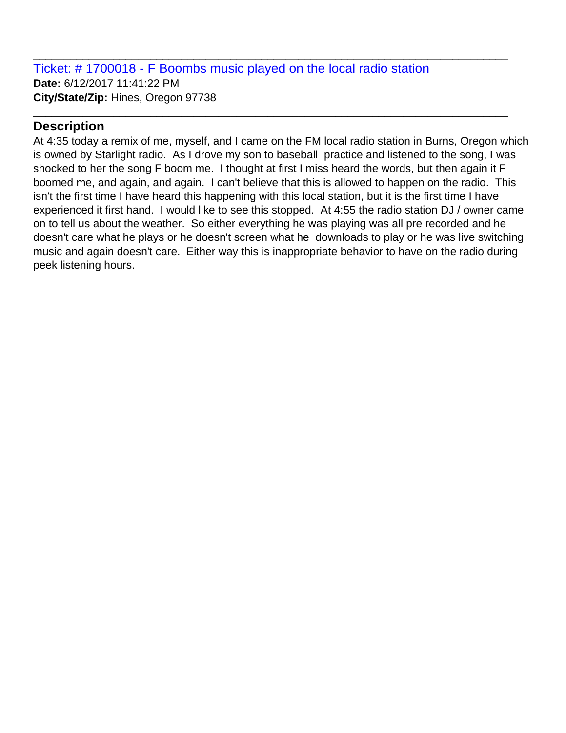Ticket: # 1700018 - F Boombs music played on the local radio station **Date:** 6/12/2017 11:41:22 PM **City/State/Zip:** Hines, Oregon 97738

### **Description**

At 4:35 today a remix of me, myself, and I came on the FM local radio station in Burns, Oregon which is owned by Starlight radio. As I drove my son to baseball practice and listened to the song, I was shocked to her the song F boom me. I thought at first I miss heard the words, but then again it F boomed me, and again, and again. I can't believe that this is allowed to happen on the radio. This isn't the first time I have heard this happening with this local station, but it is the first time I have experienced it first hand. I would like to see this stopped. At 4:55 the radio station DJ / owner came on to tell us about the weather. So either everything he was playing was all pre recorded and he doesn't care what he plays or he doesn't screen what he downloads to play or he was live switching music and again doesn't care. Either way this is inappropriate behavior to have on the radio during peek listening hours.

\_\_\_\_\_\_\_\_\_\_\_\_\_\_\_\_\_\_\_\_\_\_\_\_\_\_\_\_\_\_\_\_\_\_\_\_\_\_\_\_\_\_\_\_\_\_\_\_\_\_\_\_\_\_\_\_\_\_\_\_\_\_\_\_\_\_\_\_\_\_\_\_\_\_\_\_\_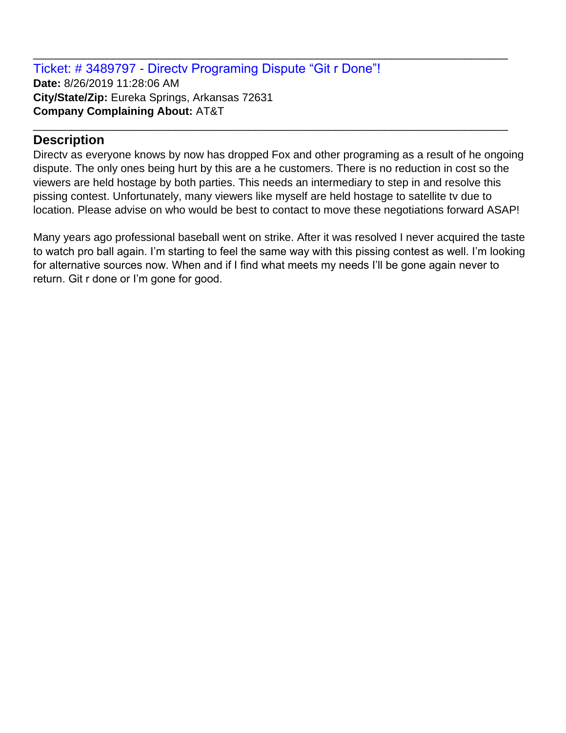Ticket: # 3489797 - Directv Programing Dispute "Git r Done"! **Date:** 8/26/2019 11:28:06 AM **City/State/Zip:** Eureka Springs, Arkansas 72631 **Company Complaining About:** AT&T

#### **Description**

Directv as everyone knows by now has dropped Fox and other programing as a result of he ongoing dispute. The only ones being hurt by this are a he customers. There is no reduction in cost so the viewers are held hostage by both parties. This needs an intermediary to step in and resolve this pissing contest. Unfortunately, many viewers like myself are held hostage to satellite tv due to location. Please advise on who would be best to contact to move these negotiations forward ASAP!

\_\_\_\_\_\_\_\_\_\_\_\_\_\_\_\_\_\_\_\_\_\_\_\_\_\_\_\_\_\_\_\_\_\_\_\_\_\_\_\_\_\_\_\_\_\_\_\_\_\_\_\_\_\_\_\_\_\_\_\_\_\_\_\_\_\_\_\_\_\_\_\_\_\_\_\_\_

\_\_\_\_\_\_\_\_\_\_\_\_\_\_\_\_\_\_\_\_\_\_\_\_\_\_\_\_\_\_\_\_\_\_\_\_\_\_\_\_\_\_\_\_\_\_\_\_\_\_\_\_\_\_\_\_\_\_\_\_\_\_\_\_\_\_\_\_\_\_\_\_\_\_\_\_\_

Many years ago professional baseball went on strike. After it was resolved I never acquired the taste to watch pro ball again. I'm starting to feel the same way with this pissing contest as well. I'm looking for alternative sources now. When and if I find what meets my needs I'll be gone again never to return. Git r done or I'm gone for good.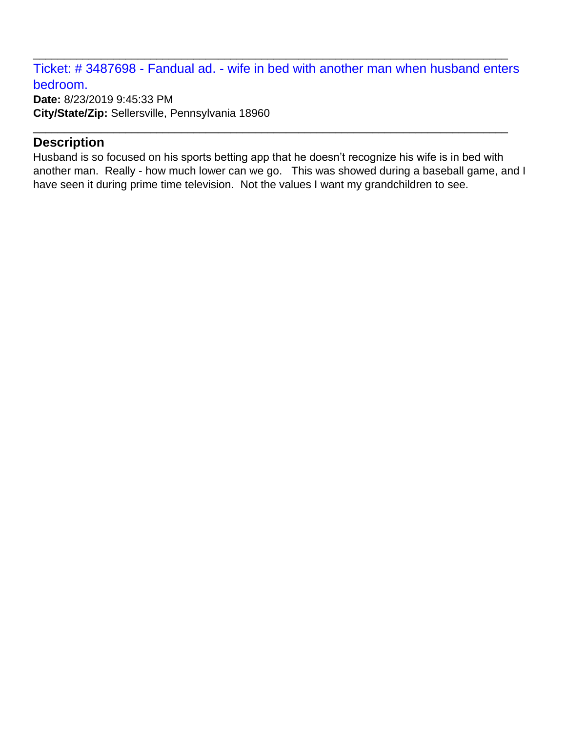Ticket: # 3487698 - Fandual ad. - wife in bed with another man when husband enters bedroom.

\_\_\_\_\_\_\_\_\_\_\_\_\_\_\_\_\_\_\_\_\_\_\_\_\_\_\_\_\_\_\_\_\_\_\_\_\_\_\_\_\_\_\_\_\_\_\_\_\_\_\_\_\_\_\_\_\_\_\_\_\_\_\_\_\_\_\_\_\_\_\_\_\_\_\_\_\_

\_\_\_\_\_\_\_\_\_\_\_\_\_\_\_\_\_\_\_\_\_\_\_\_\_\_\_\_\_\_\_\_\_\_\_\_\_\_\_\_\_\_\_\_\_\_\_\_\_\_\_\_\_\_\_\_\_\_\_\_\_\_\_\_\_\_\_\_\_\_\_\_\_\_\_\_\_

**Date:** 8/23/2019 9:45:33 PM **City/State/Zip:** Sellersville, Pennsylvania 18960

#### **Description**

Husband is so focused on his sports betting app that he doesn't recognize his wife is in bed with another man. Really - how much lower can we go. This was showed during a baseball game, and I have seen it during prime time television. Not the values I want my grandchildren to see.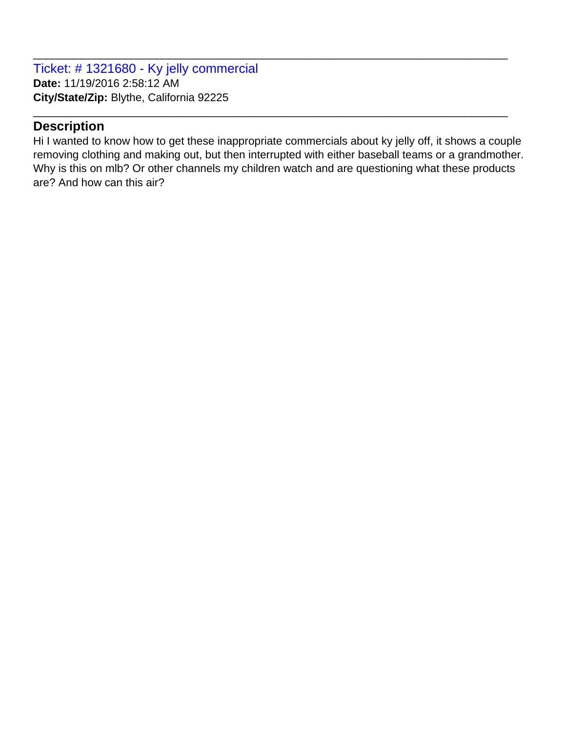Ticket: # 1321680 - Ky jelly commercial **Date:** 11/19/2016 2:58:12 AM **City/State/Zip:** Blythe, California 92225

#### **Description**

Hi I wanted to know how to get these inappropriate commercials about ky jelly off, it shows a couple removing clothing and making out, but then interrupted with either baseball teams or a grandmother. Why is this on mlb? Or other channels my children watch and are questioning what these products are? And how can this air?

\_\_\_\_\_\_\_\_\_\_\_\_\_\_\_\_\_\_\_\_\_\_\_\_\_\_\_\_\_\_\_\_\_\_\_\_\_\_\_\_\_\_\_\_\_\_\_\_\_\_\_\_\_\_\_\_\_\_\_\_\_\_\_\_\_\_\_\_\_\_\_\_\_\_\_\_\_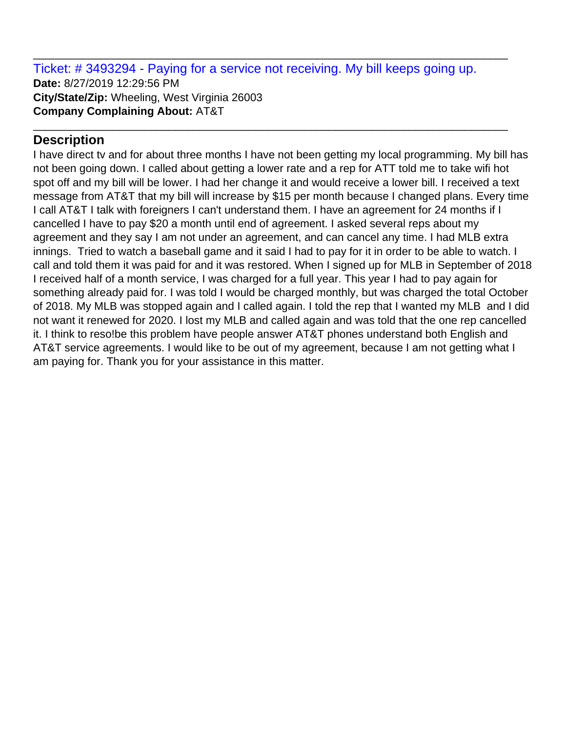Ticket: # 3493294 - Paying for a service not receiving. My bill keeps going up. **Date:** 8/27/2019 12:29:56 PM **City/State/Zip:** Wheeling, West Virginia 26003 **Company Complaining About:** AT&T

\_\_\_\_\_\_\_\_\_\_\_\_\_\_\_\_\_\_\_\_\_\_\_\_\_\_\_\_\_\_\_\_\_\_\_\_\_\_\_\_\_\_\_\_\_\_\_\_\_\_\_\_\_\_\_\_\_\_\_\_\_\_\_\_\_\_\_\_\_\_\_\_\_\_\_\_\_

\_\_\_\_\_\_\_\_\_\_\_\_\_\_\_\_\_\_\_\_\_\_\_\_\_\_\_\_\_\_\_\_\_\_\_\_\_\_\_\_\_\_\_\_\_\_\_\_\_\_\_\_\_\_\_\_\_\_\_\_\_\_\_\_\_\_\_\_\_\_\_\_\_\_\_\_\_

# **Description**

I have direct tv and for about three months I have not been getting my local programming. My bill has not been going down. I called about getting a lower rate and a rep for ATT told me to take wifi hot spot off and my bill will be lower. I had her change it and would receive a lower bill. I received a text message from AT&T that my bill will increase by \$15 per month because I changed plans. Every time I call AT&T I talk with foreigners I can't understand them. I have an agreement for 24 months if I cancelled I have to pay \$20 a month until end of agreement. I asked several reps about my agreement and they say I am not under an agreement, and can cancel any time. I had MLB extra innings. Tried to watch a baseball game and it said I had to pay for it in order to be able to watch. I call and told them it was paid for and it was restored. When I signed up for MLB in September of 2018 I received half of a month service, I was charged for a full year. This year I had to pay again for something already paid for. I was told I would be charged monthly, but was charged the total October of 2018. My MLB was stopped again and I called again. I told the rep that I wanted my MLB and I did not want it renewed for 2020. I lost my MLB and called again and was told that the one rep cancelled it. I think to reso!be this problem have people answer AT&T phones understand both English and AT&T service agreements. I would like to be out of my agreement, because I am not getting what I am paying for. Thank you for your assistance in this matter.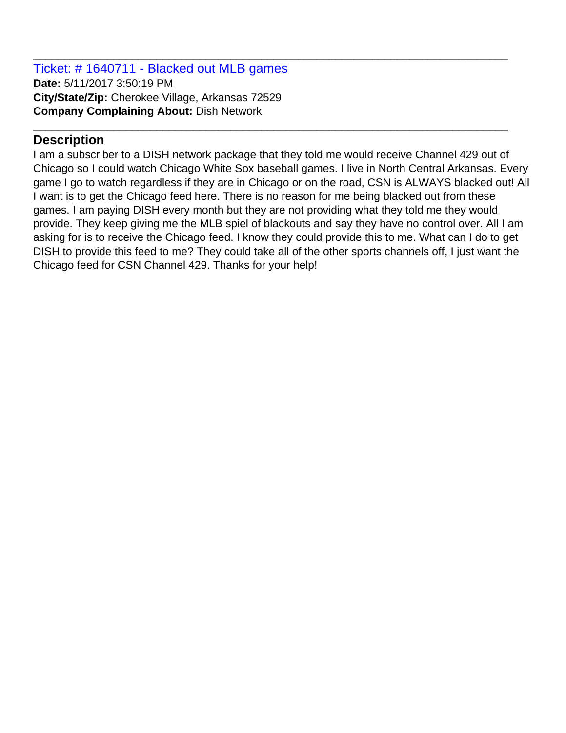Ticket: # 1640711 - Blacked out MLB games **Date:** 5/11/2017 3:50:19 PM **City/State/Zip:** Cherokee Village, Arkansas 72529 **Company Complaining About:** Dish Network

# **Description**

I am a subscriber to a DISH network package that they told me would receive Channel 429 out of Chicago so I could watch Chicago White Sox baseball games. I live in North Central Arkansas. Every game I go to watch regardless if they are in Chicago or on the road, CSN is ALWAYS blacked out! All I want is to get the Chicago feed here. There is no reason for me being blacked out from these games. I am paying DISH every month but they are not providing what they told me they would provide. They keep giving me the MLB spiel of blackouts and say they have no control over. All I am asking for is to receive the Chicago feed. I know they could provide this to me. What can I do to get DISH to provide this feed to me? They could take all of the other sports channels off, I just want the Chicago feed for CSN Channel 429. Thanks for your help!

\_\_\_\_\_\_\_\_\_\_\_\_\_\_\_\_\_\_\_\_\_\_\_\_\_\_\_\_\_\_\_\_\_\_\_\_\_\_\_\_\_\_\_\_\_\_\_\_\_\_\_\_\_\_\_\_\_\_\_\_\_\_\_\_\_\_\_\_\_\_\_\_\_\_\_\_\_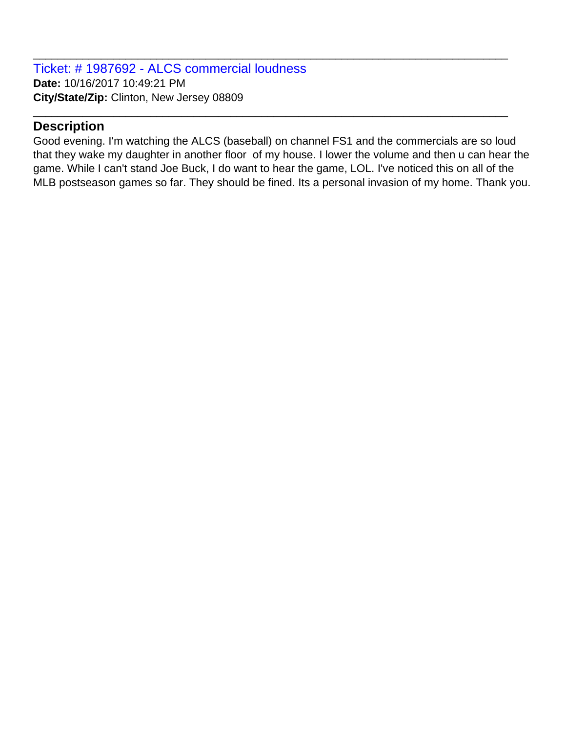Ticket: # 1987692 - ALCS commercial loudness **Date:** 10/16/2017 10:49:21 PM **City/State/Zip:** Clinton, New Jersey 08809

#### **Description**

Good evening. I'm watching the ALCS (baseball) on channel FS1 and the commercials are so loud that they wake my daughter in another floor of my house. I lower the volume and then u can hear the game. While I can't stand Joe Buck, I do want to hear the game, LOL. I've noticed this on all of the MLB postseason games so far. They should be fined. Its a personal invasion of my home. Thank you.

\_\_\_\_\_\_\_\_\_\_\_\_\_\_\_\_\_\_\_\_\_\_\_\_\_\_\_\_\_\_\_\_\_\_\_\_\_\_\_\_\_\_\_\_\_\_\_\_\_\_\_\_\_\_\_\_\_\_\_\_\_\_\_\_\_\_\_\_\_\_\_\_\_\_\_\_\_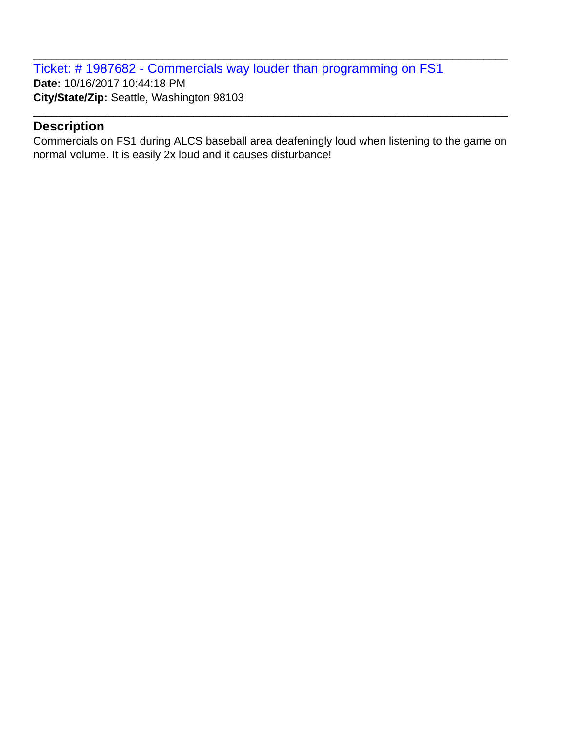Ticket: # 1987682 - Commercials way louder than programming on FS1 **Date:** 10/16/2017 10:44:18 PM **City/State/Zip:** Seattle, Washington 98103

### **Description**

Commercials on FS1 during ALCS baseball area deafeningly loud when listening to the game on normal volume. It is easily 2x loud and it causes disturbance!

\_\_\_\_\_\_\_\_\_\_\_\_\_\_\_\_\_\_\_\_\_\_\_\_\_\_\_\_\_\_\_\_\_\_\_\_\_\_\_\_\_\_\_\_\_\_\_\_\_\_\_\_\_\_\_\_\_\_\_\_\_\_\_\_\_\_\_\_\_\_\_\_\_\_\_\_\_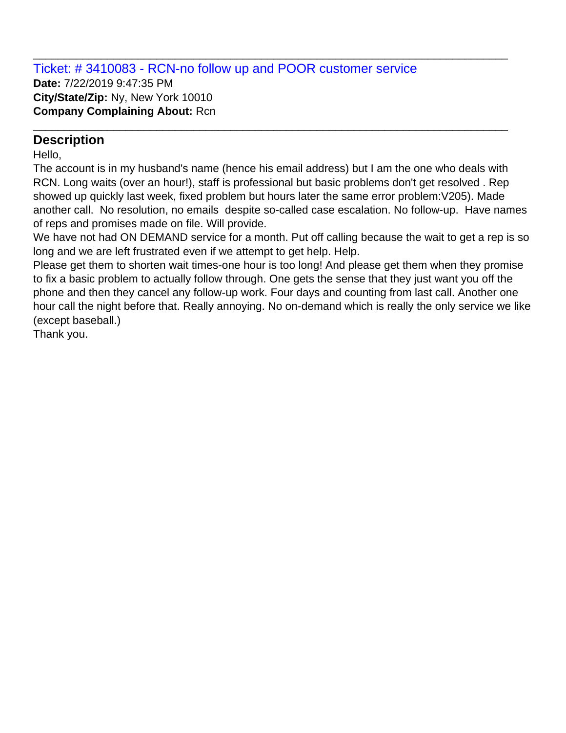Ticket: # 3410083 - RCN-no follow up and POOR customer service **Date:** 7/22/2019 9:47:35 PM **City/State/Zip:** Ny, New York 10010 **Company Complaining About:** Rcn

## **Description**

Hello,

The account is in my husband's name (hence his email address) but I am the one who deals with RCN. Long waits (over an hour!), staff is professional but basic problems don't get resolved . Rep showed up quickly last week, fixed problem but hours later the same error problem:V205). Made another call. No resolution, no emails despite so-called case escalation. No follow-up. Have names of reps and promises made on file. Will provide.

\_\_\_\_\_\_\_\_\_\_\_\_\_\_\_\_\_\_\_\_\_\_\_\_\_\_\_\_\_\_\_\_\_\_\_\_\_\_\_\_\_\_\_\_\_\_\_\_\_\_\_\_\_\_\_\_\_\_\_\_\_\_\_\_\_\_\_\_\_\_\_\_\_\_\_\_\_

\_\_\_\_\_\_\_\_\_\_\_\_\_\_\_\_\_\_\_\_\_\_\_\_\_\_\_\_\_\_\_\_\_\_\_\_\_\_\_\_\_\_\_\_\_\_\_\_\_\_\_\_\_\_\_\_\_\_\_\_\_\_\_\_\_\_\_\_\_\_\_\_\_\_\_\_\_

We have not had ON DEMAND service for a month. Put off calling because the wait to get a rep is so long and we are left frustrated even if we attempt to get help. Help.

Please get them to shorten wait times-one hour is too long! And please get them when they promise to fix a basic problem to actually follow through. One gets the sense that they just want you off the phone and then they cancel any follow-up work. Four days and counting from last call. Another one hour call the night before that. Really annoying. No on-demand which is really the only service we like (except baseball.)

Thank you.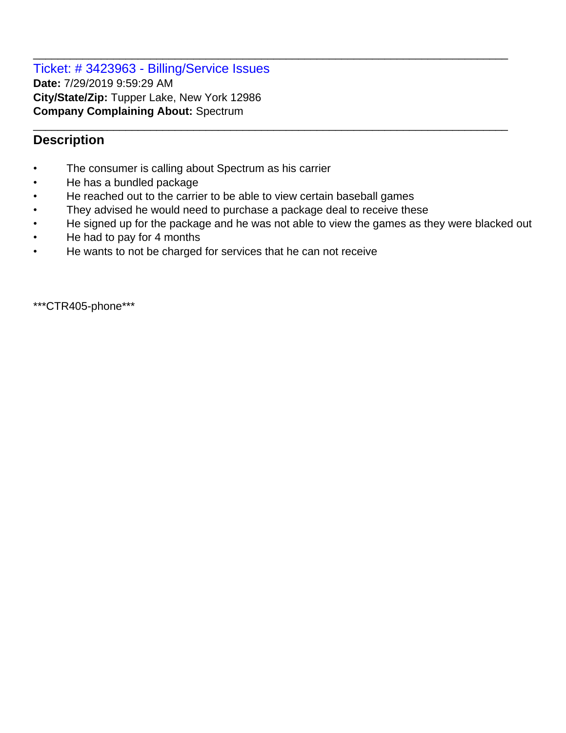Ticket: # 3423963 - Billing/Service Issues **Date:** 7/29/2019 9:59:29 AM **City/State/Zip:** Tupper Lake, New York 12986 **Company Complaining About:** Spectrum

# **Description**

- The consumer is calling about Spectrum as his carrier
- He has a bundled package
- He reached out to the carrier to be able to view certain baseball games
- They advised he would need to purchase a package deal to receive these
- He signed up for the package and he was not able to view the games as they were blacked out

\_\_\_\_\_\_\_\_\_\_\_\_\_\_\_\_\_\_\_\_\_\_\_\_\_\_\_\_\_\_\_\_\_\_\_\_\_\_\_\_\_\_\_\_\_\_\_\_\_\_\_\_\_\_\_\_\_\_\_\_\_\_\_\_\_\_\_\_\_\_\_\_\_\_\_\_\_

\_\_\_\_\_\_\_\_\_\_\_\_\_\_\_\_\_\_\_\_\_\_\_\_\_\_\_\_\_\_\_\_\_\_\_\_\_\_\_\_\_\_\_\_\_\_\_\_\_\_\_\_\_\_\_\_\_\_\_\_\_\_\_\_\_\_\_\_\_\_\_\_\_\_\_\_\_

- He had to pay for 4 months
- He wants to not be charged for services that he can not receive

\*\*\*CTR405-phone\*\*\*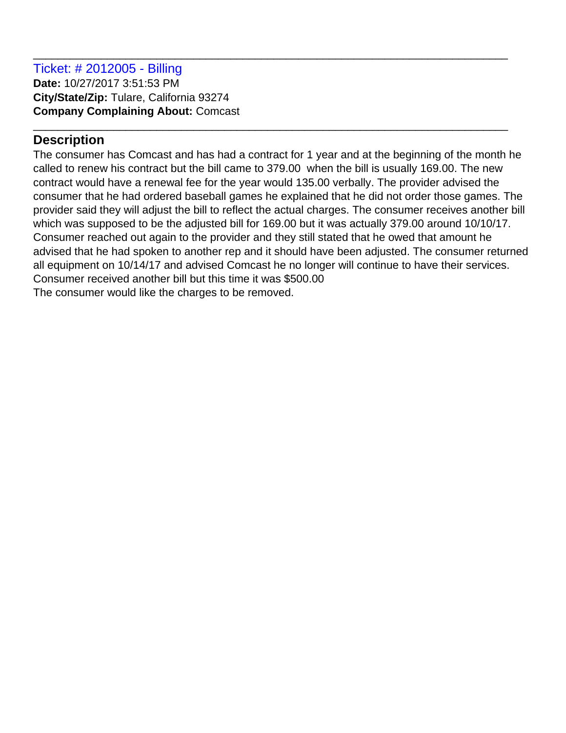# **Description**

The consumer has Comcast and has had a contract for 1 year and at the beginning of the month he called to renew his contract but the bill came to 379.00 when the bill is usually 169.00. The new contract would have a renewal fee for the year would 135.00 verbally. The provider advised the consumer that he had ordered baseball games he explained that he did not order those games. The provider said they will adjust the bill to reflect the actual charges. The consumer receives another bill which was supposed to be the adjusted bill for 169.00 but it was actually 379.00 around 10/10/17. Consumer reached out again to the provider and they still stated that he owed that amount he advised that he had spoken to another rep and it should have been adjusted. The consumer returned all equipment on 10/14/17 and advised Comcast he no longer will continue to have their services. Consumer received another bill but this time it was \$500.00 The consumer would like the charges to be removed.

\_\_\_\_\_\_\_\_\_\_\_\_\_\_\_\_\_\_\_\_\_\_\_\_\_\_\_\_\_\_\_\_\_\_\_\_\_\_\_\_\_\_\_\_\_\_\_\_\_\_\_\_\_\_\_\_\_\_\_\_\_\_\_\_\_\_\_\_\_\_\_\_\_\_\_\_\_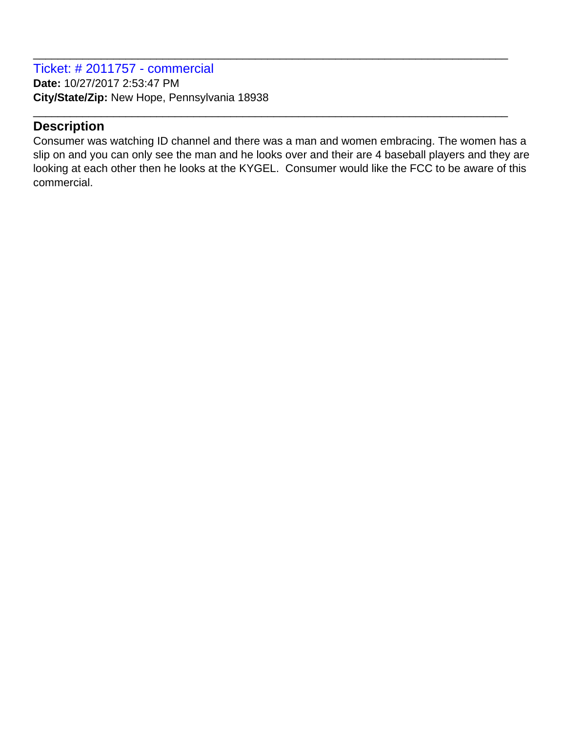Ticket: # 2011757 - commercial **Date:** 10/27/2017 2:53:47 PM **City/State/Zip:** New Hope, Pennsylvania 18938

### **Description**

Consumer was watching ID channel and there was a man and women embracing. The women has a slip on and you can only see the man and he looks over and their are 4 baseball players and they are looking at each other then he looks at the KYGEL. Consumer would like the FCC to be aware of this commercial.

\_\_\_\_\_\_\_\_\_\_\_\_\_\_\_\_\_\_\_\_\_\_\_\_\_\_\_\_\_\_\_\_\_\_\_\_\_\_\_\_\_\_\_\_\_\_\_\_\_\_\_\_\_\_\_\_\_\_\_\_\_\_\_\_\_\_\_\_\_\_\_\_\_\_\_\_\_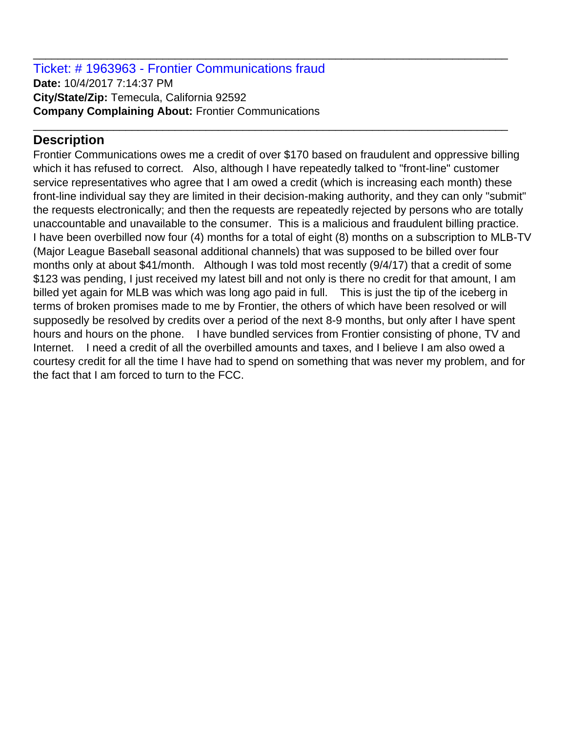Ticket: # 1963963 - Frontier Communications fraud **Date:** 10/4/2017 7:14:37 PM **City/State/Zip:** Temecula, California 92592 **Company Complaining About:** Frontier Communications

# **Description**

Frontier Communications owes me a credit of over \$170 based on fraudulent and oppressive billing which it has refused to correct. Also, although I have repeatedly talked to "front-line" customer service representatives who agree that I am owed a credit (which is increasing each month) these front-line individual say they are limited in their decision-making authority, and they can only "submit" the requests electronically; and then the requests are repeatedly rejected by persons who are totally unaccountable and unavailable to the consumer. This is a malicious and fraudulent billing practice. I have been overbilled now four (4) months for a total of eight (8) months on a subscription to MLB-TV (Major League Baseball seasonal additional channels) that was supposed to be billed over four months only at about \$41/month. Although I was told most recently (9/4/17) that a credit of some \$123 was pending, I just received my latest bill and not only is there no credit for that amount, I am billed yet again for MLB was which was long ago paid in full. This is just the tip of the iceberg in terms of broken promises made to me by Frontier, the others of which have been resolved or will supposedly be resolved by credits over a period of the next 8-9 months, but only after I have spent hours and hours on the phone. I have bundled services from Frontier consisting of phone, TV and Internet. I need a credit of all the overbilled amounts and taxes, and I believe I am also owed a courtesy credit for all the time I have had to spend on something that was never my problem, and for the fact that I am forced to turn to the FCC.

\_\_\_\_\_\_\_\_\_\_\_\_\_\_\_\_\_\_\_\_\_\_\_\_\_\_\_\_\_\_\_\_\_\_\_\_\_\_\_\_\_\_\_\_\_\_\_\_\_\_\_\_\_\_\_\_\_\_\_\_\_\_\_\_\_\_\_\_\_\_\_\_\_\_\_\_\_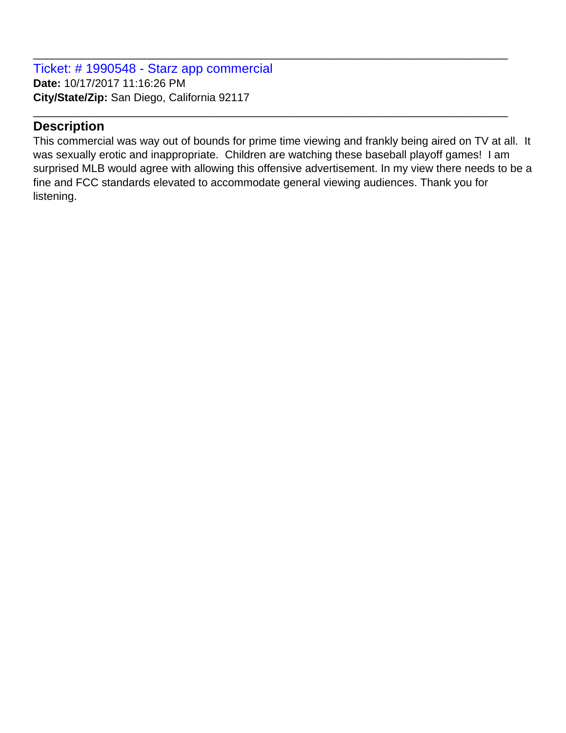Ticket: # 1990548 - Starz app commercial **Date:** 10/17/2017 11:16:26 PM **City/State/Zip:** San Diego, California 92117

## **Description**

This commercial was way out of bounds for prime time viewing and frankly being aired on TV at all. It was sexually erotic and inappropriate. Children are watching these baseball playoff games! I am surprised MLB would agree with allowing this offensive advertisement. In my view there needs to be a fine and FCC standards elevated to accommodate general viewing audiences. Thank you for listening.

\_\_\_\_\_\_\_\_\_\_\_\_\_\_\_\_\_\_\_\_\_\_\_\_\_\_\_\_\_\_\_\_\_\_\_\_\_\_\_\_\_\_\_\_\_\_\_\_\_\_\_\_\_\_\_\_\_\_\_\_\_\_\_\_\_\_\_\_\_\_\_\_\_\_\_\_\_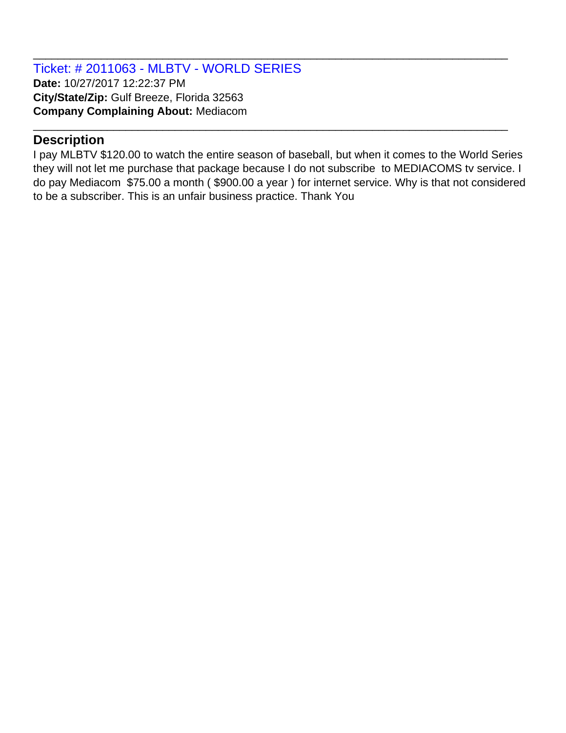Ticket: # 2011063 - MLBTV - WORLD SERIES **Date:** 10/27/2017 12:22:37 PM **City/State/Zip:** Gulf Breeze, Florida 32563 **Company Complaining About:** Mediacom

## **Description**

I pay MLBTV \$120.00 to watch the entire season of baseball, but when it comes to the World Series they will not let me purchase that package because I do not subscribe to MEDIACOMS tv service. I do pay Mediacom \$75.00 a month ( \$900.00 a year ) for internet service. Why is that not considered to be a subscriber. This is an unfair business practice. Thank You

\_\_\_\_\_\_\_\_\_\_\_\_\_\_\_\_\_\_\_\_\_\_\_\_\_\_\_\_\_\_\_\_\_\_\_\_\_\_\_\_\_\_\_\_\_\_\_\_\_\_\_\_\_\_\_\_\_\_\_\_\_\_\_\_\_\_\_\_\_\_\_\_\_\_\_\_\_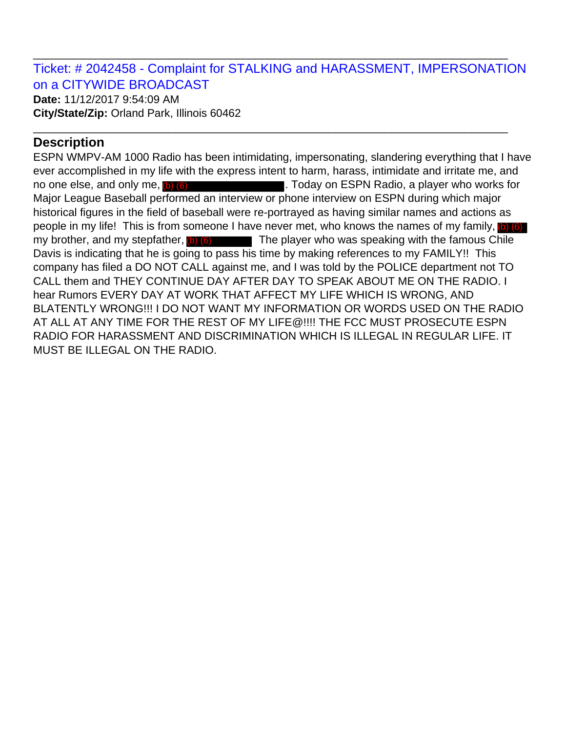Ticket: # 2042458 - Complaint for STALKING and HARASSMENT, IMPERSONATION on a CITYWIDE BROADCAST

\_\_\_\_\_\_\_\_\_\_\_\_\_\_\_\_\_\_\_\_\_\_\_\_\_\_\_\_\_\_\_\_\_\_\_\_\_\_\_\_\_\_\_\_\_\_\_\_\_\_\_\_\_\_\_\_\_\_\_\_\_\_\_\_\_\_\_\_\_\_\_\_\_\_\_\_\_

\_\_\_\_\_\_\_\_\_\_\_\_\_\_\_\_\_\_\_\_\_\_\_\_\_\_\_\_\_\_\_\_\_\_\_\_\_\_\_\_\_\_\_\_\_\_\_\_\_\_\_\_\_\_\_\_\_\_\_\_\_\_\_\_\_\_\_\_\_\_\_\_\_\_\_\_\_

**Date:** 11/12/2017 9:54:09 AM **City/State/Zip:** Orland Park, Illinois 60462

# **Description**

ESPN WMPV-AM 1000 Radio has been intimidating, impersonating, slandering everything that I have ever accomplished in my life with the express intent to harm, harass, intimidate and irritate me, and no one else, and only me, **b (6) (6) 10. The substitute on ESPN Radio, a player who works for** Major League Baseball performed an interview or phone interview on ESPN during which major historical figures in the field of baseball were re-portrayed as having similar names and actions as people in my life! This is from someone I have never met, who knows the names of my family, (b) (6) no one else, and only me, (b) (6)<br>Major League Baseball performed an interview or phone interview on ESPN during which major<br>historical figures in the field of baseball were re-portrayed as having similar names and actions Davis is indicating that he is going to pass his time by making references to my FAMILY!! This company has filed a DO NOT CALL against me, and I was told by the POLICE department not TO CALL them and THEY CONTINUE DAY AFTER DAY TO SPEAK ABOUT ME ON THE RADIO. I hear Rumors EVERY DAY AT WORK THAT AFFECT MY LIFE WHICH IS WRONG, AND BLATENTLY WRONG!!! I DO NOT WANT MY INFORMATION OR WORDS USED ON THE RADIO AT ALL AT ANY TIME FOR THE REST OF MY LIFE@!!!! THE FCC MUST PROSECUTE ESPN RADIO FOR HARASSMENT AND DISCRIMINATION WHICH IS ILLEGAL IN REGULAR LIFE. IT MUST BE ILLEGAL ON THE RADIO.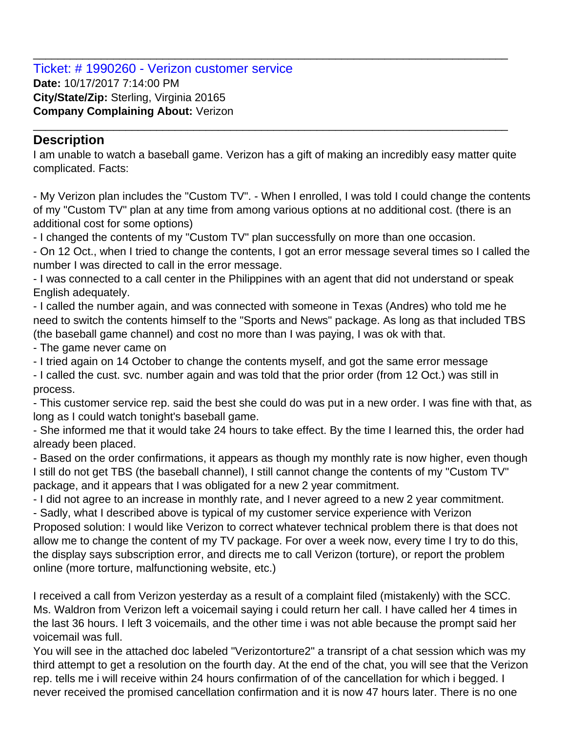#### Ticket: # 1990260 - Verizon customer service **Date:** 10/17/2017 7:14:00 PM **City/State/Zip:** Sterling, Virginia 20165 **Company Complaining About:** Verizon

# **Description**

I am unable to watch a baseball game. Verizon has a gift of making an incredibly easy matter quite complicated. Facts:

\_\_\_\_\_\_\_\_\_\_\_\_\_\_\_\_\_\_\_\_\_\_\_\_\_\_\_\_\_\_\_\_\_\_\_\_\_\_\_\_\_\_\_\_\_\_\_\_\_\_\_\_\_\_\_\_\_\_\_\_\_\_\_\_\_\_\_\_\_\_\_\_\_\_\_\_\_

\_\_\_\_\_\_\_\_\_\_\_\_\_\_\_\_\_\_\_\_\_\_\_\_\_\_\_\_\_\_\_\_\_\_\_\_\_\_\_\_\_\_\_\_\_\_\_\_\_\_\_\_\_\_\_\_\_\_\_\_\_\_\_\_\_\_\_\_\_\_\_\_\_\_\_\_\_

- My Verizon plan includes the "Custom TV". - When I enrolled, I was told I could change the contents of my "Custom TV" plan at any time from among various options at no additional cost. (there is an additional cost for some options)

- I changed the contents of my "Custom TV" plan successfully on more than one occasion.

- On 12 Oct., when I tried to change the contents, I got an error message several times so I called the number I was directed to call in the error message.

- I was connected to a call center in the Philippines with an agent that did not understand or speak English adequately.

- I called the number again, and was connected with someone in Texas (Andres) who told me he need to switch the contents himself to the "Sports and News" package. As long as that included TBS (the baseball game channel) and cost no more than I was paying, I was ok with that.

- The game never came on

- I tried again on 14 October to change the contents myself, and got the same error message

- I called the cust. svc. number again and was told that the prior order (from 12 Oct.) was still in process.

- This customer service rep. said the best she could do was put in a new order. I was fine with that, as long as I could watch tonight's baseball game.

- She informed me that it would take 24 hours to take effect. By the time I learned this, the order had already been placed.

- Based on the order confirmations, it appears as though my monthly rate is now higher, even though I still do not get TBS (the baseball channel), I still cannot change the contents of my "Custom TV" package, and it appears that I was obligated for a new 2 year commitment.

- I did not agree to an increase in monthly rate, and I never agreed to a new 2 year commitment.

- Sadly, what I described above is typical of my customer service experience with Verizon Proposed solution: I would like Verizon to correct whatever technical problem there is that does not allow me to change the content of my TV package. For over a week now, every time I try to do this, the display says subscription error, and directs me to call Verizon (torture), or report the problem online (more torture, malfunctioning website, etc.)

I received a call from Verizon yesterday as a result of a complaint filed (mistakenly) with the SCC. Ms. Waldron from Verizon left a voicemail saying i could return her call. I have called her 4 times in the last 36 hours. I left 3 voicemails, and the other time i was not able because the prompt said her voicemail was full.

You will see in the attached doc labeled "Verizontorture2" a transript of a chat session which was my third attempt to get a resolution on the fourth day. At the end of the chat, you will see that the Verizon rep. tells me i will receive within 24 hours confirmation of of the cancellation for which i begged. I never received the promised cancellation confirmation and it is now 47 hours later. There is no one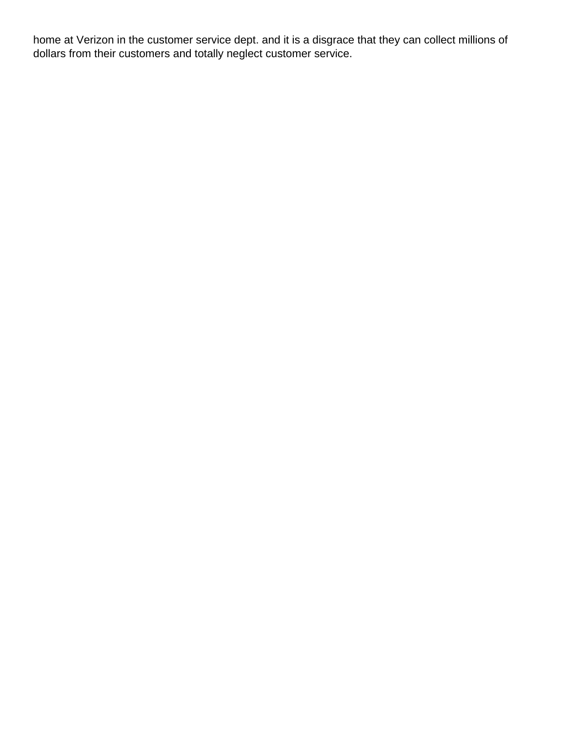home at Verizon in the customer service dept. and it is a disgrace that they can collect millions of dollars from their customers and totally neglect customer service.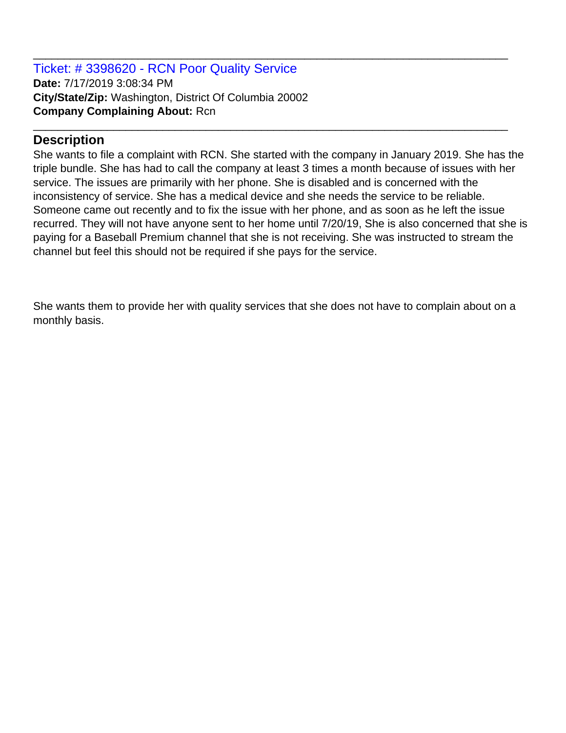Ticket: # 3398620 - RCN Poor Quality Service **Date:** 7/17/2019 3:08:34 PM **City/State/Zip:** Washington, District Of Columbia 20002 **Company Complaining About:** Rcn

## **Description**

She wants to file a complaint with RCN. She started with the company in January 2019. She has the triple bundle. She has had to call the company at least 3 times a month because of issues with her service. The issues are primarily with her phone. She is disabled and is concerned with the inconsistency of service. She has a medical device and she needs the service to be reliable. Someone came out recently and to fix the issue with her phone, and as soon as he left the issue recurred. They will not have anyone sent to her home until 7/20/19, She is also concerned that she is paying for a Baseball Premium channel that she is not receiving. She was instructed to stream the channel but feel this should not be required if she pays for the service.

\_\_\_\_\_\_\_\_\_\_\_\_\_\_\_\_\_\_\_\_\_\_\_\_\_\_\_\_\_\_\_\_\_\_\_\_\_\_\_\_\_\_\_\_\_\_\_\_\_\_\_\_\_\_\_\_\_\_\_\_\_\_\_\_\_\_\_\_\_\_\_\_\_\_\_\_\_

\_\_\_\_\_\_\_\_\_\_\_\_\_\_\_\_\_\_\_\_\_\_\_\_\_\_\_\_\_\_\_\_\_\_\_\_\_\_\_\_\_\_\_\_\_\_\_\_\_\_\_\_\_\_\_\_\_\_\_\_\_\_\_\_\_\_\_\_\_\_\_\_\_\_\_\_\_

She wants them to provide her with quality services that she does not have to complain about on a monthly basis.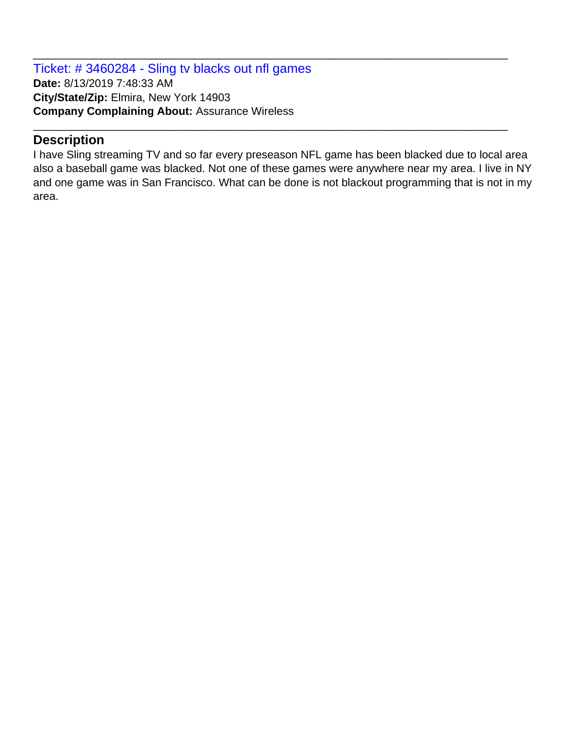Ticket: # 3460284 - Sling tv blacks out nfl games **Date:** 8/13/2019 7:48:33 AM **City/State/Zip:** Elmira, New York 14903 **Company Complaining About:** Assurance Wireless

# **Description**

I have Sling streaming TV and so far every preseason NFL game has been blacked due to local area also a baseball game was blacked. Not one of these games were anywhere near my area. I live in NY and one game was in San Francisco. What can be done is not blackout programming that is not in my area.

\_\_\_\_\_\_\_\_\_\_\_\_\_\_\_\_\_\_\_\_\_\_\_\_\_\_\_\_\_\_\_\_\_\_\_\_\_\_\_\_\_\_\_\_\_\_\_\_\_\_\_\_\_\_\_\_\_\_\_\_\_\_\_\_\_\_\_\_\_\_\_\_\_\_\_\_\_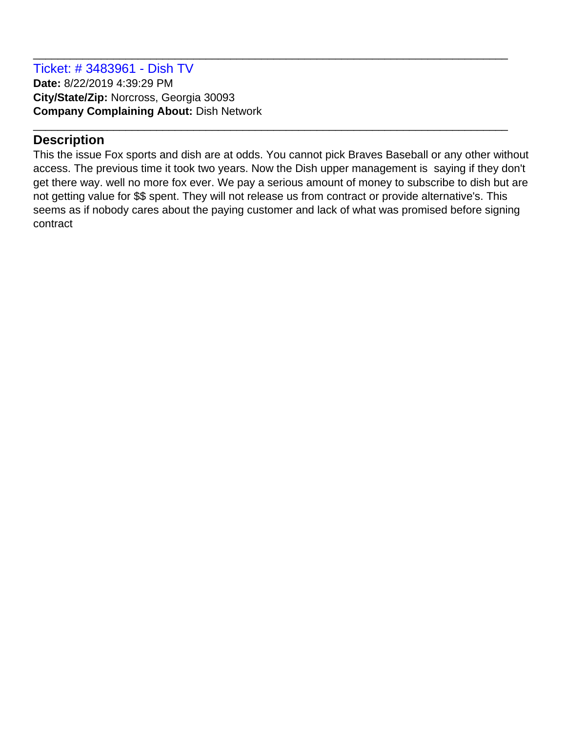Ticket: # 3483961 - Dish TV **Date:** 8/22/2019 4:39:29 PM **City/State/Zip:** Norcross, Georgia 30093 **Company Complaining About:** Dish Network

## **Description**

This the issue Fox sports and dish are at odds. You cannot pick Braves Baseball or any other without access. The previous time it took two years. Now the Dish upper management is saying if they don't get there way. well no more fox ever. We pay a serious amount of money to subscribe to dish but are not getting value for \$\$ spent. They will not release us from contract or provide alternative's. This seems as if nobody cares about the paying customer and lack of what was promised before signing contract

\_\_\_\_\_\_\_\_\_\_\_\_\_\_\_\_\_\_\_\_\_\_\_\_\_\_\_\_\_\_\_\_\_\_\_\_\_\_\_\_\_\_\_\_\_\_\_\_\_\_\_\_\_\_\_\_\_\_\_\_\_\_\_\_\_\_\_\_\_\_\_\_\_\_\_\_\_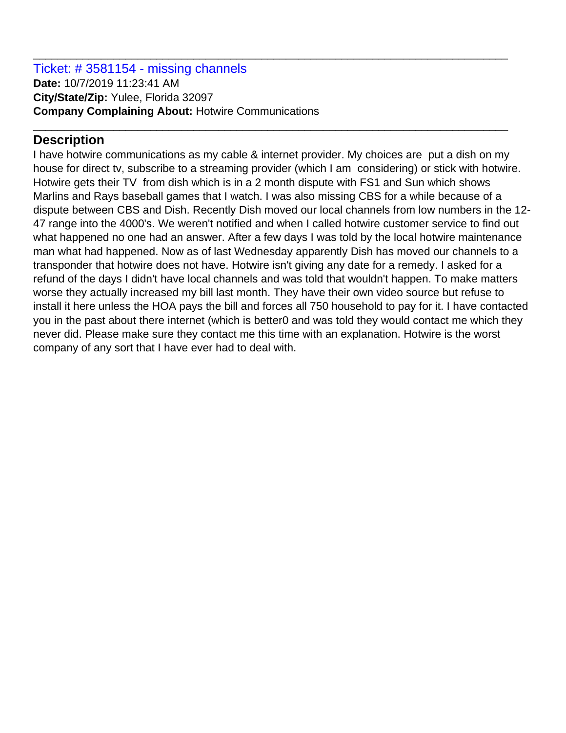#### Ticket: # 3581154 - missing channels **Date:** 10/7/2019 11:23:41 AM **City/State/Zip:** Yulee, Florida 32097 **Company Complaining About:** Hotwire Communications

# **Description**

I have hotwire communications as my cable & internet provider. My choices are put a dish on my house for direct tv, subscribe to a streaming provider (which I am considering) or stick with hotwire. Hotwire gets their TV from dish which is in a 2 month dispute with FS1 and Sun which shows Marlins and Rays baseball games that I watch. I was also missing CBS for a while because of a dispute between CBS and Dish. Recently Dish moved our local channels from low numbers in the 12- 47 range into the 4000's. We weren't notified and when I called hotwire customer service to find out what happened no one had an answer. After a few days I was told by the local hotwire maintenance man what had happened. Now as of last Wednesday apparently Dish has moved our channels to a transponder that hotwire does not have. Hotwire isn't giving any date for a remedy. I asked for a refund of the days I didn't have local channels and was told that wouldn't happen. To make matters worse they actually increased my bill last month. They have their own video source but refuse to install it here unless the HOA pays the bill and forces all 750 household to pay for it. I have contacted you in the past about there internet (which is better0 and was told they would contact me which they never did. Please make sure they contact me this time with an explanation. Hotwire is the worst company of any sort that I have ever had to deal with.

\_\_\_\_\_\_\_\_\_\_\_\_\_\_\_\_\_\_\_\_\_\_\_\_\_\_\_\_\_\_\_\_\_\_\_\_\_\_\_\_\_\_\_\_\_\_\_\_\_\_\_\_\_\_\_\_\_\_\_\_\_\_\_\_\_\_\_\_\_\_\_\_\_\_\_\_\_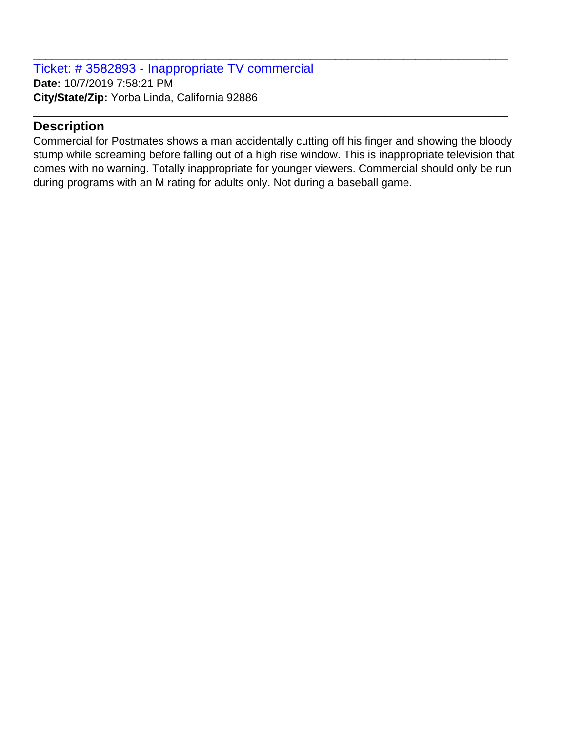Ticket: # 3582893 - Inappropriate TV commercial **Date:** 10/7/2019 7:58:21 PM **City/State/Zip:** Yorba Linda, California 92886

#### **Description**

Commercial for Postmates shows a man accidentally cutting off his finger and showing the bloody stump while screaming before falling out of a high rise window. This is inappropriate television that comes with no warning. Totally inappropriate for younger viewers. Commercial should only be run during programs with an M rating for adults only. Not during a baseball game.

\_\_\_\_\_\_\_\_\_\_\_\_\_\_\_\_\_\_\_\_\_\_\_\_\_\_\_\_\_\_\_\_\_\_\_\_\_\_\_\_\_\_\_\_\_\_\_\_\_\_\_\_\_\_\_\_\_\_\_\_\_\_\_\_\_\_\_\_\_\_\_\_\_\_\_\_\_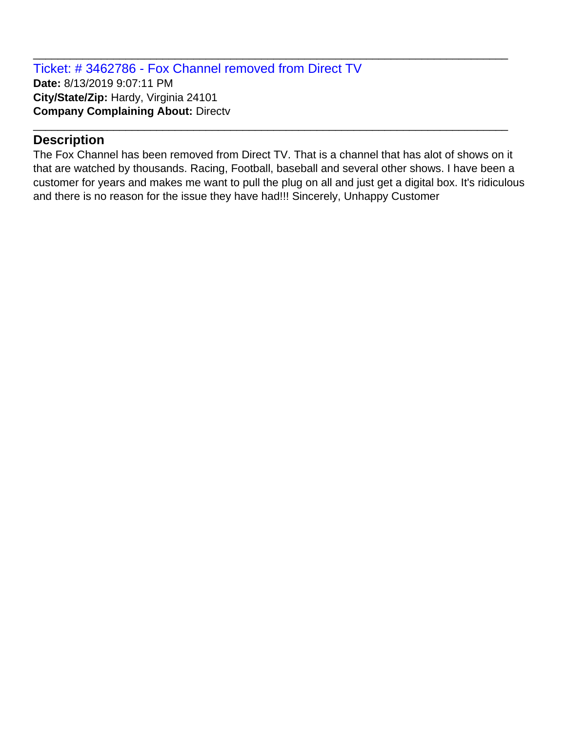Ticket: # 3462786 - Fox Channel removed from Direct TV **Date:** 8/13/2019 9:07:11 PM **City/State/Zip:** Hardy, Virginia 24101 **Company Complaining About:** Directv

### **Description**

The Fox Channel has been removed from Direct TV. That is a channel that has alot of shows on it that are watched by thousands. Racing, Football, baseball and several other shows. I have been a customer for years and makes me want to pull the plug on all and just get a digital box. It's ridiculous and there is no reason for the issue they have had!!! Sincerely, Unhappy Customer

\_\_\_\_\_\_\_\_\_\_\_\_\_\_\_\_\_\_\_\_\_\_\_\_\_\_\_\_\_\_\_\_\_\_\_\_\_\_\_\_\_\_\_\_\_\_\_\_\_\_\_\_\_\_\_\_\_\_\_\_\_\_\_\_\_\_\_\_\_\_\_\_\_\_\_\_\_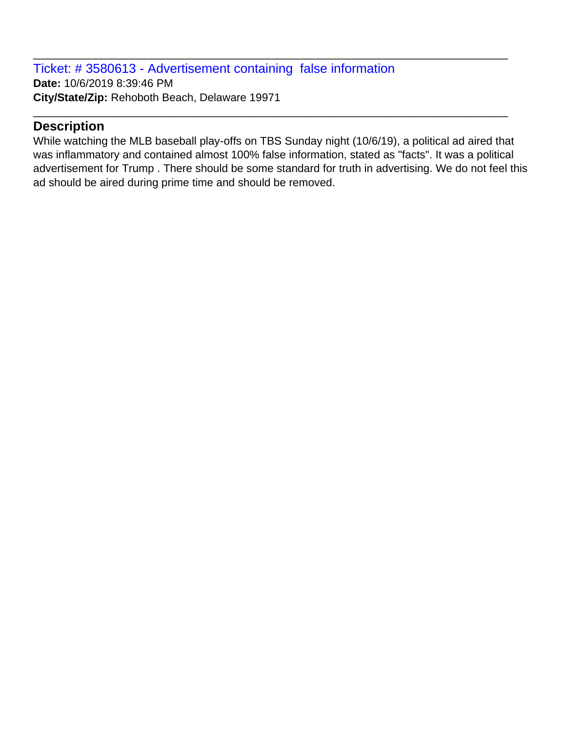Ticket: # 3580613 - Advertisement containing false information **Date:** 10/6/2019 8:39:46 PM **City/State/Zip:** Rehoboth Beach, Delaware 19971

#### **Description**

While watching the MLB baseball play-offs on TBS Sunday night (10/6/19), a political ad aired that was inflammatory and contained almost 100% false information, stated as "facts". It was a political advertisement for Trump . There should be some standard for truth in advertising. We do not feel this ad should be aired during prime time and should be removed.

\_\_\_\_\_\_\_\_\_\_\_\_\_\_\_\_\_\_\_\_\_\_\_\_\_\_\_\_\_\_\_\_\_\_\_\_\_\_\_\_\_\_\_\_\_\_\_\_\_\_\_\_\_\_\_\_\_\_\_\_\_\_\_\_\_\_\_\_\_\_\_\_\_\_\_\_\_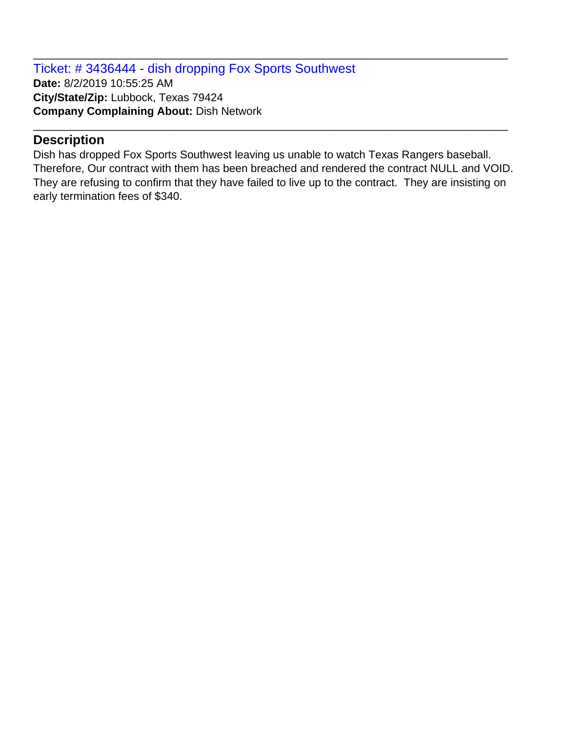Ticket: # 3436444 - dish dropping Fox Sports Southwest **Date:** 8/2/2019 10:55:25 AM **City/State/Zip:** Lubbock, Texas 79424 **Company Complaining About:** Dish Network

#### **Description**

Dish has dropped Fox Sports Southwest leaving us unable to watch Texas Rangers baseball. Therefore, Our contract with them has been breached and rendered the contract NULL and VOID. They are refusing to confirm that they have failed to live up to the contract. They are insisting on early termination fees of \$340.

\_\_\_\_\_\_\_\_\_\_\_\_\_\_\_\_\_\_\_\_\_\_\_\_\_\_\_\_\_\_\_\_\_\_\_\_\_\_\_\_\_\_\_\_\_\_\_\_\_\_\_\_\_\_\_\_\_\_\_\_\_\_\_\_\_\_\_\_\_\_\_\_\_\_\_\_\_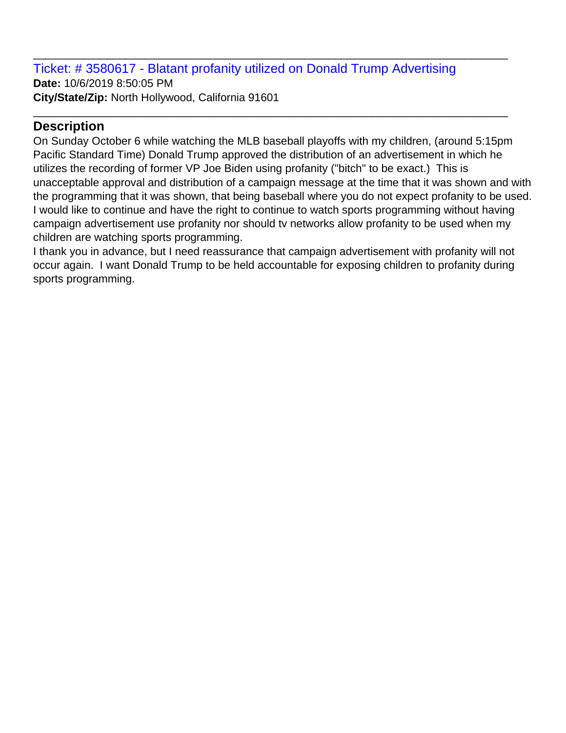Ticket: # 3580617 - Blatant profanity utilized on Donald Trump Advertising **Date:** 10/6/2019 8:50:05 PM **City/State/Zip:** North Hollywood, California 91601

\_\_\_\_\_\_\_\_\_\_\_\_\_\_\_\_\_\_\_\_\_\_\_\_\_\_\_\_\_\_\_\_\_\_\_\_\_\_\_\_\_\_\_\_\_\_\_\_\_\_\_\_\_\_\_\_\_\_\_\_\_\_\_\_\_\_\_\_\_\_\_\_\_\_\_\_\_

\_\_\_\_\_\_\_\_\_\_\_\_\_\_\_\_\_\_\_\_\_\_\_\_\_\_\_\_\_\_\_\_\_\_\_\_\_\_\_\_\_\_\_\_\_\_\_\_\_\_\_\_\_\_\_\_\_\_\_\_\_\_\_\_\_\_\_\_\_\_\_\_\_\_\_\_\_

## **Description**

On Sunday October 6 while watching the MLB baseball playoffs with my children, (around 5:15pm Pacific Standard Time) Donald Trump approved the distribution of an advertisement in which he utilizes the recording of former VP Joe Biden using profanity ("bitch" to be exact.) This is unacceptable approval and distribution of a campaign message at the time that it was shown and with the programming that it was shown, that being baseball where you do not expect profanity to be used. I would like to continue and have the right to continue to watch sports programming without having campaign advertisement use profanity nor should tv networks allow profanity to be used when my children are watching sports programming.

I thank you in advance, but I need reassurance that campaign advertisement with profanity will not occur again. I want Donald Trump to be held accountable for exposing children to profanity during sports programming.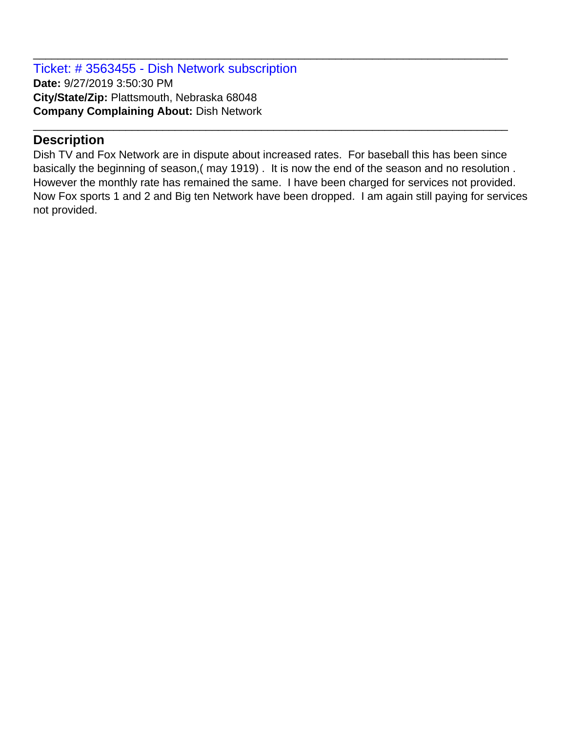Ticket: # 3563455 - Dish Network subscription **Date:** 9/27/2019 3:50:30 PM **City/State/Zip:** Plattsmouth, Nebraska 68048 **Company Complaining About:** Dish Network

## **Description**

Dish TV and Fox Network are in dispute about increased rates. For baseball this has been since basically the beginning of season,( may 1919) . It is now the end of the season and no resolution . However the monthly rate has remained the same. I have been charged for services not provided. Now Fox sports 1 and 2 and Big ten Network have been dropped. I am again still paying for services not provided.

\_\_\_\_\_\_\_\_\_\_\_\_\_\_\_\_\_\_\_\_\_\_\_\_\_\_\_\_\_\_\_\_\_\_\_\_\_\_\_\_\_\_\_\_\_\_\_\_\_\_\_\_\_\_\_\_\_\_\_\_\_\_\_\_\_\_\_\_\_\_\_\_\_\_\_\_\_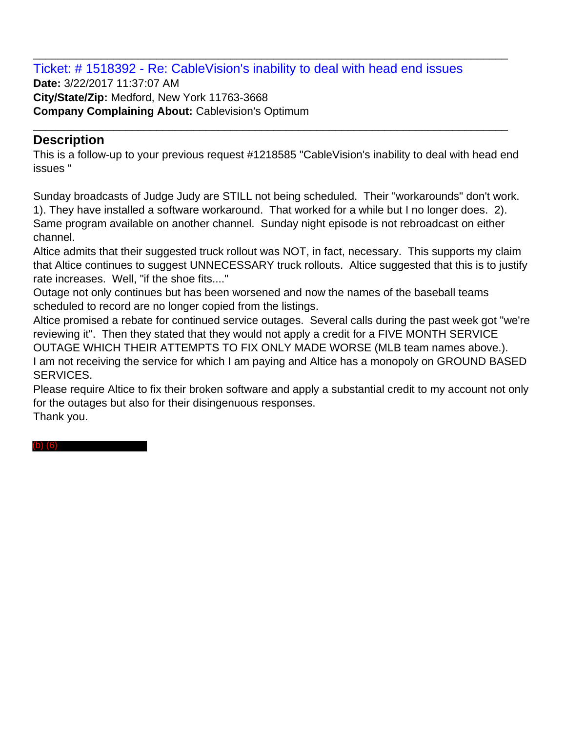Ticket: # 1518392 - Re: CableVision's inability to deal with head end issues **Date:** 3/22/2017 11:37:07 AM **City/State/Zip:** Medford, New York 11763-3668 **Company Complaining About:** Cablevision's Optimum \_\_\_\_\_\_\_\_\_\_\_\_\_\_\_\_\_\_\_\_\_\_\_\_\_\_\_\_\_\_\_\_\_\_\_\_\_\_\_\_\_\_\_\_\_\_\_\_\_\_\_\_\_\_\_\_\_\_\_\_\_\_\_\_\_\_\_\_\_\_\_\_\_\_\_\_\_

\_\_\_\_\_\_\_\_\_\_\_\_\_\_\_\_\_\_\_\_\_\_\_\_\_\_\_\_\_\_\_\_\_\_\_\_\_\_\_\_\_\_\_\_\_\_\_\_\_\_\_\_\_\_\_\_\_\_\_\_\_\_\_\_\_\_\_\_\_\_\_\_\_\_\_\_\_

# **Description**

This is a follow-up to your previous request #1218585 "CableVision's inability to deal with head end issues "

Sunday broadcasts of Judge Judy are STILL not being scheduled. Their "workarounds" don't work. 1). They have installed a software workaround. That worked for a while but I no longer does. 2). Same program available on another channel. Sunday night episode is not rebroadcast on either channel.

Altice admits that their suggested truck rollout was NOT, in fact, necessary. This supports my claim that Altice continues to suggest UNNECESSARY truck rollouts. Altice suggested that this is to justify rate increases. Well, "if the shoe fits...."

Outage not only continues but has been worsened and now the names of the baseball teams scheduled to record are no longer copied from the listings.

Altice promised a rebate for continued service outages. Several calls during the past week got "we're reviewing it". Then they stated that they would not apply a credit for a FIVE MONTH SERVICE OUTAGE WHICH THEIR ATTEMPTS TO FIX ONLY MADE WORSE (MLB team names above.). I am not receiving the service for which I am paying and Altice has a monopoly on GROUND BASED SERVICES.

Please require Altice to fix their broken software and apply a substantial credit to my account not only for the outages but also for their disingenuous responses. Thank you.

(b) (6)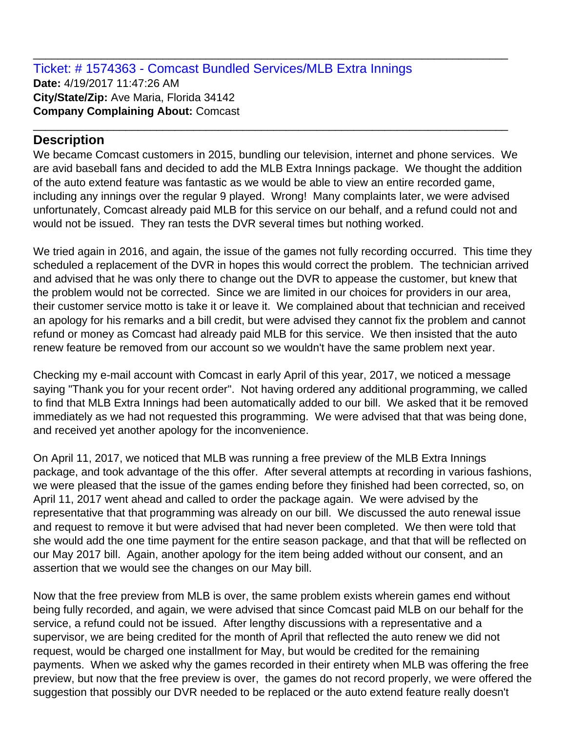Ticket: # 1574363 - Comcast Bundled Services/MLB Extra Innings **Date:** 4/19/2017 11:47:26 AM **City/State/Zip:** Ave Maria, Florida 34142 **Company Complaining About:** Comcast

## **Description**

We became Comcast customers in 2015, bundling our television, internet and phone services. We are avid baseball fans and decided to add the MLB Extra Innings package. We thought the addition of the auto extend feature was fantastic as we would be able to view an entire recorded game, including any innings over the regular 9 played. Wrong! Many complaints later, we were advised unfortunately, Comcast already paid MLB for this service on our behalf, and a refund could not and would not be issued. They ran tests the DVR several times but nothing worked.

\_\_\_\_\_\_\_\_\_\_\_\_\_\_\_\_\_\_\_\_\_\_\_\_\_\_\_\_\_\_\_\_\_\_\_\_\_\_\_\_\_\_\_\_\_\_\_\_\_\_\_\_\_\_\_\_\_\_\_\_\_\_\_\_\_\_\_\_\_\_\_\_\_\_\_\_\_

\_\_\_\_\_\_\_\_\_\_\_\_\_\_\_\_\_\_\_\_\_\_\_\_\_\_\_\_\_\_\_\_\_\_\_\_\_\_\_\_\_\_\_\_\_\_\_\_\_\_\_\_\_\_\_\_\_\_\_\_\_\_\_\_\_\_\_\_\_\_\_\_\_\_\_\_\_

We tried again in 2016, and again, the issue of the games not fully recording occurred. This time they scheduled a replacement of the DVR in hopes this would correct the problem. The technician arrived and advised that he was only there to change out the DVR to appease the customer, but knew that the problem would not be corrected. Since we are limited in our choices for providers in our area, their customer service motto is take it or leave it. We complained about that technician and received an apology for his remarks and a bill credit, but were advised they cannot fix the problem and cannot refund or money as Comcast had already paid MLB for this service. We then insisted that the auto renew feature be removed from our account so we wouldn't have the same problem next year.

Checking my e-mail account with Comcast in early April of this year, 2017, we noticed a message saying "Thank you for your recent order". Not having ordered any additional programming, we called to find that MLB Extra Innings had been automatically added to our bill. We asked that it be removed immediately as we had not requested this programming. We were advised that that was being done, and received yet another apology for the inconvenience.

On April 11, 2017, we noticed that MLB was running a free preview of the MLB Extra Innings package, and took advantage of the this offer. After several attempts at recording in various fashions, we were pleased that the issue of the games ending before they finished had been corrected, so, on April 11, 2017 went ahead and called to order the package again. We were advised by the representative that that programming was already on our bill. We discussed the auto renewal issue and request to remove it but were advised that had never been completed. We then were told that she would add the one time payment for the entire season package, and that that will be reflected on our May 2017 bill. Again, another apology for the item being added without our consent, and an assertion that we would see the changes on our May bill.

Now that the free preview from MLB is over, the same problem exists wherein games end without being fully recorded, and again, we were advised that since Comcast paid MLB on our behalf for the service, a refund could not be issued. After lengthy discussions with a representative and a supervisor, we are being credited for the month of April that reflected the auto renew we did not request, would be charged one installment for May, but would be credited for the remaining payments. When we asked why the games recorded in their entirety when MLB was offering the free preview, but now that the free preview is over, the games do not record properly, we were offered the suggestion that possibly our DVR needed to be replaced or the auto extend feature really doesn't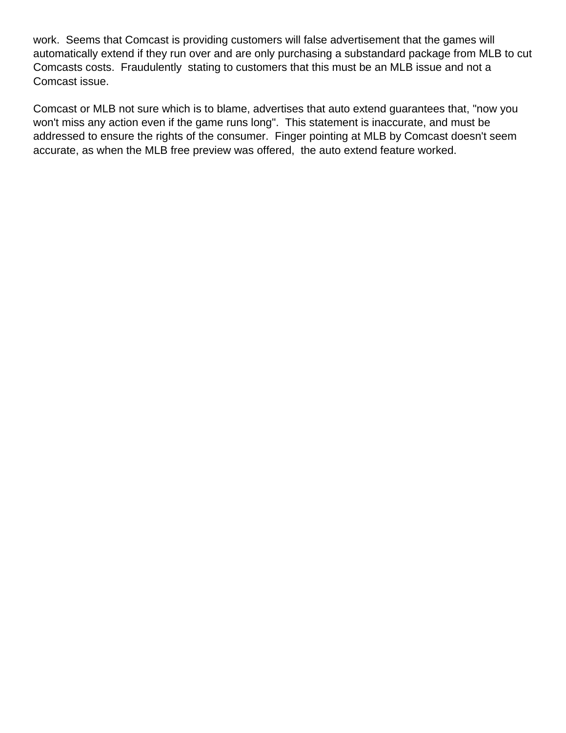work. Seems that Comcast is providing customers will false advertisement that the games will automatically extend if they run over and are only purchasing a substandard package from MLB to cut Comcasts costs. Fraudulently stating to customers that this must be an MLB issue and not a Comcast issue.

Comcast or MLB not sure which is to blame, advertises that auto extend guarantees that, "now you won't miss any action even if the game runs long". This statement is inaccurate, and must be addressed to ensure the rights of the consumer. Finger pointing at MLB by Comcast doesn't seem accurate, as when the MLB free preview was offered, the auto extend feature worked.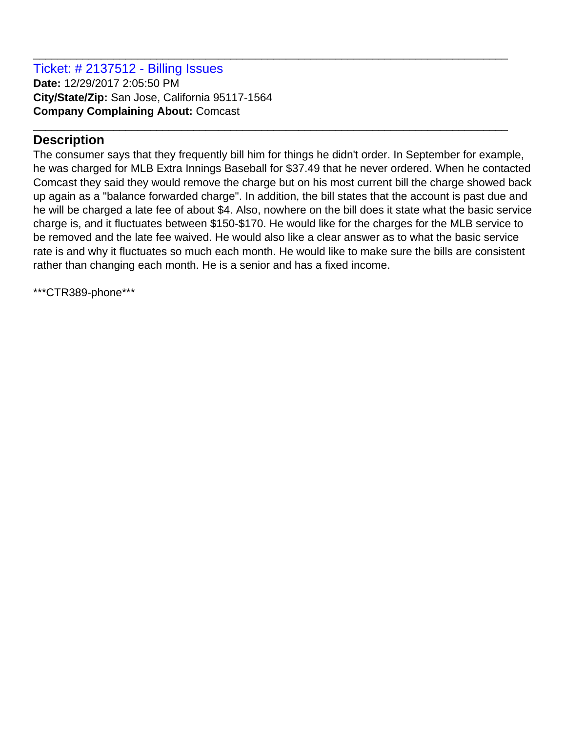Ticket: # 2137512 - Billing Issues **Date:** 12/29/2017 2:05:50 PM **City/State/Zip:** San Jose, California 95117-1564 **Company Complaining About:** Comcast

# **Description**

The consumer says that they frequently bill him for things he didn't order. In September for example, he was charged for MLB Extra Innings Baseball for \$37.49 that he never ordered. When he contacted Comcast they said they would remove the charge but on his most current bill the charge showed back up again as a "balance forwarded charge". In addition, the bill states that the account is past due and he will be charged a late fee of about \$4. Also, nowhere on the bill does it state what the basic service charge is, and it fluctuates between \$150-\$170. He would like for the charges for the MLB service to be removed and the late fee waived. He would also like a clear answer as to what the basic service rate is and why it fluctuates so much each month. He would like to make sure the bills are consistent rather than changing each month. He is a senior and has a fixed income.

\_\_\_\_\_\_\_\_\_\_\_\_\_\_\_\_\_\_\_\_\_\_\_\_\_\_\_\_\_\_\_\_\_\_\_\_\_\_\_\_\_\_\_\_\_\_\_\_\_\_\_\_\_\_\_\_\_\_\_\_\_\_\_\_\_\_\_\_\_\_\_\_\_\_\_\_\_

\_\_\_\_\_\_\_\_\_\_\_\_\_\_\_\_\_\_\_\_\_\_\_\_\_\_\_\_\_\_\_\_\_\_\_\_\_\_\_\_\_\_\_\_\_\_\_\_\_\_\_\_\_\_\_\_\_\_\_\_\_\_\_\_\_\_\_\_\_\_\_\_\_\_\_\_\_

\*\*\*CTR389-phone\*\*\*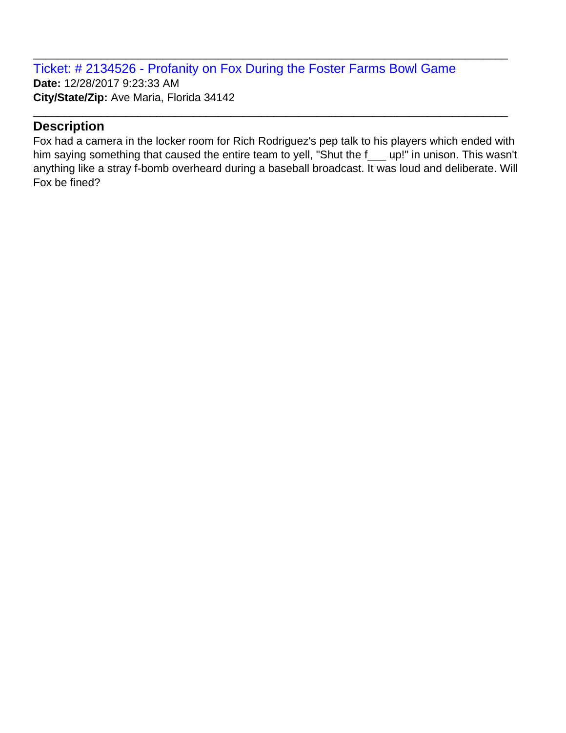Ticket: # 2134526 - Profanity on Fox During the Foster Farms Bowl Game **Date:** 12/28/2017 9:23:33 AM **City/State/Zip:** Ave Maria, Florida 34142

## **Description**

Fox had a camera in the locker room for Rich Rodriguez's pep talk to his players which ended with him saying something that caused the entire team to yell, "Shut the f\_\_\_ up!" in unison. This wasn't anything like a stray f-bomb overheard during a baseball broadcast. It was loud and deliberate. Will Fox be fined?

\_\_\_\_\_\_\_\_\_\_\_\_\_\_\_\_\_\_\_\_\_\_\_\_\_\_\_\_\_\_\_\_\_\_\_\_\_\_\_\_\_\_\_\_\_\_\_\_\_\_\_\_\_\_\_\_\_\_\_\_\_\_\_\_\_\_\_\_\_\_\_\_\_\_\_\_\_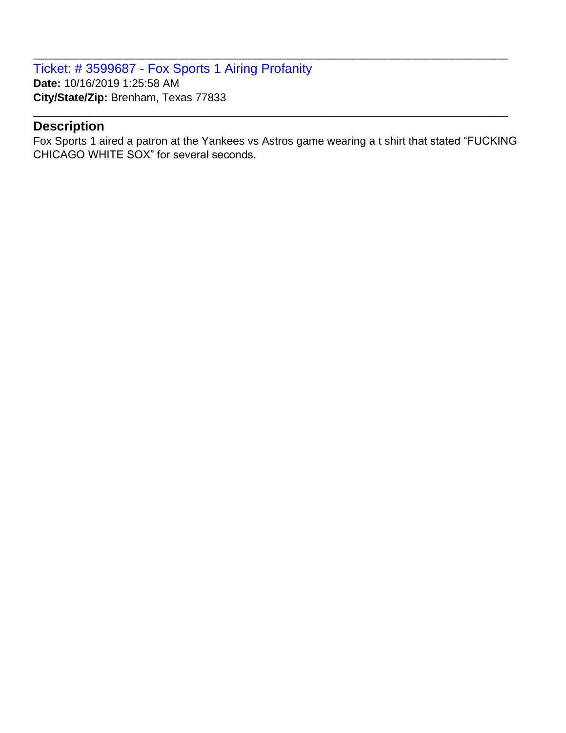Ticket: # 3599687 - Fox Sports 1 Airing Profanity **Date:** 10/16/2019 1:25:58 AM **City/State/Zip:** Brenham, Texas 77833

#### **Description**

Fox Sports 1 aired a patron at the Yankees vs Astros game wearing a t shirt that stated "FUCKING CHICAGO WHITE SOX" for several seconds.

\_\_\_\_\_\_\_\_\_\_\_\_\_\_\_\_\_\_\_\_\_\_\_\_\_\_\_\_\_\_\_\_\_\_\_\_\_\_\_\_\_\_\_\_\_\_\_\_\_\_\_\_\_\_\_\_\_\_\_\_\_\_\_\_\_\_\_\_\_\_\_\_\_\_\_\_\_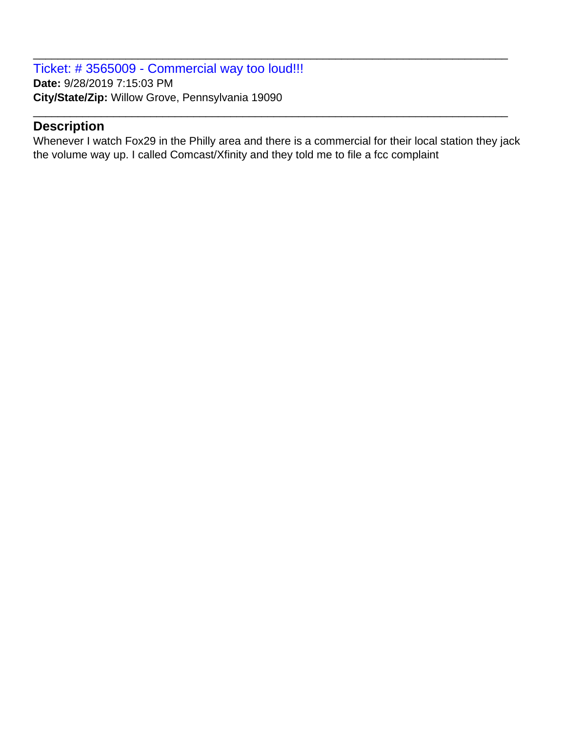Ticket: # 3565009 - Commercial way too loud!!! **Date:** 9/28/2019 7:15:03 PM **City/State/Zip:** Willow Grove, Pennsylvania 19090

## **Description**

Whenever I watch Fox29 in the Philly area and there is a commercial for their local station they jack the volume way up. I called Comcast/Xfinity and they told me to file a fcc complaint

\_\_\_\_\_\_\_\_\_\_\_\_\_\_\_\_\_\_\_\_\_\_\_\_\_\_\_\_\_\_\_\_\_\_\_\_\_\_\_\_\_\_\_\_\_\_\_\_\_\_\_\_\_\_\_\_\_\_\_\_\_\_\_\_\_\_\_\_\_\_\_\_\_\_\_\_\_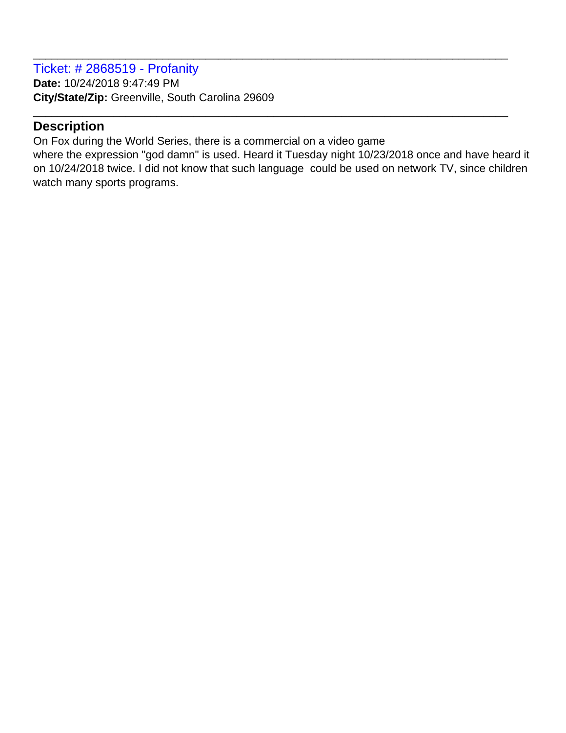Ticket: # 2868519 - Profanity **Date:** 10/24/2018 9:47:49 PM **City/State/Zip:** Greenville, South Carolina 29609

## **Description**

On Fox during the World Series, there is a commercial on a video game

where the expression "god damn" is used. Heard it Tuesday night 10/23/2018 once and have heard it on 10/24/2018 twice. I did not know that such language could be used on network TV, since children watch many sports programs.

\_\_\_\_\_\_\_\_\_\_\_\_\_\_\_\_\_\_\_\_\_\_\_\_\_\_\_\_\_\_\_\_\_\_\_\_\_\_\_\_\_\_\_\_\_\_\_\_\_\_\_\_\_\_\_\_\_\_\_\_\_\_\_\_\_\_\_\_\_\_\_\_\_\_\_\_\_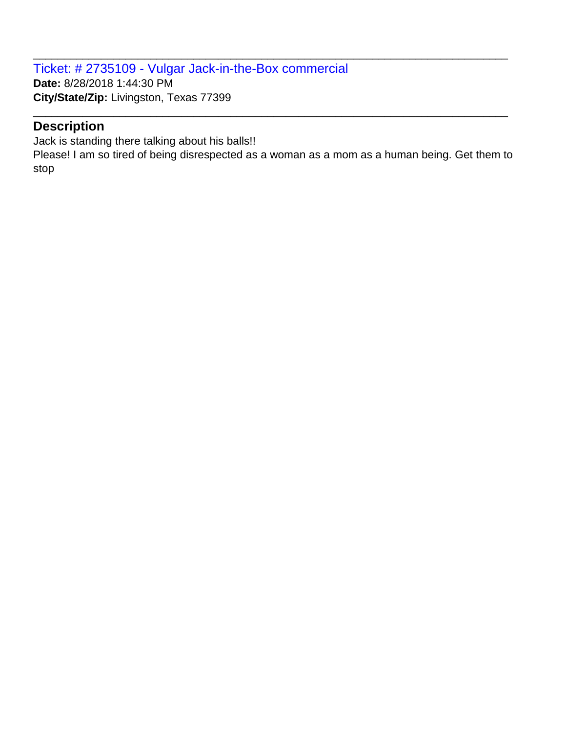Ticket: # 2735109 - Vulgar Jack-in-the-Box commercial **Date:** 8/28/2018 1:44:30 PM **City/State/Zip:** Livingston, Texas 77399

## **Description**

Jack is standing there talking about his balls!!

Please! I am so tired of being disrespected as a woman as a mom as a human being. Get them to stop

\_\_\_\_\_\_\_\_\_\_\_\_\_\_\_\_\_\_\_\_\_\_\_\_\_\_\_\_\_\_\_\_\_\_\_\_\_\_\_\_\_\_\_\_\_\_\_\_\_\_\_\_\_\_\_\_\_\_\_\_\_\_\_\_\_\_\_\_\_\_\_\_\_\_\_\_\_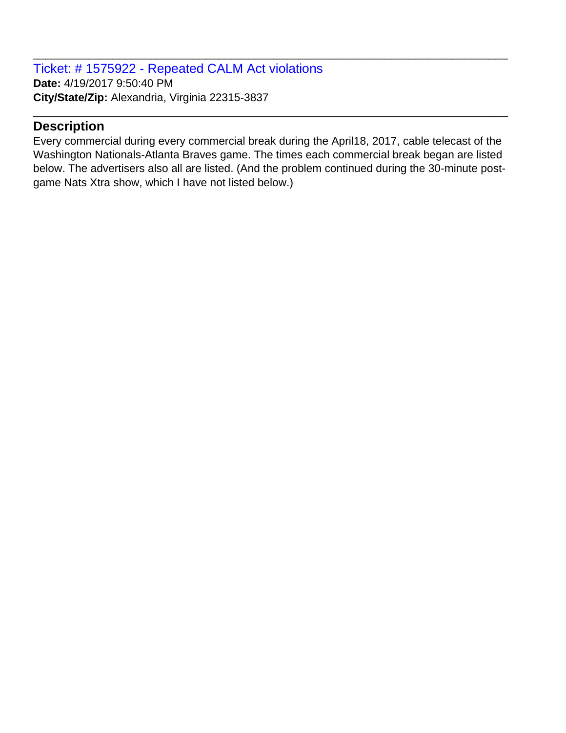Ticket: # 1575922 - Repeated CALM Act violations **Date:** 4/19/2017 9:50:40 PM **City/State/Zip:** Alexandria, Virginia 22315-3837

#### **Description**

Every commercial during every commercial break during the April18, 2017, cable telecast of the Washington Nationals-Atlanta Braves game. The times each commercial break began are listed below. The advertisers also all are listed. (And the problem continued during the 30-minute postgame Nats Xtra show, which I have not listed below.)

\_\_\_\_\_\_\_\_\_\_\_\_\_\_\_\_\_\_\_\_\_\_\_\_\_\_\_\_\_\_\_\_\_\_\_\_\_\_\_\_\_\_\_\_\_\_\_\_\_\_\_\_\_\_\_\_\_\_\_\_\_\_\_\_\_\_\_\_\_\_\_\_\_\_\_\_\_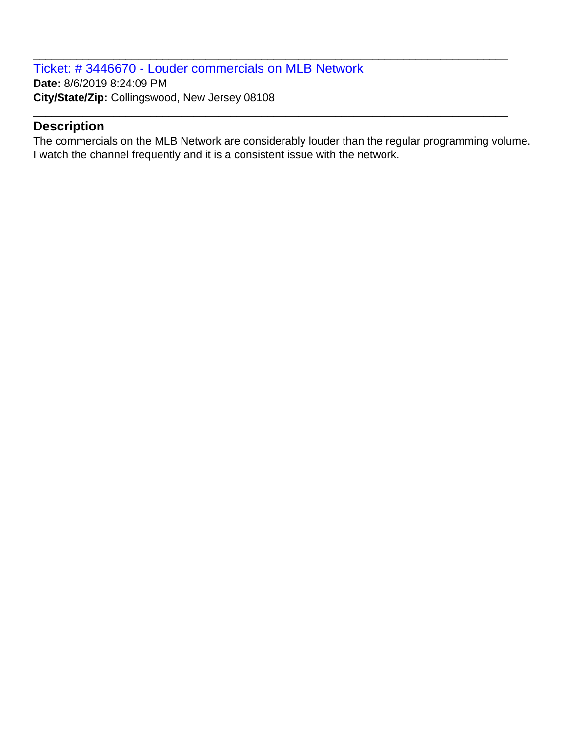Ticket: # 3446670 - Louder commercials on MLB Network **Date:** 8/6/2019 8:24:09 PM **City/State/Zip:** Collingswood, New Jersey 08108

## **Description**

The commercials on the MLB Network are considerably louder than the regular programming volume. I watch the channel frequently and it is a consistent issue with the network.

\_\_\_\_\_\_\_\_\_\_\_\_\_\_\_\_\_\_\_\_\_\_\_\_\_\_\_\_\_\_\_\_\_\_\_\_\_\_\_\_\_\_\_\_\_\_\_\_\_\_\_\_\_\_\_\_\_\_\_\_\_\_\_\_\_\_\_\_\_\_\_\_\_\_\_\_\_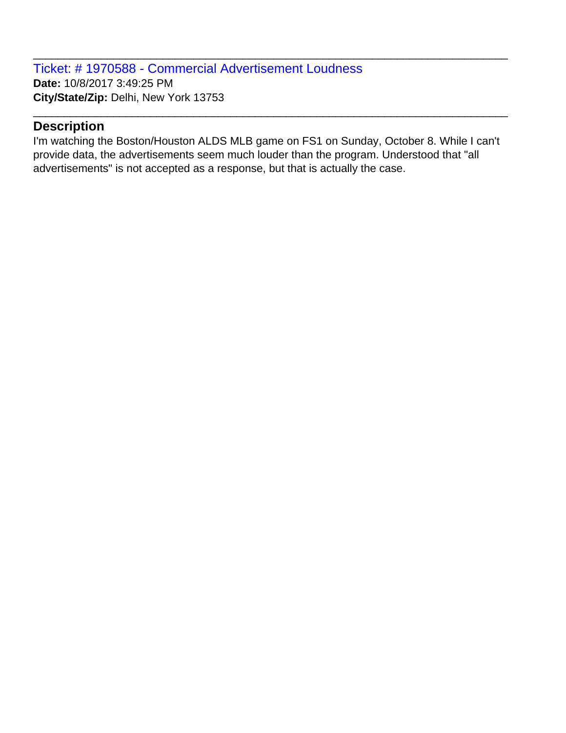Ticket: # 1970588 - Commercial Advertisement Loudness **Date:** 10/8/2017 3:49:25 PM **City/State/Zip:** Delhi, New York 13753

#### **Description**

I'm watching the Boston/Houston ALDS MLB game on FS1 on Sunday, October 8. While I can't provide data, the advertisements seem much louder than the program. Understood that "all advertisements" is not accepted as a response, but that is actually the case.

\_\_\_\_\_\_\_\_\_\_\_\_\_\_\_\_\_\_\_\_\_\_\_\_\_\_\_\_\_\_\_\_\_\_\_\_\_\_\_\_\_\_\_\_\_\_\_\_\_\_\_\_\_\_\_\_\_\_\_\_\_\_\_\_\_\_\_\_\_\_\_\_\_\_\_\_\_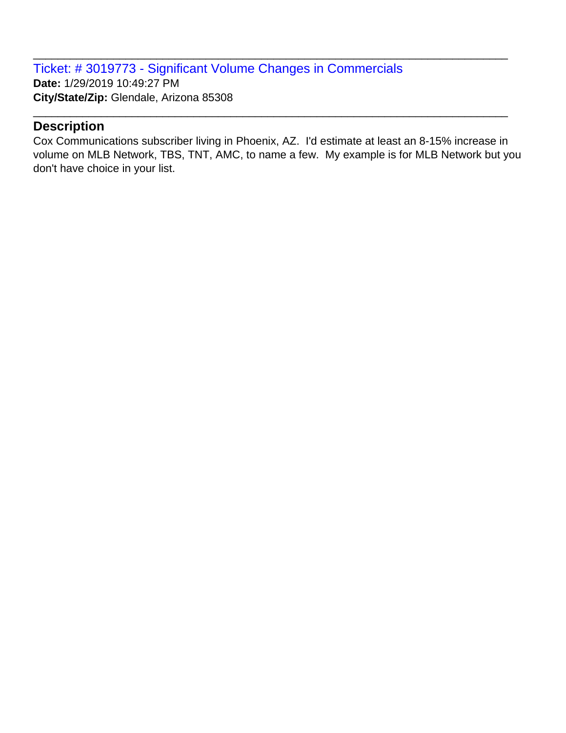Ticket: # 3019773 - Significant Volume Changes in Commercials **Date:** 1/29/2019 10:49:27 PM **City/State/Zip:** Glendale, Arizona 85308

#### **Description**

Cox Communications subscriber living in Phoenix, AZ. I'd estimate at least an 8-15% increase in volume on MLB Network, TBS, TNT, AMC, to name a few. My example is for MLB Network but you don't have choice in your list.

\_\_\_\_\_\_\_\_\_\_\_\_\_\_\_\_\_\_\_\_\_\_\_\_\_\_\_\_\_\_\_\_\_\_\_\_\_\_\_\_\_\_\_\_\_\_\_\_\_\_\_\_\_\_\_\_\_\_\_\_\_\_\_\_\_\_\_\_\_\_\_\_\_\_\_\_\_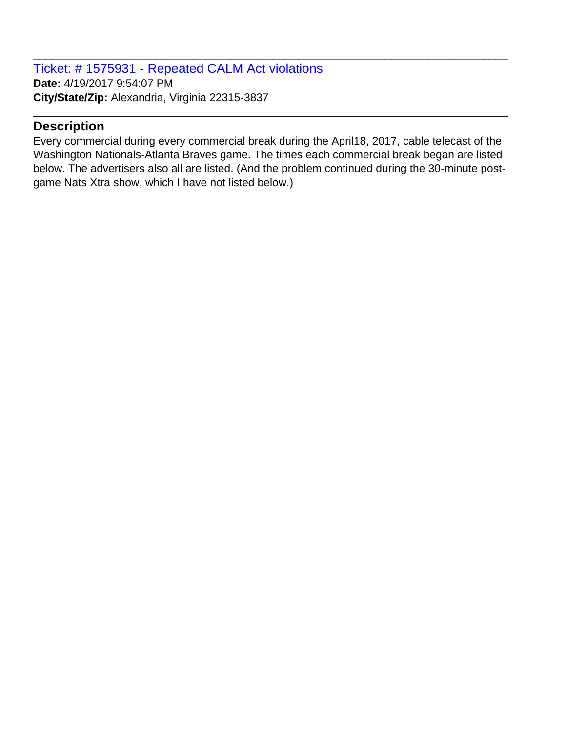Ticket: # 1575931 - Repeated CALM Act violations **Date:** 4/19/2017 9:54:07 PM **City/State/Zip:** Alexandria, Virginia 22315-3837

## **Description**

Every commercial during every commercial break during the April18, 2017, cable telecast of the Washington Nationals-Atlanta Braves game. The times each commercial break began are listed below. The advertisers also all are listed. (And the problem continued during the 30-minute postgame Nats Xtra show, which I have not listed below.)

\_\_\_\_\_\_\_\_\_\_\_\_\_\_\_\_\_\_\_\_\_\_\_\_\_\_\_\_\_\_\_\_\_\_\_\_\_\_\_\_\_\_\_\_\_\_\_\_\_\_\_\_\_\_\_\_\_\_\_\_\_\_\_\_\_\_\_\_\_\_\_\_\_\_\_\_\_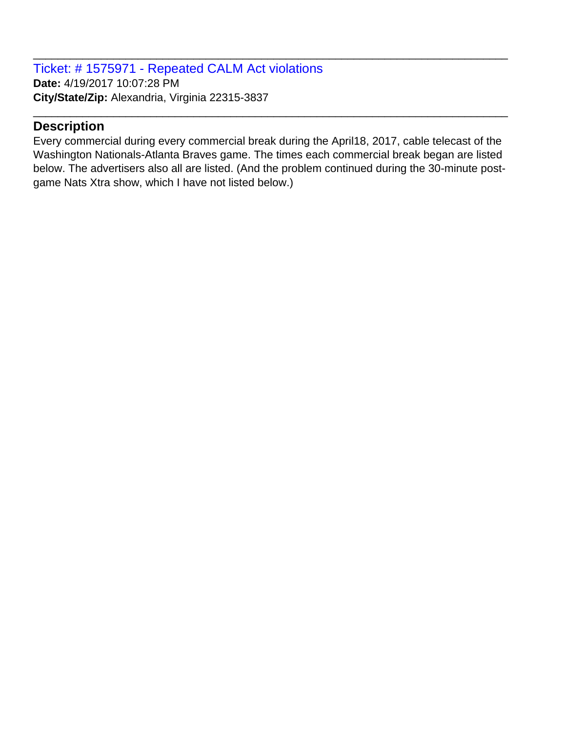Ticket: # 1575971 - Repeated CALM Act violations **Date:** 4/19/2017 10:07:28 PM **City/State/Zip:** Alexandria, Virginia 22315-3837

## **Description**

Every commercial during every commercial break during the April18, 2017, cable telecast of the Washington Nationals-Atlanta Braves game. The times each commercial break began are listed below. The advertisers also all are listed. (And the problem continued during the 30-minute postgame Nats Xtra show, which I have not listed below.)

\_\_\_\_\_\_\_\_\_\_\_\_\_\_\_\_\_\_\_\_\_\_\_\_\_\_\_\_\_\_\_\_\_\_\_\_\_\_\_\_\_\_\_\_\_\_\_\_\_\_\_\_\_\_\_\_\_\_\_\_\_\_\_\_\_\_\_\_\_\_\_\_\_\_\_\_\_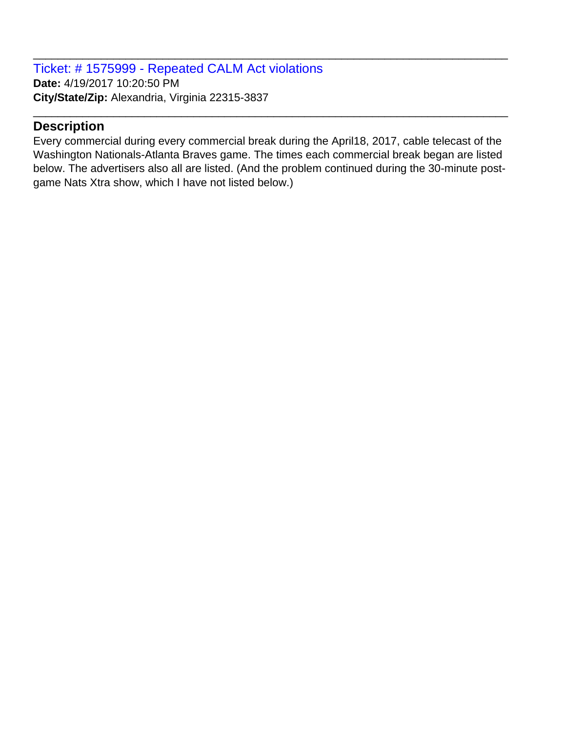Ticket: # 1575999 - Repeated CALM Act violations **Date:** 4/19/2017 10:20:50 PM **City/State/Zip:** Alexandria, Virginia 22315-3837

#### **Description**

Every commercial during every commercial break during the April18, 2017, cable telecast of the Washington Nationals-Atlanta Braves game. The times each commercial break began are listed below. The advertisers also all are listed. (And the problem continued during the 30-minute postgame Nats Xtra show, which I have not listed below.)

\_\_\_\_\_\_\_\_\_\_\_\_\_\_\_\_\_\_\_\_\_\_\_\_\_\_\_\_\_\_\_\_\_\_\_\_\_\_\_\_\_\_\_\_\_\_\_\_\_\_\_\_\_\_\_\_\_\_\_\_\_\_\_\_\_\_\_\_\_\_\_\_\_\_\_\_\_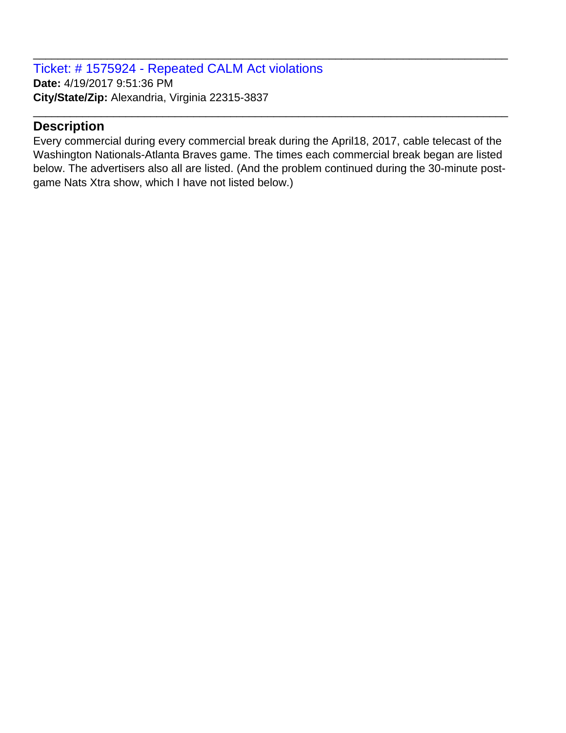Ticket: # 1575924 - Repeated CALM Act violations **Date:** 4/19/2017 9:51:36 PM **City/State/Zip:** Alexandria, Virginia 22315-3837

## **Description**

Every commercial during every commercial break during the April18, 2017, cable telecast of the Washington Nationals-Atlanta Braves game. The times each commercial break began are listed below. The advertisers also all are listed. (And the problem continued during the 30-minute postgame Nats Xtra show, which I have not listed below.)

\_\_\_\_\_\_\_\_\_\_\_\_\_\_\_\_\_\_\_\_\_\_\_\_\_\_\_\_\_\_\_\_\_\_\_\_\_\_\_\_\_\_\_\_\_\_\_\_\_\_\_\_\_\_\_\_\_\_\_\_\_\_\_\_\_\_\_\_\_\_\_\_\_\_\_\_\_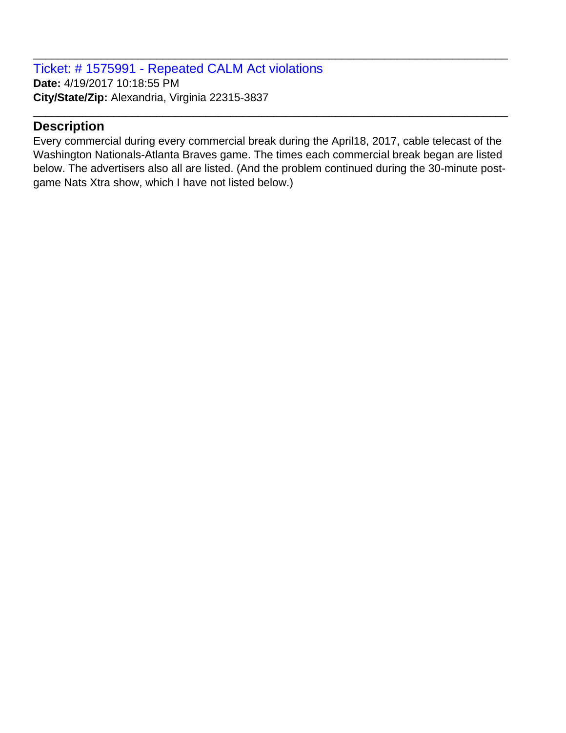Ticket: # 1575991 - Repeated CALM Act violations **Date:** 4/19/2017 10:18:55 PM **City/State/Zip:** Alexandria, Virginia 22315-3837

## **Description**

Every commercial during every commercial break during the April18, 2017, cable telecast of the Washington Nationals-Atlanta Braves game. The times each commercial break began are listed below. The advertisers also all are listed. (And the problem continued during the 30-minute postgame Nats Xtra show, which I have not listed below.)

\_\_\_\_\_\_\_\_\_\_\_\_\_\_\_\_\_\_\_\_\_\_\_\_\_\_\_\_\_\_\_\_\_\_\_\_\_\_\_\_\_\_\_\_\_\_\_\_\_\_\_\_\_\_\_\_\_\_\_\_\_\_\_\_\_\_\_\_\_\_\_\_\_\_\_\_\_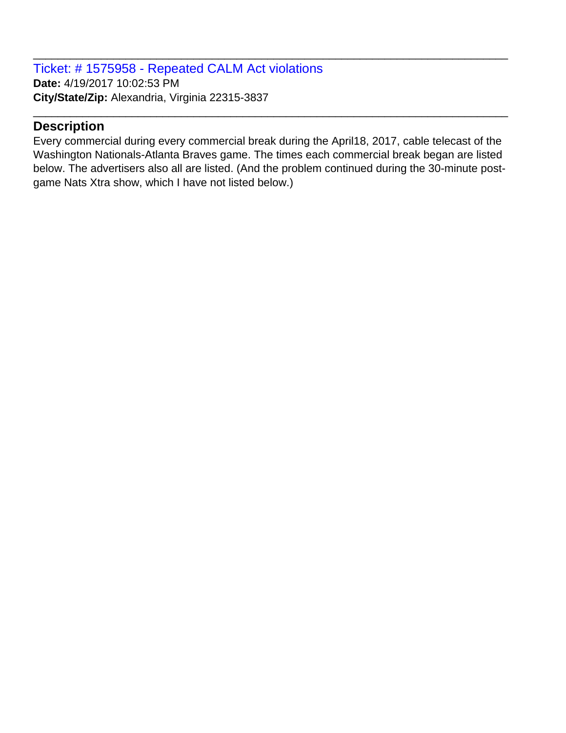Ticket: # 1575958 - Repeated CALM Act violations **Date:** 4/19/2017 10:02:53 PM **City/State/Zip:** Alexandria, Virginia 22315-3837

#### **Description**

Every commercial during every commercial break during the April18, 2017, cable telecast of the Washington Nationals-Atlanta Braves game. The times each commercial break began are listed below. The advertisers also all are listed. (And the problem continued during the 30-minute postgame Nats Xtra show, which I have not listed below.)

\_\_\_\_\_\_\_\_\_\_\_\_\_\_\_\_\_\_\_\_\_\_\_\_\_\_\_\_\_\_\_\_\_\_\_\_\_\_\_\_\_\_\_\_\_\_\_\_\_\_\_\_\_\_\_\_\_\_\_\_\_\_\_\_\_\_\_\_\_\_\_\_\_\_\_\_\_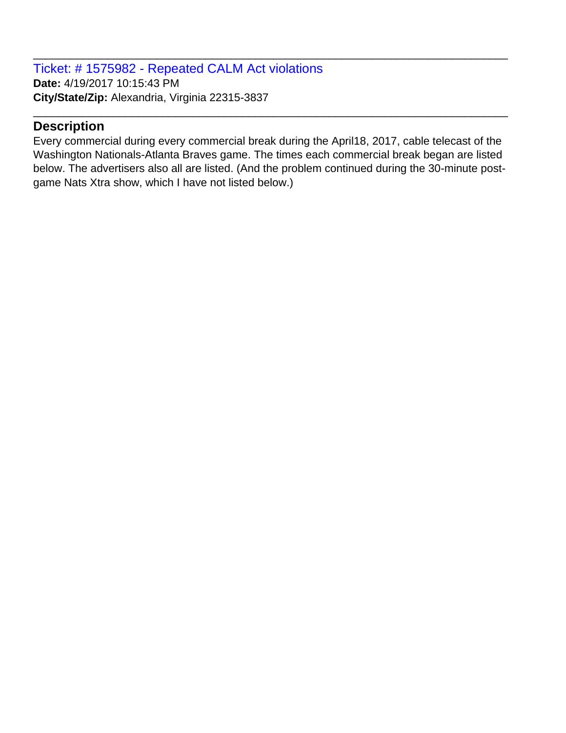Ticket: # 1575982 - Repeated CALM Act violations **Date:** 4/19/2017 10:15:43 PM **City/State/Zip:** Alexandria, Virginia 22315-3837

## **Description**

Every commercial during every commercial break during the April18, 2017, cable telecast of the Washington Nationals-Atlanta Braves game. The times each commercial break began are listed below. The advertisers also all are listed. (And the problem continued during the 30-minute postgame Nats Xtra show, which I have not listed below.)

\_\_\_\_\_\_\_\_\_\_\_\_\_\_\_\_\_\_\_\_\_\_\_\_\_\_\_\_\_\_\_\_\_\_\_\_\_\_\_\_\_\_\_\_\_\_\_\_\_\_\_\_\_\_\_\_\_\_\_\_\_\_\_\_\_\_\_\_\_\_\_\_\_\_\_\_\_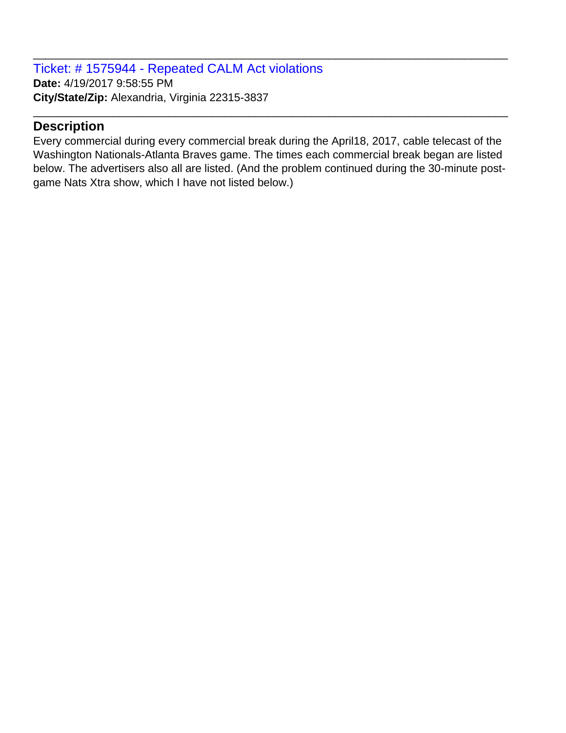Ticket: # 1575944 - Repeated CALM Act violations **Date:** 4/19/2017 9:58:55 PM **City/State/Zip:** Alexandria, Virginia 22315-3837

## **Description**

Every commercial during every commercial break during the April18, 2017, cable telecast of the Washington Nationals-Atlanta Braves game. The times each commercial break began are listed below. The advertisers also all are listed. (And the problem continued during the 30-minute postgame Nats Xtra show, which I have not listed below.)

\_\_\_\_\_\_\_\_\_\_\_\_\_\_\_\_\_\_\_\_\_\_\_\_\_\_\_\_\_\_\_\_\_\_\_\_\_\_\_\_\_\_\_\_\_\_\_\_\_\_\_\_\_\_\_\_\_\_\_\_\_\_\_\_\_\_\_\_\_\_\_\_\_\_\_\_\_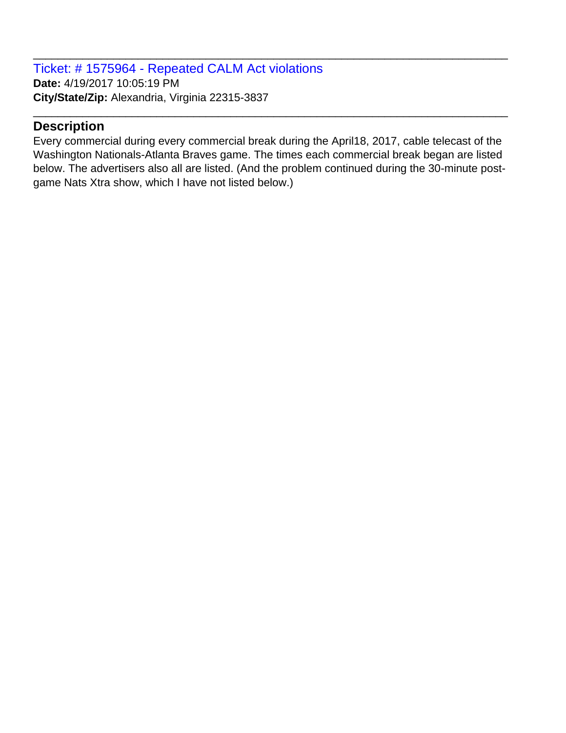Ticket: # 1575964 - Repeated CALM Act violations **Date:** 4/19/2017 10:05:19 PM **City/State/Zip:** Alexandria, Virginia 22315-3837

## **Description**

Every commercial during every commercial break during the April18, 2017, cable telecast of the Washington Nationals-Atlanta Braves game. The times each commercial break began are listed below. The advertisers also all are listed. (And the problem continued during the 30-minute postgame Nats Xtra show, which I have not listed below.)

\_\_\_\_\_\_\_\_\_\_\_\_\_\_\_\_\_\_\_\_\_\_\_\_\_\_\_\_\_\_\_\_\_\_\_\_\_\_\_\_\_\_\_\_\_\_\_\_\_\_\_\_\_\_\_\_\_\_\_\_\_\_\_\_\_\_\_\_\_\_\_\_\_\_\_\_\_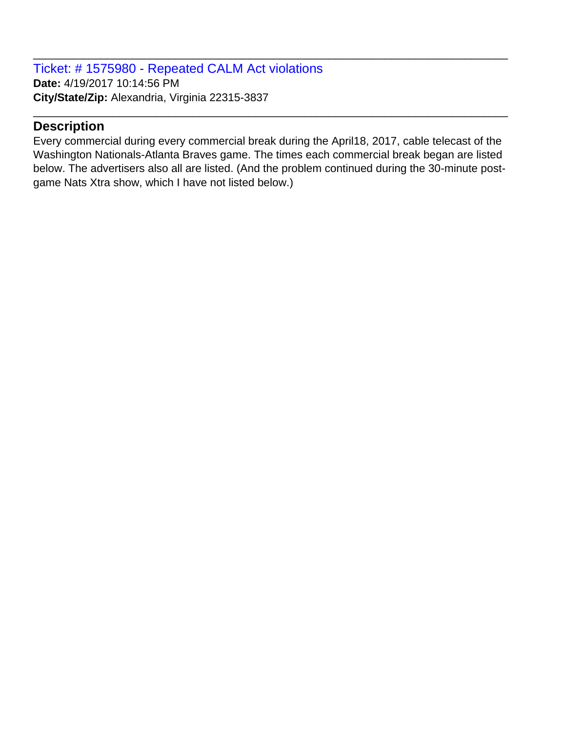Ticket: # 1575980 - Repeated CALM Act violations **Date:** 4/19/2017 10:14:56 PM **City/State/Zip:** Alexandria, Virginia 22315-3837

## **Description**

Every commercial during every commercial break during the April18, 2017, cable telecast of the Washington Nationals-Atlanta Braves game. The times each commercial break began are listed below. The advertisers also all are listed. (And the problem continued during the 30-minute postgame Nats Xtra show, which I have not listed below.)

\_\_\_\_\_\_\_\_\_\_\_\_\_\_\_\_\_\_\_\_\_\_\_\_\_\_\_\_\_\_\_\_\_\_\_\_\_\_\_\_\_\_\_\_\_\_\_\_\_\_\_\_\_\_\_\_\_\_\_\_\_\_\_\_\_\_\_\_\_\_\_\_\_\_\_\_\_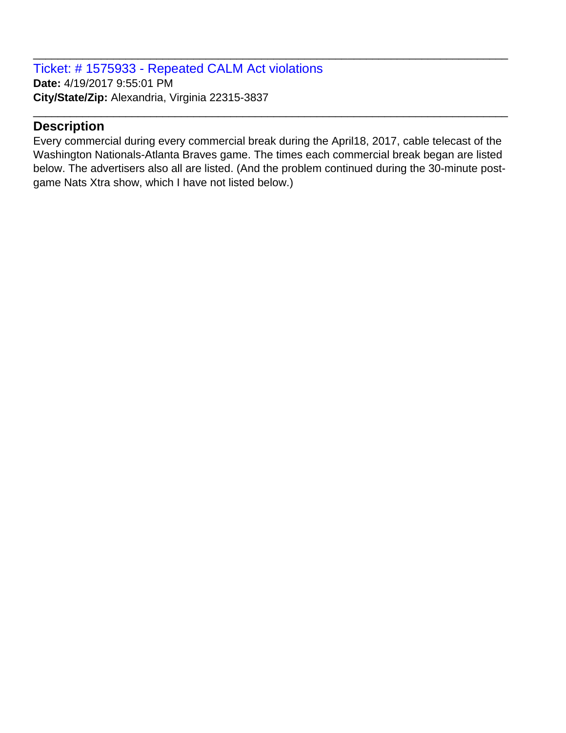Ticket: # 1575933 - Repeated CALM Act violations **Date:** 4/19/2017 9:55:01 PM **City/State/Zip:** Alexandria, Virginia 22315-3837

## **Description**

Every commercial during every commercial break during the April18, 2017, cable telecast of the Washington Nationals-Atlanta Braves game. The times each commercial break began are listed below. The advertisers also all are listed. (And the problem continued during the 30-minute postgame Nats Xtra show, which I have not listed below.)

\_\_\_\_\_\_\_\_\_\_\_\_\_\_\_\_\_\_\_\_\_\_\_\_\_\_\_\_\_\_\_\_\_\_\_\_\_\_\_\_\_\_\_\_\_\_\_\_\_\_\_\_\_\_\_\_\_\_\_\_\_\_\_\_\_\_\_\_\_\_\_\_\_\_\_\_\_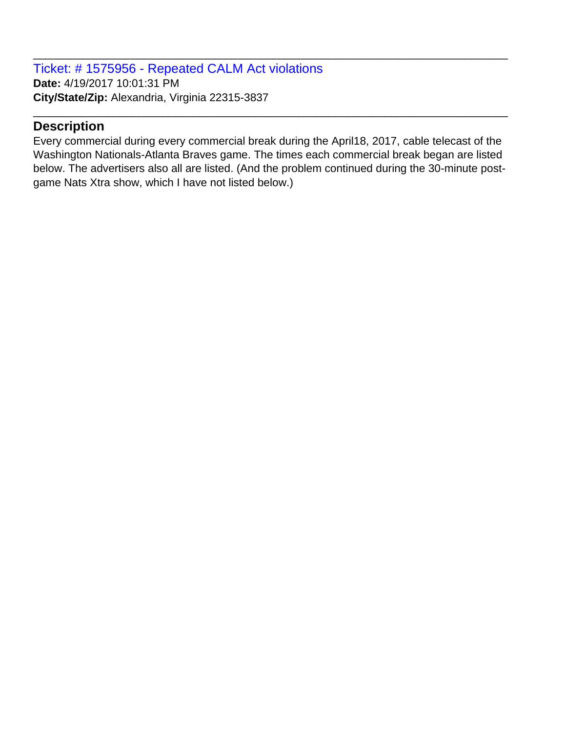Ticket: # 1575956 - Repeated CALM Act violations **Date:** 4/19/2017 10:01:31 PM **City/State/Zip:** Alexandria, Virginia 22315-3837

#### **Description**

Every commercial during every commercial break during the April18, 2017, cable telecast of the Washington Nationals-Atlanta Braves game. The times each commercial break began are listed below. The advertisers also all are listed. (And the problem continued during the 30-minute postgame Nats Xtra show, which I have not listed below.)

\_\_\_\_\_\_\_\_\_\_\_\_\_\_\_\_\_\_\_\_\_\_\_\_\_\_\_\_\_\_\_\_\_\_\_\_\_\_\_\_\_\_\_\_\_\_\_\_\_\_\_\_\_\_\_\_\_\_\_\_\_\_\_\_\_\_\_\_\_\_\_\_\_\_\_\_\_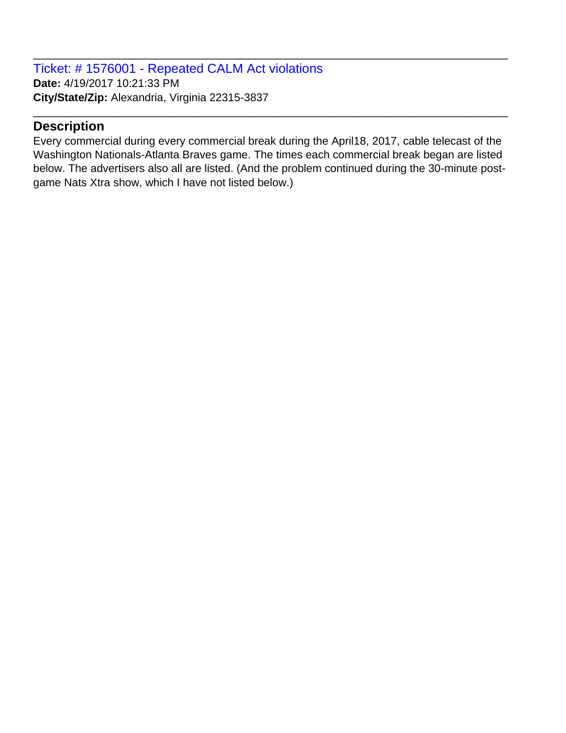Ticket: # 1576001 - Repeated CALM Act violations **Date:** 4/19/2017 10:21:33 PM **City/State/Zip:** Alexandria, Virginia 22315-3837

## **Description**

Every commercial during every commercial break during the April18, 2017, cable telecast of the Washington Nationals-Atlanta Braves game. The times each commercial break began are listed below. The advertisers also all are listed. (And the problem continued during the 30-minute postgame Nats Xtra show, which I have not listed below.)

\_\_\_\_\_\_\_\_\_\_\_\_\_\_\_\_\_\_\_\_\_\_\_\_\_\_\_\_\_\_\_\_\_\_\_\_\_\_\_\_\_\_\_\_\_\_\_\_\_\_\_\_\_\_\_\_\_\_\_\_\_\_\_\_\_\_\_\_\_\_\_\_\_\_\_\_\_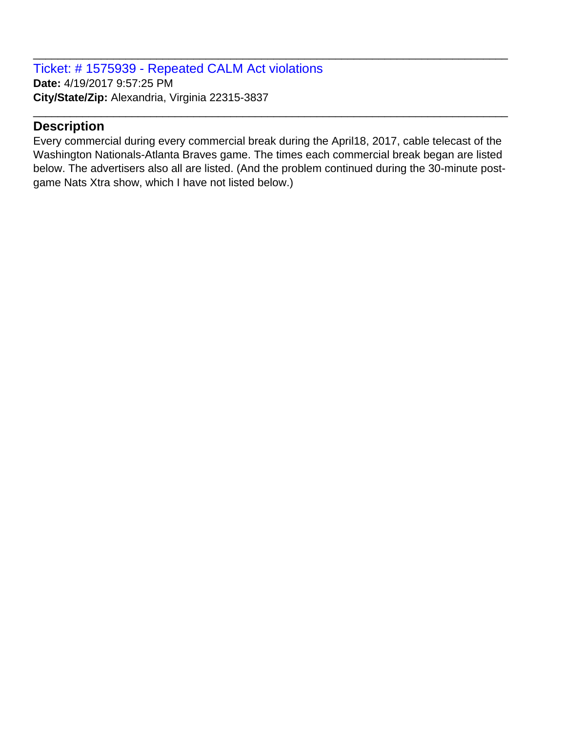Ticket: # 1575939 - Repeated CALM Act violations **Date:** 4/19/2017 9:57:25 PM **City/State/Zip:** Alexandria, Virginia 22315-3837

## **Description**

Every commercial during every commercial break during the April18, 2017, cable telecast of the Washington Nationals-Atlanta Braves game. The times each commercial break began are listed below. The advertisers also all are listed. (And the problem continued during the 30-minute postgame Nats Xtra show, which I have not listed below.)

\_\_\_\_\_\_\_\_\_\_\_\_\_\_\_\_\_\_\_\_\_\_\_\_\_\_\_\_\_\_\_\_\_\_\_\_\_\_\_\_\_\_\_\_\_\_\_\_\_\_\_\_\_\_\_\_\_\_\_\_\_\_\_\_\_\_\_\_\_\_\_\_\_\_\_\_\_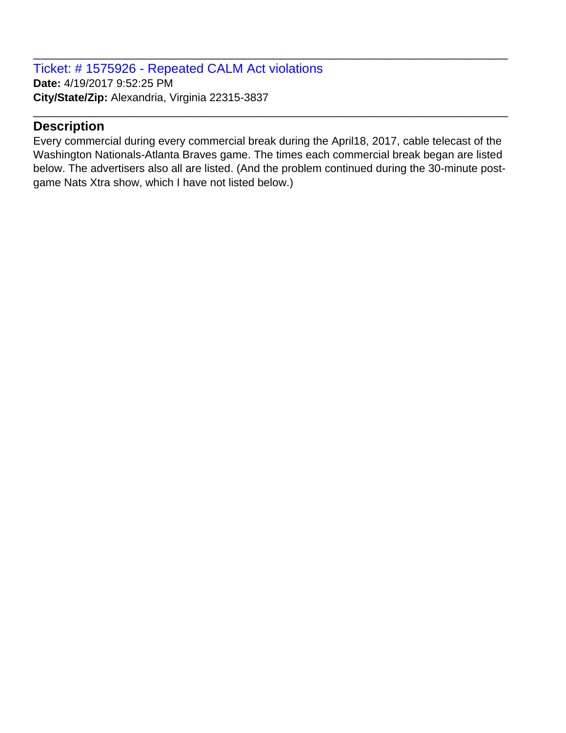Ticket: # 1575926 - Repeated CALM Act violations **Date:** 4/19/2017 9:52:25 PM **City/State/Zip:** Alexandria, Virginia 22315-3837

## **Description**

Every commercial during every commercial break during the April18, 2017, cable telecast of the Washington Nationals-Atlanta Braves game. The times each commercial break began are listed below. The advertisers also all are listed. (And the problem continued during the 30-minute postgame Nats Xtra show, which I have not listed below.)

\_\_\_\_\_\_\_\_\_\_\_\_\_\_\_\_\_\_\_\_\_\_\_\_\_\_\_\_\_\_\_\_\_\_\_\_\_\_\_\_\_\_\_\_\_\_\_\_\_\_\_\_\_\_\_\_\_\_\_\_\_\_\_\_\_\_\_\_\_\_\_\_\_\_\_\_\_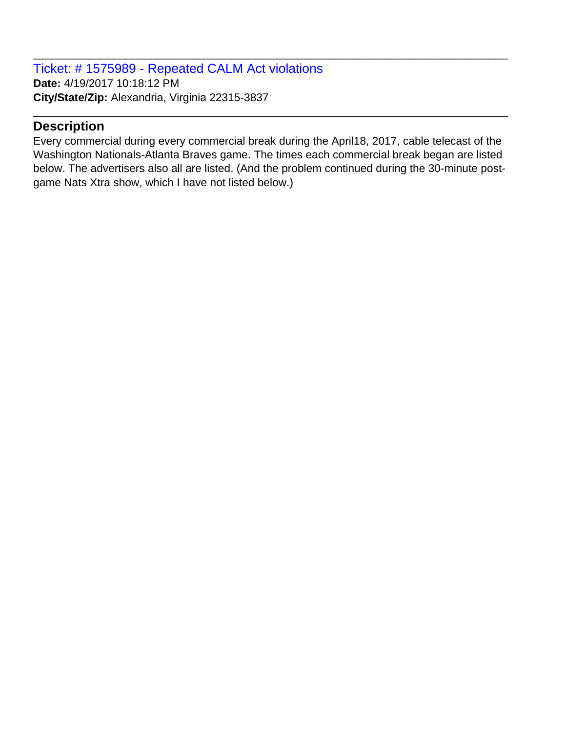Ticket: # 1575989 - Repeated CALM Act violations **Date:** 4/19/2017 10:18:12 PM **City/State/Zip:** Alexandria, Virginia 22315-3837

## **Description**

Every commercial during every commercial break during the April18, 2017, cable telecast of the Washington Nationals-Atlanta Braves game. The times each commercial break began are listed below. The advertisers also all are listed. (And the problem continued during the 30-minute postgame Nats Xtra show, which I have not listed below.)

\_\_\_\_\_\_\_\_\_\_\_\_\_\_\_\_\_\_\_\_\_\_\_\_\_\_\_\_\_\_\_\_\_\_\_\_\_\_\_\_\_\_\_\_\_\_\_\_\_\_\_\_\_\_\_\_\_\_\_\_\_\_\_\_\_\_\_\_\_\_\_\_\_\_\_\_\_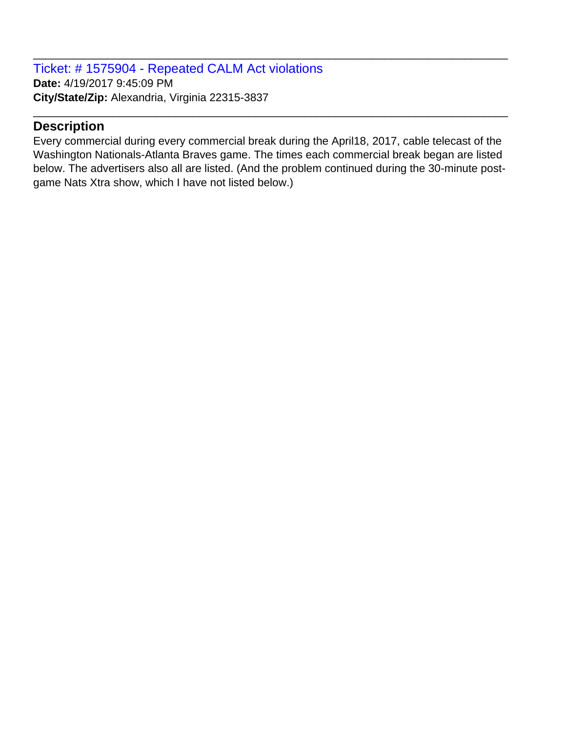Ticket: # 1575904 - Repeated CALM Act violations **Date:** 4/19/2017 9:45:09 PM **City/State/Zip:** Alexandria, Virginia 22315-3837

## **Description**

Every commercial during every commercial break during the April18, 2017, cable telecast of the Washington Nationals-Atlanta Braves game. The times each commercial break began are listed below. The advertisers also all are listed. (And the problem continued during the 30-minute postgame Nats Xtra show, which I have not listed below.)

\_\_\_\_\_\_\_\_\_\_\_\_\_\_\_\_\_\_\_\_\_\_\_\_\_\_\_\_\_\_\_\_\_\_\_\_\_\_\_\_\_\_\_\_\_\_\_\_\_\_\_\_\_\_\_\_\_\_\_\_\_\_\_\_\_\_\_\_\_\_\_\_\_\_\_\_\_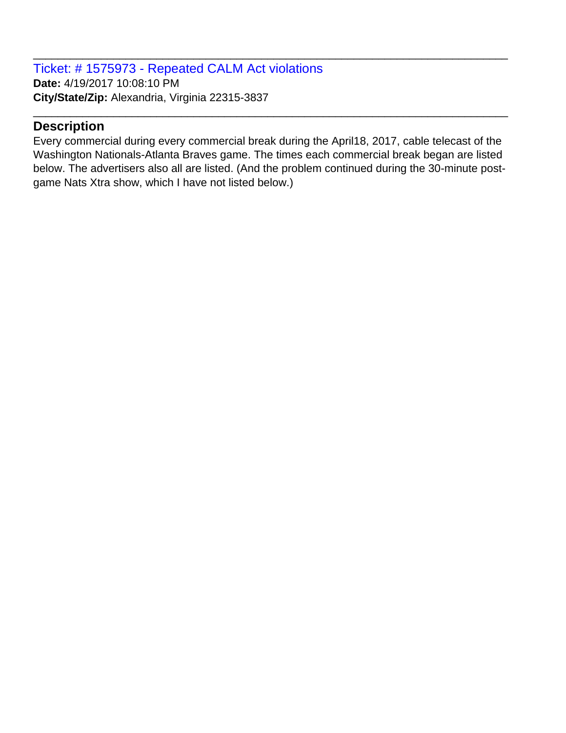Ticket: # 1575973 - Repeated CALM Act violations **Date:** 4/19/2017 10:08:10 PM **City/State/Zip:** Alexandria, Virginia 22315-3837

## **Description**

Every commercial during every commercial break during the April18, 2017, cable telecast of the Washington Nationals-Atlanta Braves game. The times each commercial break began are listed below. The advertisers also all are listed. (And the problem continued during the 30-minute postgame Nats Xtra show, which I have not listed below.)

\_\_\_\_\_\_\_\_\_\_\_\_\_\_\_\_\_\_\_\_\_\_\_\_\_\_\_\_\_\_\_\_\_\_\_\_\_\_\_\_\_\_\_\_\_\_\_\_\_\_\_\_\_\_\_\_\_\_\_\_\_\_\_\_\_\_\_\_\_\_\_\_\_\_\_\_\_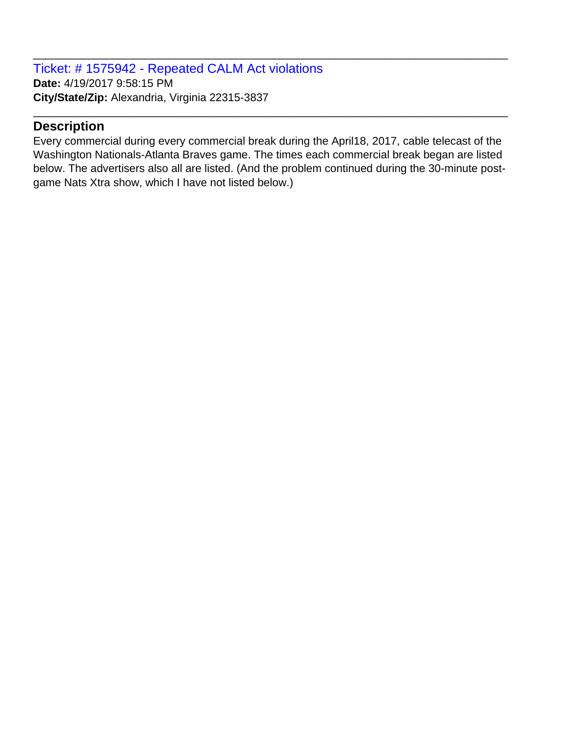Ticket: # 1575942 - Repeated CALM Act violations **Date:** 4/19/2017 9:58:15 PM **City/State/Zip:** Alexandria, Virginia 22315-3837

## **Description**

Every commercial during every commercial break during the April18, 2017, cable telecast of the Washington Nationals-Atlanta Braves game. The times each commercial break began are listed below. The advertisers also all are listed. (And the problem continued during the 30-minute postgame Nats Xtra show, which I have not listed below.)

\_\_\_\_\_\_\_\_\_\_\_\_\_\_\_\_\_\_\_\_\_\_\_\_\_\_\_\_\_\_\_\_\_\_\_\_\_\_\_\_\_\_\_\_\_\_\_\_\_\_\_\_\_\_\_\_\_\_\_\_\_\_\_\_\_\_\_\_\_\_\_\_\_\_\_\_\_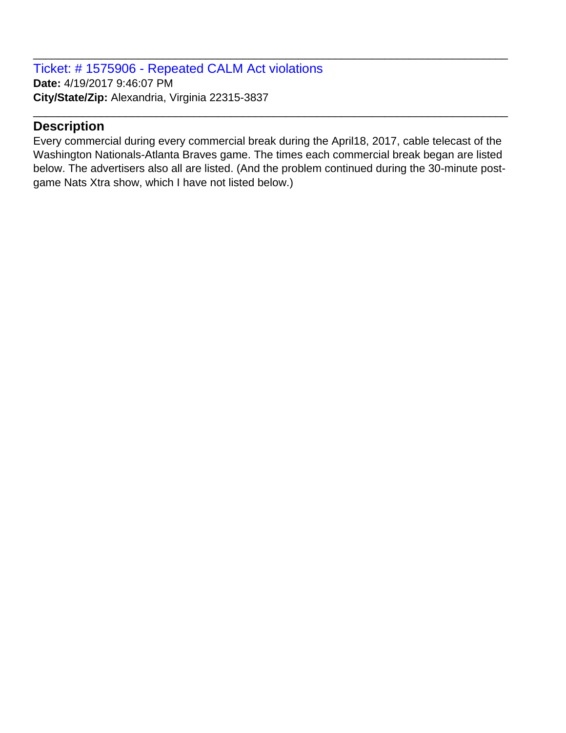Ticket: # 1575906 - Repeated CALM Act violations **Date:** 4/19/2017 9:46:07 PM **City/State/Zip:** Alexandria, Virginia 22315-3837

## **Description**

Every commercial during every commercial break during the April18, 2017, cable telecast of the Washington Nationals-Atlanta Braves game. The times each commercial break began are listed below. The advertisers also all are listed. (And the problem continued during the 30-minute postgame Nats Xtra show, which I have not listed below.)

\_\_\_\_\_\_\_\_\_\_\_\_\_\_\_\_\_\_\_\_\_\_\_\_\_\_\_\_\_\_\_\_\_\_\_\_\_\_\_\_\_\_\_\_\_\_\_\_\_\_\_\_\_\_\_\_\_\_\_\_\_\_\_\_\_\_\_\_\_\_\_\_\_\_\_\_\_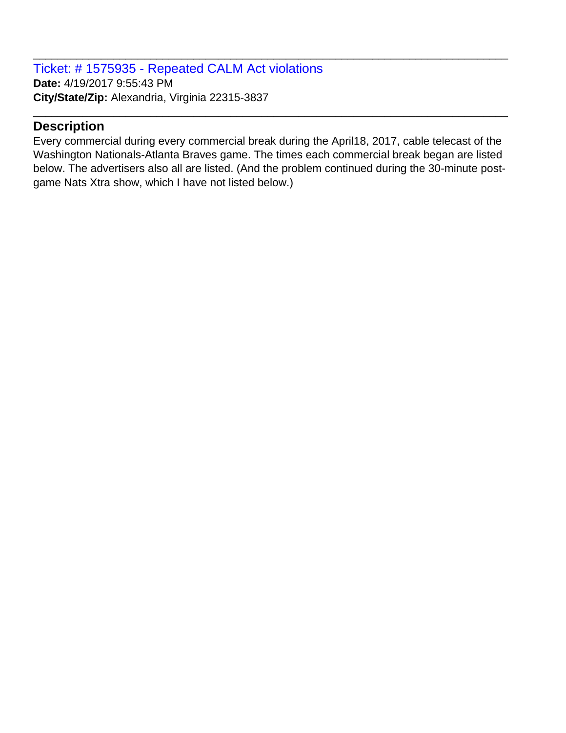Ticket: # 1575935 - Repeated CALM Act violations **Date:** 4/19/2017 9:55:43 PM **City/State/Zip:** Alexandria, Virginia 22315-3837

## **Description**

Every commercial during every commercial break during the April18, 2017, cable telecast of the Washington Nationals-Atlanta Braves game. The times each commercial break began are listed below. The advertisers also all are listed. (And the problem continued during the 30-minute postgame Nats Xtra show, which I have not listed below.)

\_\_\_\_\_\_\_\_\_\_\_\_\_\_\_\_\_\_\_\_\_\_\_\_\_\_\_\_\_\_\_\_\_\_\_\_\_\_\_\_\_\_\_\_\_\_\_\_\_\_\_\_\_\_\_\_\_\_\_\_\_\_\_\_\_\_\_\_\_\_\_\_\_\_\_\_\_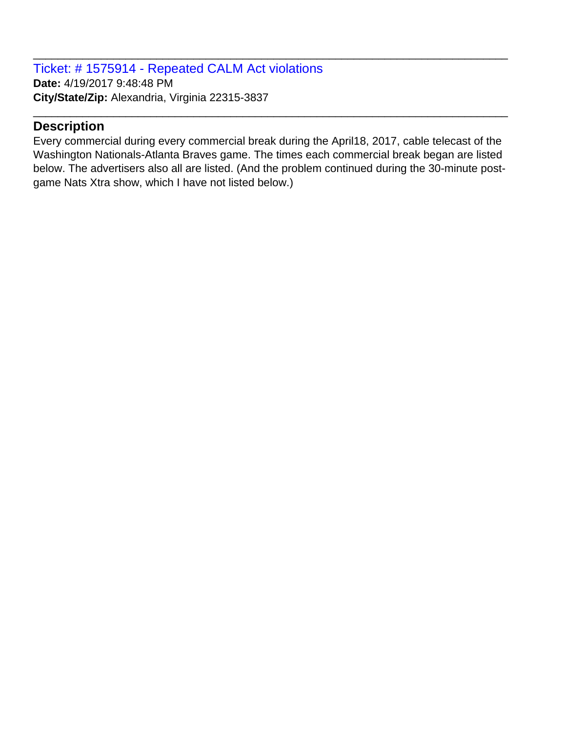Ticket: # 1575914 - Repeated CALM Act violations **Date:** 4/19/2017 9:48:48 PM **City/State/Zip:** Alexandria, Virginia 22315-3837

## **Description**

Every commercial during every commercial break during the April18, 2017, cable telecast of the Washington Nationals-Atlanta Braves game. The times each commercial break began are listed below. The advertisers also all are listed. (And the problem continued during the 30-minute postgame Nats Xtra show, which I have not listed below.)

\_\_\_\_\_\_\_\_\_\_\_\_\_\_\_\_\_\_\_\_\_\_\_\_\_\_\_\_\_\_\_\_\_\_\_\_\_\_\_\_\_\_\_\_\_\_\_\_\_\_\_\_\_\_\_\_\_\_\_\_\_\_\_\_\_\_\_\_\_\_\_\_\_\_\_\_\_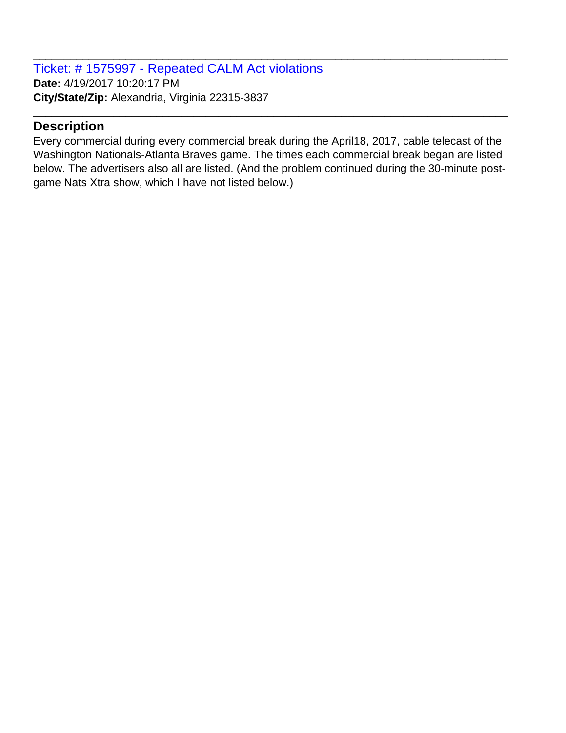Ticket: # 1575997 - Repeated CALM Act violations **Date:** 4/19/2017 10:20:17 PM **City/State/Zip:** Alexandria, Virginia 22315-3837

# **Description**

Every commercial during every commercial break during the April18, 2017, cable telecast of the Washington Nationals-Atlanta Braves game. The times each commercial break began are listed below. The advertisers also all are listed. (And the problem continued during the 30-minute postgame Nats Xtra show, which I have not listed below.)

\_\_\_\_\_\_\_\_\_\_\_\_\_\_\_\_\_\_\_\_\_\_\_\_\_\_\_\_\_\_\_\_\_\_\_\_\_\_\_\_\_\_\_\_\_\_\_\_\_\_\_\_\_\_\_\_\_\_\_\_\_\_\_\_\_\_\_\_\_\_\_\_\_\_\_\_\_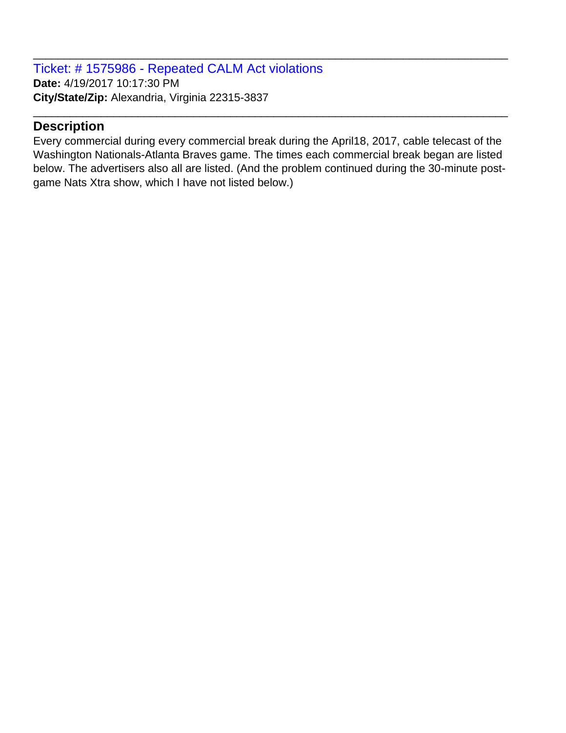Ticket: # 1575986 - Repeated CALM Act violations **Date:** 4/19/2017 10:17:30 PM **City/State/Zip:** Alexandria, Virginia 22315-3837

# **Description**

Every commercial during every commercial break during the April18, 2017, cable telecast of the Washington Nationals-Atlanta Braves game. The times each commercial break began are listed below. The advertisers also all are listed. (And the problem continued during the 30-minute postgame Nats Xtra show, which I have not listed below.)

\_\_\_\_\_\_\_\_\_\_\_\_\_\_\_\_\_\_\_\_\_\_\_\_\_\_\_\_\_\_\_\_\_\_\_\_\_\_\_\_\_\_\_\_\_\_\_\_\_\_\_\_\_\_\_\_\_\_\_\_\_\_\_\_\_\_\_\_\_\_\_\_\_\_\_\_\_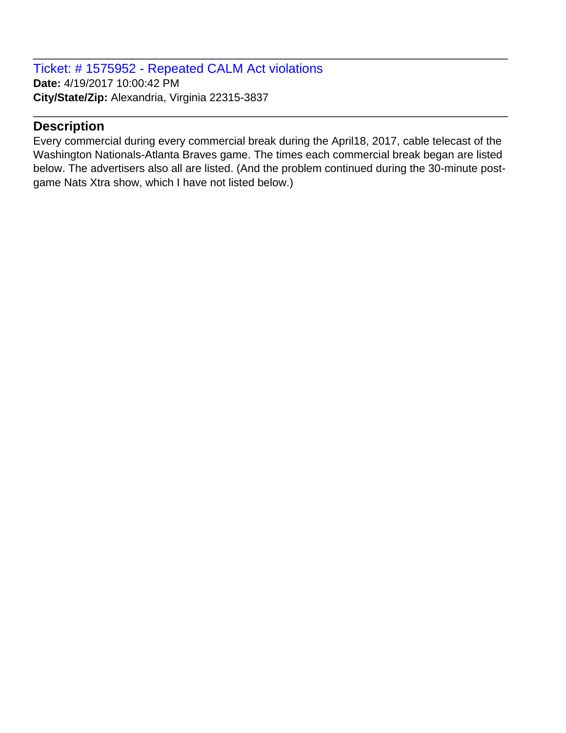Ticket: # 1575952 - Repeated CALM Act violations **Date:** 4/19/2017 10:00:42 PM **City/State/Zip:** Alexandria, Virginia 22315-3837

### **Description**

Every commercial during every commercial break during the April18, 2017, cable telecast of the Washington Nationals-Atlanta Braves game. The times each commercial break began are listed below. The advertisers also all are listed. (And the problem continued during the 30-minute postgame Nats Xtra show, which I have not listed below.)

\_\_\_\_\_\_\_\_\_\_\_\_\_\_\_\_\_\_\_\_\_\_\_\_\_\_\_\_\_\_\_\_\_\_\_\_\_\_\_\_\_\_\_\_\_\_\_\_\_\_\_\_\_\_\_\_\_\_\_\_\_\_\_\_\_\_\_\_\_\_\_\_\_\_\_\_\_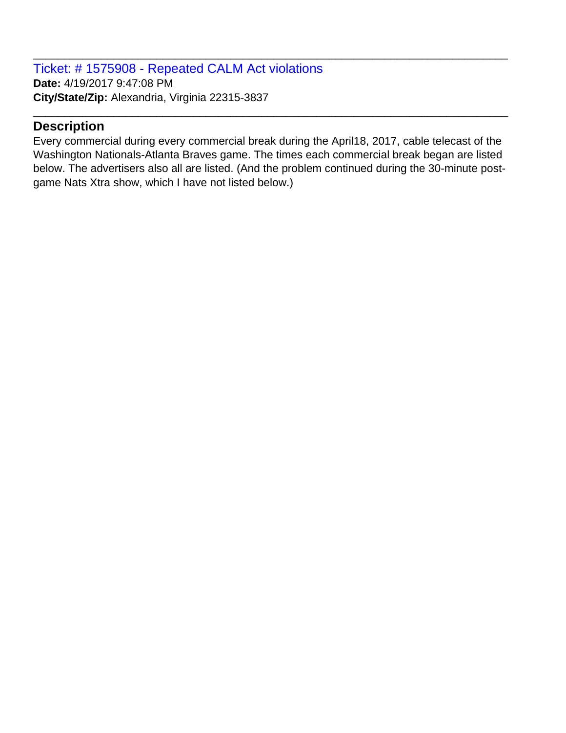Ticket: # 1575908 - Repeated CALM Act violations **Date:** 4/19/2017 9:47:08 PM **City/State/Zip:** Alexandria, Virginia 22315-3837

# **Description**

Every commercial during every commercial break during the April18, 2017, cable telecast of the Washington Nationals-Atlanta Braves game. The times each commercial break began are listed below. The advertisers also all are listed. (And the problem continued during the 30-minute postgame Nats Xtra show, which I have not listed below.)

\_\_\_\_\_\_\_\_\_\_\_\_\_\_\_\_\_\_\_\_\_\_\_\_\_\_\_\_\_\_\_\_\_\_\_\_\_\_\_\_\_\_\_\_\_\_\_\_\_\_\_\_\_\_\_\_\_\_\_\_\_\_\_\_\_\_\_\_\_\_\_\_\_\_\_\_\_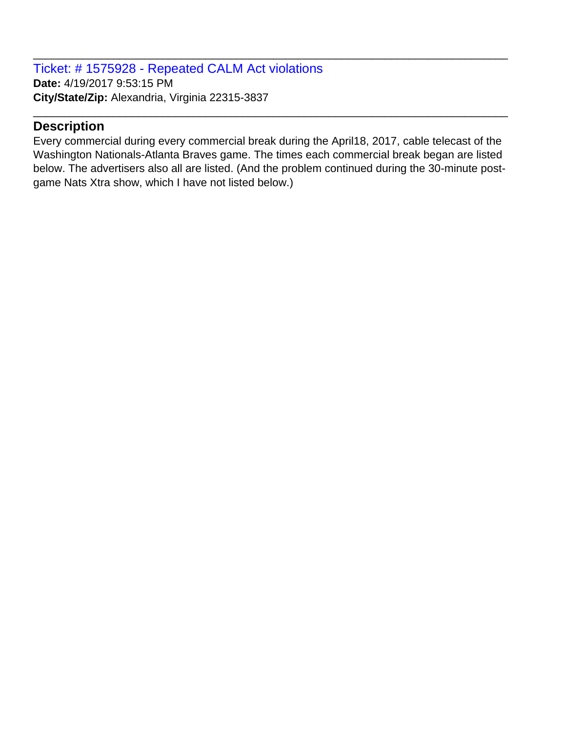Ticket: # 1575928 - Repeated CALM Act violations **Date:** 4/19/2017 9:53:15 PM **City/State/Zip:** Alexandria, Virginia 22315-3837

# **Description**

Every commercial during every commercial break during the April18, 2017, cable telecast of the Washington Nationals-Atlanta Braves game. The times each commercial break began are listed below. The advertisers also all are listed. (And the problem continued during the 30-minute postgame Nats Xtra show, which I have not listed below.)

\_\_\_\_\_\_\_\_\_\_\_\_\_\_\_\_\_\_\_\_\_\_\_\_\_\_\_\_\_\_\_\_\_\_\_\_\_\_\_\_\_\_\_\_\_\_\_\_\_\_\_\_\_\_\_\_\_\_\_\_\_\_\_\_\_\_\_\_\_\_\_\_\_\_\_\_\_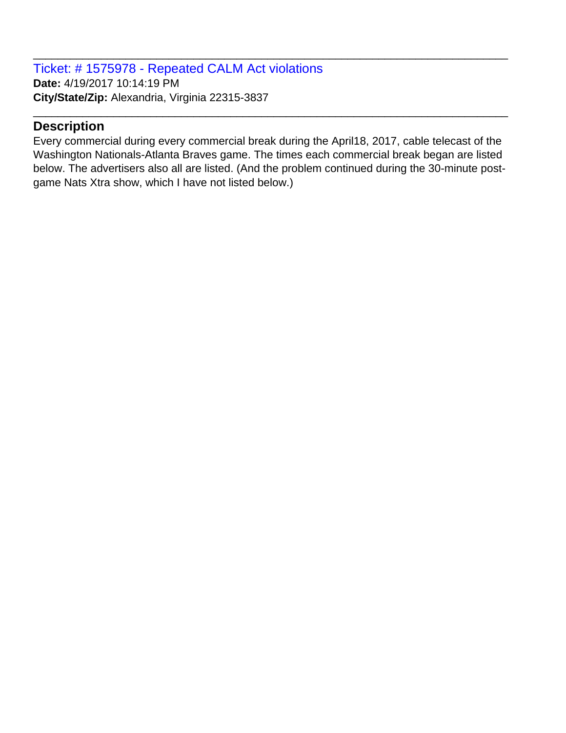Ticket: # 1575978 - Repeated CALM Act violations **Date:** 4/19/2017 10:14:19 PM **City/State/Zip:** Alexandria, Virginia 22315-3837

# **Description**

Every commercial during every commercial break during the April18, 2017, cable telecast of the Washington Nationals-Atlanta Braves game. The times each commercial break began are listed below. The advertisers also all are listed. (And the problem continued during the 30-minute postgame Nats Xtra show, which I have not listed below.)

\_\_\_\_\_\_\_\_\_\_\_\_\_\_\_\_\_\_\_\_\_\_\_\_\_\_\_\_\_\_\_\_\_\_\_\_\_\_\_\_\_\_\_\_\_\_\_\_\_\_\_\_\_\_\_\_\_\_\_\_\_\_\_\_\_\_\_\_\_\_\_\_\_\_\_\_\_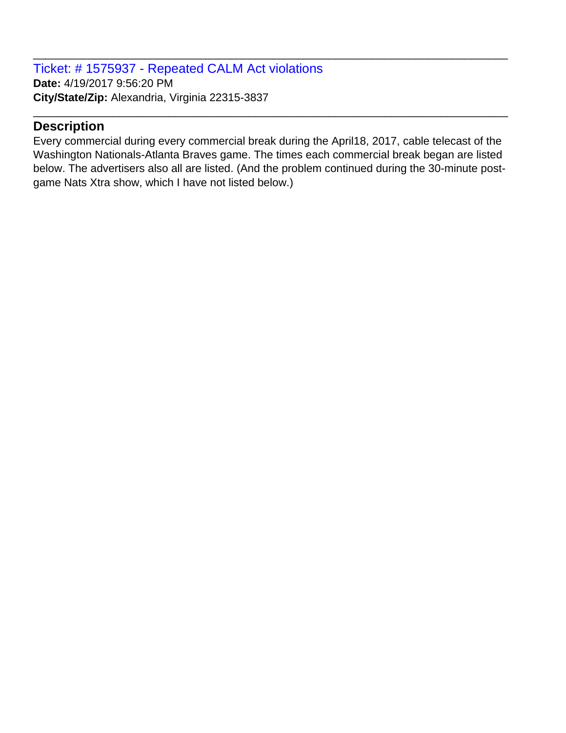Ticket: # 1575937 - Repeated CALM Act violations **Date:** 4/19/2017 9:56:20 PM **City/State/Zip:** Alexandria, Virginia 22315-3837

### **Description**

Every commercial during every commercial break during the April18, 2017, cable telecast of the Washington Nationals-Atlanta Braves game. The times each commercial break began are listed below. The advertisers also all are listed. (And the problem continued during the 30-minute postgame Nats Xtra show, which I have not listed below.)

\_\_\_\_\_\_\_\_\_\_\_\_\_\_\_\_\_\_\_\_\_\_\_\_\_\_\_\_\_\_\_\_\_\_\_\_\_\_\_\_\_\_\_\_\_\_\_\_\_\_\_\_\_\_\_\_\_\_\_\_\_\_\_\_\_\_\_\_\_\_\_\_\_\_\_\_\_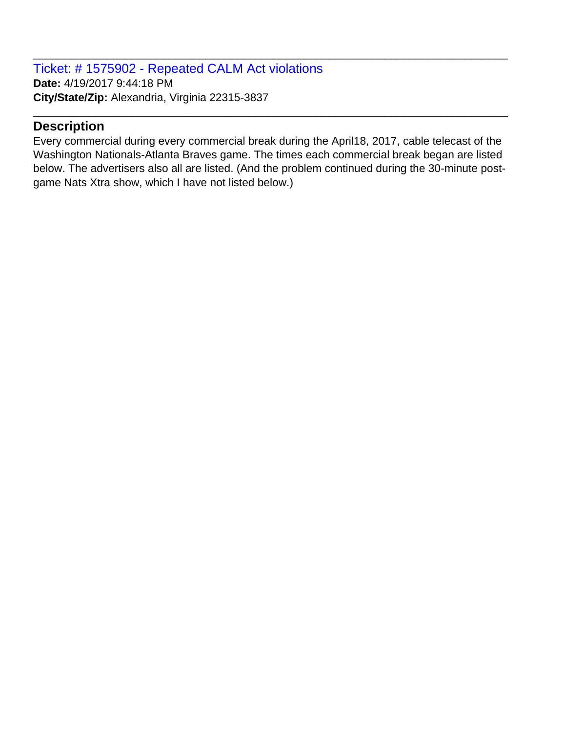Ticket: # 1575902 - Repeated CALM Act violations **Date:** 4/19/2017 9:44:18 PM **City/State/Zip:** Alexandria, Virginia 22315-3837

# **Description**

Every commercial during every commercial break during the April18, 2017, cable telecast of the Washington Nationals-Atlanta Braves game. The times each commercial break began are listed below. The advertisers also all are listed. (And the problem continued during the 30-minute postgame Nats Xtra show, which I have not listed below.)

\_\_\_\_\_\_\_\_\_\_\_\_\_\_\_\_\_\_\_\_\_\_\_\_\_\_\_\_\_\_\_\_\_\_\_\_\_\_\_\_\_\_\_\_\_\_\_\_\_\_\_\_\_\_\_\_\_\_\_\_\_\_\_\_\_\_\_\_\_\_\_\_\_\_\_\_\_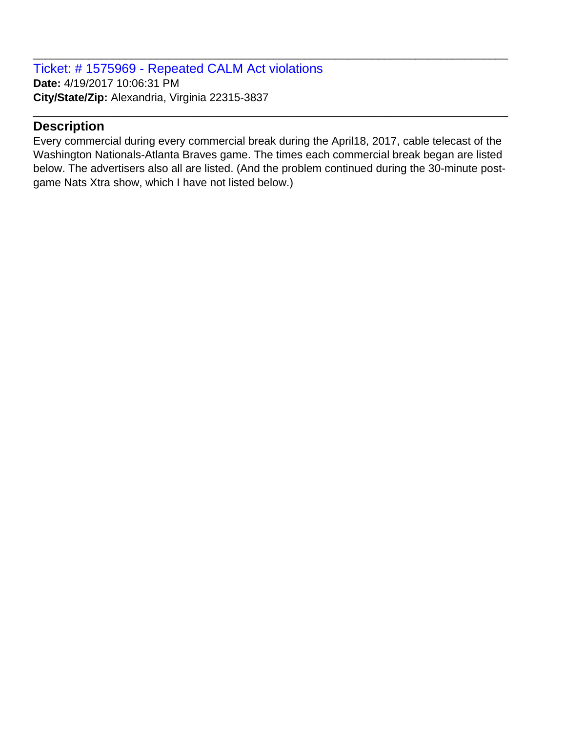Ticket: # 1575969 - Repeated CALM Act violations **Date:** 4/19/2017 10:06:31 PM **City/State/Zip:** Alexandria, Virginia 22315-3837

### **Description**

Every commercial during every commercial break during the April18, 2017, cable telecast of the Washington Nationals-Atlanta Braves game. The times each commercial break began are listed below. The advertisers also all are listed. (And the problem continued during the 30-minute postgame Nats Xtra show, which I have not listed below.)

\_\_\_\_\_\_\_\_\_\_\_\_\_\_\_\_\_\_\_\_\_\_\_\_\_\_\_\_\_\_\_\_\_\_\_\_\_\_\_\_\_\_\_\_\_\_\_\_\_\_\_\_\_\_\_\_\_\_\_\_\_\_\_\_\_\_\_\_\_\_\_\_\_\_\_\_\_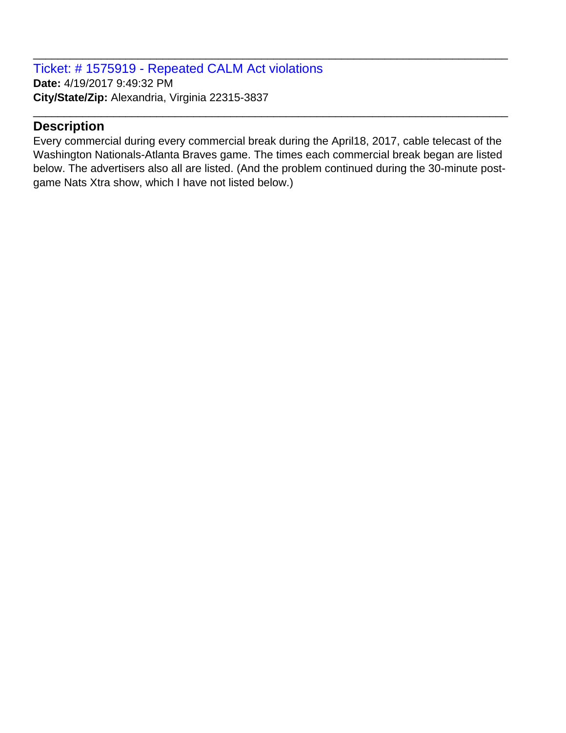Ticket: # 1575919 - Repeated CALM Act violations **Date:** 4/19/2017 9:49:32 PM **City/State/Zip:** Alexandria, Virginia 22315-3837

# **Description**

Every commercial during every commercial break during the April18, 2017, cable telecast of the Washington Nationals-Atlanta Braves game. The times each commercial break began are listed below. The advertisers also all are listed. (And the problem continued during the 30-minute postgame Nats Xtra show, which I have not listed below.)

\_\_\_\_\_\_\_\_\_\_\_\_\_\_\_\_\_\_\_\_\_\_\_\_\_\_\_\_\_\_\_\_\_\_\_\_\_\_\_\_\_\_\_\_\_\_\_\_\_\_\_\_\_\_\_\_\_\_\_\_\_\_\_\_\_\_\_\_\_\_\_\_\_\_\_\_\_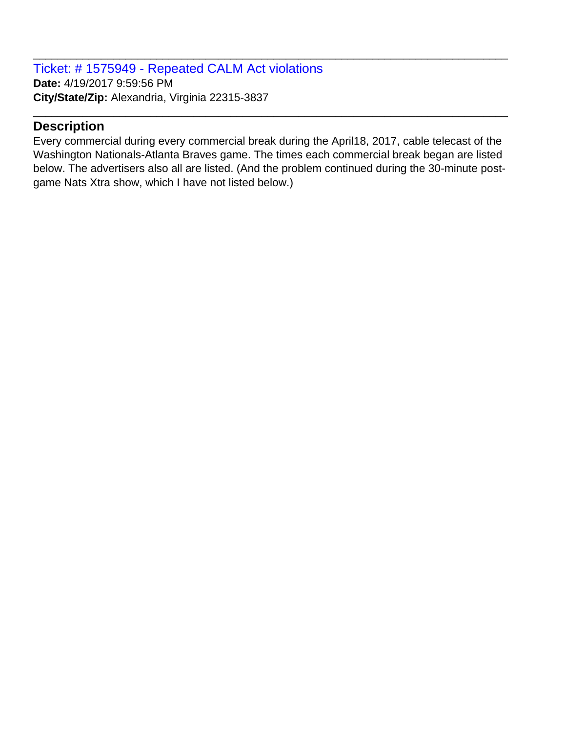Ticket: # 1575949 - Repeated CALM Act violations **Date:** 4/19/2017 9:59:56 PM **City/State/Zip:** Alexandria, Virginia 22315-3837

# **Description**

Every commercial during every commercial break during the April18, 2017, cable telecast of the Washington Nationals-Atlanta Braves game. The times each commercial break began are listed below. The advertisers also all are listed. (And the problem continued during the 30-minute postgame Nats Xtra show, which I have not listed below.)

\_\_\_\_\_\_\_\_\_\_\_\_\_\_\_\_\_\_\_\_\_\_\_\_\_\_\_\_\_\_\_\_\_\_\_\_\_\_\_\_\_\_\_\_\_\_\_\_\_\_\_\_\_\_\_\_\_\_\_\_\_\_\_\_\_\_\_\_\_\_\_\_\_\_\_\_\_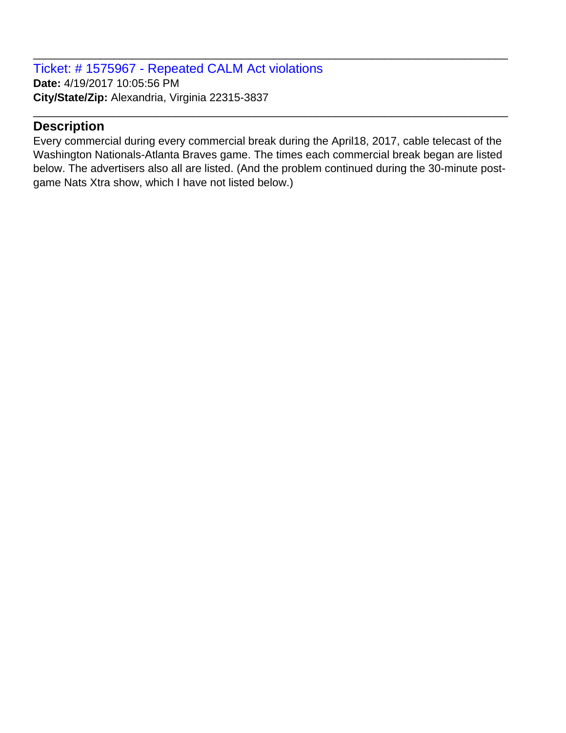Ticket: # 1575967 - Repeated CALM Act violations **Date:** 4/19/2017 10:05:56 PM **City/State/Zip:** Alexandria, Virginia 22315-3837

# **Description**

Every commercial during every commercial break during the April18, 2017, cable telecast of the Washington Nationals-Atlanta Braves game. The times each commercial break began are listed below. The advertisers also all are listed. (And the problem continued during the 30-minute postgame Nats Xtra show, which I have not listed below.)

\_\_\_\_\_\_\_\_\_\_\_\_\_\_\_\_\_\_\_\_\_\_\_\_\_\_\_\_\_\_\_\_\_\_\_\_\_\_\_\_\_\_\_\_\_\_\_\_\_\_\_\_\_\_\_\_\_\_\_\_\_\_\_\_\_\_\_\_\_\_\_\_\_\_\_\_\_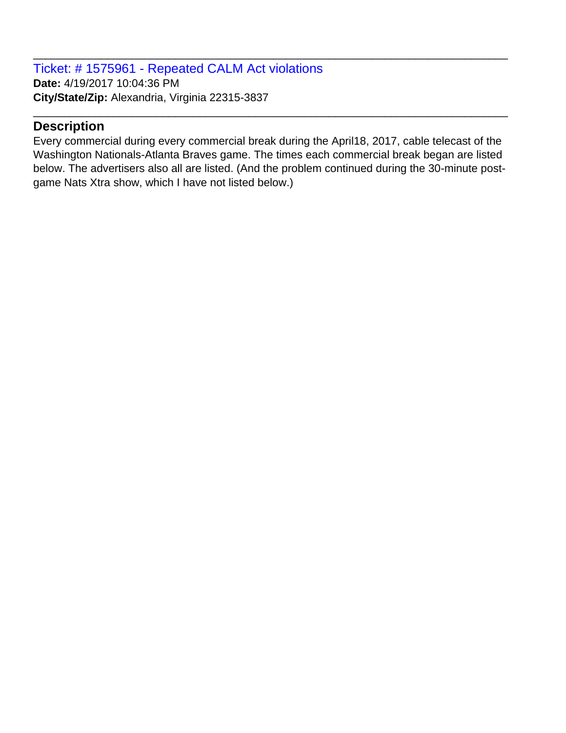Ticket: # 1575961 - Repeated CALM Act violations **Date:** 4/19/2017 10:04:36 PM **City/State/Zip:** Alexandria, Virginia 22315-3837

# **Description**

Every commercial during every commercial break during the April18, 2017, cable telecast of the Washington Nationals-Atlanta Braves game. The times each commercial break began are listed below. The advertisers also all are listed. (And the problem continued during the 30-minute postgame Nats Xtra show, which I have not listed below.)

\_\_\_\_\_\_\_\_\_\_\_\_\_\_\_\_\_\_\_\_\_\_\_\_\_\_\_\_\_\_\_\_\_\_\_\_\_\_\_\_\_\_\_\_\_\_\_\_\_\_\_\_\_\_\_\_\_\_\_\_\_\_\_\_\_\_\_\_\_\_\_\_\_\_\_\_\_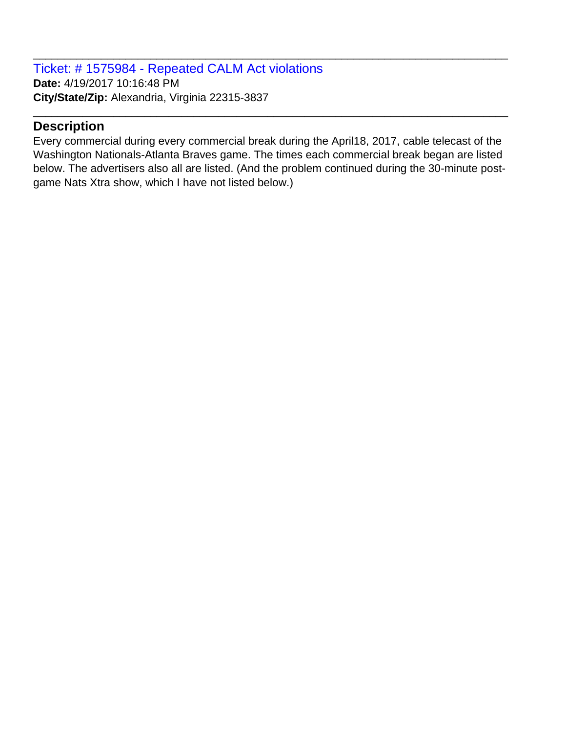Ticket: # 1575984 - Repeated CALM Act violations **Date:** 4/19/2017 10:16:48 PM **City/State/Zip:** Alexandria, Virginia 22315-3837

### **Description**

Every commercial during every commercial break during the April18, 2017, cable telecast of the Washington Nationals-Atlanta Braves game. The times each commercial break began are listed below. The advertisers also all are listed. (And the problem continued during the 30-minute postgame Nats Xtra show, which I have not listed below.)

\_\_\_\_\_\_\_\_\_\_\_\_\_\_\_\_\_\_\_\_\_\_\_\_\_\_\_\_\_\_\_\_\_\_\_\_\_\_\_\_\_\_\_\_\_\_\_\_\_\_\_\_\_\_\_\_\_\_\_\_\_\_\_\_\_\_\_\_\_\_\_\_\_\_\_\_\_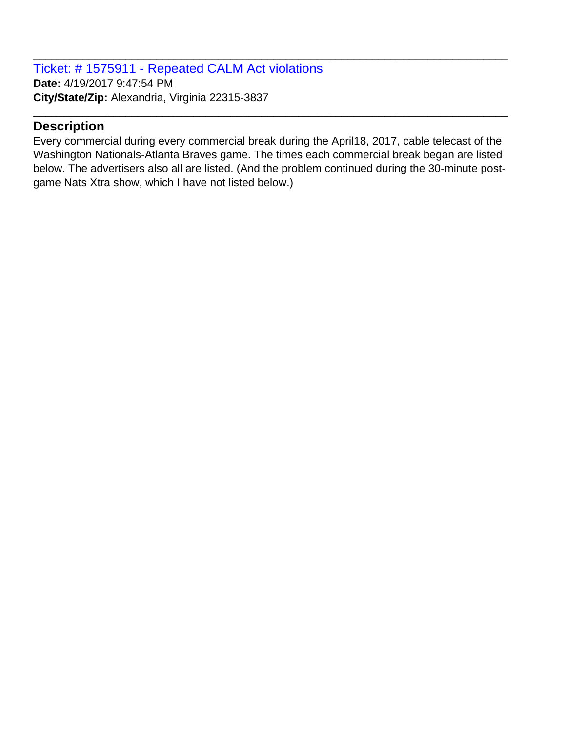Ticket: # 1575911 - Repeated CALM Act violations **Date:** 4/19/2017 9:47:54 PM **City/State/Zip:** Alexandria, Virginia 22315-3837

# **Description**

Every commercial during every commercial break during the April18, 2017, cable telecast of the Washington Nationals-Atlanta Braves game. The times each commercial break began are listed below. The advertisers also all are listed. (And the problem continued during the 30-minute postgame Nats Xtra show, which I have not listed below.)

\_\_\_\_\_\_\_\_\_\_\_\_\_\_\_\_\_\_\_\_\_\_\_\_\_\_\_\_\_\_\_\_\_\_\_\_\_\_\_\_\_\_\_\_\_\_\_\_\_\_\_\_\_\_\_\_\_\_\_\_\_\_\_\_\_\_\_\_\_\_\_\_\_\_\_\_\_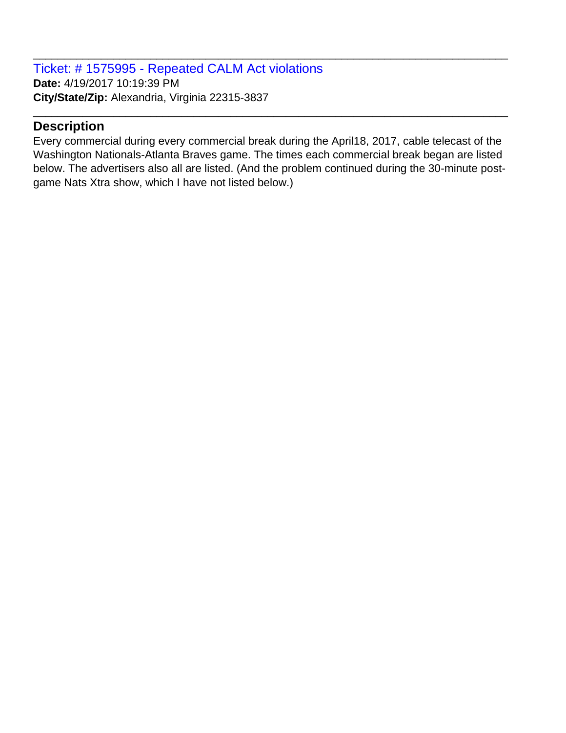Ticket: # 1575995 - Repeated CALM Act violations **Date:** 4/19/2017 10:19:39 PM **City/State/Zip:** Alexandria, Virginia 22315-3837

### **Description**

Every commercial during every commercial break during the April18, 2017, cable telecast of the Washington Nationals-Atlanta Braves game. The times each commercial break began are listed below. The advertisers also all are listed. (And the problem continued during the 30-minute postgame Nats Xtra show, which I have not listed below.)

\_\_\_\_\_\_\_\_\_\_\_\_\_\_\_\_\_\_\_\_\_\_\_\_\_\_\_\_\_\_\_\_\_\_\_\_\_\_\_\_\_\_\_\_\_\_\_\_\_\_\_\_\_\_\_\_\_\_\_\_\_\_\_\_\_\_\_\_\_\_\_\_\_\_\_\_\_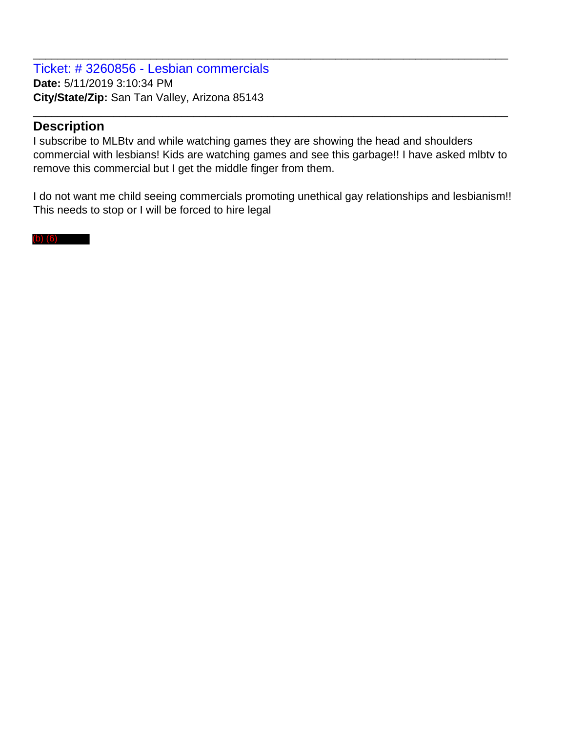Ticket: # 3260856 - Lesbian commercials **Date:** 5/11/2019 3:10:34 PM **City/State/Zip:** San Tan Valley, Arizona 85143

### **Description**

I subscribe to MLBtv and while watching games they are showing the head and shoulders commercial with lesbians! Kids are watching games and see this garbage!! I have asked mlbtv to remove this commercial but I get the middle finger from them.

\_\_\_\_\_\_\_\_\_\_\_\_\_\_\_\_\_\_\_\_\_\_\_\_\_\_\_\_\_\_\_\_\_\_\_\_\_\_\_\_\_\_\_\_\_\_\_\_\_\_\_\_\_\_\_\_\_\_\_\_\_\_\_\_\_\_\_\_\_\_\_\_\_\_\_\_\_

\_\_\_\_\_\_\_\_\_\_\_\_\_\_\_\_\_\_\_\_\_\_\_\_\_\_\_\_\_\_\_\_\_\_\_\_\_\_\_\_\_\_\_\_\_\_\_\_\_\_\_\_\_\_\_\_\_\_\_\_\_\_\_\_\_\_\_\_\_\_\_\_\_\_\_\_\_

I do not want me child seeing commercials promoting unethical gay relationships and lesbianism!! This needs to stop or I will be forced to hire legal

(b) (6)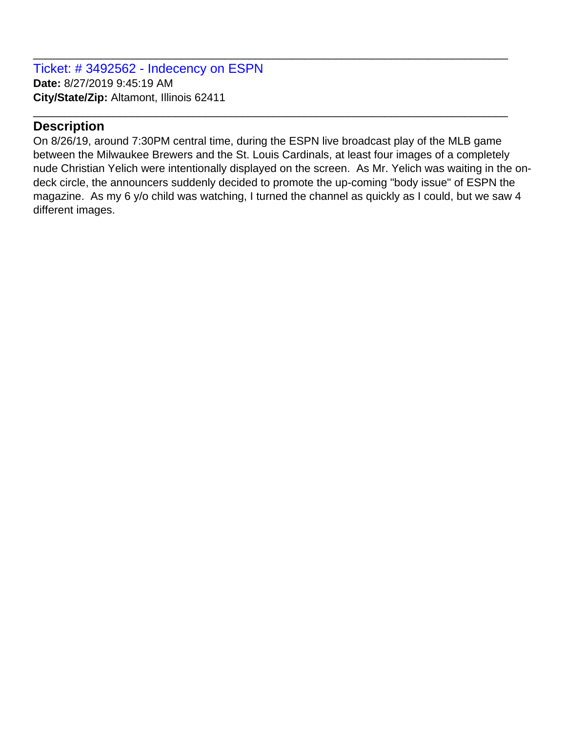Ticket: # 3492562 - Indecency on ESPN **Date:** 8/27/2019 9:45:19 AM **City/State/Zip:** Altamont, Illinois 62411

# **Description**

On 8/26/19, around 7:30PM central time, during the ESPN live broadcast play of the MLB game between the Milwaukee Brewers and the St. Louis Cardinals, at least four images of a completely nude Christian Yelich were intentionally displayed on the screen. As Mr. Yelich was waiting in the ondeck circle, the announcers suddenly decided to promote the up-coming "body issue" of ESPN the magazine. As my 6 y/o child was watching, I turned the channel as quickly as I could, but we saw 4 different images.

\_\_\_\_\_\_\_\_\_\_\_\_\_\_\_\_\_\_\_\_\_\_\_\_\_\_\_\_\_\_\_\_\_\_\_\_\_\_\_\_\_\_\_\_\_\_\_\_\_\_\_\_\_\_\_\_\_\_\_\_\_\_\_\_\_\_\_\_\_\_\_\_\_\_\_\_\_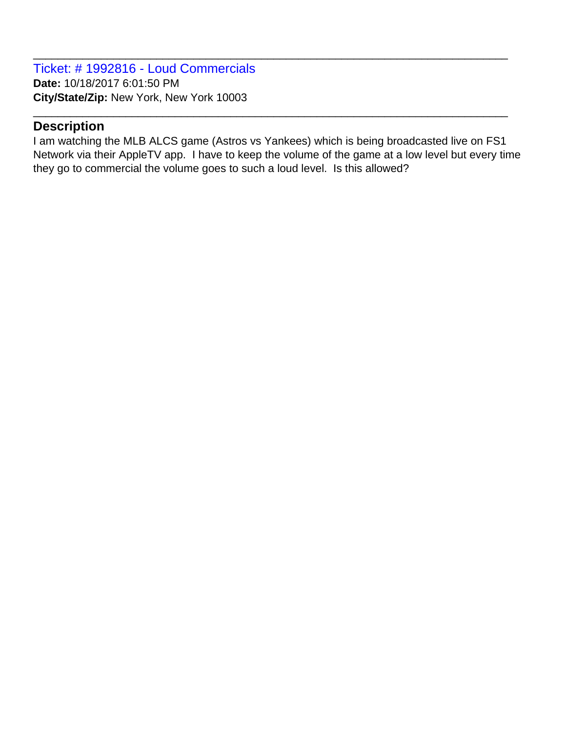Ticket: # 1992816 - Loud Commercials **Date:** 10/18/2017 6:01:50 PM **City/State/Zip:** New York, New York 10003

### **Description**

I am watching the MLB ALCS game (Astros vs Yankees) which is being broadcasted live on FS1 Network via their AppleTV app. I have to keep the volume of the game at a low level but every time they go to commercial the volume goes to such a loud level. Is this allowed?

\_\_\_\_\_\_\_\_\_\_\_\_\_\_\_\_\_\_\_\_\_\_\_\_\_\_\_\_\_\_\_\_\_\_\_\_\_\_\_\_\_\_\_\_\_\_\_\_\_\_\_\_\_\_\_\_\_\_\_\_\_\_\_\_\_\_\_\_\_\_\_\_\_\_\_\_\_